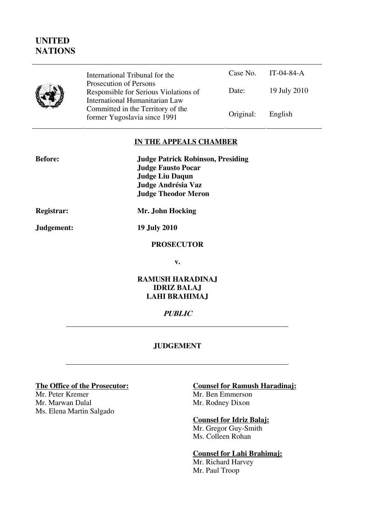# **UNITED NATIONS**

|--|

Case No. IT-04-84-A Date: 19 July 2010 International Tribunal for the Prosecution of Persons Responsible for Serious Violations of International Humanitarian Law Committed in the Territory of the Former Yugoslavia since 1991 **Original:** English

#### **IN THE APPEALS CHAMBER**

| <b>Before:</b> | <b>Judge Patrick Robinson, Presiding</b><br><b>Judge Fausto Pocar</b><br><b>Judge Liu Daqun</b><br>Judge Andrésia Vaz<br><b>Judge Theodor Meron</b> |
|----------------|-----------------------------------------------------------------------------------------------------------------------------------------------------|
| Registrar:     | Mr. John Hocking                                                                                                                                    |
| Judgement:     | <b>19 July 2010</b>                                                                                                                                 |

#### **PROSECUTOR**

**v.** 

#### **RAMUSH HARADINAJ IDRIZ BALAJ LAHI BRAHIMAJ**

#### **PUBLIC**

#### **JUDGEMENT**

Mr. Peter Kremer<br>Mr. Marwan Dalal Mr. Rodney Dixon Ms. Elena Martin Salgado

# **The Office of the Prosecutor:**<br>
Mr. Peter Kremer<br>
Mr. Ben Emmerson

Mr. Rodney Dixon

#### **Counsel for Idriz Balaj:**

Mr. Gregor Guy-Smith Ms. Colleen Rohan

#### **Counsel for Lahi Brahimaj:**

Mr. Richard Harvey Mr. Paul Troop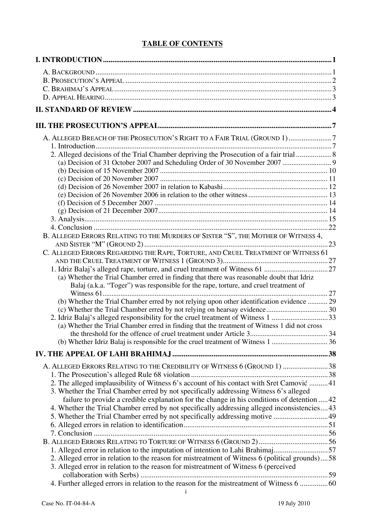### **TABLE OF CONTENTS**

| A. ALLEGED BREACH OF THE PROSECUTION'S RIGHT TO A FAIR TRIAL (GROUND 1)7                                                                                                          |     |
|-----------------------------------------------------------------------------------------------------------------------------------------------------------------------------------|-----|
|                                                                                                                                                                                   |     |
| 2. Alleged decisions of the Trial Chamber depriving the Prosecution of a fair trial  8                                                                                            |     |
|                                                                                                                                                                                   |     |
|                                                                                                                                                                                   |     |
|                                                                                                                                                                                   |     |
|                                                                                                                                                                                   |     |
|                                                                                                                                                                                   |     |
|                                                                                                                                                                                   |     |
|                                                                                                                                                                                   |     |
|                                                                                                                                                                                   |     |
|                                                                                                                                                                                   |     |
| B. ALLEGED ERRORS RELATING TO THE MURDERS OF SISTER "S", THE MOTHER OF WITNESS 4,                                                                                                 |     |
|                                                                                                                                                                                   |     |
| C. ALLEGED ERRORS REGARDING THE RAPE, TORTURE, AND CRUEL TREATMENT OF WITNESS 61                                                                                                  |     |
|                                                                                                                                                                                   |     |
|                                                                                                                                                                                   |     |
| (a) Whether the Trial Chamber erred in finding that there was reasonable doubt that Idriz<br>Balaj (a.k.a. "Toger") was responsible for the rape, torture, and cruel treatment of |     |
|                                                                                                                                                                                   |     |
| (b) Whether the Trial Chamber erred by not relying upon other identification evidence  29                                                                                         |     |
|                                                                                                                                                                                   |     |
| 2. Idriz Balaj's alleged responsibility for the cruel treatment of Witness 1 33                                                                                                   |     |
| (a) Whether the Trial Chamber erred in finding that the treatment of Witness 1 did not cross                                                                                      |     |
| the threshold for the offence of cruel treatment under Article 3                                                                                                                  | .34 |
|                                                                                                                                                                                   |     |
|                                                                                                                                                                                   |     |
|                                                                                                                                                                                   |     |
| A. ALLEGED ERRORS RELATING TO THE CREDIBILITY OF WITNESS 6 (GROUND 1) 38                                                                                                          |     |
|                                                                                                                                                                                   |     |
| 2. The alleged implausibility of Witness 6's account of his contact with Sret Camović  41                                                                                         |     |
| 3. Whether the Trial Chamber erred by not specifically addressing Witness 6's alleged                                                                                             |     |
| failure to provide a credible explanation for the change in his conditions of detention 42                                                                                        |     |
| 4. Whether the Trial Chamber erred by not specifically addressing alleged inconsistencies 43                                                                                      |     |
| 5. Whether the Trial Chamber erred by not specifically addressing motive  49                                                                                                      |     |
|                                                                                                                                                                                   |     |
|                                                                                                                                                                                   |     |
| 1. Alleged error in relation to the imputation of intention to Lahi Brahimaj57                                                                                                    |     |
| 2. Alleged error in relation to the reason for mistreatment of Witness 6 (political grounds)58                                                                                    |     |
| 3. Alleged error in relation to the reason for mistreatment of Witness 6 (perceived                                                                                               |     |
|                                                                                                                                                                                   |     |
| 4. Further alleged errors in relation to the reason for the mistreatment of Witness 6  60                                                                                         |     |
|                                                                                                                                                                                   |     |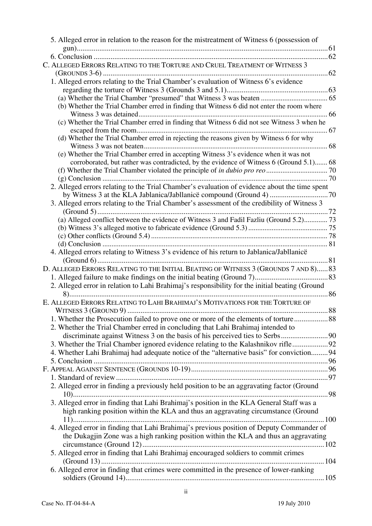| 5. Alleged error in relation to the reason for the mistreatment of Witness 6 (possession of    |  |
|------------------------------------------------------------------------------------------------|--|
|                                                                                                |  |
|                                                                                                |  |
| C. ALLEGED ERRORS RELATING TO THE TORTURE AND CRUEL TREATMENT OF WITNESS 3                     |  |
|                                                                                                |  |
| 1. Alleged errors relating to the Trial Chamber's evaluation of Witness 6's evidence           |  |
|                                                                                                |  |
|                                                                                                |  |
| (b) Whether the Trial Chamber erred in finding that Witness 6 did not enter the room where     |  |
|                                                                                                |  |
| (c) Whether the Trial Chamber erred in finding that Witness 6 did not see Witness 3 when he    |  |
|                                                                                                |  |
| (d) Whether the Trial Chamber erred in rejecting the reasons given by Witness 6 for why        |  |
|                                                                                                |  |
| (e) Whether the Trial Chamber erred in accepting Witness 3's evidence when it was not          |  |
| corroborated, but rather was contradicted, by the evidence of Witness 6 (Ground 5.1) 68        |  |
|                                                                                                |  |
|                                                                                                |  |
| 2. Alleged errors relating to the Trial Chamber's evaluation of evidence about the time spent  |  |
|                                                                                                |  |
| 3. Alleged errors relating to the Trial Chamber's assessment of the credibility of Witness 3   |  |
|                                                                                                |  |
| (a) Alleged conflict between the evidence of Witness 3 and Fadil Fazliu (Ground 5.2) 73        |  |
|                                                                                                |  |
|                                                                                                |  |
|                                                                                                |  |
| 4. Alleged errors relating to Witness 3's evidence of his return to Jablanica/Jabllanicë       |  |
|                                                                                                |  |
| D. ALLEGED ERRORS RELATING TO THE INITIAL BEATING OF WITNESS 3 (GROUNDS 7 AND 8) 83            |  |
|                                                                                                |  |
| 2. Alleged error in relation to Lahi Brahimaj's responsibility for the initial beating (Ground |  |
|                                                                                                |  |
| E. ALLEGED ERRORS RELATING TO LAHI BRAHIMAJ'S MOTIVATIONS FOR THE TORTURE OF                   |  |
|                                                                                                |  |
| 1. Whether the Prosecution failed to prove one or more of the elements of torture 88           |  |
| 2. Whether the Trial Chamber erred in concluding that Lahi Brahimaj intended to                |  |
|                                                                                                |  |
| 3. Whether the Trial Chamber ignored evidence relating to the Kalashnikov rifle92              |  |
| 4. Whether Lahi Brahimaj had adequate notice of the "alternative basis" for conviction 94      |  |
|                                                                                                |  |
|                                                                                                |  |
|                                                                                                |  |
| 2. Alleged error in finding a previously held position to be an aggravating factor (Ground     |  |
|                                                                                                |  |
| 3. Alleged error in finding that Lahi Brahimaj's position in the KLA General Staff was a       |  |
|                                                                                                |  |
| high ranking position within the KLA and thus an aggravating circumstance (Ground              |  |
|                                                                                                |  |
| 4. Alleged error in finding that Lahi Brahimaj's previous position of Deputy Commander of      |  |
| the Dukagjin Zone was a high ranking position within the KLA and thus an aggravating           |  |
|                                                                                                |  |
| 5. Alleged error in finding that Lahi Brahimaj encouraged soldiers to commit crimes            |  |
|                                                                                                |  |
| 6. Alleged error in finding that crimes were committed in the presence of lower-ranking        |  |
|                                                                                                |  |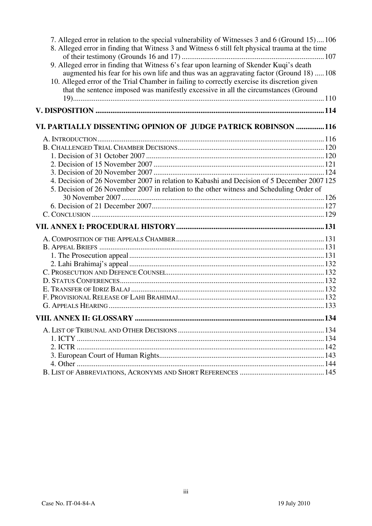| 7. Alleged error in relation to the special vulnerability of Witnesses 3 and 6 (Ground 15)106<br>8. Alleged error in finding that Witness 3 and Witness 6 still felt physical trauma at the time                                                                                                                                                                          |  |
|---------------------------------------------------------------------------------------------------------------------------------------------------------------------------------------------------------------------------------------------------------------------------------------------------------------------------------------------------------------------------|--|
| 9. Alleged error in finding that Witness 6's fear upon learning of Skender Kuqi's death<br>augmented his fear for his own life and thus was an aggravating factor (Ground 18)  108<br>10. Alleged error of the Trial Chamber in failing to correctly exercise its discretion given<br>that the sentence imposed was manifestly excessive in all the circumstances (Ground |  |
|                                                                                                                                                                                                                                                                                                                                                                           |  |
| VI. PARTIALLY DISSENTING OPINION OF JUDGE PATRICK ROBINSON 116                                                                                                                                                                                                                                                                                                            |  |
|                                                                                                                                                                                                                                                                                                                                                                           |  |
|                                                                                                                                                                                                                                                                                                                                                                           |  |
|                                                                                                                                                                                                                                                                                                                                                                           |  |
|                                                                                                                                                                                                                                                                                                                                                                           |  |
|                                                                                                                                                                                                                                                                                                                                                                           |  |
| 4. Decision of 26 November 2007 in relation to Kabashi and Decision of 5 December 2007 125                                                                                                                                                                                                                                                                                |  |
| 5. Decision of 26 November 2007 in relation to the other witness and Scheduling Order of                                                                                                                                                                                                                                                                                  |  |
|                                                                                                                                                                                                                                                                                                                                                                           |  |
|                                                                                                                                                                                                                                                                                                                                                                           |  |
|                                                                                                                                                                                                                                                                                                                                                                           |  |
|                                                                                                                                                                                                                                                                                                                                                                           |  |
|                                                                                                                                                                                                                                                                                                                                                                           |  |
|                                                                                                                                                                                                                                                                                                                                                                           |  |
|                                                                                                                                                                                                                                                                                                                                                                           |  |
|                                                                                                                                                                                                                                                                                                                                                                           |  |
|                                                                                                                                                                                                                                                                                                                                                                           |  |
|                                                                                                                                                                                                                                                                                                                                                                           |  |
|                                                                                                                                                                                                                                                                                                                                                                           |  |
|                                                                                                                                                                                                                                                                                                                                                                           |  |
|                                                                                                                                                                                                                                                                                                                                                                           |  |
|                                                                                                                                                                                                                                                                                                                                                                           |  |
|                                                                                                                                                                                                                                                                                                                                                                           |  |
|                                                                                                                                                                                                                                                                                                                                                                           |  |
|                                                                                                                                                                                                                                                                                                                                                                           |  |
|                                                                                                                                                                                                                                                                                                                                                                           |  |
|                                                                                                                                                                                                                                                                                                                                                                           |  |
|                                                                                                                                                                                                                                                                                                                                                                           |  |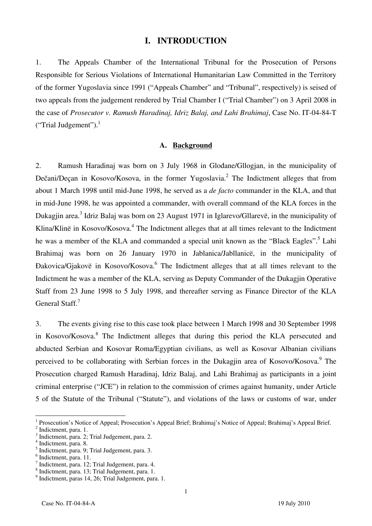#### **I. INTRODUCTION**

1. The Appeals Chamber of the International Tribunal for the Prosecution of Persons Responsible for Serious Violations of International Humanitarian Law Committed in the Territory of the former Yugoslavia since 1991 ("Appeals Chamber" and "Tribunal", respectively) is seised of two appeals from the judgement rendered by Trial Chamber I ("Trial Chamber") on 3 April 2008 in the case of *Prosecutor v. Ramush Haradinaj, Idriz Balaj, and Lahi Brahimaj*, Case No. IT-04-84-T ("Trial Judgement"). $<sup>1</sup>$ </sup>

#### **A. Background**

2. Ramush Haradinaj was born on 3 July 1968 in Glođane/Gllogjan, in the municipality of Dečani/Deçan in Kosovo/Kosova, in the former Yugoslavia.<sup>2</sup> The Indictment alleges that from about 1 March 1998 until mid-June 1998, he served as a *de facto* commander in the KLA, and that in mid-June 1998, he was appointed a commander, with overall command of the KLA forces in the Dukagjin area.<sup>3</sup> Idriz Balaj was born on 23 August 1971 in Iglarevo/Gllarevë, in the municipality of Klina/Klinë in Kosovo/Kosova.<sup>4</sup> The Indictment alleges that at all times relevant to the Indictment he was a member of the KLA and commanded a special unit known as the "Black Eagles".<sup>5</sup> Lahi Brahimaj was born on 26 January 1970 in Jablanica/Jabllanicë, in the municipality of Đakovica/Gjakovë in Kosovo/Kosova.<sup>6</sup> The Indictment alleges that at all times relevant to the Indictment he was a member of the KLA, serving as Deputy Commander of the Dukagjin Operative Staff from 23 June 1998 to 5 July 1998, and thereafter serving as Finance Director of the KLA General Staff.<sup>7</sup>

3. The events giving rise to this case took place between 1 March 1998 and 30 September 1998 in Kosovo/Kosova.<sup>8</sup> The Indictment alleges that during this period the KLA persecuted and abducted Serbian and Kosovar Roma/Egyptian civilians, as well as Kosovar Albanian civilians perceived to be collaborating with Serbian forces in the Dukagjin area of Kosovo/Kosova.<sup>9</sup> The Prosecution charged Ramush Haradinaj, Idriz Balaj, and Lahi Brahimaj as participants in a joint criminal enterprise ("JCE") in relation to the commission of crimes against humanity, under Article 5 of the Statute of the Tribunal ("Statute"), and violations of the laws or customs of war, under

<sup>&</sup>lt;sup>1</sup> Prosecution's Notice of Appeal; Prosecution's Appeal Brief; Brahimaj's Notice of Appeal; Brahimaj's Appeal Brief.  $\frac{2 \text{ Indistment, } \text{ngre} - 1}{2 \text{ Indistment, } \text{ngre} - 1}$ 

 $<sup>2</sup>$  Indictment, para. 1.</sup>

 $3 \text{ Indiciment, para. 2; Trial Judgement, para. 2.}$ 

Indictment, para. 8.

<sup>5</sup> Indictment, para. 9; Trial Judgement, para. 3.

 $<sup>6</sup>$  Indictment, para. 11.</sup>

<sup>7</sup> Indictment, para. 12; Trial Judgement, para. 4.

<sup>8</sup> Indictment, para. 13; Trial Judgement, para. 1.

<sup>9</sup> Indictment, paras 14, 26; Trial Judgement, para. 1.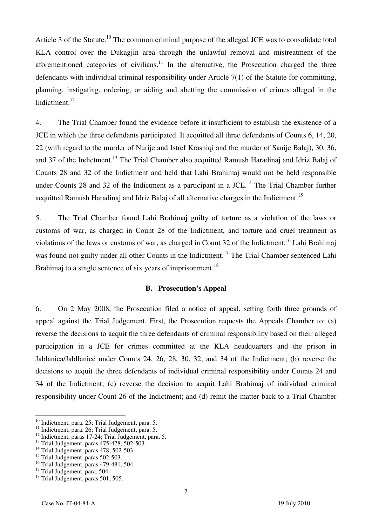Article 3 of the Statute.<sup>10</sup> The common criminal purpose of the alleged JCE was to consolidate total KLA control over the Dukagjin area through the unlawful removal and mistreatment of the aforementioned categories of civilians. $11$  In the alternative, the Prosecution charged the three defendants with individual criminal responsibility under Article 7(1) of the Statute for committing, planning, instigating, ordering, or aiding and abetting the commission of crimes alleged in the Indictment.<sup>12</sup>

4. The Trial Chamber found the evidence before it insufficient to establish the existence of a JCE in which the three defendants participated. It acquitted all three defendants of Counts 6, 14, 20, 22 (with regard to the murder of Nurije and Istref Krasniqi and the murder of Sanije Balaj), 30, 36, and 37 of the Indictment.<sup>13</sup> The Trial Chamber also acquitted Ramush Haradinaj and Idriz Balaj of Counts 28 and 32 of the Indictment and held that Lahi Brahimaj would not be held responsible under Counts 28 and 32 of the Indictment as a participant in a JCE.<sup>14</sup> The Trial Chamber further acquitted Ramush Haradinaj and Idriz Balaj of all alternative charges in the Indictment.<sup>15</sup>

5. The Trial Chamber found Lahi Brahimaj guilty of torture as a violation of the laws or customs of war, as charged in Count 28 of the Indictment, and torture and cruel treatment as violations of the laws or customs of war, as charged in Count 32 of the Indictment.<sup>16</sup> Lahi Brahimaj was found not guilty under all other Counts in the Indictment.<sup>17</sup> The Trial Chamber sentenced Lahi Brahimaj to a single sentence of six years of imprisonment.<sup>18</sup>

#### **B. Prosecution's Appeal**

6. On 2 May 2008, the Prosecution filed a notice of appeal, setting forth three grounds of appeal against the Trial Judgement. First, the Prosecution requests the Appeals Chamber to: (a) reverse the decisions to acquit the three defendants of criminal responsibility based on their alleged participation in a JCE for crimes committed at the KLA headquarters and the prison in Jablanica/Jabllanicë under Counts 24, 26, 28, 30, 32, and 34 of the Indictment; (b) reverse the decisions to acquit the three defendants of individual criminal responsibility under Counts 24 and 34 of the Indictment; (c) reverse the decision to acquit Lahi Brahimaj of individual criminal responsibility under Count 26 of the Indictment; and (d) remit the matter back to a Trial Chamber

 $10^{10}$  Indictment, para. 25; Trial Judgement, para. 5.

<sup>&</sup>lt;sup>11</sup> Indictment, para. 26; Trial Judgement, para. 5.

<sup>&</sup>lt;sup>12</sup> Indictment, paras 17-24; Trial Judgement, para. 5.

 $13$  Trial Judgement, paras  $475-478$ ,  $502-503$ .

 $14$  Trial Judgement, paras 478, 502-503.

 $^{15}$  Trial Judgement, paras 502-503.

 $16$  Trial Judgement, paras 479-481, 504.

<sup>&</sup>lt;sup>17</sup> Trial Judgement, para. 504.

<sup>&</sup>lt;sup>18</sup> Trial Judgement, paras 501, 505.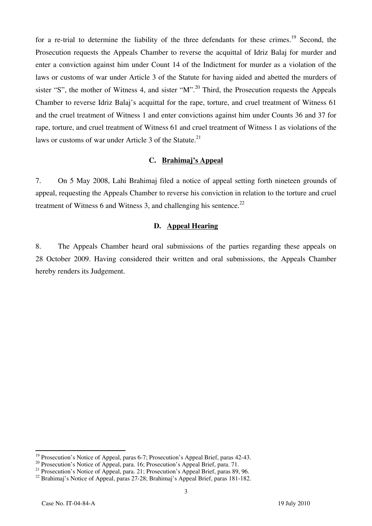for a re-trial to determine the liability of the three defendants for these crimes.<sup>19</sup> Second, the Prosecution requests the Appeals Chamber to reverse the acquittal of Idriz Balaj for murder and enter a conviction against him under Count 14 of the Indictment for murder as a violation of the laws or customs of war under Article 3 of the Statute for having aided and abetted the murders of sister "S", the mother of Witness 4, and sister "M".<sup>20</sup> Third, the Prosecution requests the Appeals Chamber to reverse Idriz Balaj's acquittal for the rape, torture, and cruel treatment of Witness 61 and the cruel treatment of Witness 1 and enter convictions against him under Counts 36 and 37 for rape, torture, and cruel treatment of Witness 61 and cruel treatment of Witness 1 as violations of the laws or customs of war under Article 3 of the Statute.<sup>21</sup>

#### **C. Brahimaj's Appeal**

7. On 5 May 2008, Lahi Brahimaj filed a notice of appeal setting forth nineteen grounds of appeal, requesting the Appeals Chamber to reverse his conviction in relation to the torture and cruel treatment of Witness 6 and Witness 3, and challenging his sentence.<sup>22</sup>

#### **D. Appeal Hearing**

8. The Appeals Chamber heard oral submissions of the parties regarding these appeals on 28 October 2009. Having considered their written and oral submissions, the Appeals Chamber hereby renders its Judgement.

 $\overline{\phantom{a}}$ 

 $^{19}$  Prosecution's Notice of Appeal, paras 6-7; Prosecution's Appeal Brief, paras 42-43.

<sup>&</sup>lt;sup>20</sup> Prosecution's Notice of Appeal, para. 16; Prosecution's Appeal Brief, para. 71.

<sup>&</sup>lt;sup>21</sup> Prosecution's Notice of Appeal, para. 21; Prosecution's Appeal Brief, paras 89, 96.

<sup>22</sup> Brahimaj's Notice of Appeal, paras 27-28; Brahimaj's Appeal Brief, paras 181-182.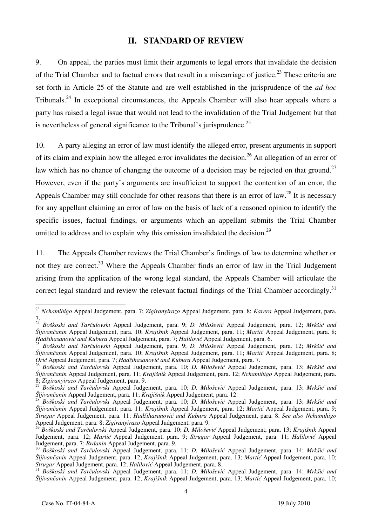#### **II. STANDARD OF REVIEW**

9. On appeal, the parties must limit their arguments to legal errors that invalidate the decision of the Trial Chamber and to factual errors that result in a miscarriage of justice.<sup>23</sup> These criteria are set forth in Article 25 of the Statute and are well established in the jurisprudence of the *ad hoc* Tribunals.<sup>24</sup> In exceptional circumstances, the Appeals Chamber will also hear appeals where a party has raised a legal issue that would not lead to the invalidation of the Trial Judgement but that is nevertheless of general significance to the Tribunal's jurisprudence.<sup>25</sup>

10. A party alleging an error of law must identify the alleged error, present arguments in support of its claim and explain how the alleged error invalidates the decision.<sup>26</sup> An allegation of an error of law which has no chance of changing the outcome of a decision may be rejected on that ground.<sup>27</sup> However, even if the party's arguments are insufficient to support the contention of an error, the Appeals Chamber may still conclude for other reasons that there is an error of law.<sup>28</sup> It is necessary for any appellant claiming an error of law on the basis of lack of a reasoned opinion to identify the specific issues, factual findings, or arguments which an appellant submits the Trial Chamber omitted to address and to explain why this omission invalidated the decision.<sup>29</sup>

11. The Appeals Chamber reviews the Trial Chamber's findings of law to determine whether or not they are correct.<sup>30</sup> Where the Appeals Chamber finds an error of law in the Trial Judgement arising from the application of the wrong legal standard, the Appeals Chamber will articulate the correct legal standard and review the relevant factual findings of the Trial Chamber accordingly.<sup>31</sup>

<sup>23</sup> *Nchamihigo* Appeal Judgement, para. 7; *Zigiranyirazo* Appeal Judgement, para. 8; *Karera* Appeal Judgement, para. 7.

<sup>&</sup>lt;sup>24</sup> Boškoski and Tarčulovski Appeal Judgement, para. 9; *D. Milošević* Appeal Judgement, para. 12; Mrkšić and *Šljivančanin* Appeal Judgement, para. 10; *Krajišnik* Appeal Judgement, para. 11; *Martić* Appeal Judgement, para. 8; Hadžihasanović and Kubura Appeal Judgement, para. 7; Halilović Appeal Judgement, para. 6.

<sup>&</sup>lt;sup>25</sup> Boškoski and Tarčulovski Appeal Judgement, para. 9; *D. Milošević* Appeal Judgement, para. 12; *Mrkšić and Šljivančanin* Appeal Judgement, para. 10; *Krajišnik* Appeal Judgement, para. 11; *Martić* Appeal Judgement, para. 8; *Orić* Appeal Judgement, para. 7; *Hadžihasanović and Kubura* Appeal Judgement, para. 7.

<sup>&</sup>lt;sup>26</sup> Boškoski and Tarčulovski Appeal Judgement, para. 10; *D. Milošević* Appeal Judgement, para. 13; Mrkšić and *Šljivančanin* Appeal Judgement, para. 11; *Krajišnik* Appeal Judgement, para. 12; *Nchamihigo* Appeal Judgement, para.

<sup>&</sup>lt;sup>27</sup> Boškoski and Tarčulovski Appeal Judgement, para. 10; *D. Milošević* Appeal Judgement, para. 13; *Mrkšić and Šliivančanin* Appeal Judgement, para. 10; *Mrkšić and* 

Boškoski and Tarčulovski Appeal Judgement, para. 10; D. Milošević Appeal Judgement, para. 13; Mrkšić and *Šljivančanin* Appeal Judgement, para. 11; *Krajišnik* Appeal Judgement, para. 12; *Martić* Appeal Judgement, para. 9; *Strugar* Appeal Judgement, para. 11; *Had`ihasanovi} and Kubura* Appeal Judgement, para. 8. *See also Nchamihigo*  Appeal Judgement, para. 8; *Zigiranyirazo* Appeal Judgement, para. 9.

<sup>29</sup> *Bo{koski and Tar~ulovski* Appeal Judgement, para. 10; *D. Milošević* Appeal Judgement, para. 13; *Krajišnik* Appeal Judgement, para. 12; *Martić* Appeal Judgement, para. 9; *Strugar* Appeal Judgement, para. 11; *Halilović* Appeal

<sup>&</sup>lt;sup>30</sup> Boškoski and Tarčulovski Appeal Judgement, para. 11; D. Milošević Appeal Judgement, para. 14; Mrkšić and *Šljivančanin* Appeal Judgement, para. 12; *Krajišnik* Appeal Judgement, para. 13; *Martić* Appeal Judgement, para. 10;

<sup>&</sup>lt;sup>31</sup> Boškoski and Tarčulovski Appeal Judgement, para. 11; D. Milošević Appeal Judgement, para. 14; Mrkšić and *Šljivančanin* Appeal Judgement, para. 12; *Krajišnik* Appeal Judgement, para. 13; *Martić* Appeal Judgement, para. 10;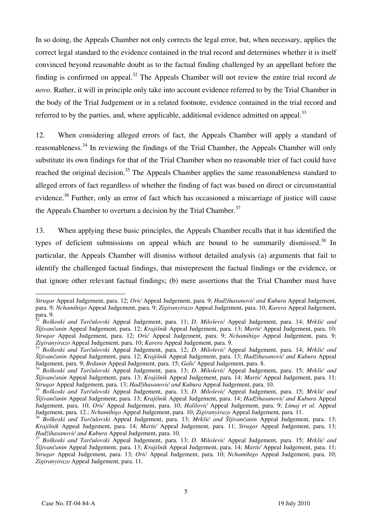In so doing, the Appeals Chamber not only corrects the legal error, but, when necessary, applies the correct legal standard to the evidence contained in the trial record and determines whether it is itself convinced beyond reasonable doubt as to the factual finding challenged by an appellant before the finding is confirmed on appeal.<sup>32</sup> The Appeals Chamber will not review the entire trial record  $de$ *novo*. Rather, it will in principle only take into account evidence referred to by the Trial Chamber in the body of the Trial Judgement or in a related footnote, evidence contained in the trial record and referred to by the parties, and, where applicable, additional evidence admitted on appeal.<sup>33</sup>

12. When considering alleged errors of fact, the Appeals Chamber will apply a standard of reasonableness.34 In reviewing the findings of the Trial Chamber, the Appeals Chamber will only substitute its own findings for that of the Trial Chamber when no reasonable trier of fact could have reached the original decision.<sup>35</sup> The Appeals Chamber applies the same reasonableness standard to alleged errors of fact regardless of whether the finding of fact was based on direct or circumstantial evidence.<sup>36</sup> Further, only an error of fact which has occasioned a miscarriage of justice will cause the Appeals Chamber to overturn a decision by the Trial Chamber.<sup>37</sup>

13. When applying these basic principles, the Appeals Chamber recalls that it has identified the types of deficient submissions on appeal which are bound to be summarily dismissed.<sup>38</sup> In particular, the Appeals Chamber will dismiss without detailed analysis (a) arguments that fail to identify the challenged factual findings, that misrepresent the factual findings or the evidence, or that ignore other relevant factual findings; (b) mere assertions that the Trial Chamber must have

 $\overline{a}$ *Strugar Appeal Judgement, para. 12; Orić Appeal Judgement, para. 9; <i>Hadžihasanović and Kubura Appeal Judgement,* para. 9; *Nchamihigo* Appeal Judgement, para. 9; *Zigiranyirazo* Appeal Judgement, para. 10; *Karera* Appeal Judgement, para. 9.

<sup>32</sup> *Bo{koski and Tar~ulovski* Appeal Judgement, para. 11; *D. Milošević* Appeal Judgement, para. 14; *Mrkšić and Šljivančanin* Appeal Judgement, para. 12; *Krajišnik* Appeal Judgement, para. 13; *Martić* Appeal Judgement, para. 10; *Strugar Appeal Judgement, para. 12; Orić* Appeal Judgement, para. 9; *Nchamihigo Appeal Judgement*, para. 9; *Zigiranyirazo Appeal Judgement, para. 10; Karera Appeal Judgement, para. 9; Zigiranyirazo Appeal Judgement, p* 

Boškoski and Tarčulovski Appeal Judgement, para. 12; D. Milošević Appeal Judgement, para. 14; Mrkšić and *Šljivančanin* Appeal Judgement, para. 12; *Krajišnik* Appeal Judgement, para. 13; *Hadžihasanović and Kubura* Appeal Judgement, para. 9; *Brdanin* Appeal Judgement, para. 8.

<sup>&</sup>lt;sup>34</sup> Boškoski and Tarčulovski Appeal Judgement, para. 13; D. Milošević Appeal Judgement, para. 15; Mrkšić and *Šljivančanin* Appeal Judgement, para. 13; *Krajišnik* Appeal Judgement, para. 14; *Martić* Appeal Judgement, para. 11; Strugar Appeal Judgement, para. 13; *Hadžihasanović and Kubura* Appeal Judgement, para. 10.

<sup>&</sup>lt;sup>35</sup> Boškoski and Tarčulovski Appeal Judgement, para. 13; D. Milošević Appeal Judgement, para. 15; Mrkšić and *Šljivančanin* Appeal Judgement, para. 13; *Krajišnik* Appeal Judgement, para. 14; *Had`ihasanovi} and Kubura* Appeal Judgement, para. 10; *Orić* Appeal Judgement, para. 10; *Halilović* Appeal Judgement, para. 9; *Limaj et al.* Appeal Judgement, para. 12.; *Nchamihigo* Appeal Judgement, para. 10; *Zigiranyirazo* Appeal Judgement, para. 11.

<sup>&</sup>lt;sup>36</sup> Boškoski and Tarčulovski Appeal Judgement, para. 13; Mrkšić and Šljivančanin Appeal Judgement, para. 13; *Krajišnik Appeal Judgement, para. 14; <i>Martić* Appeal Judgement, para. 11; *Strugar Appeal Judgement, para. 13; Hadžihasanović and Kubura Appeal Judgement, para. 10. i*<sup>37</sup> *B x*<sup>37</sup> *b x*<sup>37</sup> *b x*<sup>37</sup> *b x*<sup></sup>

*Had`ihasanovi} and Kubura* Appeal Judgement, para. 10. <sup>37</sup> *Bo{koski and Tar~ulovski* Appeal Judgement, para. 13; *D. Milošević* Appeal Judgement, para. 15; *Mrkšić and Šljivančanin* Appeal Judgement, para. 13; *Krajišnik* Appeal Judgement, para. 14; *Martić* Appeal Judgement, para. 11; *Strugar* Appeal Judgement, para. 13; *Orić* Appeal Judgement, para. 10; *Nchamihigo* Appeal Judgement, para. 10; *Zigiranyirazo* Appeal Judgement, para. 11.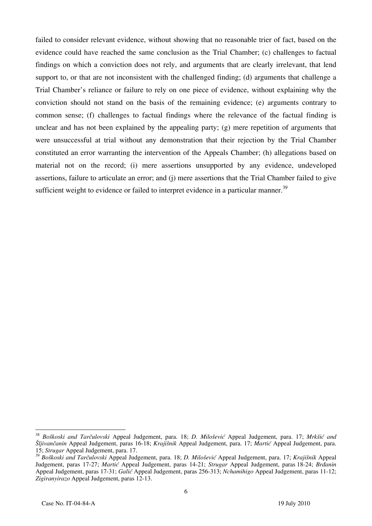failed to consider relevant evidence, without showing that no reasonable trier of fact, based on the evidence could have reached the same conclusion as the Trial Chamber; (c) challenges to factual findings on which a conviction does not rely, and arguments that are clearly irrelevant, that lend support to, or that are not inconsistent with the challenged finding; (d) arguments that challenge a Trial Chamber's reliance or failure to rely on one piece of evidence, without explaining why the conviction should not stand on the basis of the remaining evidence; (e) arguments contrary to common sense; (f) challenges to factual findings where the relevance of the factual finding is unclear and has not been explained by the appealing party; (g) mere repetition of arguments that were unsuccessful at trial without any demonstration that their rejection by the Trial Chamber constituted an error warranting the intervention of the Appeals Chamber; (h) allegations based on material not on the record; (i) mere assertions unsupported by any evidence, undeveloped assertions, failure to articulate an error; and (j) mere assertions that the Trial Chamber failed to give sufficient weight to evidence or failed to interpret evidence in a particular manner.<sup>39</sup>

 $\overline{\phantom{a}}$ 

<sup>&</sup>lt;sup>38</sup> Boškoski and Tarčulovski Appeal Judgement, para. 18; *D. Milošević* Appeal Judgement, para. 17; Mrkšić and *Šljivančanin* Appeal Judgement, paras 16-18; *Krajišnik* Appeal Judgement, para. 17; *Marti}* Appeal Judgement, para. 15; *Strugar* Appeal Judgement, para. 17.

<sup>39</sup> *Bo{koski and Tar~ulovski* Appeal Judgement, para. 18; *D. Milošević* Appeal Judgement, para. 17; *Krajišnik* Appeal Judgement, paras 17-27; *Marti}* Appeal Judgement, paras 14-21; *Strugar* Appeal Judgement, paras 18-24; *Brđanin* Appeal Judgement, paras 17-31; *Galić* Appeal Judgement, paras 256-313; *Nchamihigo* Appeal Judgement, paras 11-12; *Zigiranyirazo* Appeal Judgement, paras 12-13.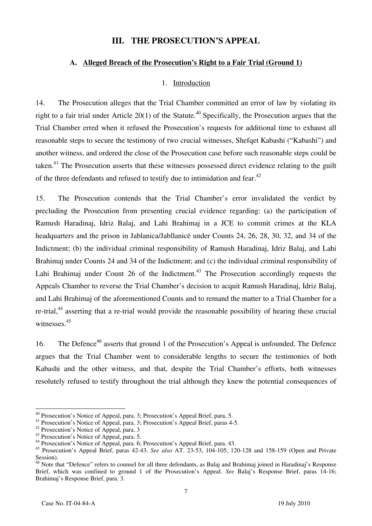#### **III. THE PROSECUTION'S APPEAL**

#### **A. Alleged Breach of the Prosecution's Right to a Fair Trial (Ground 1)**

#### 1. Introduction

14. The Prosecution alleges that the Trial Chamber committed an error of law by violating its right to a fair trial under Article 20(1) of the Statute.<sup>40</sup> Specifically, the Prosecution argues that the Trial Chamber erred when it refused the Prosecution's requests for additional time to exhaust all reasonable steps to secure the testimony of two crucial witnesses, Shefqet Kabashi ("Kabashi") and another witness, and ordered the close of the Prosecution case before such reasonable steps could be taken.<sup>41</sup> The Prosecution asserts that these witnesses possessed direct evidence relating to the guilt of the three defendants and refused to testify due to intimidation and fear.<sup>42</sup>

15. The Prosecution contends that the Trial Chamber's error invalidated the verdict by precluding the Prosecution from presenting crucial evidence regarding: (a) the participation of Ramush Haradinaj, Idriz Balaj, and Lahi Brahimaj in a JCE to commit crimes at the KLA headquarters and the prison in Jablanica/Jabllanicë under Counts 24, 26, 28, 30, 32, and 34 of the Indictment; (b) the individual criminal responsibility of Ramush Haradinaj, Idriz Balaj, and Lahi Brahimaj under Counts 24 and 34 of the Indictment; and (c) the individual criminal responsibility of Lahi Brahimaj under Count 26 of the Indictment.<sup>43</sup> The Prosecution accordingly requests the Appeals Chamber to reverse the Trial Chamber's decision to acquit Ramush Haradinaj, Idriz Balaj, and Lahi Brahimaj of the aforementioned Counts and to remand the matter to a Trial Chamber for a re-trial,<sup>44</sup> asserting that a re-trial would provide the reasonable possibility of hearing these crucial witnesses.<sup>45</sup>

16. The Defence<sup>46</sup> asserts that ground 1 of the Prosecution's Appeal is unfounded. The Defence argues that the Trial Chamber went to considerable lengths to secure the testimonies of both Kabashi and the other witness, and that, despite the Trial Chamber's efforts, both witnesses resolutely refused to testify throughout the trial although they knew the potential consequences of

<sup>&</sup>lt;sup>40</sup> Prosecution's Notice of Appeal, para. 3; Prosecution's Appeal Brief, para. 5.

<sup>&</sup>lt;sup>41</sup> Prosecution's Notice of Appeal, para. 3; Prosecution's Appeal Brief, paras 4-5.

<sup>&</sup>lt;sup>42</sup> Prosecution's Notice of Appeal, para. 3

<sup>&</sup>lt;sup>43</sup> Prosecution's Notice of Appeal, para. 5.

<sup>44</sup> Prosecution's Notice of Appeal, para. 6; Prosecution's Appeal Brief, para. 43.

<sup>45</sup> Prosecution's Appeal Brief, paras 42-43. *See also* AT. 23-53, 104-105, 120-128 and 158-159 (Open and Private Session).

<sup>&</sup>lt;sup>46</sup> Note that "Defence" refers to counsel for all three defendants, as Balaj and Brahimaj joined in Haradinaj's Response Brief, which was confined to ground 1 of the Prosecution's Appeal. *See* Balaj's Response Brief, paras 14-16; Brahimaj's Response Brief, para. 3.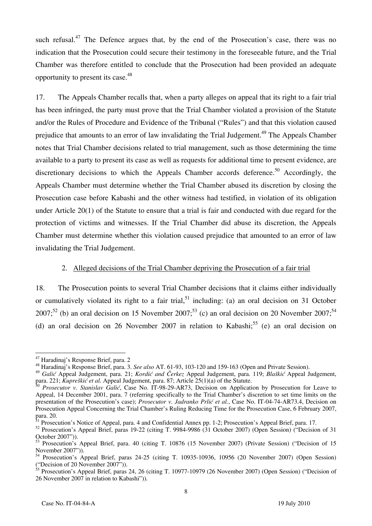such refusal. $47$  The Defence argues that, by the end of the Prosecution's case, there was no indication that the Prosecution could secure their testimony in the foreseeable future, and the Trial Chamber was therefore entitled to conclude that the Prosecution had been provided an adequate opportunity to present its case.48

17. The Appeals Chamber recalls that, when a party alleges on appeal that its right to a fair trial has been infringed, the party must prove that the Trial Chamber violated a provision of the Statute and/or the Rules of Procedure and Evidence of the Tribunal ("Rules") and that this violation caused prejudice that amounts to an error of law invalidating the Trial Judgement.<sup>49</sup> The Appeals Chamber notes that Trial Chamber decisions related to trial management, such as those determining the time available to a party to present its case as well as requests for additional time to present evidence, are discretionary decisions to which the Appeals Chamber accords deference.<sup>50</sup> Accordingly, the Appeals Chamber must determine whether the Trial Chamber abused its discretion by closing the Prosecution case before Kabashi and the other witness had testified, in violation of its obligation under Article 20(1) of the Statute to ensure that a trial is fair and conducted with due regard for the protection of victims and witnesses. If the Trial Chamber did abuse its discretion, the Appeals Chamber must determine whether this violation caused prejudice that amounted to an error of law invalidating the Trial Judgement.

#### 2. Alleged decisions of the Trial Chamber depriving the Prosecution of a fair trial

18. The Prosecution points to several Trial Chamber decisions that it claims either individually or cumulatively violated its right to a fair trial,<sup>51</sup> including: (a) an oral decision on 31 October 2007;<sup>52</sup> (b) an oral decision on 15 November 2007;<sup>53</sup> (c) an oral decision on 20 November 2007;<sup>54</sup> (d) an oral decision on 26 November 2007 in relation to Kabashi;<sup>55</sup> (e) an oral decision on

 $\overline{a}$ 47 Haradinaj's Response Brief, para. 2

<sup>48</sup> Haradinaj's Response Brief, para. 3. *See also* AT. 61-93, 103-120 and 159-163 (Open and Private Session).

<sup>49</sup> *Galić* Appeal Judgement, para. 21; *Kordić and Čerkez* Appeal Judgement, para. 119; *Blaškić* Appeal Judgement, para. 221; *Kupreškić et al.* Appeal Judgement, para. 87; Article 25(1)(a) of the Statute.

<sup>50</sup> *Prosecutor v. Stanislav Galić*, Case No. IT-98-29-AR73, Decision on Application by Prosecution for Leave to Appeal, 14 December 2001, para. 7 (referring specifically to the Trial Chamber's discretion to set time limits on the presentation of the Prosecution's case); *Prosecutor v. Jadranko Prlić et al.*, Case No. IT-04-74-AR73.4, Decision on Prosecution Appeal Concerning the Trial Chamber's Ruling Reducing Time for the Prosecution Case, 6 February 2007, para. 20.

<sup>&</sup>lt;sup>51</sup> Prosecution's Notice of Appeal, para. 4 and Confidential Annex pp. 1-2; Prosecution's Appeal Brief, para. 17.

<sup>&</sup>lt;sup>52</sup> Prosecution's Appeal Brief, paras 19-22 (citing T. 9984-9986 (31 October 2007) (Open Session) ("Decision of 31 October 2007")).

<sup>53</sup> Prosecution's Appeal Brief, para. 40 (citing T. 10876 (15 November 2007) (Private Session) ("Decision of 15 November 2007")).

<sup>54</sup> Prosecution's Appeal Brief, paras 24-25 (citing T. 10935-10936, 10956 (20 November 2007) (Open Session) ("Decision of 20 November 2007")).

 $\frac{55}{2}$  Prosecution's Appeal Brief, paras 24, 26 (citing T. 10977-10979 (26 November 2007) (Open Session) ("Decision of 26 November 2007 in relation to Kabashi")).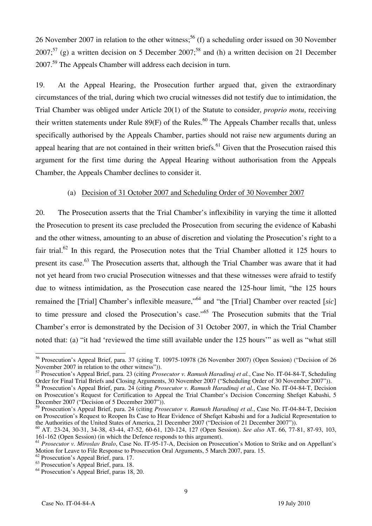26 November 2007 in relation to the other witness;<sup>56</sup> (f) a scheduling order issued on 30 November  $2007$ ;<sup>57</sup> (g) a written decision on 5 December 2007;<sup>58</sup> and (h) a written decision on 21 December 2007.59 The Appeals Chamber will address each decision in turn.

19. At the Appeal Hearing, the Prosecution further argued that, given the extraordinary circumstances of the trial, during which two crucial witnesses did not testify due to intimidation, the Trial Chamber was obliged under Article 20(1) of the Statute to consider, *proprio motu*, receiving their written statements under Rule  $89(F)$  of the Rules.<sup>60</sup> The Appeals Chamber recalls that, unless specifically authorised by the Appeals Chamber, parties should not raise new arguments during an appeal hearing that are not contained in their written briefs.<sup>61</sup> Given that the Prosecution raised this argument for the first time during the Appeal Hearing without authorisation from the Appeals Chamber, the Appeals Chamber declines to consider it.

#### (a) Decision of 31 October 2007 and Scheduling Order of 30 November 2007

20. The Prosecution asserts that the Trial Chamber's inflexibility in varying the time it allotted the Prosecution to present its case precluded the Prosecution from securing the evidence of Kabashi and the other witness, amounting to an abuse of discretion and violating the Prosecution's right to a fair trial.<sup>62</sup> In this regard, the Prosecution notes that the Trial Chamber allotted it 125 hours to present its case.<sup>63</sup> The Prosecution asserts that, although the Trial Chamber was aware that it had not yet heard from two crucial Prosecution witnesses and that these witnesses were afraid to testify due to witness intimidation, as the Prosecution case neared the 125-hour limit, "the 125 hours remained the [Trial] Chamber's inflexible measure,"<sup>64</sup> and "the [Trial] Chamber over reacted *[sic]* to time pressure and closed the Prosecution's case."<sup>65</sup> The Prosecution submits that the Trial Chamber's error is demonstrated by the Decision of 31 October 2007, in which the Trial Chamber noted that: (a) "it had 'reviewed the time still available under the 125 hours'" as well as "what still

<sup>56</sup> Prosecution's Appeal Brief, para. 37 (citing T. 10975-10978 (26 November 2007) (Open Session) ("Decision of 26 November 2007 in relation to the other witness")).

<sup>57</sup> Prosecution's Appeal Brief, para. 23 (citing *Prosecutor v. Ramush Haradinaj et al.*, Case No. IT-04-84-T, Scheduling Order for Final Trial Briefs and Closing Arguments, 30 November 2007 ("Scheduling Order of 30 November 2007")).

<sup>58</sup> Prosecution's Appeal Brief, para. 24 (citing *Prosecutor v. Ramush Haradinaj et al.*, Case No. IT-04-84-T, Decision on Prosecution's Request for Certification to Appeal the Trial Chamber's Decision Concerning Shefqet Kabashi, 5 December 2007 ("Decision of 5 December 2007")).

<sup>59</sup> Prosecution's Appeal Brief, para. 24 (citing *Prosecutor v. Ramush Haradinaj et al.*, Case No. IT-04-84-T, Decision on Prosecution's Request to Reopen Its Case to Hear Evidence of Shefqet Kabashi and for a Judicial Representation to the Authorities of the United States of America, 21 December 2007 ("Decision of 21 December 2007")).

<sup>60</sup> AT. 23-24, 30-31, 34-38, 43-44, 47-52, 60-61, 120-124, 127 (Open Session). *See also* AT. 66, 77-81, 87-93, 103, 161-162 (Open Session) (in which the Defence responds to this argument).

<sup>&</sup>lt;sup>61</sup> *Prosecutor v. Miroslav Bralo*, Case No. IT-95-17-A, Decision on Prosecution's Motion to Strike and on Appellant's Motion for Leave to File Response to Prosecution Oral Arguments, 5 March 2007, para. 15.

<sup>62</sup> Prosecution's Appeal Brief, para. 17.

<sup>63</sup> Prosecution's Appeal Brief, para. 18.

<sup>&</sup>lt;sup>64</sup> Prosecution's Appeal Brief, paras 18, 20.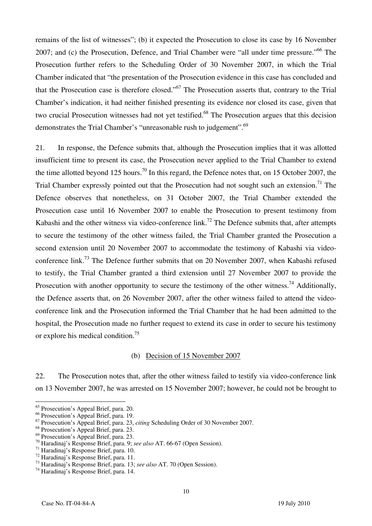remains of the list of witnesses"; (b) it expected the Prosecution to close its case by 16 November 2007; and (c) the Prosecution, Defence, and Trial Chamber were "all under time pressure."<sup>66</sup> The Prosecution further refers to the Scheduling Order of 30 November 2007, in which the Trial Chamber indicated that "the presentation of the Prosecution evidence in this case has concluded and that the Prosecution case is therefore closed."67 The Prosecution asserts that, contrary to the Trial Chamber's indication, it had neither finished presenting its evidence nor closed its case, given that two crucial Prosecution witnesses had not yet testified.<sup>68</sup> The Prosecution argues that this decision demonstrates the Trial Chamber's "unreasonable rush to judgement".<sup>69</sup>

21. In response, the Defence submits that, although the Prosecution implies that it was allotted insufficient time to present its case, the Prosecution never applied to the Trial Chamber to extend the time allotted beyond 125 hours.<sup>70</sup> In this regard, the Defence notes that, on 15 October 2007, the Trial Chamber expressly pointed out that the Prosecution had not sought such an extension.<sup>71</sup> The Defence observes that nonetheless, on 31 October 2007, the Trial Chamber extended the Prosecution case until 16 November 2007 to enable the Prosecution to present testimony from Kabashi and the other witness via video-conference  $\text{link}$ .<sup>72</sup> The Defence submits that, after attempts to secure the testimony of the other witness failed, the Trial Chamber granted the Prosecution a second extension until 20 November 2007 to accommodate the testimony of Kabashi via videoconference link.<sup>73</sup> The Defence further submits that on 20 November 2007, when Kabashi refused to testify, the Trial Chamber granted a third extension until 27 November 2007 to provide the Prosecution with another opportunity to secure the testimony of the other witness.<sup>74</sup> Additionally, the Defence asserts that, on 26 November 2007, after the other witness failed to attend the videoconference link and the Prosecution informed the Trial Chamber that he had been admitted to the hospital, the Prosecution made no further request to extend its case in order to secure his testimony or explore his medical condition.75

#### (b) Decision of 15 November 2007

22. The Prosecution notes that, after the other witness failed to testify via video-conference link on 13 November 2007, he was arrested on 15 November 2007; however, he could not be brought to

 $\overline{\phantom{a}}$ 

<sup>&</sup>lt;sup>65</sup> Prosecution's Appeal Brief, para. 20.

<sup>66</sup> Prosecution's Appeal Brief, para. 19.

<sup>67</sup> Prosecution's Appeal Brief, para. 23, *citing* Scheduling Order of 30 November 2007.

<sup>68</sup> Prosecution's Appeal Brief, para. 23.

<sup>69</sup> Prosecution's Appeal Brief, para. 23.

<sup>70</sup> Haradinaj's Response Brief, para. 9; *see also* AT. 66-67 (Open Session). 71 Haradinaj's Response Brief, para. 10.

<sup>72</sup> Haradinaj's Response Brief, para. 11.

<sup>73</sup> Haradinaj's Response Brief, para. 13; *see also* AT. 70 (Open Session). 74 Haradinaj's Response Brief, para. 14.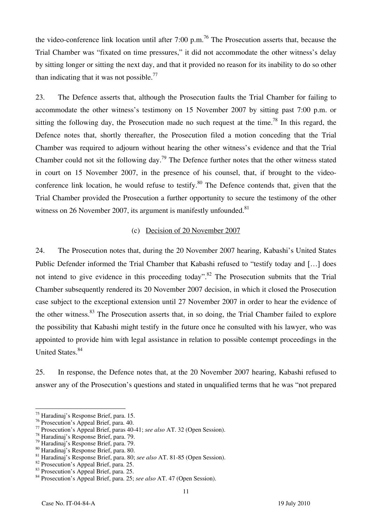the video-conference link location until after 7:00 p.m.<sup>76</sup> The Prosecution asserts that, because the Trial Chamber was "fixated on time pressures," it did not accommodate the other witness's delay by sitting longer or sitting the next day, and that it provided no reason for its inability to do so other than indicating that it was not possible.<sup>77</sup>

23. The Defence asserts that, although the Prosecution faults the Trial Chamber for failing to accommodate the other witness's testimony on 15 November 2007 by sitting past 7:00 p.m. or sitting the following day, the Prosecution made no such request at the time.<sup>78</sup> In this regard, the Defence notes that, shortly thereafter, the Prosecution filed a motion conceding that the Trial Chamber was required to adjourn without hearing the other witness's evidence and that the Trial Chamber could not sit the following day.<sup>79</sup> The Defence further notes that the other witness stated in court on 15 November 2007, in the presence of his counsel, that, if brought to the videoconference link location, he would refuse to testify.<sup>80</sup> The Defence contends that, given that the Trial Chamber provided the Prosecution a further opportunity to secure the testimony of the other witness on 26 November 2007, its argument is manifestly unfounded. $81$ 

#### (c) Decision of 20 November 2007

24. The Prosecution notes that, during the 20 November 2007 hearing, Kabashi's United States Public Defender informed the Trial Chamber that Kabashi refused to "testify today and [...] does not intend to give evidence in this proceeding today".<sup>82</sup> The Prosecution submits that the Trial Chamber subsequently rendered its 20 November 2007 decision, in which it closed the Prosecution case subject to the exceptional extension until 27 November 2007 in order to hear the evidence of the other witness.<sup>83</sup> The Prosecution asserts that, in so doing, the Trial Chamber failed to explore the possibility that Kabashi might testify in the future once he consulted with his lawyer, who was appointed to provide him with legal assistance in relation to possible contempt proceedings in the United States.<sup>84</sup>

25. In response, the Defence notes that, at the 20 November 2007 hearing, Kabashi refused to answer any of the Prosecution's questions and stated in unqualified terms that he was "not prepared

<sup>75</sup> Haradinaj's Response Brief, para. 15.

<sup>76</sup> Prosecution's Appeal Brief, para. 40.

<sup>77</sup> Prosecution's Appeal Brief, paras 40-41; *see also* AT. 32 (Open Session). 78 Haradinaj's Response Brief, para. 79.

<sup>79</sup> Haradinaj's Response Brief, para. 79.

<sup>80</sup> Haradinaj's Response Brief, para. 80.

<sup>&</sup>lt;sup>81</sup> Haradinaj's Response Brief, para. 80; *see also* AT. 81-85 (Open Session). <sup>82</sup> Prosecution's Appeal Brief, para. 25.

<sup>83</sup> Prosecution's Appeal Brief, para. 25.

<sup>84</sup> Prosecution's Appeal Brief, para. 25; *see also* AT. 47 (Open Session).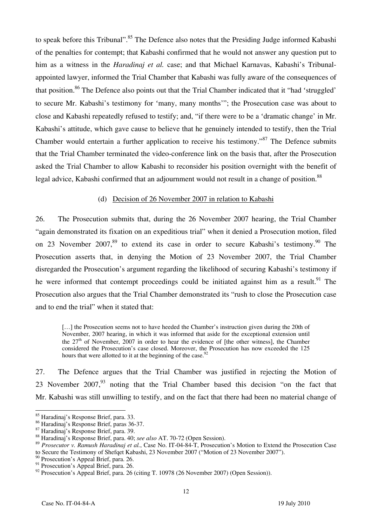to speak before this Tribunal".<sup>85</sup> The Defence also notes that the Presiding Judge informed Kabashi of the penalties for contempt; that Kabashi confirmed that he would not answer any question put to him as a witness in the *Haradinaj et al.* case; and that Michael Karnavas, Kabashi's Tribunalappointed lawyer, informed the Trial Chamber that Kabashi was fully aware of the consequences of that position.<sup>86</sup> The Defence also points out that the Trial Chamber indicated that it "had 'struggled' to secure Mr. Kabashi's testimony for 'many, many months'"; the Prosecution case was about to close and Kabashi repeatedly refused to testify; and, "if there were to be a 'dramatic change' in Mr. Kabashi's attitude, which gave cause to believe that he genuinely intended to testify, then the Trial Chamber would entertain a further application to receive his testimony.<sup> $37$ </sup> The Defence submits that the Trial Chamber terminated the video-conference link on the basis that, after the Prosecution asked the Trial Chamber to allow Kabashi to reconsider his position overnight with the benefit of legal advice, Kabashi confirmed that an adjournment would not result in a change of position.<sup>88</sup>

#### (d) Decision of 26 November 2007 in relation to Kabashi

26. The Prosecution submits that, during the 26 November 2007 hearing, the Trial Chamber "again demonstrated its fixation on an expeditious trial" when it denied a Prosecution motion, filed on 23 November 2007,<sup>89</sup> to extend its case in order to secure Kabashi's testimony.<sup>90</sup> The Prosecution asserts that, in denying the Motion of 23 November 2007, the Trial Chamber disregarded the Prosecution's argument regarding the likelihood of securing Kabashi's testimony if he were informed that contempt proceedings could be initiated against him as a result.<sup>91</sup> The Prosecution also argues that the Trial Chamber demonstrated its "rush to close the Prosecution case and to end the trial" when it stated that:

[...] the Prosecution seems not to have heeded the Chamber's instruction given during the 20th of November, 2007 hearing, in which it was informed that aside for the exceptional extension until the  $27<sup>th</sup>$  of November, 2007 in order to hear the evidence of [the other witness], the Chamber considered the Prosecution's case closed. Moreover, the Prosecution has now exceeded the 125 hours that were allotted to it at the beginning of the case.<sup>92</sup>

27. The Defence argues that the Trial Chamber was justified in rejecting the Motion of 23 November  $2007$ , noting that the Trial Chamber based this decision "on the fact that Mr. Kabashi was still unwilling to testify, and on the fact that there had been no material change of

<sup>85</sup> Haradinaj's Response Brief, para. 33.

<sup>86</sup> Haradinaj's Response Brief, paras 36-37.

 $87$  Haradinaj's Response Brief, para. 39.

<sup>88</sup> Haradinaj's Response Brief, para. 40; *see also* AT. 70-72 (Open Session).

<sup>89</sup> *Prosecutor v. Ramush Haradinaj et al.*, Case No. IT-04-84-T, Prosecution's Motion to Extend the Prosecution Case to Secure the Testimony of Shefqet Kabashi, 23 November 2007 ("Motion of 23 November 2007").

<sup>90</sup> Prosecution's Appeal Brief, para. 26.

<sup>&</sup>lt;sup>91</sup> Prosecution's Appeal Brief, para. 26.

 $92$  Prosecution's Appeal Brief, para. 26 (citing T. 10978 (26 November 2007) (Open Session)).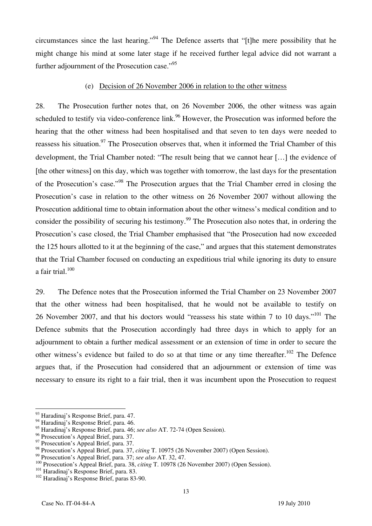circumstances since the last hearing."<sup>94</sup> The Defence asserts that "[t] the mere possibility that he might change his mind at some later stage if he received further legal advice did not warrant a further adjournment of the Prosecution case."<sup>95</sup>

#### (e) Decision of 26 November 2006 in relation to the other witness

28. The Prosecution further notes that, on 26 November 2006, the other witness was again scheduled to testify via video-conference link.<sup>96</sup> However, the Prosecution was informed before the hearing that the other witness had been hospitalised and that seven to ten days were needed to reassess his situation.<sup>97</sup> The Prosecution observes that, when it informed the Trial Chamber of this development, the Trial Chamber noted: "The result being that we cannot hear [...] the evidence of [the other witness] on this day, which was together with tomorrow, the last days for the presentation of the Prosecution's case."98 The Prosecution argues that the Trial Chamber erred in closing the Prosecution's case in relation to the other witness on 26 November 2007 without allowing the Prosecution additional time to obtain information about the other witness's medical condition and to consider the possibility of securing his testimony.<sup>99</sup> The Prosecution also notes that, in ordering the Prosecution's case closed, the Trial Chamber emphasised that "the Prosecution had now exceeded the 125 hours allotted to it at the beginning of the case," and argues that this statement demonstrates that the Trial Chamber focused on conducting an expeditious trial while ignoring its duty to ensure a fair trial. $100$ 

29. The Defence notes that the Prosecution informed the Trial Chamber on 23 November 2007 that the other witness had been hospitalised, that he would not be available to testify on 26 November 2007, and that his doctors would "reassess his state within 7 to 10 days."101 The Defence submits that the Prosecution accordingly had three days in which to apply for an adjournment to obtain a further medical assessment or an extension of time in order to secure the other witness's evidence but failed to do so at that time or any time thereafter.<sup>102</sup> The Defence argues that, if the Prosecution had considered that an adjournment or extension of time was necessary to ensure its right to a fair trial, then it was incumbent upon the Prosecution to request

 $\overline{a}$ 

13

<sup>93</sup> Haradinaj's Response Brief, para. 47.

<sup>&</sup>lt;sup>94</sup> Haradinaj's Response Brief, para. 46.

<sup>95</sup> Haradinaj's Response Brief, para. 46; *see also* AT. 72-74 (Open Session).

<sup>&</sup>lt;sup>96</sup> Prosecution's Appeal Brief, para. 37.

<sup>&</sup>lt;sup>97</sup> Prosecution's Appeal Brief, para. 37.

<sup>98&</sup>lt;br>Prosecution's Appeal Brief, para. 37, *citing* T. 10975 (26 November 2007) (Open Session).<br><sup>99</sup> Prosecution's Appeal Brief, para. 37; *see also* AT, 32, 47.

<sup>&</sup>lt;sup>100</sup> Prosecution's Appeal Brief, para. 38, *citing* T. 10978 (26 November 2007) (Open Session).<br><sup>101</sup> Haradinaj's Response Brief, para. 83.<br><sup>102</sup> Haradinaj's Response Brief, paras 83-90.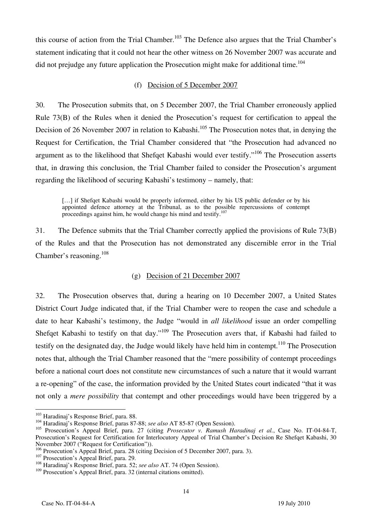this course of action from the Trial Chamber.<sup>103</sup> The Defence also argues that the Trial Chamber's statement indicating that it could not hear the other witness on 26 November 2007 was accurate and did not prejudge any future application the Prosecution might make for additional time.<sup>104</sup>

#### (f) Decision of 5 December 2007

30. The Prosecution submits that, on 5 December 2007, the Trial Chamber erroneously applied Rule 73(B) of the Rules when it denied the Prosecution's request for certification to appeal the Decision of 26 November 2007 in relation to Kabashi.<sup>105</sup> The Prosecution notes that, in denying the Request for Certification, the Trial Chamber considered that "the Prosecution had advanced no argument as to the likelihood that Shefqet Kabashi would ever testify."<sup>106</sup> The Prosecution asserts that, in drawing this conclusion, the Trial Chamber failed to consider the Prosecution's argument regarding the likelihood of securing Kabashi's testimony – namely, that:

[...] if Shefqet Kabashi would be properly informed, either by his US public defender or by his appointed defence attorney at the Tribunal, as to the possible repercussions of contempt proceedings against him, he would change his mind and testify.<sup>107</sup>

31. The Defence submits that the Trial Chamber correctly applied the provisions of Rule 73(B) of the Rules and that the Prosecution has not demonstrated any discernible error in the Trial Chamber's reasoning.<sup>108</sup>

#### (g) Decision of 21 December 2007

32. The Prosecution observes that, during a hearing on 10 December 2007, a United States District Court Judge indicated that, if the Trial Chamber were to reopen the case and schedule a date to hear Kabashi's testimony, the Judge "would in *all likelihood* issue an order compelling Shefqet Kabashi to testify on that day."<sup>109</sup> The Prosecution avers that, if Kabashi had failed to testify on the designated day, the Judge would likely have held him in contempt.<sup>110</sup> The Prosecution notes that, although the Trial Chamber reasoned that the "mere possibility of contempt proceedings before a national court does not constitute new circumstances of such a nature that it would warrant a re-opening" of the case, the information provided by the United States court indicated "that it was not only a *mere possibility* that contempt and other proceedings would have been triggered by a

<sup>&</sup>lt;sup>103</sup> Haradinai's Response Brief, para, 88.

<sup>103</sup> Haradinaj's Response Brief, para. 88. 104 Haradinaj's Response Brief, paras 87-88; *see also* AT 85-87 (Open Session).

<sup>105</sup> Prosecution's Appeal Brief, para. 27 (citing *Prosecutor v. Ramush Haradinaj et al.*, Case No. IT-04-84-T, Prosecution's Request for Certification for Interlocutory Appeal of Trial Chamber's Decision Re Shefqet Kabashi, 30 November 2007 ("Request for Certification")).

<sup>106</sup> Prosecution's Appeal Brief, para. 28 (citing Decision of 5 December 2007, para. 3). 107 Prosecution's Appeal Brief, para. 29. 108 Haradinaj's Response Brief, para. 52; *see also* AT. 74 (Open Session).

<sup>&</sup>lt;sup>109</sup> Prosecution's Appeal Brief, para. 32 (internal citations omitted).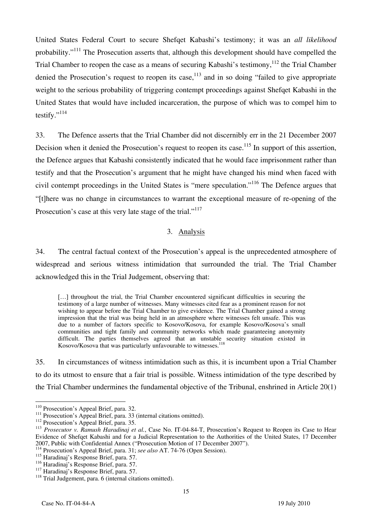United States Federal Court to secure Shefqet Kabashi's testimony; it was an *all likelihood*  probability."111 The Prosecution asserts that, although this development should have compelled the Trial Chamber to reopen the case as a means of securing Kabashi's testimony,<sup>112</sup> the Trial Chamber denied the Prosecution's request to reopen its case, $113$  and in so doing "failed to give appropriate weight to the serious probability of triggering contempt proceedings against Shefqet Kabashi in the United States that would have included incarceration, the purpose of which was to compel him to testify."<sup>114</sup>

33. The Defence asserts that the Trial Chamber did not discernibly err in the 21 December 2007 Decision when it denied the Prosecution's request to reopen its case.<sup>115</sup> In support of this assertion, the Defence argues that Kabashi consistently indicated that he would face imprisonment rather than testify and that the Prosecution's argument that he might have changed his mind when faced with civil contempt proceedings in the United States is "mere speculation."116 The Defence argues that "there was no change in circumstances to warrant the exceptional measure of re-opening of the Prosecution's case at this very late stage of the trial."<sup>117</sup>

#### 3. Analysis

34. The central factual context of the Prosecution's appeal is the unprecedented atmosphere of widespread and serious witness intimidation that surrounded the trial. The Trial Chamber acknowledged this in the Trial Judgement, observing that:

[...] throughout the trial, the Trial Chamber encountered significant difficulties in securing the testimony of a large number of witnesses. Many witnesses cited fear as a prominent reason for not wishing to appear before the Trial Chamber to give evidence. The Trial Chamber gained a strong impression that the trial was being held in an atmosphere where witnesses felt unsafe. This was due to a number of factors specific to Kosovo/Kosova, for example Kosovo/Kosova's small communities and tight family and community networks which made guaranteeing anonymity difficult. The parties themselves agreed that an unstable security situation existed in Kosovo/Kosova that was particularly unfavourable to witnesses.<sup>118</sup>

35. In circumstances of witness intimidation such as this, it is incumbent upon a Trial Chamber to do its utmost to ensure that a fair trial is possible. Witness intimidation of the type described by the Trial Chamber undermines the fundamental objective of the Tribunal, enshrined in Article 20(1)

 $110$  Prosecution's Appeal Brief, para. 32.

<sup>&</sup>lt;sup>112</sup> Prosecution's Appeal Brief, para. 33 (internal citations omitted).<br><sup>112</sup> Prosecution's Appeal Brief, para. 35.<br><sup>113</sup> Prosecutor v. Ramush Haradinaj et al., Case No. IT-04-84-T, Prosecution's Request to Reopen its Cas Evidence of Shefqet Kabashi and for a Judicial Representation to the Authorities of the United States, 17 December 2007, Public with Confidential Annex ("Prosecution Motion of 17 December 2007").

<sup>114</sup> Prosecution's Appeal Brief, para. 31; *see also* AT. 74-76 (Open Session).

<sup>&</sup>lt;sup>115</sup> Haradinaj's Response Brief, para. 57.<br><sup>116</sup> Haradinaj's Response Brief, para. 57.

<sup>&</sup>lt;sup>117</sup> Haradinaj's Response Brief, para. 57. <sup>118</sup> Trial Judgement, para. 6 (internal citations omitted).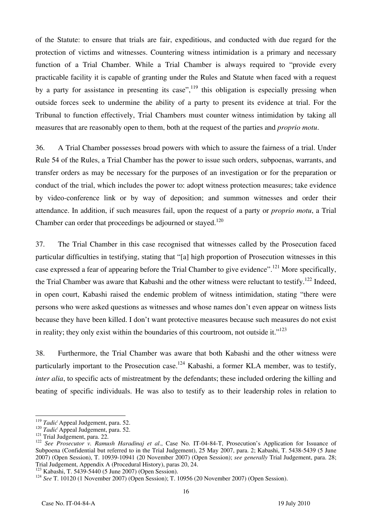of the Statute: to ensure that trials are fair, expeditious, and conducted with due regard for the protection of victims and witnesses. Countering witness intimidation is a primary and necessary function of a Trial Chamber. While a Trial Chamber is always required to "provide every practicable facility it is capable of granting under the Rules and Statute when faced with a request by a party for assistance in presenting its case",  $119$  this obligation is especially pressing when outside forces seek to undermine the ability of a party to present its evidence at trial. For the Tribunal to function effectively, Trial Chambers must counter witness intimidation by taking all measures that are reasonably open to them, both at the request of the parties and *proprio motu*.

36. A Trial Chamber possesses broad powers with which to assure the fairness of a trial. Under Rule 54 of the Rules, a Trial Chamber has the power to issue such orders, subpoenas, warrants, and transfer orders as may be necessary for the purposes of an investigation or for the preparation or conduct of the trial, which includes the power to: adopt witness protection measures; take evidence by video-conference link or by way of deposition; and summon witnesses and order their attendance. In addition, if such measures fail, upon the request of a party or *proprio motu*, a Trial Chamber can order that proceedings be adjourned or stayed.<sup>120</sup>

37. The Trial Chamber in this case recognised that witnesses called by the Prosecution faced particular difficulties in testifying, stating that "[a] high proportion of Prosecution witnesses in this case expressed a fear of appearing before the Trial Chamber to give evidence".121 More specifically, the Trial Chamber was aware that Kabashi and the other witness were reluctant to testify.<sup>122</sup> Indeed. in open court, Kabashi raised the endemic problem of witness intimidation, stating "there were persons who were asked questions as witnesses and whose names don't even appear on witness lists because they have been killed. I don't want protective measures because such measures do not exist in reality; they only exist within the boundaries of this courtroom, not outside it." $123$ 

38. Furthermore, the Trial Chamber was aware that both Kabashi and the other witness were particularly important to the Prosecution case.<sup>124</sup> Kabashi, a former KLA member, was to testify, *inter alia*, to specific acts of mistreatment by the defendants; these included ordering the killing and beating of specific individuals. He was also to testify as to their leadership roles in relation to

<sup>&</sup>lt;sup>119</sup> Tadić Appeal Judgement, para. 52.

<sup>&</sup>lt;sup>120</sup> Tadić Appeal Judgement, para. 52.<br><sup>121</sup> Trial Judgement, para. 22.<br><sup>121</sup> See Prosecutor v. Ramush Haradinaj et al., Case No. IT-04-84-T, Prosecution's Application for Issuance of Subpoena (Confidential but referred to in the Trial Judgement), 25 May 2007, para. 2; Kabashi, T. 5438-5439 (5 June 2007) (Open Session), T. 10939-10941 (20 November 2007) (Open Session); *see generally* Trial Judgement, para. 28; Trial Judgement, Appendix A (Procedural History), paras 20, 24.

<sup>&</sup>lt;sup>124</sup> See T. 10120 (1 November 2007) (Open Session); T. 10956 (20 November 2007) (Open Session).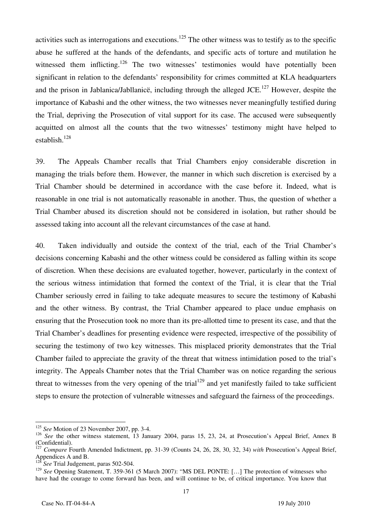activities such as interrogations and executions.<sup>125</sup> The other witness was to testify as to the specific abuse he suffered at the hands of the defendants, and specific acts of torture and mutilation he witnessed them inflicting.<sup>126</sup> The two witnesses' testimonies would have potentially been significant in relation to the defendants' responsibility for crimes committed at KLA headquarters and the prison in Jablanica/Jabllanicë, including through the alleged JCE.<sup>127</sup> However, despite the importance of Kabashi and the other witness, the two witnesses never meaningfully testified during the Trial, depriving the Prosecution of vital support for its case. The accused were subsequently acquitted on almost all the counts that the two witnesses' testimony might have helped to establish.128

39. The Appeals Chamber recalls that Trial Chambers enjoy considerable discretion in managing the trials before them. However, the manner in which such discretion is exercised by a Trial Chamber should be determined in accordance with the case before it. Indeed, what is reasonable in one trial is not automatically reasonable in another. Thus, the question of whether a Trial Chamber abused its discretion should not be considered in isolation, but rather should be assessed taking into account all the relevant circumstances of the case at hand.

40. Taken individually and outside the context of the trial, each of the Trial Chamber's decisions concerning Kabashi and the other witness could be considered as falling within its scope of discretion. When these decisions are evaluated together, however, particularly in the context of the serious witness intimidation that formed the context of the Trial, it is clear that the Trial Chamber seriously erred in failing to take adequate measures to secure the testimony of Kabashi and the other witness. By contrast, the Trial Chamber appeared to place undue emphasis on ensuring that the Prosecution took no more than its pre-allotted time to present its case, and that the Trial Chamber's deadlines for presenting evidence were respected, irrespective of the possibility of securing the testimony of two key witnesses. This misplaced priority demonstrates that the Trial Chamber failed to appreciate the gravity of the threat that witness intimidation posed to the trial's integrity. The Appeals Chamber notes that the Trial Chamber was on notice regarding the serious threat to witnesses from the very opening of the trial<sup>129</sup> and yet manifestly failed to take sufficient steps to ensure the protection of vulnerable witnesses and safeguard the fairness of the proceedings.

 $\overline{a}$ <sup>125</sup> *See* Motion of 23 November 2007, pp. 3-4.

<sup>&</sup>lt;sup>126</sup> *See* the other witness statement, 13 January 2004, paras 15, 23, 24, at Prosecution's Appeal Brief, Annex B (Confidential).

<sup>&</sup>lt;sup>7</sup> *Compare* Fourth Amended Indictment, pp. 31-39 (Counts 24, 26, 28, 30, 32, 34) *with* Prosecution's Appeal Brief, Appendices A and B.

 $\overline{5}ee$  Trial Judgement, paras 502-504.

<sup>&</sup>lt;sup>129</sup> See Opening Statement, T. 359-361 (5 March 2007): "MS DEL PONTE: [...] The protection of witnesses who have had the courage to come forward has been, and will continue to be, of critical importance. You know that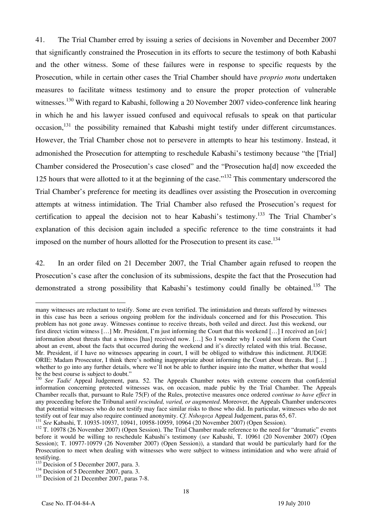41. The Trial Chamber erred by issuing a series of decisions in November and December 2007 that significantly constrained the Prosecution in its efforts to secure the testimony of both Kabashi and the other witness. Some of these failures were in response to specific requests by the Prosecution, while in certain other cases the Trial Chamber should have *proprio motu* undertaken measures to facilitate witness testimony and to ensure the proper protection of vulnerable witnesses.<sup>130</sup> With regard to Kabashi, following a 20 November 2007 video-conference link hearing in which he and his lawyer issued confused and equivocal refusals to speak on that particular occasion,<sup>131</sup> the possibility remained that Kabashi might testify under different circumstances. However, the Trial Chamber chose not to persevere in attempts to hear his testimony. Instead, it admonished the Prosecution for attempting to reschedule Kabashi's testimony because "the Trial Chamber considered the Prosecution's case closed" and the "Prosecution ha[d] now exceeded the 125 hours that were allotted to it at the beginning of the case."<sup>132</sup> This commentary underscored the Trial Chamber's preference for meeting its deadlines over assisting the Prosecution in overcoming attempts at witness intimidation. The Trial Chamber also refused the Prosecution's request for certification to appeal the decision not to hear Kabashi's testimony.<sup>133</sup> The Trial Chamber's explanation of this decision again included a specific reference to the time constraints it had imposed on the number of hours allotted for the Prosecution to present its case.<sup>134</sup>

42. In an order filed on 21 December 2007, the Trial Chamber again refused to reopen the Prosecution's case after the conclusion of its submissions, despite the fact that the Prosecution had demonstrated a strong possibility that Kabashi's testimony could finally be obtained.<sup>135</sup> The

 $\overline{a}$ many witnesses are reluctant to testify. Some are even terrified. The intimidation and threats suffered by witnesses in this case has been a serious ongoing problem for the individuals concerned and for this Prosecution. This problem has not gone away. Witnesses continue to receive threats, both veiled and direct. Just this weekend, our first direct victim witness [...] Mr. President, I'm just informing the Court that this weekend [...] I received an [*sic*] information about threats that a witness [has] received now. […] So I wonder why I could not inform the Court about an event, about the facts that occurred during the weekend and it's directly related with this trial. Because, Mr. President, if I have no witnesses appearing in court, I will be obliged to withdraw this indictment. JUDGE ORIE: Madam Prosecutor, I think there's nothing inappropriate about informing the Court about threats. But [...] whether to go into any further details, where we'll not be able to further inquire into the matter, whether that would be the best course is subject to doubt."

<sup>&</sup>lt;sup>130</sup> *See Tadić* Appeal Judgement, para. 52. The Appeals Chamber notes with extreme concern that confidential information concerning protected witnesses was, on occasion, made public by the Trial Chamber. The Appeals Chamber recalls that, pursuant to Rule 75(F) of the Rules, protective measures once ordered *continue to have effect* in any proceeding before the Tribunal *until rescinded, varied, or augmented*. Moreover, the Appeals Chamber underscores that potential witnesses who do not testify may face similar risks to those who did. In particular, witnesses who do not testify out of fear may also require continued anonymity. Cf. Nshogoza Appeal Judgement, paras 65, 67

<sup>&</sup>lt;sup>131</sup> See Kabashi, T. 10935-10937, 10941, 10958-10959, 10964 (20 November 2007) (Open Session).<br><sup>132</sup> T. 10978 (26 November 2007) (Open Session). The Trial Chamber made reference to the need for "dramatic" events before it would be willing to reschedule Kabashi's testimony (*see* Kabashi, T. 10961 (20 November 2007) (Open Session); T. 10977-10979 (26 November 2007) (Open Session)), a standard that would be particularly hard for the Prosecution to meet when dealing with witnesses who were subject to witness intimidation and who were afraid of testifying.<br><sup>133</sup> Decision of 5 December 2007, para. 3.

 $134$  Decision of 5 December 2007, para. 3.

<sup>&</sup>lt;sup>135</sup> Decision of 21 December 2007, paras 7-8.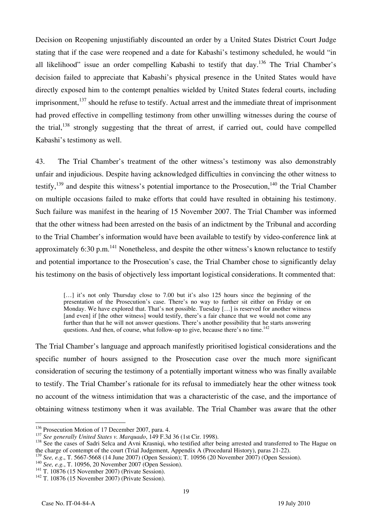Decision on Reopening unjustifiably discounted an order by a United States District Court Judge stating that if the case were reopened and a date for Kabashi's testimony scheduled, he would "in all likelihood" issue an order compelling Kabashi to testify that day.<sup>136</sup> The Trial Chamber's decision failed to appreciate that Kabashi's physical presence in the United States would have directly exposed him to the contempt penalties wielded by United States federal courts, including imprisonment, $^{137}$  should he refuse to testify. Actual arrest and the immediate threat of imprisonment had proved effective in compelling testimony from other unwilling witnesses during the course of the trial, $138$  strongly suggesting that the threat of arrest, if carried out, could have compelled Kabashi's testimony as well.

43. The Trial Chamber's treatment of the other witness's testimony was also demonstrably unfair and injudicious. Despite having acknowledged difficulties in convincing the other witness to testify,  $139$  and despite this witness's potential importance to the Prosecution.<sup>140</sup> the Trial Chamber on multiple occasions failed to make efforts that could have resulted in obtaining his testimony. Such failure was manifest in the hearing of 15 November 2007. The Trial Chamber was informed that the other witness had been arrested on the basis of an indictment by the Tribunal and according to the Trial Chamber's information would have been available to testify by video-conference link at approximately 6:30 p.m.<sup>141</sup> Nonetheless, and despite the other witness's known reluctance to testify and potential importance to the Prosecution's case, the Trial Chamber chose to significantly delay his testimony on the basis of objectively less important logistical considerations. It commented that:

[...] it's not only Thursday close to 7.00 but it's also 125 hours since the beginning of the presentation of the Prosecution's case. There's no way to further sit either on Friday or on Monday. We have explored that. That's not possible. Tuesday [...] is reserved for another witness [and even] if [the other witness] would testify, there's a fair chance that we would not come any further than that he will not answer questions. There's another possibility that he starts answering questions. And then, of course, what follow-up to give, because there's no time.<sup>142</sup>

The Trial Chamber's language and approach manifestly prioritised logistical considerations and the specific number of hours assigned to the Prosecution case over the much more significant consideration of securing the testimony of a potentially important witness who was finally available to testify. The Trial Chamber's rationale for its refusal to immediately hear the other witness took no account of the witness intimidation that was a characteristic of the case, and the importance of obtaining witness testimony when it was available. The Trial Chamber was aware that the other

<sup>&</sup>lt;sup>136</sup> Prosecution Motion of 17 December 2007, para. 4.

 $137$  See generally United States v. Marquado, 149 F.3d 36 (1st Cir. 1998).<br> $138$  See the cases of Sadri Selca and Avni Krasniqi, who testified after being arrested and transferred to The Hague on the charge of contempt of the court (Trial Judgement, Appendix A (Procedural History), paras 21-22).

<sup>&</sup>lt;sup>139</sup> See, e.g., T. 5667-5668 (14 June 2007) (Open Session); T. 10956 (20 November 2007) (Open Session).<br><sup>140</sup> See, e.g., T. 10956, 20 November 2007 (Open Session).<br><sup>141</sup> T. 10876 (15 November 2007) (Private Session).<br><sup>14</sup>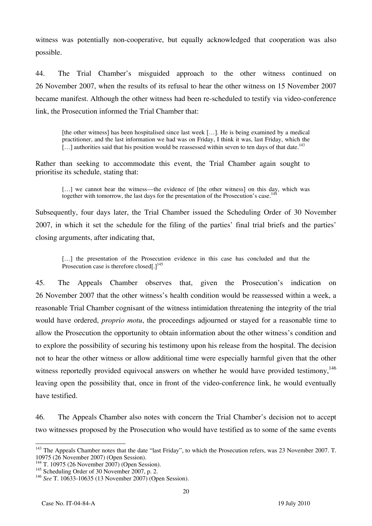witness was potentially non-cooperative, but equally acknowledged that cooperation was also possible.

44. The Trial Chamber's misguided approach to the other witness continued on 26 November 2007, when the results of its refusal to hear the other witness on 15 November 2007 became manifest. Although the other witness had been re-scheduled to testify via video-conference link, the Prosecution informed the Trial Chamber that:

[the other witness] has been hospitalised since last week  $[...]$ . He is being examined by a medical practitioner, and the last information we had was on Friday, I think it was, last Friday, which the  $\left[\ldots\right]$  authorities said that his position would be reassessed within seven to ten days of that date.<sup>143</sup>

Rather than seeking to accommodate this event, the Trial Chamber again sought to prioritise its schedule, stating that:

[...] we cannot hear the witness—the evidence of [the other witness] on this day, which was together with tomorrow, the last days for the presentation of the Prosecution's case.<sup>142</sup>

Subsequently, four days later, the Trial Chamber issued the Scheduling Order of 30 November 2007, in which it set the schedule for the filing of the parties' final trial briefs and the parties' closing arguments, after indicating that,

[...] the presentation of the Prosecution evidence in this case has concluded and that the Prosecution case is therefore closed[.]<sup>145</sup>

45. The Appeals Chamber observes that, given the Prosecution's indication on 26 November 2007 that the other witness's health condition would be reassessed within a week, a reasonable Trial Chamber cognisant of the witness intimidation threatening the integrity of the trial would have ordered, *proprio motu*, the proceedings adjourned or stayed for a reasonable time to allow the Prosecution the opportunity to obtain information about the other witness's condition and to explore the possibility of securing his testimony upon his release from the hospital. The decision not to hear the other witness or allow additional time were especially harmful given that the other witness reportedly provided equivocal answers on whether he would have provided testimony,<sup>146</sup> leaving open the possibility that, once in front of the video-conference link, he would eventually have testified.

46. The Appeals Chamber also notes with concern the Trial Chamber's decision not to accept two witnesses proposed by the Prosecution who would have testified as to some of the same events

 $\overline{a}$ <sup>143</sup> The Appeals Chamber notes that the date "last Friday", to which the Prosecution refers, was 23 November 2007. T. 10975 (26 November 2007) (Open Session).

<sup>&</sup>lt;sup>144</sup> T. 10975 (26 November 2007) (Open Session).

<sup>&</sup>lt;sup>145</sup> Scheduling Order of 30 November 2007, p. 2.

<sup>146</sup> *See* T. 10633-10635 (13 November 2007) (Open Session).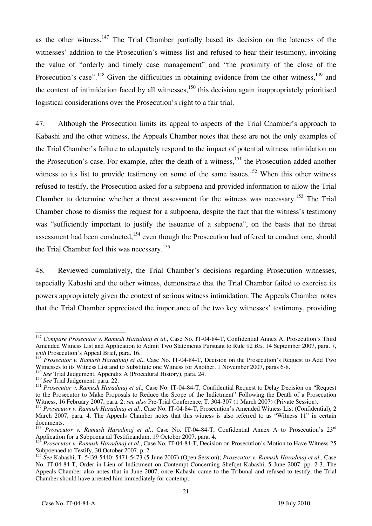as the other witness.<sup>147</sup> The Trial Chamber partially based its decision on the lateness of the witnesses' addition to the Prosecution's witness list and refused to hear their testimony, invoking the value of "orderly and timely case management" and "the proximity of the close of the Prosecution's case".<sup>148</sup> Given the difficulties in obtaining evidence from the other witness,<sup>149</sup> and the context of intimidation faced by all witnesses.<sup>150</sup> this decision again inappropriately prioritised logistical considerations over the Prosecution's right to a fair trial.

47. Although the Prosecution limits its appeal to aspects of the Trial Chamber's approach to Kabashi and the other witness, the Appeals Chamber notes that these are not the only examples of the Trial Chamber's failure to adequately respond to the impact of potential witness intimidation on the Prosecution's case. For example, after the death of a witness,<sup>151</sup> the Prosecution added another witness to its list to provide testimony on some of the same issues.<sup>152</sup> When this other witness refused to testify, the Prosecution asked for a subpoena and provided information to allow the Trial Chamber to determine whether a threat assessment for the witness was necessary.<sup>153</sup> The Trial Chamber chose to dismiss the request for a subpoena, despite the fact that the witness's testimony was "sufficiently important to justify the issuance of a subpoena", on the basis that no threat assessment had been conducted,<sup>154</sup> even though the Prosecution had offered to conduct one, should the Trial Chamber feel this was necessary.<sup>155</sup>

48. Reviewed cumulatively, the Trial Chamber's decisions regarding Prosecution witnesses, especially Kabashi and the other witness, demonstrate that the Trial Chamber failed to exercise its powers appropriately given the context of serious witness intimidation. The Appeals Chamber notes that the Trial Chamber appreciated the importance of the two key witnesses' testimony, providing

 $\overline{\phantom{a}}$ <sup>147</sup> *Compare Prosecutor v. Ramush Haradinaj et al*., Case No. IT-04-84-T, Confidential Annex A, Prosecution's Third Amended Witness List and Application to Admit Two Statements Pursuant to Rule 92 *Bis*, 14 September 2007, para. 7,

<sup>&</sup>lt;sup>148</sup> Prosecutor v. Ramush Haradinaj et al., Case No. IT-04-84-T, Decision on the Prosecution's Request to Add Two Witnesses to its Witness List and to Substitute one Witness for Another, 1 November 2007, paras 6-8.

<sup>149</sup> *See* Trial Judgement, Appendix A (Procedural History), para. 24.

<sup>&</sup>lt;sup>150</sup> *See* Trial Judgement, para. 22.

<sup>151</sup> *Prosecutor v. Ramush Haradinaj et al*., Case No. IT-04-84-T, Confidential Request to Delay Decision on "Request to the Prosecutor to Make Proposals to Reduce the Scope of the Indictment" Following the Death of a Prosecution Witness, 16 February 2007, para. 2; *see also* Pre-Trial Conference, T. 304-307 (1 March 2007) (Private Session).

<sup>152</sup> *Prosecutor v. Ramush Haradinaj et al*., Case No. IT-04-84-T, Prosecution's Amended Witness List (Confidential), 2 March 2007, para. 4. The Appeals Chamber notes that this witness is also referred to as "Witness 11" in certain documents.

<sup>153</sup> *Prosecutor v. Ramush Haradinaj et al*., Case No. IT-04-84-T, Confidential Annex A to Prosecution's 23rd Application for a Subpoena ad Testificandum, 19 October 2007, para. 4.

<sup>154</sup> *Prosecutor v. Ramush Haradinaj et al*., Case No. IT-04-84-T, Decision on Prosecution's Motion to Have Witness 25 Subpoenaed to Testify, 30 October 2007, p. 2.

<sup>155</sup> *See* Kabashi, T. 5439-5440; 5471-5473 (5 June 2007) (Open Session); *Prosecutor v. Ramush Haradinaj et al*., Case No. IT-04-84-T, Order in Lieu of Indictment on Contempt Concerning Shefqet Kabashi, 5 June 2007, pp. 2-3. The Appeals Chamber also notes that in June 2007, once Kabashi came to the Tribunal and refused to testify, the Trial Chamber should have arrested him immediately for contempt.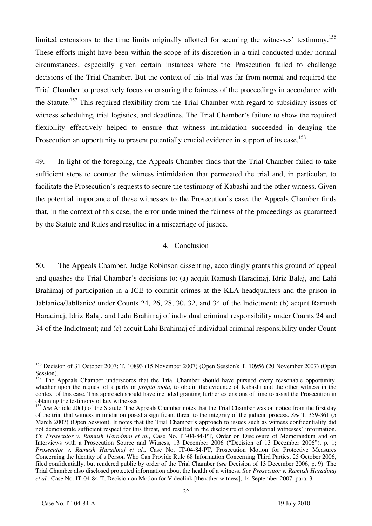limited extensions to the time limits originally allotted for securing the witnesses' testimony.<sup>156</sup> These efforts might have been within the scope of its discretion in a trial conducted under normal circumstances, especially given certain instances where the Prosecution failed to challenge decisions of the Trial Chamber. But the context of this trial was far from normal and required the Trial Chamber to proactively focus on ensuring the fairness of the proceedings in accordance with the Statute.<sup>157</sup> This required flexibility from the Trial Chamber with regard to subsidiary issues of witness scheduling, trial logistics, and deadlines. The Trial Chamber's failure to show the required flexibility effectively helped to ensure that witness intimidation succeeded in denying the Prosecution an opportunity to present potentially crucial evidence in support of its case.<sup>158</sup>

49. In light of the foregoing, the Appeals Chamber finds that the Trial Chamber failed to take sufficient steps to counter the witness intimidation that permeated the trial and, in particular, to facilitate the Prosecution's requests to secure the testimony of Kabashi and the other witness. Given the potential importance of these witnesses to the Prosecution's case, the Appeals Chamber finds that, in the context of this case, the error undermined the fairness of the proceedings as guaranteed by the Statute and Rules and resulted in a miscarriage of justice.

#### 4. Conclusion

50. The Appeals Chamber, Judge Robinson dissenting, accordingly grants this ground of appeal and quashes the Trial Chamber's decisions to: (a) acquit Ramush Haradinaj, Idriz Balaj, and Lahi Brahimaj of participation in a JCE to commit crimes at the KLA headquarters and the prison in Jablanica/Jabllanicë under Counts 24, 26, 28, 30, 32, and 34 of the Indictment; (b) acquit Ramush Haradinaj, Idriz Balaj, and Lahi Brahimaj of individual criminal responsibility under Counts 24 and 34 of the Indictment; and (c) acquit Lahi Brahimaj of individual criminal responsibility under Count

 $\overline{a}$ <sup>156</sup> Decision of 31 October 2007; T. 10893 (15 November 2007) (Open Session); T. 10956 (20 November 2007) (Open Session).

<sup>&</sup>lt;sup>157</sup> The Appeals Chamber underscores that the Trial Chamber should have pursued every reasonable opportunity, whether upon the request of a party or *propio motu*, to obtain the evidence of Kabashi and the other witness in the context of this case. This approach should have included granting further extensions of time to assist the Prosecution in obtaining the testimony of key witnesses.

<sup>&</sup>lt;sup>158</sup> See Article 20(1) of the Statute. The Appeals Chamber notes that the Trial Chamber was on notice from the first day of the trial that witness intimidation posed a significant threat to the integrity of the judicial process. *See* T. 359-361 (5 March 2007) (Open Session). It notes that the Trial Chamber's approach to issues such as witness confidentiality did not demonstrate sufficient respect for this threat, and resulted in the disclosure of confidential witnesses' information. *Cf. Prosecutor v. Ramush Haradinaj et al.*, Case No. IT-04-84-PT, Order on Disclosure of Memorandum and on Interviews with a Prosecution Source and Witness, 13 December 2006 ("Decision of 13 December 2006"), p. 1; *Prosecutor v. Ramush Haradinaj et al.*, Case No. IT-04-84-PT, Prosecution Motion for Protective Measures Concerning the Identity of a Person Who Can Provide Rule 68 Information Concerning Third Parties, 25 October 2006, filed confidentially, but rendered public by order of the Trial Chamber (*see* Decision of 13 December 2006, p. 9). The Trial Chamber also disclosed protected information about the health of a witness. *See Prosecutor v. Ramush Haradinaj et al.*, Case No. IT-04-84-T, Decision on Motion for Videolink [the other witness], 14 September 2007, para. 3.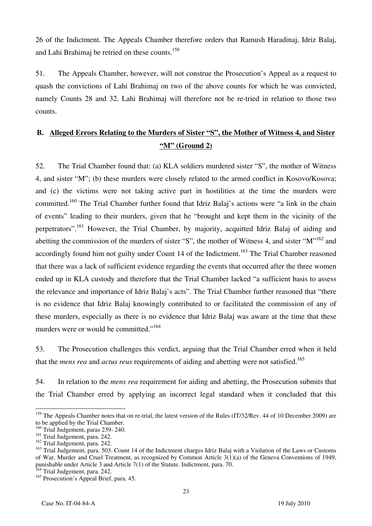26 of the Indictment. The Appeals Chamber therefore orders that Ramush Haradinaj, Idriz Balaj, and Lahi Brahimaj be retried on these counts.<sup>159</sup>

51. The Appeals Chamber, however, will not construe the Prosecution's Appeal as a request to quash the convictions of Lahi Brahimaj on two of the above counts for which he was convicted, namely Counts 28 and 32. Lahi Brahimaj will therefore not be re-tried in relation to those two counts.

## **B. Alleged Errors Relating to the Murders of Sister "S", the Mother of Witness 4, and Sister "M" (Ground 2)**

52. The Trial Chamber found that: (a) KLA soldiers murdered sister "S", the mother of Witness 4, and sister "M"; (b) these murders were closely related to the armed conflict in Kosovo/Kosova; and (c) the victims were not taking active part in hostilities at the time the murders were committed.<sup>160</sup> The Trial Chamber further found that Idriz Balaj's actions were "a link in the chain of events" leading to their murders, given that he "brought and kept them in the vicinity of the perpetrators".<sup>161</sup> However, the Trial Chamber, by majority, acquitted Idriz Balaj of aiding and abetting the commission of the murders of sister "S", the mother of Witness 4, and sister "M"<sup>162</sup> and accordingly found him not guilty under Count 14 of the Indictment.<sup>163</sup> The Trial Chamber reasoned that there was a lack of sufficient evidence regarding the events that occurred after the three women ended up in KLA custody and therefore that the Trial Chamber lacked "a sufficient basis to assess the relevance and importance of Idriz Balaj's acts". The Trial Chamber further reasoned that "there is no evidence that Idriz Balaj knowingly contributed to or facilitated the commission of any of these murders, especially as there is no evidence that Idriz Balaj was aware at the time that these murders were or would be committed."<sup>164</sup>

53. The Prosecution challenges this verdict, arguing that the Trial Chamber erred when it held that the *mens rea* and *actus reus* requirements of aiding and abetting were not satisfied.<sup>165</sup>

54. In relation to the *mens rea* requirement for aiding and abetting, the Prosecution submits that the Trial Chamber erred by applying an incorrect legal standard when it concluded that this

 $\overline{a}$ <sup>159</sup> The Appeals Chamber notes that on re-trial, the latest version of the Rules (IT/32/Rev. 44 of 10 December 2009) are to be applied by the Trial Chamber.

<sup>&</sup>lt;sup>160</sup> Trial Judgement, paras 239- 240.

<sup>&</sup>lt;sup>161</sup> Trial Judgement, para. 242.

<sup>&</sup>lt;sup>162</sup> Trial Judgement, para. 242.

<sup>&</sup>lt;sup>163</sup> Trial Judgement, para. 503. Count 14 of the Indictment charges Idriz Balaj with a Violation of the Laws or Customs of War, Murder and Cruel Treatment, as recognized by Common Article 3(1)(a) of the Geneva Conventions of 1949, punishable under Article 3 and Article 7(1) of the Statute. Indictment, para. 70.

<sup>&</sup>lt;sup>164</sup> Trial Judgement, para. 242.

<sup>&</sup>lt;sup>165</sup> Prosecution's Appeal Brief, para. 45.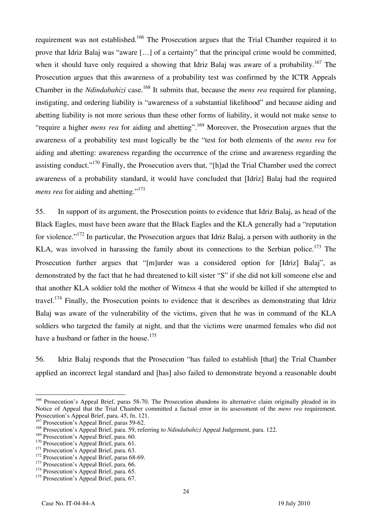requirement was not established.<sup>166</sup> The Prosecution argues that the Trial Chamber required it to prove that Idriz Balaj was "aware [...] of a certainty" that the principal crime would be committed, when it should have only required a showing that Idriz Balaj was aware of a probability.<sup>167</sup> The Prosecution argues that this awareness of a probability test was confirmed by the ICTR Appeals Chamber in the *Ndindabahizi* case*.* 168 It submits that, because the *mens rea* required for planning, instigating, and ordering liability is "awareness of a substantial likelihood" and because aiding and abetting liability is not more serious than these other forms of liability, it would not make sense to "require a higher *mens rea* for aiding and abetting".169 Moreover, the Prosecution argues that the awareness of a probability test must logically be the "test for both elements of the *mens rea* for aiding and abetting: awareness regarding the occurrence of the crime and awareness regarding the assisting conduct."<sup>170</sup> Finally, the Prosecution avers that, "[h]ad the Trial Chamber used the correct awareness of a probability standard, it would have concluded that [Idriz] Balaj had the required *mens rea* for aiding and abetting."<sup>171</sup>

55. In support of its argument, the Prosecution points to evidence that Idriz Balaj, as head of the Black Eagles, must have been aware that the Black Eagles and the KLA generally had a "reputation for violence."172 In particular, the Prosecution argues that Idriz Balaj, a person with authority in the KLA, was involved in harassing the family about its connections to the Serbian police.<sup>173</sup> The Prosecution further argues that "[m]urder was a considered option for [Idriz] Balaj", as demonstrated by the fact that he had threatened to kill sister "S" if she did not kill someone else and that another KLA soldier told the mother of Witness 4 that she would be killed if she attempted to travel.<sup>174</sup> Finally, the Prosecution points to evidence that it describes as demonstrating that Idriz Balaj was aware of the vulnerability of the victims, given that he was in command of the KLA soldiers who targeted the family at night, and that the victims were unarmed females who did not have a husband or father in the house.<sup>175</sup>

56. Idriz Balaj responds that the Prosecution "has failed to establish [that] the Trial Chamber applied an incorrect legal standard and [has] also failed to demonstrate beyond a reasonable doubt

 $\overline{\phantom{a}}$ <sup>166</sup> Prosecution's Appeal Brief, paras 58-70. The Prosecution abandons its alternative claim originally pleaded in its Notice of Appeal that the Trial Chamber committed a factual error in its assessment of the *mens rea* requirement. Prosecution's Appeal Brief, para. 45, fn. 121.

<sup>&</sup>lt;sup>167</sup> Prosecution's Appeal Brief, paras 59-62.

<sup>&</sup>lt;sup>168</sup> Prosecution's Appeal Brief, para. 59, referring to *Ndindabahizi* Appeal Judgement, para. 122.

<sup>&</sup>lt;sup>170</sup> Prosecution's Appeal Brief, para. 60.<br><sup>170</sup> Prosecution's Appeal Brief, para. 61.<br><sup>171</sup> Prosecution's Appeal Brief, para. 63.<br><sup>172</sup> Prosecution's Appeal Brief, paras 68-69.<br><sup>173</sup> Prosecution's Appeal Brief, para. 66.

 $175$  Prosecution's Appeal Brief, para. 67.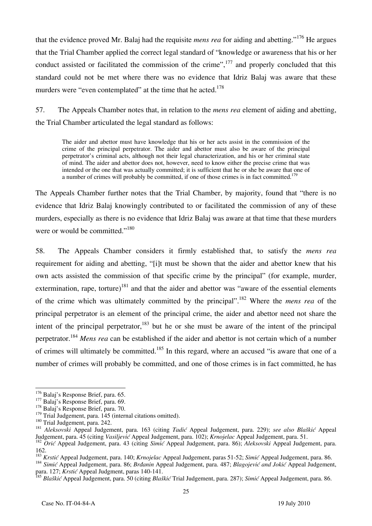that the evidence proved Mr. Balaj had the requisite *mens rea* for aiding and abetting."176 He argues that the Trial Chamber applied the correct legal standard of "knowledge or awareness that his or her conduct assisted or facilitated the commission of the crime", $^{177}$  and properly concluded that this standard could not be met where there was no evidence that Idriz Balaj was aware that these murders were "even contemplated" at the time that he acted.<sup>178</sup>

57. The Appeals Chamber notes that, in relation to the *mens rea* element of aiding and abetting, the Trial Chamber articulated the legal standard as follows:

The aider and abettor must have knowledge that his or her acts assist in the commission of the crime of the principal perpetrator. The aider and abettor must also be aware of the principal perpetrator's criminal acts, although not their legal characterization, and his or her criminal state of mind. The aider and abettor does not, however, need to know either the precise crime that was intended or the one that was actually committed; it is sufficient that he or she be aware that one of a number of crimes will probably be committed, if one of those crimes is in fact committed.<sup>17</sup>

The Appeals Chamber further notes that the Trial Chamber, by majority, found that "there is no evidence that Idriz Balaj knowingly contributed to or facilitated the commission of any of these murders, especially as there is no evidence that Idriz Balaj was aware at that time that these murders were or would be committed."<sup>180</sup>

58. The Appeals Chamber considers it firmly established that, to satisfy the *mens rea*  requirement for aiding and abetting, "[i]t must be shown that the aider and abettor knew that his own acts assisted the commission of that specific crime by the principal" (for example, murder, extermination, rape, torture)<sup>181</sup> and that the aider and abettor was "aware of the essential elements" of the crime which was ultimately committed by the principal".182 Where the *mens rea* of the principal perpetrator is an element of the principal crime, the aider and abettor need not share the intent of the principal perpetrator, $183$  but he or she must be aware of the intent of the principal perpetrator.184 *Mens rea* can be established if the aider and abettor is not certain which of a number of crimes will ultimately be committed.185 In this regard, where an accused "is aware that one of a number of crimes will probably be committed, and one of those crimes is in fact committed, he has

184 Simić Appeal Judgement, para. 86; Brdanin Appeal Judgement, para. 487; Blagojević and Jokić Appeal Judgement, para. 127; Krstić Appeal Judgment, paras 140-141.

<sup>185</sup> Blaškić Appeal Judgement, para. 50 (citing *Blaškić* Trial Judgement, para. 287); *Simić* Appeal Judgement, para. 86.

 $176$  Balai's Response Brief, para, 65.

<sup>&</sup>lt;sup>177</sup> Balaj's Response Brief, para. 69. <sup>178</sup> Balaj's Response Brief, para. 70. <sup>179</sup> Trial Judgement, para. 145 (internal citations omitted).

<sup>&</sup>lt;sup>180</sup> Trial Judgement, para. 242.<br><sup>181</sup> Aleksovski Appeal Judgement, para. 163 (citing *Tadić* Appeal Judgement, para. 229); see also Blaškić Appeal<br>Judgement, para. 45 (citing *Vasiljević* Appeal Judgement, para. 102); *K* 

<sup>&</sup>lt;sup>182</sup> Orić Appeal Judgement, para. 43 (citing Simić Appeal Judgement, para. 86); Aleksovski Appeal Judgement, para. 162.<br><sup>183</sup> Krstić Appeal Judgement, para. 140; Krnojelac Appeal Judgement, paras 51-52; Simić Appeal Judgement, para. 86.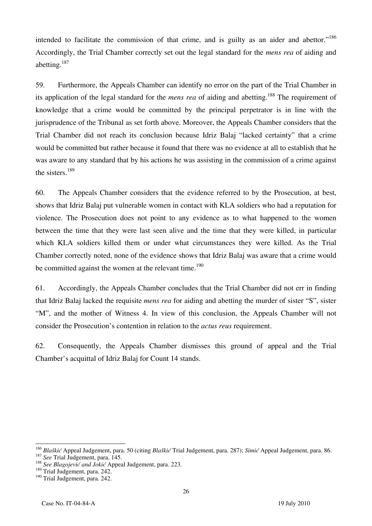intended to facilitate the commission of that crime, and is guilty as an aider and abettor."<sup>186</sup> Accordingly, the Trial Chamber correctly set out the legal standard for the *mens rea* of aiding and abetting.187

59. Furthermore, the Appeals Chamber can identify no error on the part of the Trial Chamber in its application of the legal standard for the *mens rea* of aiding and abetting.188 The requirement of knowledge that a crime would be committed by the principal perpetrator is in line with the jurisprudence of the Tribunal as set forth above. Moreover, the Appeals Chamber considers that the Trial Chamber did not reach its conclusion because Idriz Balaj "lacked certainty" that a crime would be committed but rather because it found that there was no evidence at all to establish that he was aware to any standard that by his actions he was assisting in the commission of a crime against the sisters.189

60. The Appeals Chamber considers that the evidence referred to by the Prosecution, at best, shows that Idriz Balaj put vulnerable women in contact with KLA soldiers who had a reputation for violence. The Prosecution does not point to any evidence as to what happened to the women between the time that they were last seen alive and the time that they were killed, in particular which KLA soldiers killed them or under what circumstances they were killed. As the Trial Chamber correctly noted, none of the evidence shows that Idriz Balaj was aware that a crime would be committed against the women at the relevant time.<sup>190</sup>

61. Accordingly, the Appeals Chamber concludes that the Trial Chamber did not err in finding that Idriz Balaj lacked the requisite *mens rea* for aiding and abetting the murder of sister "S", sister "M", and the mother of Witness 4. In view of this conclusion, the Appeals Chamber will not consider the Prosecution's contention in relation to the *actus reus* requirement.

62. Consequently, the Appeals Chamber dismisses this ground of appeal and the Trial Chamber's acquittal of Idriz Balaj for Count 14 stands.

<sup>&</sup>lt;sup>186</sup> Blaškić Appeal Judgement, para. 50 (citing *Blaškić* Trial Judgement, para. 287); Simić Appeal Judgement, para. 86.<br><sup>187</sup> See Trial Judgement, para. 145.<br><sup>188</sup> See Blagojević and Jokić Appeal Judgement, para. 223.

<sup>&</sup>lt;sup>188</sup> See Blagojević and Jokić Appeal Judgement, para. 223.<br><sup>189</sup> Trial Judgement, para. 242.

<sup>&</sup>lt;sup>190</sup> Trial Judgement, para. 242.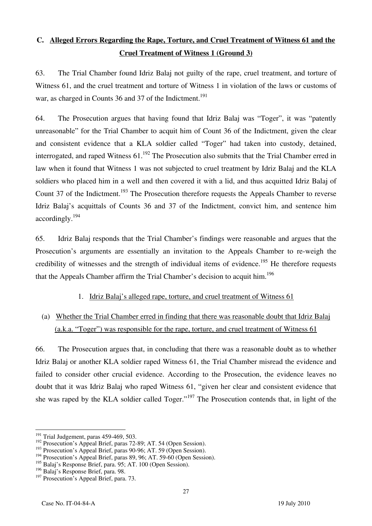# **C. Alleged Errors Regarding the Rape, Torture, and Cruel Treatment of Witness 61 and the Cruel Treatment of Witness 1 (Ground 3)**

63. The Trial Chamber found Idriz Balaj not guilty of the rape, cruel treatment, and torture of Witness 61, and the cruel treatment and torture of Witness 1 in violation of the laws or customs of war, as charged in Counts 36 and 37 of the Indictment.<sup>191</sup>

64. The Prosecution argues that having found that Idriz Balaj was "Toger", it was "patently unreasonable" for the Trial Chamber to acquit him of Count 36 of the Indictment, given the clear and consistent evidence that a KLA soldier called "Toger" had taken into custody, detained, interrogated, and raped Witness  $61$ .<sup>192</sup> The Prosecution also submits that the Trial Chamber erred in law when it found that Witness 1 was not subjected to cruel treatment by Idriz Balaj and the KLA soldiers who placed him in a well and then covered it with a lid, and thus acquitted Idriz Balaj of Count 37 of the Indictment.<sup>193</sup> The Prosecution therefore requests the Appeals Chamber to reverse Idriz Balaj's acquittals of Counts 36 and 37 of the Indictment, convict him, and sentence him accordingly.194

65. Idriz Balaj responds that the Trial Chamber's findings were reasonable and argues that the Prosecution's arguments are essentially an invitation to the Appeals Chamber to re-weigh the credibility of witnesses and the strength of individual items of evidence.<sup>195</sup> He therefore requests that the Appeals Chamber affirm the Trial Chamber's decision to acquit him.<sup>196</sup>

- 1. Idriz Balaj's alleged rape, torture, and cruel treatment of Witness 61
- (a) Whether the Trial Chamber erred in finding that there was reasonable doubt that Idriz Balaj (a.k.a. "Toger") was responsible for the rape, torture, and cruel treatment of Witness 61

66. The Prosecution argues that, in concluding that there was a reasonable doubt as to whether Idriz Balaj or another KLA soldier raped Witness 61, the Trial Chamber misread the evidence and failed to consider other crucial evidence. According to the Prosecution, the evidence leaves no doubt that it was Idriz Balaj who raped Witness 61, "given her clear and consistent evidence that she was raped by the KLA soldier called Toger."197 The Prosecution contends that, in light of the

 $\overline{\phantom{a}}$  $191$  Trial Judgement, paras 459-469, 503.

<sup>&</sup>lt;sup>192</sup> Prosecution's Appeal Brief, paras 72-89; AT. 54 (Open Session).

<sup>&</sup>lt;sup>193</sup> Prosecution's Appeal Brief, paras 90-96; AT. 59 (Open Session).

<sup>&</sup>lt;sup>194</sup> Prosecution's Appeal Brief, paras 89, 96; AT. 59-60 (Open Session).

<sup>195</sup> Balaj's Response Brief, para. 95; AT. 100 (Open Session).

<sup>196</sup> Balaj's Response Brief, para. 98.

<sup>&</sup>lt;sup>197</sup> Prosecution's Appeal Brief, para. 73.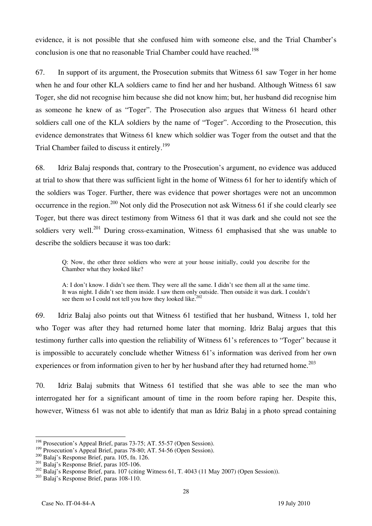evidence, it is not possible that she confused him with someone else, and the Trial Chamber's conclusion is one that no reasonable Trial Chamber could have reached.<sup>198</sup>

67. In support of its argument, the Prosecution submits that Witness 61 saw Toger in her home when he and four other KLA soldiers came to find her and her husband. Although Witness 61 saw Toger, she did not recognise him because she did not know him; but, her husband did recognise him as someone he knew of as "Toger". The Prosecution also argues that Witness 61 heard other soldiers call one of the KLA soldiers by the name of "Toger". According to the Prosecution, this evidence demonstrates that Witness 61 knew which soldier was Toger from the outset and that the Trial Chamber failed to discuss it entirely.<sup>199</sup>

68. Idriz Balaj responds that, contrary to the Prosecution's argument, no evidence was adduced at trial to show that there was sufficient light in the home of Witness 61 for her to identify which of the soldiers was Toger. Further, there was evidence that power shortages were not an uncommon occurrence in the region.<sup>200</sup> Not only did the Prosecution not ask Witness 61 if she could clearly see Toger, but there was direct testimony from Witness 61 that it was dark and she could not see the soldiers very well.<sup>201</sup> During cross-examination, Witness 61 emphasised that she was unable to describe the soldiers because it was too dark:

Q: Now, the other three soldiers who were at your house initially, could you describe for the Chamber what they looked like?

A: I don't know. I didn't see them. They were all the same. I didn't see them all at the same time. It was night. I didn't see them inside. I saw them only outside. Then outside it was dark. I couldn't see them so I could not tell you how they looked like.<sup>202</sup>

69. Idriz Balaj also points out that Witness 61 testified that her husband, Witness 1, told her who Toger was after they had returned home later that morning. Idriz Balaj argues that this testimony further calls into question the reliability of Witness 61's references to "Toger" because it is impossible to accurately conclude whether Witness 61's information was derived from her own experiences or from information given to her by her husband after they had returned home.<sup>203</sup>

70. Idriz Balaj submits that Witness 61 testified that she was able to see the man who interrogated her for a significant amount of time in the room before raping her. Despite this, however, Witness 61 was not able to identify that man as Idriz Balaj in a photo spread containing

 $\overline{a}$ <sup>198</sup> Prosecution's Appeal Brief, paras 73-75; AT. 55-57 (Open Session).

<sup>&</sup>lt;sup>199</sup> Prosecution's Appeal Brief, paras 78-80; AT. 54-56 (Open Session).<br>
<sup>200</sup> Balaj's Response Brief, para. 105, fn. 126.<br>
<sup>201</sup> Balaj's Response Brief, paras 105-106.<br>
<sup>202</sup> Balaj's Response Brief, para. 107 (citing Wi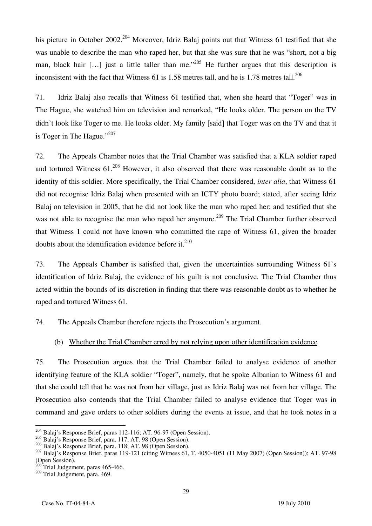his picture in October 2002.<sup>204</sup> Moreover, Idriz Balaj points out that Witness 61 testified that she was unable to describe the man who raped her, but that she was sure that he was "short, not a big man, black hair [...] just a little taller than me."<sup>205</sup> He further argues that this description is inconsistent with the fact that Witness 61 is 1.58 metres tall, and he is 1.78 metres tall.<sup>206</sup>

71. Idriz Balaj also recalls that Witness 61 testified that, when she heard that "Toger" was in The Hague, she watched him on television and remarked, "He looks older. The person on the TV didn't look like Toger to me. He looks older. My family [said] that Toger was on the TV and that it is Toger in The Hague." $^{207}$ 

72. The Appeals Chamber notes that the Trial Chamber was satisfied that a KLA soldier raped and tortured Witness  $61^{208}$  However, it also observed that there was reasonable doubt as to the identity of this soldier. More specifically, the Trial Chamber considered, *inter alia*, that Witness 61 did not recognise Idriz Balaj when presented with an ICTY photo board; stated, after seeing Idriz Balaj on television in 2005, that he did not look like the man who raped her; and testified that she was not able to recognise the man who raped her anymore.<sup>209</sup> The Trial Chamber further observed that Witness 1 could not have known who committed the rape of Witness 61, given the broader doubts about the identification evidence before it. $^{210}$ 

73. The Appeals Chamber is satisfied that, given the uncertainties surrounding Witness 61's identification of Idriz Balaj, the evidence of his guilt is not conclusive. The Trial Chamber thus acted within the bounds of its discretion in finding that there was reasonable doubt as to whether he raped and tortured Witness 61.

74. The Appeals Chamber therefore rejects the Prosecution's argument.

#### (b) Whether the Trial Chamber erred by not relying upon other identification evidence

75. The Prosecution argues that the Trial Chamber failed to analyse evidence of another identifying feature of the KLA soldier "Toger", namely, that he spoke Albanian to Witness 61 and that she could tell that he was not from her village, just as Idriz Balaj was not from her village. The Prosecution also contends that the Trial Chamber failed to analyse evidence that Toger was in command and gave orders to other soldiers during the events at issue, and that he took notes in a

 $\overline{a}$  $^{204}$  Balaj's Response Brief, paras 112-116; AT. 96-97 (Open Session).

 $^{205}$  Balaj's Response Brief, para. 117; AT. 98 (Open Session).  $^{206}$  Balaj's Response Brief, para. 118; AT. 98 (Open Session).

<sup>&</sup>lt;sup>207</sup> Balaj's Response Brief, paras 119-121 (citing Witness 61, T. 4050-4051 (11 May 2007) (Open Session)); AT. 97-98 (Open Session).

Trial Judgement, paras 465-466.

<sup>&</sup>lt;sup>209</sup> Trial Judgement, para. 469.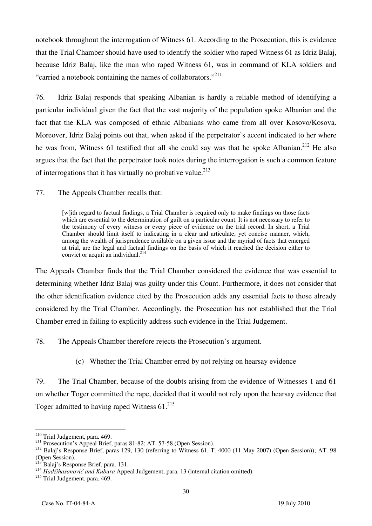notebook throughout the interrogation of Witness 61. According to the Prosecution, this is evidence that the Trial Chamber should have used to identify the soldier who raped Witness 61 as Idriz Balaj, because Idriz Balaj, like the man who raped Witness 61, was in command of KLA soldiers and "carried a notebook containing the names of collaborators."<sup>211</sup>

76. Idriz Balaj responds that speaking Albanian is hardly a reliable method of identifying a particular individual given the fact that the vast majority of the population spoke Albanian and the fact that the KLA was composed of ethnic Albanians who came from all over Kosovo/Kosova. Moreover, Idriz Balaj points out that, when asked if the perpetrator's accent indicated to her where he was from, Witness 61 testified that all she could say was that he spoke Albanian.<sup>212</sup> He also argues that the fact that the perpetrator took notes during the interrogation is such a common feature of interrogations that it has virtually no probative value.<sup>213</sup>

77. The Appeals Chamber recalls that:

[w]ith regard to factual findings, a Trial Chamber is required only to make findings on those facts which are essential to the determination of guilt on a particular count. It is not necessary to refer to the testimony of every witness or every piece of evidence on the trial record. In short, a Trial Chamber should limit itself to indicating in a clear and articulate, yet concise manner, which, among the wealth of jurisprudence available on a given issue and the myriad of facts that emerged at trial, are the legal and factual findings on the basis of which it reached the decision either to convict or acquit an individual. $^{214}$ 

The Appeals Chamber finds that the Trial Chamber considered the evidence that was essential to determining whether Idriz Balaj was guilty under this Count. Furthermore, it does not consider that the other identification evidence cited by the Prosecution adds any essential facts to those already considered by the Trial Chamber. Accordingly, the Prosecution has not established that the Trial Chamber erred in failing to explicitly address such evidence in the Trial Judgement.

78. The Appeals Chamber therefore rejects the Prosecution's argument.

#### (c) Whether the Trial Chamber erred by not relying on hearsay evidence

79. The Trial Chamber, because of the doubts arising from the evidence of Witnesses 1 and 61 on whether Toger committed the rape, decided that it would not rely upon the hearsay evidence that Toger admitted to having raped Witness 61.<sup>215</sup>

 $\overline{a}$ 

<sup>&</sup>lt;sup>210</sup> Trial Judgement, para. 469.<br><sup>211</sup> Prosecution's Appeal Brief, paras 81-82; AT. 57-58 (Open Session).<br><sup>212</sup> Balaj's Response Brief, paras 129, 130 (referring to Witness 61, T. 4000 (11 May 2007) (Open Session)); AT. 9 (Open Session).<br><sup>213</sup> Balaj's Response Brief, para. 131.

<sup>213</sup> Balaj's Response Brief, para. 131. 214 *Hadžihasanović and Kubura* Appeal Judgement, para. 13 (internal citation omitted).

<sup>&</sup>lt;sup>215</sup> Trial Judgement, para. 469.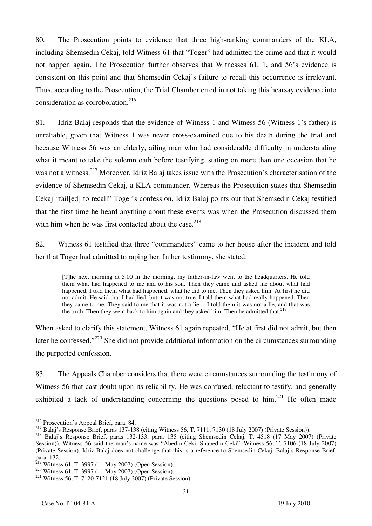80. The Prosecution points to evidence that three high-ranking commanders of the KLA, including Shemsedin Cekaj, told Witness 61 that "Toger" had admitted the crime and that it would not happen again. The Prosecution further observes that Witnesses 61, 1, and 56's evidence is consistent on this point and that Shemsedin Cekaj's failure to recall this occurrence is irrelevant. Thus, according to the Prosecution, the Trial Chamber erred in not taking this hearsay evidence into consideration as corroboration.<sup>216</sup>

81. Idriz Balaj responds that the evidence of Witness 1 and Witness 56 (Witness 1's father) is unreliable, given that Witness 1 was never cross-examined due to his death during the trial and because Witness 56 was an elderly, ailing man who had considerable difficulty in understanding what it meant to take the solemn oath before testifying, stating on more than one occasion that he was not a witness.<sup>217</sup> Moreover, Idriz Balaj takes issue with the Prosecution's characterisation of the evidence of Shemsedin Cekaj, a KLA commander. Whereas the Prosecution states that Shemsedin Cekaj "fail[ed] to recall" Toger's confession, Idriz Balaj points out that Shemsedin Cekaj testified that the first time he heard anything about these events was when the Prosecution discussed them with him when he was first contacted about the case.<sup>218</sup>

82. Witness 61 testified that three "commanders" came to her house after the incident and told her that Toger had admitted to raping her. In her testimony, she stated:

The next morning at 5.00 in the morning, my father-in-law went to the headquarters. He told them what had happened to me and to his son. Then they came and asked me about what had happened. I told them what had happened, what he did to me. Then they asked him. At first he did not admit. He said that I had lied, but it was not true. I told them what had really happened. Then they came to me. They said to me that it was not a lie -- I told them it was not a lie, and that was the truth. Then they went back to him again and they asked him. Then he admitted that.<sup>219</sup>

When asked to clarify this statement, Witness 61 again repeated, "He at first did not admit, but then later he confessed."<sup>220</sup> She did not provide additional information on the circumstances surrounding the purported confession.

83. The Appeals Chamber considers that there were circumstances surrounding the testimony of Witness 56 that cast doubt upon its reliability. He was confused, reluctant to testify, and generally exhibited a lack of understanding concerning the questions posed to him.<sup>221</sup> He often made

<sup>&</sup>lt;sup>216</sup> Prosecution's Appeal Brief, para. 84.

<sup>217</sup> Balaj's Response Brief, paras 137-138 (citing Witness 56, T. 7111, 7130 (18 July 2007) (Private Session)).<br><sup>218</sup> Balai's Response Brief, paras 132-133, para. 135 (citing Shemsedin Cekaj, T. 4518 (17 May 2007) (Private Session)). Witness 56 said the man's name was "Abedin Ceki, Shabedin Ceki". Witness 56, T. 7106 (18 July 2007) (Private Session). Idriz Balaj does not challenge that this is a reference to Shemsedin Cekaj. Balaj's Response Brief, para. 132.<br><sup>219</sup> Witness 61, T. 3997 (11 May 2007) (Open Session).

<sup>&</sup>lt;sup>220</sup> Witness 61, T. 3997 (11 May 2007) (Open Session).<br><sup>221</sup> Witness 56, T. 7120-7121 (18 July 2007) (Private Session).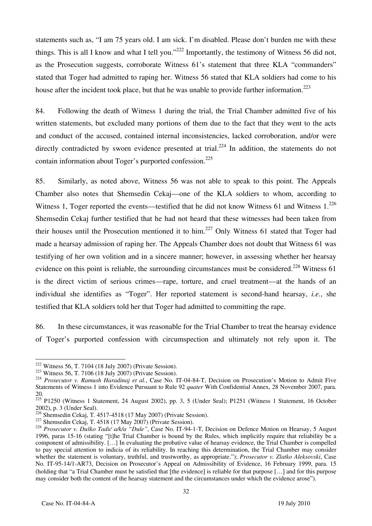statements such as, "I am 75 years old. I am sick. I'm disabled. Please don't burden me with these things. This is all I know and what I tell you."<sup>222</sup> Importantly, the testimony of Witness 56 did not, as the Prosecution suggests, corroborate Witness 61's statement that three KLA "commanders" stated that Toger had admitted to raping her. Witness 56 stated that KLA soldiers had come to his house after the incident took place, but that he was unable to provide further information.<sup>223</sup>

84. Following the death of Witness 1 during the trial, the Trial Chamber admitted five of his written statements, but excluded many portions of them due to the fact that they went to the acts and conduct of the accused, contained internal inconsistencies, lacked corroboration, and/or were directly contradicted by sworn evidence presented at trial.<sup>224</sup> In addition, the statements do not contain information about Toger's purported confession.<sup>225</sup>

85. Similarly, as noted above, Witness 56 was not able to speak to this point. The Appeals Chamber also notes that Shemsedin Cekaj—one of the KLA soldiers to whom, according to Witness 1, Toger reported the events—testified that he did not know Witness 61 and Witness  $1.^{226}$ Shemsedin Cekaj further testified that he had not heard that these witnesses had been taken from their houses until the Prosecution mentioned it to him.<sup>227</sup> Only Witness 61 stated that Toger had made a hearsay admission of raping her. The Appeals Chamber does not doubt that Witness 61 was testifying of her own volition and in a sincere manner; however, in assessing whether her hearsay evidence on this point is reliable, the surrounding circumstances must be considered.<sup>228</sup> Witness  $61$ is the direct victim of serious crimes—rape, torture, and cruel treatment—at the hands of an individual she identifies as "Toger". Her reported statement is second-hand hearsay, *i.e.*, she testified that KLA soldiers told her that Toger had admitted to committing the rape.

86. In these circumstances, it was reasonable for the Trial Chamber to treat the hearsay evidence of Toger's purported confession with circumspection and ultimately not rely upon it. The

 $222$  Witness 56, T. 7104 (18 July 2007) (Private Session).

<sup>&</sup>lt;sup>223</sup> Witness 56, T. 7106 (18 July 2007) (Private Session).<br><sup>224</sup> Prosecutor v. Ramush Haradinaj et al., Case No. IT-04-84-T, Decision on Prosecution's Motion to Admit Five Statements of Witness 1 into Evidence Pursuant to Rule 92 *quater* With Confidential Annex, 28 November 2007, para. 20.

<sup>&</sup>lt;sup>225</sup> P1250 (Witness 1 Statement, 24 August 2002), pp. 3, 5 (Under Seal); P1251 (Witness 1 Statement, 16 October 2002), p. 3 (Under Seal).

<sup>&</sup>lt;sup>226</sup> Shemsedin Cekaj, T. 4517-4518 (17 May 2007) (Private Session).<br><sup>227</sup> Shemsedin Cekaj, T. 4518 (17 May 2007) (Private Session).<br><sup>228</sup> Prosecutor v. Duško Tadić a/k/a "Dule", Case No. IT-94-1-T, Decision on Defence Mo 1996, paras 15-16 (stating "[t]he Trial Chamber is bound by the Rules, which implicitly require that reliability be a component of admissibility. [...] In evaluating the probative value of hearsay evidence, the Trial Chamber is compelled to pay special attention to indicia of its reliability. In reaching this determination, the Trial Chamber may consider whether the statement is voluntary, truthful, and trustworthy, as appropriate."); *Prosecutor v. Zlatko Aleksovski*, Case No. IT-95-14/1-AR73, Decision on Prosecutor's Appeal on Admissibility of Evidence, 16 February 1999, para. 15 (holding that "a Trial Chamber must be satisfied that  $[the evidence]$  is reliable for that purpose  $[...]$  and for this purpose may consider both the content of the hearsay statement and the circumstances under which the evidence arose").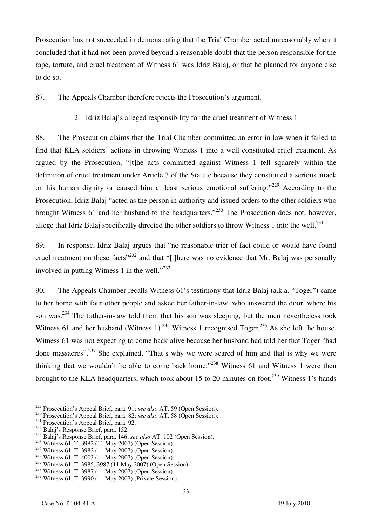Prosecution has not succeeded in demonstrating that the Trial Chamber acted unreasonably when it concluded that it had not been proved beyond a reasonable doubt that the person responsible for the rape, torture, and cruel treatment of Witness 61 was Idriz Balaj, or that he planned for anyone else to do so.

87. The Appeals Chamber therefore rejects the Prosecution's argument.

#### 2. Idriz Balaj's alleged responsibility for the cruel treatment of Witness 1

88. The Prosecution claims that the Trial Chamber committed an error in law when it failed to find that KLA soldiers' actions in throwing Witness 1 into a well constituted cruel treatment. As argued by the Prosecution, "[t]he acts committed against Witness 1 fell squarely within the definition of cruel treatment under Article 3 of the Statute because they constituted a serious attack on his human dignity or caused him at least serious emotional suffering."<sup>229</sup> According to the Prosecution, Idriz Balaj "acted as the person in authority and issued orders to the other soldiers who brought Witness 61 and her husband to the headquarters."230 The Prosecution does not, however, allege that Idriz Balaj specifically directed the other soldiers to throw Witness 1 into the well.<sup>231</sup>

89. In response, Idriz Balaj argues that "no reasonable trier of fact could or would have found cruel treatment on these facts"<sup>232</sup> and that "[t]here was no evidence that Mr. Balaj was personally involved in putting Witness 1 in the well."<sup>233</sup>

90. The Appeals Chamber recalls Witness 61's testimony that Idriz Balaj (a.k.a. "Toger") came to her home with four other people and asked her father-in-law, who answered the door, where his son was.<sup>234</sup> The father-in-law told them that his son was sleeping, but the men nevertheless took Witness 61 and her husband (Witness 1).<sup>235</sup> Witness 1 recognised Toger.<sup>236</sup> As she left the house, Witness 61 was not expecting to come back alive because her husband had told her that Toger "had done massacres".<sup>237</sup> She explained, "That's why we were scared of him and that is why we were thinking that we wouldn't be able to come back home."<sup>238</sup> Witness 61 and Witness 1 were then brought to the KLA headquarters, which took about 15 to 20 minutes on foot.<sup>239</sup> Witness 1's hands

<sup>&</sup>lt;sup>229</sup> Prosecution's Appeal Brief, para. 91; see also AT. 59 (Open Session).

<sup>&</sup>lt;sup>230</sup> Prosecution's Appeal Brief, para. 82; *see also* AT. 58 (Open Session).<br><sup>231</sup> Prosecution's Appeal Brief, para. 92.<br><sup>232</sup> Balaj's Response Brief, para. 152.<br><sup>233</sup> Balaj's Response Brief, para. 146; *see also* AT. 10

<sup>&</sup>lt;sup>235</sup> Witness 61, T. 3982 (11 May 2007) (Open Session).<br><sup>236</sup> Witness 61, T. 4003 (11 May 2007) (Open Session).

<sup>&</sup>lt;sup>237</sup> Witness 61, T. 3985, 3987 (11 May 2007) (Open Session).<br><sup>238</sup> Witness 61, T. 3987 (11 May 2007) (Open Session).

<sup>239</sup> Witness 61, T. 3990 (11 May 2007) (Private Session).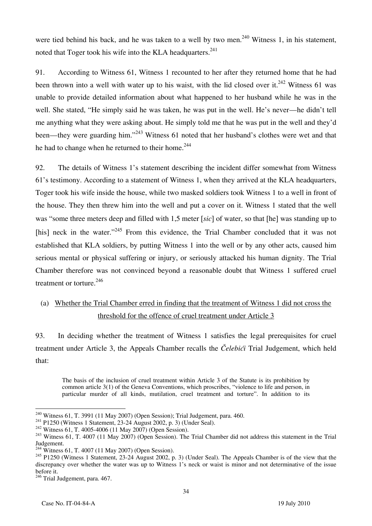were tied behind his back, and he was taken to a well by two men.<sup>240</sup> Witness 1, in his statement, noted that Toger took his wife into the KLA headquarters. $241$ 

91. According to Witness 61, Witness 1 recounted to her after they returned home that he had been thrown into a well with water up to his waist, with the lid closed over it.<sup>242</sup> Witness 61 was unable to provide detailed information about what happened to her husband while he was in the well. She stated, "He simply said he was taken, he was put in the well. He's never—he didn't tell me anything what they were asking about. He simply told me that he was put in the well and they'd been—they were guarding him."<sup>243</sup> Witness 61 noted that her husband's clothes were wet and that he had to change when he returned to their home.<sup>244</sup>

92. The details of Witness 1's statement describing the incident differ somewhat from Witness 61's testimony. According to a statement of Witness 1, when they arrived at the KLA headquarters, Toger took his wife inside the house, while two masked soldiers took Witness 1 to a well in front of the house. They then threw him into the well and put a cover on it. Witness 1 stated that the well was "some three meters deep and filled with 1,5 meter *[sic]* of water, so that *[he]* was standing up to [his] neck in the water."<sup>245</sup> From this evidence, the Trial Chamber concluded that it was not established that KLA soldiers, by putting Witness 1 into the well or by any other acts, caused him serious mental or physical suffering or injury, or seriously attacked his human dignity. The Trial Chamber therefore was not convinced beyond a reasonable doubt that Witness 1 suffered cruel treatment or torture.<sup>246</sup>

# (a) Whether the Trial Chamber erred in finding that the treatment of Witness 1 did not cross the threshold for the offence of cruel treatment under Article 3

93. In deciding whether the treatment of Witness 1 satisfies the legal prerequisites for cruel treatment under Article 3, the Appeals Chamber recalls the *Čelebići* Trial Judgement, which held that:

The basis of the inclusion of cruel treatment within Article 3 of the Statute is its prohibition by common article 3(1) of the Geneva Conventions, which proscribes, "violence to life and person, in particular murder of all kinds, mutilation, cruel treatment and torture". In addition to its

 $240$  Witness 61, T. 3991 (11 May 2007) (Open Session); Trial Judgement, para. 460.

<sup>&</sup>lt;sup>241</sup> P1250 (Witness 1 Statement, 23-24 August 2002, p. 3) (Under Seal).<br><sup>242</sup> Witness 61, T. 4005-4006 (11 May 2007) (Open Session).<br><sup>243</sup> Witness 61, T. 4007 (11 May 2007) (Open Session). The Trial Chamber did not addre Judgement.

<sup>244</sup> Witness 61, T. 4007 (11 May 2007) (Open Session).

 $245$  P1250 (Witness 1 Statement, 23-24 August 2002, p. 3) (Under Seal). The Appeals Chamber is of the view that the discrepancy over whether the water was up to Witness 1's neck or waist is minor and not determinative of the issue before it.

<sup>&</sup>lt;sup>246</sup> Trial Judgement, para. 467.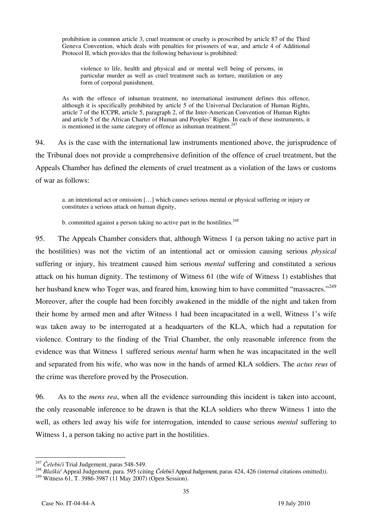prohibition in common article 3, cruel treatment or cruelty is proscribed by article 87 of the Third Geneva Convention, which deals with penalties for prisoners of war, and article 4 of Additional Protocol II, which provides that the following behaviour is prohibited:

violence to life, health and physical and or mental well being of persons, in particular murder as well as cruel treatment such as torture, mutilation or any form of corporal punishment.

As with the offence of inhuman treatment, no international instrument defines this offence, although it is specifically prohibited by article 5 of the Universal Declaration of Human Rights, article 7 of the ICCPR, article 5, paragraph 2, of the Inter-American Convention of Human Rights and article 5 of the African Charter of Human and Peoples' Rights. In each of these instruments, it is mentioned in the same category of offence as inhuman treatment.<sup>247</sup>

94. As is the case with the international law instruments mentioned above, the jurisprudence of the Tribunal does not provide a comprehensive definition of the offence of cruel treatment, but the Appeals Chamber has defined the elements of cruel treatment as a violation of the laws or customs of war as follows:

a. an intentional act or omission [...] which causes serious mental or physical suffering or injury or constitutes a serious attack on human dignity,

b. committed against a person taking no active part in the hostilities. $248$ 

95. The Appeals Chamber considers that, although Witness 1 (a person taking no active part in the hostilities) was not the victim of an intentional act or omission causing serious *physical* suffering or injury, his treatment caused him serious *mental* suffering and constituted a serious attack on his human dignity. The testimony of Witness 61 (the wife of Witness 1) establishes that her husband knew who Toger was, and feared him, knowing him to have committed "massacres."<sup>249</sup> Moreover, after the couple had been forcibly awakened in the middle of the night and taken from their home by armed men and after Witness 1 had been incapacitated in a well, Witness 1's wife was taken away to be interrogated at a headquarters of the KLA, which had a reputation for violence. Contrary to the finding of the Trial Chamber, the only reasonable inference from the evidence was that Witness 1 suffered serious *mental* harm when he was incapacitated in the well and separated from his wife, who was now in the hands of armed KLA soldiers. The *actus reus* of the crime was therefore proved by the Prosecution.

96. As to the *mens rea*, when all the evidence surrounding this incident is taken into account, the only reasonable inference to be drawn is that the KLA soldiers who threw Witness 1 into the well, as others led away his wife for interrogation, intended to cause serious *mental* suffering to Witness 1, a person taking no active part in the hostilities.

<sup>&</sup>lt;sup>247</sup> Čelebići Trial Judgement, paras 548-549.

<sup>&</sup>lt;sup>248</sup> Blaškić Appeal Judgement, para. 595 (citing Čelebići Appeal Judgement, paras 424, 426 (internal citations omitted)).

<sup>249</sup> Witness 61, T. 3986-3987 (11 May 2007) (Open Session).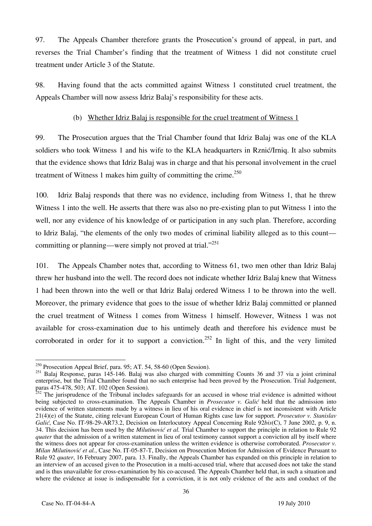97. The Appeals Chamber therefore grants the Prosecution's ground of appeal, in part, and reverses the Trial Chamber's finding that the treatment of Witness 1 did not constitute cruel treatment under Article 3 of the Statute.

98. Having found that the acts committed against Witness 1 constituted cruel treatment, the Appeals Chamber will now assess Idriz Balaj's responsibility for these acts.

#### (b) Whether Idriz Balaj is responsible for the cruel treatment of Witness 1

99. The Prosecution argues that the Trial Chamber found that Idriz Balaj was one of the KLA soldiers who took Witness 1 and his wife to the KLA headquarters in Rznić/Irniq. It also submits that the evidence shows that Idriz Balaj was in charge and that his personal involvement in the cruel treatment of Witness 1 makes him guilty of committing the crime.<sup>250</sup>

100. Idriz Balaj responds that there was no evidence, including from Witness 1, that he threw Witness 1 into the well. He asserts that there was also no pre-existing plan to put Witness 1 into the well, nor any evidence of his knowledge of or participation in any such plan. Therefore, according to Idriz Balaj, "the elements of the only two modes of criminal liability alleged as to this count committing or planning—were simply not proved at trial. $^{251}$ 

101. The Appeals Chamber notes that, according to Witness 61, two men other than Idriz Balaj threw her husband into the well. The record does not indicate whether Idriz Balaj knew that Witness 1 had been thrown into the well or that Idriz Balaj ordered Witness 1 to be thrown into the well. Moreover, the primary evidence that goes to the issue of whether Idriz Balaj committed or planned the cruel treatment of Witness 1 comes from Witness 1 himself. However, Witness 1 was not available for cross-examination due to his untimely death and therefore his evidence must be corroborated in order for it to support a conviction.<sup>252</sup> In light of this, and the very limited

 $\overline{a}$  $^{250}$  Prosecution Appeal Brief, para. 95; AT. 54, 58-60 (Open Session).

<sup>&</sup>lt;sup>251</sup> Balaj Response, paras 145-146. Balaj was also charged with committing Counts 36 and 37 via a joint criminal enterprise, but the Trial Chamber found that no such enterprise had been proved by the Prosecution. Trial Judgement, paras 475-478, 503; AT. 102 (Open Session).

 $252$  The jurisprudence of the Tribunal includes safeguards for an accused in whose trial evidence is admitted without being subjected to cross-examination. The Appeals Chamber in *Prosecutor v. Galić* held that the admission into evidence of written statements made by a witness in lieu of his oral evidence in chief is not inconsistent with Article 21(4)(e) of the Statute, citing relevant European Court of Human Rights case law for support. *Prosecutor v. Stanislav Galić*, Case No. IT-98-29-AR73.2, Decision on Interlocutory Appeal Concerning Rule 92*bis*(C), 7 June 2002, p. 9, n. 34. This decision has been used by the *Milutinović et al.* Trial Chamber to support the principle in relation to Rule 92 *quater* that the admission of a written statement in lieu of oral testimony cannot support a conviction all by itself where the witness does not appear for cross-examination unless the written evidence is otherwise corroborated. *Prosecutor v. Milan Milutinović et al.*, Case No. IT-05-87-T, Decision on Prosecution Motion for Admission of Evidence Pursuant to Rule 92 *quater*, 16 February 2007, para. 13. Finally, the Appeals Chamber has expanded on this principle in relation to an interview of an accused given to the Prosecution in a multi-accused trial, where that accused does not take the stand and is thus unavailable for cross-examination by his co-accused. The Appeals Chamber held that, in such a situation and where the evidence at issue is indispensable for a conviction, it is not only evidence of the acts and conduct of the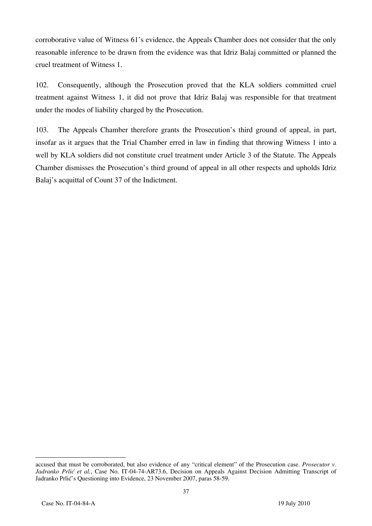corroborative value of Witness 61's evidence, the Appeals Chamber does not consider that the only reasonable inference to be drawn from the evidence was that Idriz Balaj committed or planned the cruel treatment of Witness 1.

102. Consequently, although the Prosecution proved that the KLA soldiers committed cruel treatment against Witness 1, it did not prove that Idriz Balaj was responsible for that treatment under the modes of liability charged by the Prosecution.

103. The Appeals Chamber therefore grants the Prosecution's third ground of appeal, in part, insofar as it argues that the Trial Chamber erred in law in finding that throwing Witness 1 into a well by KLA soldiers did not constitute cruel treatment under Article 3 of the Statute. The Appeals Chamber dismisses the Prosecution's third ground of appeal in all other respects and upholds Idriz Balaj's acquittal of Count 37 of the Indictment.

accused that must be corroborated, but also evidence of any "critical element" of the Prosecution case. *Prosecutor v. Jadranko Prlić et al.*, Case No. IT-04-74-AR73.6, Decision on Appeals Against Decision Admitting Transcript of Jadranko Prlić's Questioning into Evidence, 23 November 2007, paras 58-59.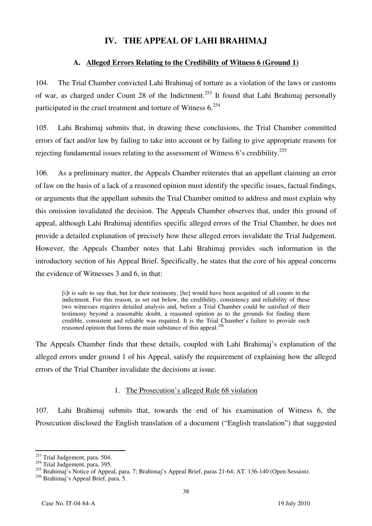## **IV. THE APPEAL OF LAHI BRAHIMAJ**

## **A. Alleged Errors Relating to the Credibility of Witness 6 (Ground 1)**

104. The Trial Chamber convicted Lahi Brahimaj of torture as a violation of the laws or customs of war, as charged under Count 28 of the Indictment.<sup>253</sup> It found that Lahi Brahimaj personally participated in the cruel treatment and torture of Witness 6.254

105. Lahi Brahimaj submits that, in drawing these conclusions, the Trial Chamber committed errors of fact and/or law by failing to take into account or by failing to give appropriate reasons for rejecting fundamental issues relating to the assessment of Witness 6's credibility.255

106. As a preliminary matter, the Appeals Chamber reiterates that an appellant claiming an error of law on the basis of a lack of a reasoned opinion must identify the specific issues, factual findings, or arguments that the appellant submits the Trial Chamber omitted to address and must explain why this omission invalidated the decision. The Appeals Chamber observes that, under this ground of appeal, although Lahi Brahimaj identifies specific alleged errors of the Trial Chamber, he does not provide a detailed explanation of precisely how these alleged errors invalidate the Trial Judgement. However, the Appeals Chamber notes that Lahi Brahimaj provides such information in the introductory section of his Appeal Brief. Specifically, he states that the core of his appeal concerns the evidence of Witnesses 3 and 6, in that:

[i]t is safe to say that, but for their testimony, [he] would have been acquitted of all counts in the indictment. For this reason, as set out below, the credibility, consistency and reliability of these two witnesses requires detailed analysis and, before a Trial Chamber could be satisfied of their testimony beyond a reasonable doubt, a reasoned opinion as to the grounds for finding them credible, consistent and reliable was required. It is the Trial Chamber's failure to provide such reasoned opinion that forms the main substance of this appeal.<sup>256</sup>

The Appeals Chamber finds that these details, coupled with Lahi Brahimaj's explanation of the alleged errors under ground 1 of his Appeal, satisfy the requirement of explaining how the alleged errors of the Trial Chamber invalidate the decisions at issue.

### 1. The Prosecution's alleged Rule 68 violation

107. Lahi Brahimaj submits that, towards the end of his examination of Witness 6, the Prosecution disclosed the English translation of a document ("English translation") that suggested

 $\overline{a}$  $^{253}$  Trial Judgement, para. 504.

 $254$  Trial Judgement, para. 395.

<sup>&</sup>lt;sup>255</sup> Brahimaj's Notice of Appeal, para. 7; Brahimaj's Appeal Brief, paras 21-64; AT. 136-140 (Open Session).

<sup>&</sup>lt;sup>256</sup> Brahimaj's Appeal Brief, para. 5.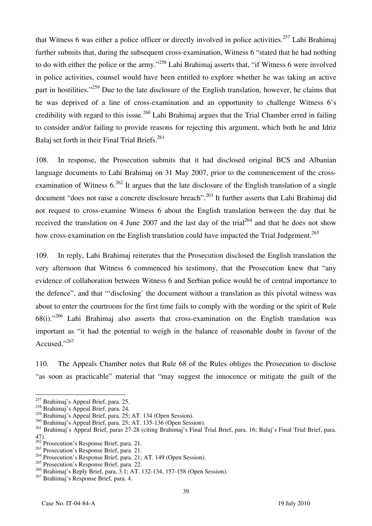that Witness 6 was either a police officer or directly involved in police activities.<sup>257</sup> Lahi Brahimaj further submits that, during the subsequent cross-examination, Witness 6 "stated that he had nothing to do with either the police or the army."258 Lahi Brahimaj asserts that, "if Witness 6 were involved in police activities, counsel would have been entitled to explore whether he was taking an active part in hostilities."<sup>259</sup> Due to the late disclosure of the English translation, however, he claims that he was deprived of a line of cross-examination and an opportunity to challenge Witness 6's credibility with regard to this issue.<sup>260</sup> Lahi Brahimaj argues that the Trial Chamber erred in failing to consider and/or failing to provide reasons for rejecting this argument, which both he and Idriz Balaj set forth in their Final Trial Briefs.<sup>261</sup>

108. In response, the Prosecution submits that it had disclosed original BCS and Albanian language documents to Lahi Brahimaj on 31 May 2007, prior to the commencement of the crossexamination of Witness  $6^{262}$  It argues that the late disclosure of the English translation of a single document "does not raise a concrete disclosure breach".263 It further asserts that Lahi Brahimaj did not request to cross-examine Witness 6 about the English translation between the day that he received the translation on 4 June 2007 and the last day of the trial<sup>264</sup> and that he does not show how cross-examination on the English translation could have impacted the Trial Judgement.<sup>265</sup>

109. In reply, Lahi Brahimaj reiterates that the Prosecution disclosed the English translation the very afternoon that Witness 6 commenced his testimony, that the Prosecution knew that "any evidence of collaboration between Witness 6 and Serbian police would be of central importance to the defence", and that "'disclosing' the document without a translation as this pivotal witness was about to enter the courtroom for the first time fails to comply with the wording or the spirit of Rule 68(i)."266 Lahi Brahimaj also asserts that cross-examination on the English translation was important as "it had the potential to weigh in the balance of reasonable doubt in favour of the Accused."<sup>267</sup>

110. The Appeals Chamber notes that Rule 68 of the Rules obliges the Prosecution to disclose "as soon as practicable" material that "may suggest the innocence or mitigate the guilt of the

<sup>&</sup>lt;sup>257</sup> Brahimaj's Appeal Brief, para. 25.

<sup>258</sup> Brahimaj's Appeal Brief, para. 24.

<sup>&</sup>lt;sup>259</sup> Brahimaj's Appeal Brief, para. 25; AT. 134 (Open Session).

<sup>260</sup> Brahimaj's Appeal Brief, para. 25; AT. 135-136 (Open Session).

<sup>&</sup>lt;sup>261</sup> Brahimaj's Appeal Brief, paras 27-28 (citing Brahimaj's Final Trial Brief, para. 16; Balaj's Final Trial Brief, para. 47).

<sup>&</sup>lt;sup>262</sup> Prosecution's Response Brief, para. 21.

<sup>&</sup>lt;sup>263</sup> Prosecution's Response Brief, para. 21.

<sup>264</sup> Prosecution's Response Brief, para. 21; AT. 149 (Open Session).

<sup>265</sup> Prosecution's Response Brief, para. 22.

<sup>266</sup> Brahimaj's Reply Brief, para. 3.1; AT. 132-134, 157-158 (Open Session).

<sup>267</sup> Brahimaj's Response Brief, para. 4.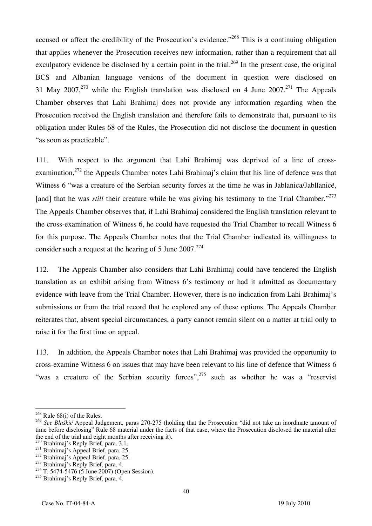accused or affect the credibility of the Prosecution's evidence."<sup>268</sup> This is a continuing obligation that applies whenever the Prosecution receives new information, rather than a requirement that all exculpatory evidence be disclosed by a certain point in the trial.<sup>269</sup> In the present case, the original BCS and Albanian language versions of the document in question were disclosed on 31 May 2007,<sup>270</sup> while the English translation was disclosed on 4 June 2007.<sup>271</sup> The Appeals Chamber observes that Lahi Brahimaj does not provide any information regarding when the Prosecution received the English translation and therefore fails to demonstrate that, pursuant to its obligation under Rules 68 of the Rules, the Prosecution did not disclose the document in question "as soon as practicable".

111. With respect to the argument that Lahi Brahimaj was deprived of a line of crossexamination,<sup>272</sup> the Appeals Chamber notes Lahi Brahimaj's claim that his line of defence was that Witness 6 "was a creature of the Serbian security forces at the time he was in Jablanica/Jabllanicë, [and] that he was *still* their creature while he was giving his testimony to the Trial Chamber."<sup>273</sup> The Appeals Chamber observes that, if Lahi Brahimaj considered the English translation relevant to the cross-examination of Witness 6, he could have requested the Trial Chamber to recall Witness 6 for this purpose. The Appeals Chamber notes that the Trial Chamber indicated its willingness to consider such a request at the hearing of 5 June  $2007$ .<sup>274</sup>

112. The Appeals Chamber also considers that Lahi Brahimaj could have tendered the English translation as an exhibit arising from Witness 6's testimony or had it admitted as documentary evidence with leave from the Trial Chamber. However, there is no indication from Lahi Brahimaj's submissions or from the trial record that he explored any of these options. The Appeals Chamber reiterates that, absent special circumstances, a party cannot remain silent on a matter at trial only to raise it for the first time on appeal.

113. In addition, the Appeals Chamber notes that Lahi Brahimaj was provided the opportunity to cross-examine Witness 6 on issues that may have been relevant to his line of defence that Witness 6 "was a creature of the Serbian security forces",<sup>275</sup> such as whether he was a "reservist"

 $268$  Rule 68(i) of the Rules.

<sup>&</sup>lt;sup>269</sup> See Blaškić Appeal Judgement, paras 270-275 (holding that the Prosecution "did not take an inordinate amount of time before disclosing" Rule 68 material under the facts of that case, where the Prosecution disclosed the material after the end of the trial and eight months after receiving it).

<sup>&</sup>lt;sup>270</sup> Brahimaj's Reply Brief, para. 3.1.<br><sup>271</sup> Brahimaj's Appeal Brief, para. 25.<br><sup>272</sup> Brahimaj's Appeal Brief, para. 25.<br><sup>273</sup> Brahimaj's Reply Brief, para. 4.<br><sup>274</sup> T. 5474-5476 (5 June 2007) (Open Session).

 $275$  Brahimaj's Reply Brief, para. 4.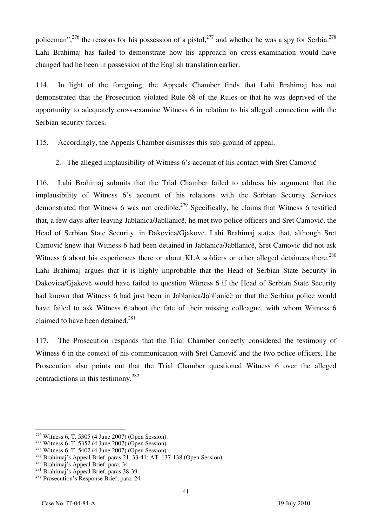policeman",  $^{276}$  the reasons for his possession of a pistol,  $^{277}$  and whether he was a spy for Serbia.<sup>278</sup> Lahi Brahimaj has failed to demonstrate how his approach on cross-examination would have changed had he been in possession of the English translation earlier.

114. In light of the foregoing, the Appeals Chamber finds that Lahi Brahimaj has not demonstrated that the Prosecution violated Rule 68 of the Rules or that he was deprived of the opportunity to adequately cross-examine Witness 6 in relation to his alleged connection with the Serbian security forces.

115. Accordingly, the Appeals Chamber dismisses this sub-ground of appeal.

## 2. The alleged implausibility of Witness 6's account of his contact with Sret Camović

116. Lahi Brahimaj submits that the Trial Chamber failed to address his argument that the implausibility of Witness 6's account of his relations with the Serbian Security Services demonstrated that Witness 6 was not credible.<sup>279</sup> Specifically, he claims that Witness 6 testified that, a few days after leaving Jablanica/Jabllanicë, he met two police officers and Sret Camović, the Head of Serbian State Security, in Đakovica/Gjakovë. Lahi Brahimaj states that, although Sret Camović knew that Witness 6 had been detained in Jablanica/Jabllanicë, Sret Camović did not ask Witness 6 about his experiences there or about KLA soldiers or other alleged detainees there.<sup>280</sup> Lahi Brahimaj argues that it is highly improbable that the Head of Serbian State Security in Dakovica/Gjakovë would have failed to question Witness 6 if the Head of Serbian State Security had known that Witness 6 had just been in Jablanica/Jabllanicë or that the Serbian police would have failed to ask Witness 6 about the fate of their missing colleague, with whom Witness 6 claimed to have been detained.<sup>281</sup>

117. The Prosecution responds that the Trial Chamber correctly considered the testimony of Witness 6 in the context of his communication with Sret Camović and the two police officers. The Prosecution also points out that the Trial Chamber questioned Witness 6 over the alleged contradictions in this testimony.282

 $276$  Witness 6, T. 5305 (4 June 2007) (Open Session).

<sup>&</sup>lt;sup>277</sup> Witness 6, T. 5352 (4 June 2007) (Open Session). <sup>278</sup> Witness 6, T. 5402 (4 June 2007) (Open Session).

<sup>&</sup>lt;sup>279</sup> Brahimaj's Appeal Brief, paras 21, 33-41; AT. 137-138 (Open Session).<br><sup>280</sup> Brahimaj's Appeal Brief, para. 34.<br><sup>281</sup> Brahimaj's Appeal Brief, paras 38-39.<br><sup>282</sup> Prosecution's Response Brief, para. 24.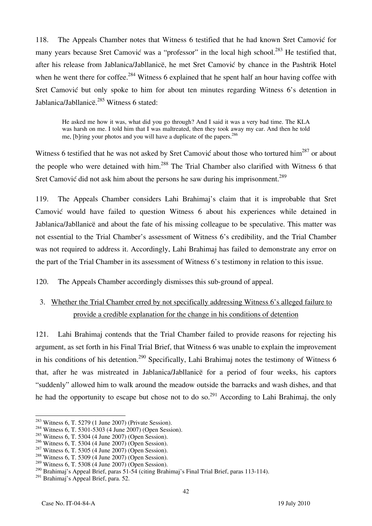118. The Appeals Chamber notes that Witness 6 testified that he had known Sret Camovic for many years because Sret Camović was a "professor" in the local high school.<sup>283</sup> He testified that, after his release from Jablanica/Jabllanicë, he met Sret Camović by chance in the Pashtrik Hotel when he went there for coffee.<sup>284</sup> Witness 6 explained that he spent half an hour having coffee with Sret Camović but only spoke to him for about ten minutes regarding Witness 6's detention in Jablanica/Jabllanice.<sup>285</sup> Witness 6 stated:

He asked me how it was, what did you go through? And I said it was a very bad time. The KLA was harsh on me. I told him that I was maltreated, then they took away my car. And then he told me, [b]ring your photos and you will have a duplicate of the papers.<sup>286</sup>

Witness 6 testified that he was not asked by Sret Camović about those who tortured him<sup>287</sup> or about the people who were detained with him.<sup>288</sup> The Trial Chamber also clarified with Witness 6 that Sret Camović did not ask him about the persons he saw during his imprisonment.<sup>289</sup>

119. The Appeals Chamber considers Lahi Brahimaj's claim that it is improbable that Sret Camović would have failed to question Witness 6 about his experiences while detained in Jablanica/Jabllanicë and about the fate of his missing colleague to be speculative. This matter was not essential to the Trial Chamber's assessment of Witness 6's credibility, and the Trial Chamber was not required to address it. Accordingly, Lahi Brahimaj has failed to demonstrate any error on the part of the Trial Chamber in its assessment of Witness 6's testimony in relation to this issue.

120. The Appeals Chamber accordingly dismisses this sub-ground of appeal.

3. Whether the Trial Chamber erred by not specifically addressing Witness 6's alleged failure to provide a credible explanation for the change in his conditions of detention

121. Lahi Brahimaj contends that the Trial Chamber failed to provide reasons for rejecting his argument, as set forth in his Final Trial Brief, that Witness 6 was unable to explain the improvement in his conditions of his detention.<sup>290</sup> Specifically, Lahi Brahimaj notes the testimony of Witness 6 that, after he was mistreated in Jablanica/Jabllanicë for a period of four weeks, his captors "suddenly" allowed him to walk around the meadow outside the barracks and wash dishes, and that he had the opportunity to escape but chose not to do so.<sup>291</sup> According to Lahi Brahimaj, the only

 $283$  Witness 6, T. 5279 (1 June 2007) (Private Session).

 $284$  Witness 6, T. 5301-5303 (4 June 2007) (Open Session).

 $^{285}$  Witness 6, T. 5304 (4 June 2007) (Open Session).<br> $^{286}$  Witness 6, T. 5304 (4 June 2007) (Open Session).

<sup>&</sup>lt;sup>287</sup> Witness 6, T. 5305 (4 June 2007) (Open Session).<br><sup>288</sup> Witness 6, T. 5309 (4 June 2007) (Open Session).

<sup>289</sup> Witness 6, T. 5308 (4 June 2007) (Open Session).

<sup>&</sup>lt;sup>290</sup> Brahimaj's Appeal Brief, paras 51-54 (citing Brahimaj's Final Trial Brief, paras 113-114).

<sup>291</sup> Brahimaj's Appeal Brief, para. 52.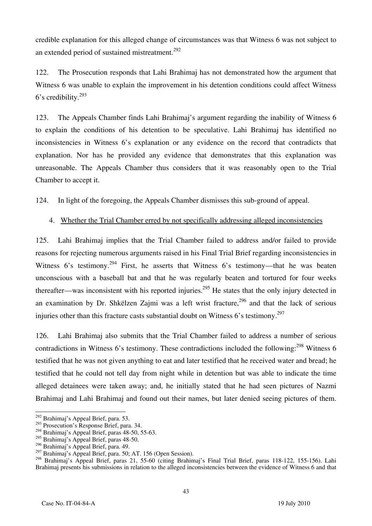credible explanation for this alleged change of circumstances was that Witness 6 was not subject to an extended period of sustained mistreatment.<sup>292</sup>

122. The Prosecution responds that Lahi Brahimaj has not demonstrated how the argument that Witness 6 was unable to explain the improvement in his detention conditions could affect Witness 6's credibility.293

123. The Appeals Chamber finds Lahi Brahimaj's argument regarding the inability of Witness 6 to explain the conditions of his detention to be speculative. Lahi Brahimaj has identified no inconsistencies in Witness 6's explanation or any evidence on the record that contradicts that explanation. Nor has he provided any evidence that demonstrates that this explanation was unreasonable. The Appeals Chamber thus considers that it was reasonably open to the Trial Chamber to accept it.

124. In light of the foregoing, the Appeals Chamber dismisses this sub-ground of appeal.

#### 4. Whether the Trial Chamber erred by not specifically addressing alleged inconsistencies

125. Lahi Brahimaj implies that the Trial Chamber failed to address and/or failed to provide reasons for rejecting numerous arguments raised in his Final Trial Brief regarding inconsistencies in Witness 6's testimony.<sup>294</sup> First, he asserts that Witness 6's testimony—that he was beaten unconscious with a baseball bat and that he was regularly beaten and tortured for four weeks thereafter—was inconsistent with his reported injuries.<sup>295</sup> He states that the only injury detected in an examination by Dr. Shkëlzen Zajmi was a left wrist fracture,  $296$  and that the lack of serious injuries other than this fracture casts substantial doubt on Witness 6's testimony.<sup>297</sup>

126. Lahi Brahimaj also submits that the Trial Chamber failed to address a number of serious contradictions in Witness 6's testimony. These contradictions included the following: $^{298}$  Witness 6 testified that he was not given anything to eat and later testified that he received water and bread; he testified that he could not tell day from night while in detention but was able to indicate the time alleged detainees were taken away; and, he initially stated that he had seen pictures of Nazmi Brahimaj and Lahi Brahimaj and found out their names, but later denied seeing pictures of them.

 $\overline{a}$  $^{292}$  Brahimaj's Appeal Brief, para. 53.

<sup>&</sup>lt;sup>293</sup> Prosecution's Response Brief, para. 34.

<sup>294</sup> Brahimaj's Appeal Brief, paras 48-50, 55-63.

<sup>295</sup> Brahimaj's Appeal Brief, paras 48-50.

<sup>296</sup> Brahimaj's Appeal Brief, para. 49.

<sup>&</sup>lt;sup>297</sup> Brahimaj's Appeal Brief, para. 50; AT. 156 (Open Session).

<sup>&</sup>lt;sup>298</sup> Brahimaj's Appeal Brief, paras 21, 55-60 (citing Brahimaj's Final Trial Brief, paras 118-122, 155-156). Lahi Brahimaj presents his submissions in relation to the alleged inconsistencies between the evidence of Witness 6 and that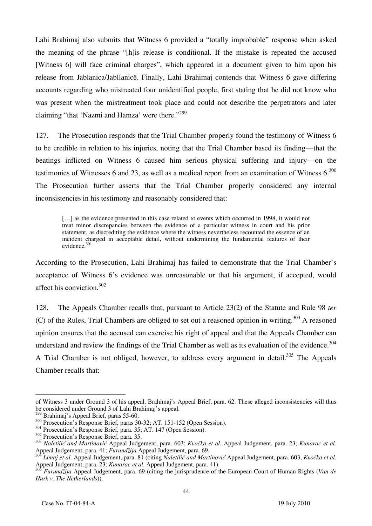Lahi Brahimaj also submits that Witness 6 provided a "totally improbable" response when asked the meaning of the phrase "[h] is release is conditional. If the mistake is repeated the accused [Witness 6] will face criminal charges", which appeared in a document given to him upon his release from Jablanica/Jabllanicë. Finally, Lahi Brahimaj contends that Witness 6 gave differing accounts regarding who mistreated four unidentified people, first stating that he did not know who was present when the mistreatment took place and could not describe the perpetrators and later claiming "that 'Nazmi and Hamza' were there."<sup>299</sup>

127. The Prosecution responds that the Trial Chamber properly found the testimony of Witness 6 to be credible in relation to his injuries, noting that the Trial Chamber based its finding—that the beatings inflicted on Witness 6 caused him serious physical suffering and injury—on the testimonies of Witnesses 6 and 23, as well as a medical report from an examination of Witness  $6^{300}$ The Prosecution further asserts that the Trial Chamber properly considered any internal inconsistencies in his testimony and reasonably considered that:

[...] as the evidence presented in this case related to events which occurred in 1998, it would not treat minor discrepancies between the evidence of a particular witness in court and his prior statement, as discrediting the evidence where the witness nevertheless recounted the essence of an incident charged in acceptable detail, without undermining the fundamental features of their evidence.<sup>301</sup>

According to the Prosecution, Lahi Brahimaj has failed to demonstrate that the Trial Chamber's acceptance of Witness 6's evidence was unreasonable or that his argument, if accepted, would affect his conviction.302

128. The Appeals Chamber recalls that, pursuant to Article 23(2) of the Statute and Rule 98 *ter*  (C) of the Rules, Trial Chambers are obliged to set out a reasoned opinion in writing.<sup>303</sup> A reasoned opinion ensures that the accused can exercise his right of appeal and that the Appeals Chamber can understand and review the findings of the Trial Chamber as well as its evaluation of the evidence.<sup>304</sup> A Trial Chamber is not obliged, however, to address every argument in detail.<sup>305</sup> The Appeals Chamber recalls that:

 $\overline{a}$ of Witness 3 under Ground 3 of his appeal. Brahimaj's Appeal Brief, para. 62. These alleged inconsistencies will thus be considered under Ground 3 of Lahi Brahimaj's appeal.<br><sup>299</sup> Brahimaj's Appeal Brief, paras 55-60.

<sup>&</sup>lt;sup>300</sup> Prosecution's Response Brief, paras 30-32; AT. 151-152 (Open Session).<br><sup>301</sup> Prosecution's Response Brief, para. 35; AT. 147 (Open Session).<br><sup>302</sup> Prosecution's Response Brief, para. 35.<br><sup>303</sup> Naletilić and Martinovi

*Limai et al.* Appeal Judgement, para. 81 (citing *Naletilić and Martinović* Appeal Judgement, para. 603, *Kvočka et al.* Appeal Judgement, para. 23; *Kunarac et al*. Appeal Judgement, para. 41).

<sup>305</sup> *Furundžija* Appeal Judgement, para. 69 (citing the jurisprudence of the European Court of Human Rights (*Van de Hurk v. The Netherlands*)).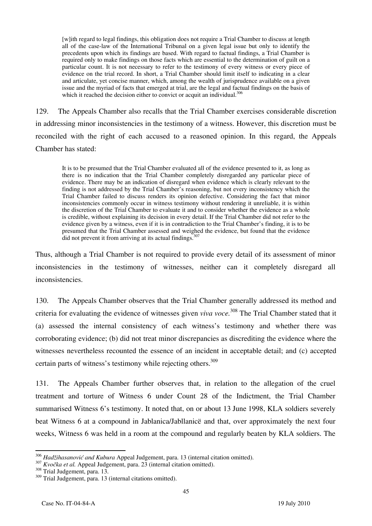[w]ith regard to legal findings, this obligation does not require a Trial Chamber to discuss at length all of the case-law of the International Tribunal on a given legal issue but only to identify the precedents upon which its findings are based. With regard to factual findings, a Trial Chamber is required only to make findings on those facts which are essential to the determination of guilt on a particular count. It is not necessary to refer to the testimony of every witness or every piece of evidence on the trial record. In short, a Trial Chamber should limit itself to indicating in a clear and articulate, yet concise manner, which, among the wealth of jurisprudence available on a given issue and the myriad of facts that emerged at trial, are the legal and factual findings on the basis of which it reached the decision either to convict or acquit an individual.<sup>306</sup>

129. The Appeals Chamber also recalls that the Trial Chamber exercises considerable discretion in addressing minor inconsistencies in the testimony of a witness. However, this discretion must be reconciled with the right of each accused to a reasoned opinion. In this regard, the Appeals Chamber has stated:

It is to be presumed that the Trial Chamber evaluated all of the evidence presented to it, as long as there is no indication that the Trial Chamber completely disregarded any particular piece of evidence. There may be an indication of disregard when evidence which is clearly relevant to the finding is not addressed by the Trial Chamber's reasoning, but not every inconsistency which the Trial Chamber failed to discuss renders its opinion defective. Considering the fact that minor inconsistencies commonly occur in witness testimony without rendering it unreliable, it is within the discretion of the Trial Chamber to evaluate it and to consider whether the evidence as a whole is credible, without explaining its decision in every detail. If the Trial Chamber did not refer to the evidence given by a witness, even if it is in contradiction to the Trial Chamber's finding, it is to be presumed that the Trial Chamber assessed and weighed the evidence, but found that the evidence did not prevent it from arriving at its actual findings. $307$ 

Thus, although a Trial Chamber is not required to provide every detail of its assessment of minor inconsistencies in the testimony of witnesses, neither can it completely disregard all inconsistencies.

130. The Appeals Chamber observes that the Trial Chamber generally addressed its method and criteria for evaluating the evidence of witnesses given *viva voce.*308 The Trial Chamber stated that it (a) assessed the internal consistency of each witness's testimony and whether there was corroborating evidence; (b) did not treat minor discrepancies as discrediting the evidence where the witnesses nevertheless recounted the essence of an incident in acceptable detail; and (c) accepted certain parts of witness's testimony while rejecting others.<sup>309</sup>

131. The Appeals Chamber further observes that, in relation to the allegation of the cruel treatment and torture of Witness 6 under Count 28 of the Indictment, the Trial Chamber summarised Witness 6's testimony. It noted that, on or about 13 June 1998, KLA soldiers severely beat Witness 6 at a compound in Jablanica/Jabllanicë and that, over approximately the next four weeks, Witness 6 was held in a room at the compound and regularly beaten by KLA soldiers. The

<sup>&</sup>lt;sup>306</sup> Hadžihasanović and Kubura Appeal Judgement, para. 13 (internal citation omitted).

<sup>&</sup>lt;sup>307</sup> *Kvočka et al.* Appeal Judgement, para. 23 (internal citation omitted). <sup>308</sup> Trial Judgement, para. 13.

<sup>309</sup> Trial Judgement, para. 13 (internal citations omitted).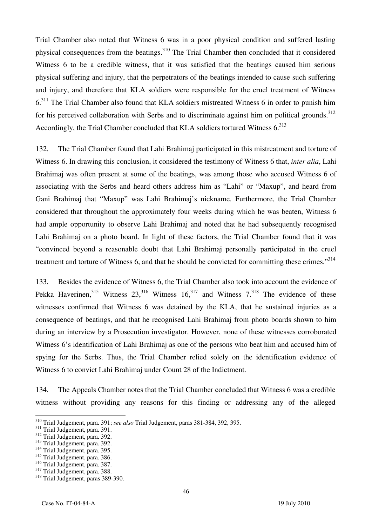Trial Chamber also noted that Witness 6 was in a poor physical condition and suffered lasting physical consequences from the beatings.<sup>310</sup> The Trial Chamber then concluded that it considered Witness 6 to be a credible witness, that it was satisfied that the beatings caused him serious physical suffering and injury, that the perpetrators of the beatings intended to cause such suffering and injury, and therefore that KLA soldiers were responsible for the cruel treatment of Witness 6.<sup>311</sup> The Trial Chamber also found that KLA soldiers mistreated Witness 6 in order to punish him for his perceived collaboration with Serbs and to discriminate against him on political grounds.<sup>312</sup> Accordingly, the Trial Chamber concluded that KLA soldiers tortured Witness 6.<sup>313</sup>

132. The Trial Chamber found that Lahi Brahimaj participated in this mistreatment and torture of Witness 6. In drawing this conclusion, it considered the testimony of Witness 6 that, *inter alia*, Lahi Brahimaj was often present at some of the beatings, was among those who accused Witness 6 of associating with the Serbs and heard others address him as "Lahi" or "Maxup", and heard from Gani Brahimaj that "Maxup" was Lahi Brahimaj's nickname. Furthermore, the Trial Chamber considered that throughout the approximately four weeks during which he was beaten, Witness 6 had ample opportunity to observe Lahi Brahimaj and noted that he had subsequently recognised Lahi Brahimaj on a photo board. In light of these factors, the Trial Chamber found that it was "convinced beyond a reasonable doubt that Lahi Brahimaj personally participated in the cruel treatment and torture of Witness 6, and that he should be convicted for committing these crimes."<sup>314</sup>

133. Besides the evidence of Witness 6, the Trial Chamber also took into account the evidence of Pekka Haverinen,  $315$  Witness  $23$ ,  $316$  Witness  $16$ ,  $317$  and Witness  $7$ ,  $318$  The evidence of these witnesses confirmed that Witness 6 was detained by the KLA, that he sustained injuries as a consequence of beatings, and that he recognised Lahi Brahimaj from photo boards shown to him during an interview by a Prosecution investigator. However, none of these witnesses corroborated Witness 6's identification of Lahi Brahimaj as one of the persons who beat him and accused him of spying for the Serbs. Thus, the Trial Chamber relied solely on the identification evidence of Witness 6 to convict Lahi Brahimaj under Count 28 of the Indictment.

134. The Appeals Chamber notes that the Trial Chamber concluded that Witness 6 was a credible witness without providing any reasons for this finding or addressing any of the alleged

<sup>&</sup>lt;sup>310</sup> Trial Judgement, para. 391; *see also* Trial Judgement, paras 381-384, 392, 395.<br><sup>311</sup> Trial Judgement, para. 391.<br><sup>312</sup> Trial Judgement, para. 392.<br><sup>313</sup> Trial Judgement, para. 395.

 $315$  Trial Judgement, para. 395.<br> $315$  Trial Judgement, para. 386.<br> $316$  Trial Judgement, para. 387.

 $\frac{317}{318}$  Trial Judgement, para. 388.  $\frac{318}{318}$  Trial Judgement, paras 389-390.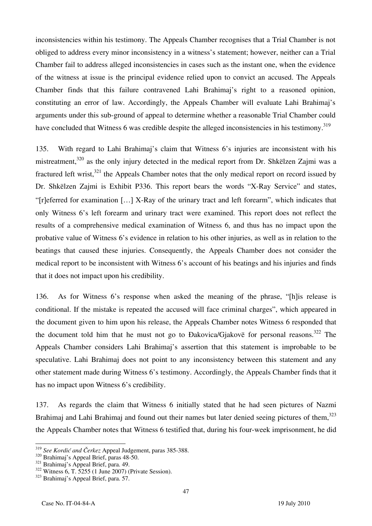inconsistencies within his testimony. The Appeals Chamber recognises that a Trial Chamber is not obliged to address every minor inconsistency in a witness's statement; however, neither can a Trial Chamber fail to address alleged inconsistencies in cases such as the instant one, when the evidence of the witness at issue is the principal evidence relied upon to convict an accused. The Appeals Chamber finds that this failure contravened Lahi Brahimaj's right to a reasoned opinion, constituting an error of law. Accordingly, the Appeals Chamber will evaluate Lahi Brahimaj's arguments under this sub-ground of appeal to determine whether a reasonable Trial Chamber could have concluded that Witness 6 was credible despite the alleged inconsistencies in his testimony.<sup>319</sup>

135. With regard to Lahi Brahimaj's claim that Witness 6's injuries are inconsistent with his mistreatment,<sup>320</sup> as the only injury detected in the medical report from Dr. Shkëlzen Zajmi was a fractured left wrist,<sup>321</sup> the Appeals Chamber notes that the only medical report on record issued by Dr. Shkëlzen Zajmi is Exhibit P336. This report bears the words "X-Ray Service" and states, "[r]eferred for examination [...] X-Ray of the urinary tract and left forearm", which indicates that only Witness 6's left forearm and urinary tract were examined. This report does not reflect the results of a comprehensive medical examination of Witness 6, and thus has no impact upon the probative value of Witness 6's evidence in relation to his other injuries, as well as in relation to the beatings that caused these injuries. Consequently, the Appeals Chamber does not consider the medical report to be inconsistent with Witness 6's account of his beatings and his injuries and finds that it does not impact upon his credibility.

136. As for Witness 6's response when asked the meaning of the phrase, "his release is conditional. If the mistake is repeated the accused will face criminal charges", which appeared in the document given to him upon his release, the Appeals Chamber notes Witness 6 responded that the document told him that he must not go to Đakovica/Gjakovë for personal reasons.<sup>322</sup> The Appeals Chamber considers Lahi Brahimaj's assertion that this statement is improbable to be speculative. Lahi Brahimaj does not point to any inconsistency between this statement and any other statement made during Witness 6's testimony. Accordingly, the Appeals Chamber finds that it has no impact upon Witness 6's credibility.

137. As regards the claim that Witness 6 initially stated that he had seen pictures of Nazmi Brahimaj and Lahi Brahimaj and found out their names but later denied seeing pictures of them, $323$ the Appeals Chamber notes that Witness 6 testified that, during his four-week imprisonment, he did

<sup>&</sup>lt;sup>319</sup> See Kordić and Čerkez Appeal Judgement, paras 385-388.<br><sup>320</sup> Brahimaj's Appeal Brief, paras 48-50.<br><sup>321</sup> Brahimaj's Appeal Brief, para. 49.<br><sup>322</sup> Witness 6, T. 5255 (1 June 2007) (Private Session).<br><sup>323</sup> Brahimaj's A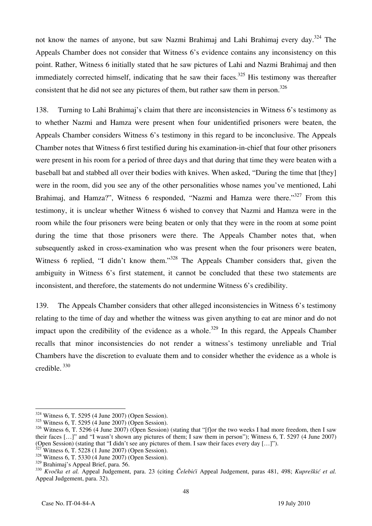not know the names of anyone, but saw Nazmi Brahimaj and Lahi Brahimaj every day.<sup>324</sup> The Appeals Chamber does not consider that Witness 6's evidence contains any inconsistency on this point. Rather, Witness 6 initially stated that he saw pictures of Lahi and Nazmi Brahimaj and then immediately corrected himself, indicating that he saw their faces.<sup>325</sup> His testimony was thereafter consistent that he did not see any pictures of them, but rather saw them in person.<sup>326</sup>

138. Turning to Lahi Brahimaj's claim that there are inconsistencies in Witness 6's testimony as to whether Nazmi and Hamza were present when four unidentified prisoners were beaten, the Appeals Chamber considers Witness 6's testimony in this regard to be inconclusive. The Appeals Chamber notes that Witness 6 first testified during his examination-in-chief that four other prisoners were present in his room for a period of three days and that during that time they were beaten with a baseball bat and stabbed all over their bodies with knives. When asked, "During the time that [they] were in the room, did you see any of the other personalities whose names you've mentioned, Lahi Brahimaj, and Hamza?", Witness 6 responded, "Nazmi and Hamza were there."<sup>327</sup> From this testimony, it is unclear whether Witness 6 wished to convey that Nazmi and Hamza were in the room while the four prisoners were being beaten or only that they were in the room at some point during the time that those prisoners were there. The Appeals Chamber notes that, when subsequently asked in cross-examination who was present when the four prisoners were beaten, Witness 6 replied, "I didn't know them."<sup>328</sup> The Appeals Chamber considers that, given the ambiguity in Witness 6's first statement, it cannot be concluded that these two statements are inconsistent, and therefore, the statements do not undermine Witness 6's credibility.

139. The Appeals Chamber considers that other alleged inconsistencies in Witness 6's testimony relating to the time of day and whether the witness was given anything to eat are minor and do not impact upon the credibility of the evidence as a whole.<sup>329</sup> In this regard, the Appeals Chamber recalls that minor inconsistencies do not render a witness's testimony unreliable and Trial Chambers have the discretion to evaluate them and to consider whether the evidence as a whole is credible. 330

 $324$  Witness 6, T. 5295 (4 June 2007) (Open Session).

<sup>325</sup> Witness 6, T. 5295 (4 June 2007) (Open Session).

 $326$  Witness 6, T. 5296 (4 June 2007) (Open Session) (stating that "[f]or the two weeks I had more freedom, then I saw their faces  $[...]$ " and "I wasn't shown any pictures of them; I saw them in person"); Witness 6, T. 5297 (4 June 2007) (Open Session) (stating that "I didn't see any pictures of them. I saw their faces every day  $[...]$ ").<br><sup>327</sup> Witness 6, T. 5228 (1 June 2007) (Open Session).<br><sup>328</sup> Witness 6, T. 5330 (4 June 2007) (Open Session).<br><sup>329</sup> Brah

<sup>&</sup>lt;sup>330</sup> Kvočka et al. Appeal Judgement, para. 23 (citing *Čelebići* Appeal Judgement, paras 481, 498; *Kupreškić et al.* Appeal Judgement, para. 32).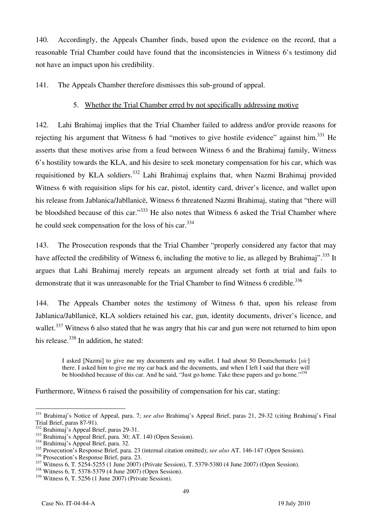140. Accordingly, the Appeals Chamber finds, based upon the evidence on the record, that a reasonable Trial Chamber could have found that the inconsistencies in Witness 6's testimony did not have an impact upon his credibility.

141. The Appeals Chamber therefore dismisses this sub-ground of appeal.

### 5. Whether the Trial Chamber erred by not specifically addressing motive

142. Lahi Brahimaj implies that the Trial Chamber failed to address and/or provide reasons for rejecting his argument that Witness 6 had "motives to give hostile evidence" against him.<sup>331</sup> He asserts that these motives arise from a feud between Witness 6 and the Brahimaj family, Witness 6's hostility towards the KLA, and his desire to seek monetary compensation for his car, which was requisitioned by KLA soldiers.<sup>332</sup> Lahi Brahimai explains that, when Nazmi Brahimai provided Witness 6 with requisition slips for his car, pistol, identity card, driver's licence, and wallet upon his release from Jablanica/Jabllanicë, Witness 6 threatened Nazmi Brahimaj, stating that "there will be bloodshed because of this car."<sup>333</sup> He also notes that Witness 6 asked the Trial Chamber where he could seek compensation for the loss of his car.334

143. The Prosecution responds that the Trial Chamber "properly considered any factor that may have affected the credibility of Witness 6, including the motive to lie, as alleged by Brahimaj".<sup>335</sup> It argues that Lahi Brahimaj merely repeats an argument already set forth at trial and fails to demonstrate that it was unreasonable for the Trial Chamber to find Witness 6 credible.<sup>336</sup>

144. The Appeals Chamber notes the testimony of Witness 6 that, upon his release from Jablanica/Jabllanicë, KLA soldiers retained his car, gun, identity documents, driver's licence, and wallet.<sup>337</sup> Witness 6 also stated that he was angry that his car and gun were not returned to him upon his release.<sup>338</sup> In addition, he stated:

I asked [Nazmi] to give me my documents and my wallet. I had about 50 Deutschemarks [sic] there. I asked him to give me my car back and the documents, and when I left I said that there will be bloodshed because of this car. And he said, "Just go home. Take these papers and go home."<sup>339</sup>

Furthermore, Witness 6 raised the possibility of compensation for his car, stating:

 $\overline{a}$ 331 Brahimaj's Notice of Appeal, para. 7; *see also* Brahimaj's Appeal Brief, paras 21, 29-32 (citing Brahimaj's Final Trial Brief, paras 87-91).<br><sup>332</sup> Brahimaj's Appeal Brief, paras 29-31.

<sup>333</sup> Brahimaj's Appeal Brief, para. 30; AT. 140 (Open Session).<br><sup>334</sup> Brahimaj's Appeal Brief, para. 32.

<sup>&</sup>lt;sup>335</sup> Prosecution's Response Brief, para. 23 (internal citation omitted); *see also* AT. 146-147 (Open Session).<br><sup>336</sup> Prosecution's Response Brief, para. 23.

<sup>337</sup> Witness 6, T. 5254-5255 (1 June 2007) (Private Session), T. 5379-5380 (4 June 2007) (Open Session).<br><sup>338</sup> Witness 6, T. 5378-5379 (4 June 2007) (Open Session).

<sup>339</sup> Witness 6, T. 5256 (1 June 2007) (Private Session).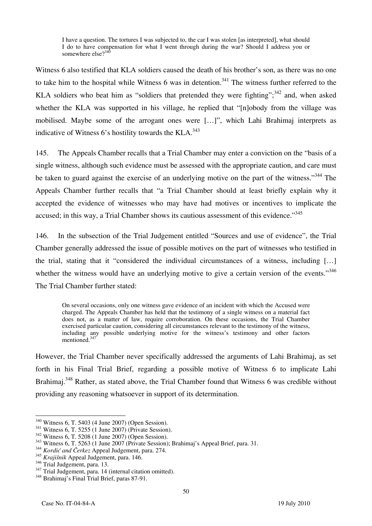I have a question. The tortures I was subjected to, the car I was stolen [as interpreted], what should I do to have compensation for what I went through during the war? Should I address you or somewhere else?<sup>340</sup>

Witness 6 also testified that KLA soldiers caused the death of his brother's son, as there was no one to take him to the hospital while Witness 6 was in detention.<sup>341</sup> The witness further referred to the KLA soldiers who beat him as "soldiers that pretended they were fighting";  $342$  and, when asked whether the KLA was supported in his village, he replied that "Inlobody from the village was mobilised. Maybe some of the arrogant ones were [...]", which Lahi Brahimaj interprets as indicative of Witness  $6$ 's hostility towards the KLA. $^{343}$ 

145. The Appeals Chamber recalls that a Trial Chamber may enter a conviction on the "basis of a single witness, although such evidence must be assessed with the appropriate caution, and care must be taken to guard against the exercise of an underlying motive on the part of the witness."<sup>344</sup> The Appeals Chamber further recalls that "a Trial Chamber should at least briefly explain why it accepted the evidence of witnesses who may have had motives or incentives to implicate the accused; in this way, a Trial Chamber shows its cautious assessment of this evidence."<sup>345</sup>

146. In the subsection of the Trial Judgement entitled "Sources and use of evidence", the Trial Chamber generally addressed the issue of possible motives on the part of witnesses who testified in the trial, stating that it "considered the individual circumstances of a witness, including [...] whether the witness would have an underlying motive to give a certain version of the events."<sup>346</sup> The Trial Chamber further stated:

On several occasions, only one witness gave evidence of an incident with which the Accused were charged. The Appeals Chamber has held that the testimony of a single witness on a material fact does not, as a matter of law, require corroboration. On these occasions, the Trial Chamber exercised particular caution, considering all circumstances relevant to the testimony of the witness, including any possible underlying motive for the witness's testimony and other factors mentioned.<sup>347</sup>

However, the Trial Chamber never specifically addressed the arguments of Lahi Brahimaj, as set forth in his Final Trial Brief, regarding a possible motive of Witness 6 to implicate Lahi Brahimaj.<sup>348</sup> Rather, as stated above, the Trial Chamber found that Witness 6 was credible without providing any reasoning whatsoever in support of its determination.

 $\overline{a}$ 

<sup>&</sup>lt;sup>340</sup> Witness 6, T. 5403 (4 June 2007) (Open Session).<br><sup>341</sup> Witness 6, T. 5255 (1 June 2007) (Private Session).<br><sup>342</sup> Witness 6, T. 5208 (1 June 2007) (Open Session).<br><sup>343</sup> Witness 6, T. 5263 (1 June 2007 (Private Sessio

<sup>&</sup>lt;sup>345</sup> *Krajišnik* Appeal Judgement, para. 146.<br><sup>346</sup> Trial Judgement, para. 13.

 $\frac{347}{348}$  Trial Judgement, para. 14 (internal citation omitted).  $\frac{348}{348}$  Brahimaj's Final Trial Brief, paras 87-91.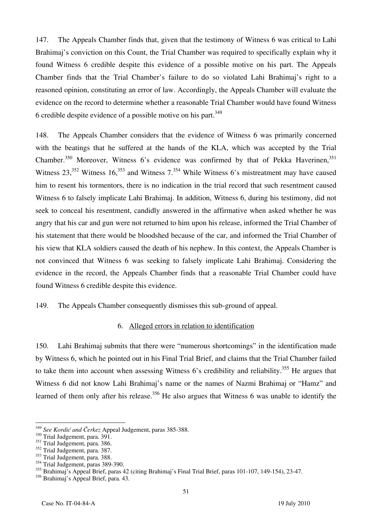147. The Appeals Chamber finds that, given that the testimony of Witness 6 was critical to Lahi Brahimaj's conviction on this Count, the Trial Chamber was required to specifically explain why it found Witness 6 credible despite this evidence of a possible motive on his part. The Appeals Chamber finds that the Trial Chamber's failure to do so violated Lahi Brahimaj's right to a reasoned opinion, constituting an error of law. Accordingly, the Appeals Chamber will evaluate the evidence on the record to determine whether a reasonable Trial Chamber would have found Witness 6 credible despite evidence of a possible motive on his part.<sup>349</sup>

148. The Appeals Chamber considers that the evidence of Witness 6 was primarily concerned with the beatings that he suffered at the hands of the KLA, which was accepted by the Trial Chamber.<sup>350</sup> Moreover, Witness 6's evidence was confirmed by that of Pekka Haverinen,<sup>351</sup> Witness  $23$ ,<sup>352</sup> Witness 16,<sup>353</sup> and Witness  $7^{354}$  While Witness 6's mistreatment may have caused him to resent his tormentors, there is no indication in the trial record that such resentment caused Witness 6 to falsely implicate Lahi Brahimaj. In addition, Witness 6, during his testimony, did not seek to conceal his resentment, candidly answered in the affirmative when asked whether he was angry that his car and gun were not returned to him upon his release, informed the Trial Chamber of his statement that there would be bloodshed because of the car, and informed the Trial Chamber of his view that KLA soldiers caused the death of his nephew. In this context, the Appeals Chamber is not convinced that Witness 6 was seeking to falsely implicate Lahi Brahimaj. Considering the evidence in the record, the Appeals Chamber finds that a reasonable Trial Chamber could have found Witness 6 credible despite this evidence.

149. The Appeals Chamber consequently dismisses this sub-ground of appeal.

#### 6. Alleged errors in relation to identification

150. Lahi Brahimaj submits that there were "numerous shortcomings" in the identification made by Witness 6, which he pointed out in his Final Trial Brief, and claims that the Trial Chamber failed to take them into account when assessing Witness  $6$ 's credibility and reliability.<sup>355</sup> He argues that Witness 6 did not know Lahi Brahimaj's name or the names of Nazmi Brahimaj or "Hamz" and learned of them only after his release.<sup>356</sup> He also argues that Witness 6 was unable to identify the

 $\overline{\phantom{a}}$ <sup>349</sup> *See Kordić and Čerkez* Appeal Judgement, paras 385-388.

<sup>&</sup>lt;sup>350</sup> Trial Judgement, para. 391.

 $351$  Trial Judgement, para. 386.

<sup>&</sup>lt;sup>352</sup> Trial Judgement, para. 387.

<sup>&</sup>lt;sup>353</sup> Trial Judgement, para. 388.

 $354$  Trial Judgement, paras 389-390.

<sup>355</sup> Brahimaj's Appeal Brief, paras 42 (citing Brahimaj's Final Trial Brief, paras 101-107, 149-154), 23-47.

<sup>356</sup> Brahimaj's Appeal Brief, para. 43.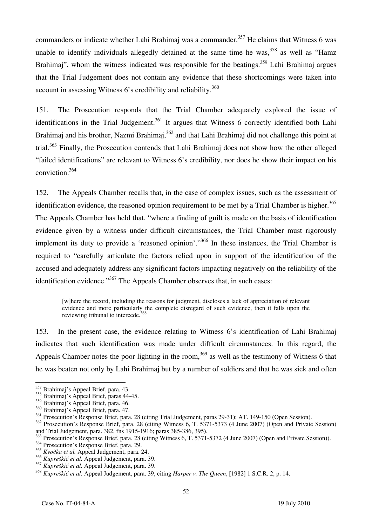commanders or indicate whether Lahi Brahimaj was a commander.<sup>357</sup> He claims that Witness 6 was unable to identify individuals allegedly detained at the same time he was,  $358$  as well as "Hamz Brahimaj", whom the witness indicated was responsible for the beatings.<sup>359</sup> Lahi Brahimaj argues that the Trial Judgement does not contain any evidence that these shortcomings were taken into account in assessing Witness  $6$ 's credibility and reliability.<sup>360</sup>

151. The Prosecution responds that the Trial Chamber adequately explored the issue of identifications in the Trial Judgement.<sup>361</sup> It argues that Witness 6 correctly identified both Lahi Brahimaj and his brother, Nazmi Brahimaj,<sup>362</sup> and that Lahi Brahimaj did not challenge this point at trial.<sup>363</sup> Finally, the Prosecution contends that Lahi Brahimaj does not show how the other alleged "failed identifications" are relevant to Witness 6's credibility, nor does he show their impact on his conviction.364

152. The Appeals Chamber recalls that, in the case of complex issues, such as the assessment of identification evidence, the reasoned opinion requirement to be met by a Trial Chamber is higher.<sup>365</sup> The Appeals Chamber has held that, "where a finding of guilt is made on the basis of identification evidence given by a witness under difficult circumstances, the Trial Chamber must rigorously implement its duty to provide a 'reasoned opinion'."<sup>366</sup> In these instances, the Trial Chamber is required to "carefully articulate the factors relied upon in support of the identification of the accused and adequately address any significant factors impacting negatively on the reliability of the identification evidence."<sup>367</sup> The Appeals Chamber observes that, in such cases:

where the record, including the reasons for judgment, discloses a lack of appreciation of relevant evidence and more particularly the complete disregard of such evidence, then it falls upon the reviewing tribunal to intercede.<sup>368</sup>

153. In the present case, the evidence relating to Witness 6's identification of Lahi Brahimaj indicates that such identification was made under difficult circumstances. In this regard, the Appeals Chamber notes the poor lighting in the room,<sup>369</sup> as well as the testimony of Witness 6 that he was beaten not only by Lahi Brahimaj but by a number of soldiers and that he was sick and often

 $\overline{\phantom{a}}$ 

<sup>&</sup>lt;sup>357</sup> Brahimaj's Appeal Brief, para. 43.

<sup>358</sup> Brahimaj's Appeal Brief, paras 44-45.

<sup>359</sup> Brahimaj's Appeal Brief, para. 46.

<sup>360</sup> Brahimaj's Appeal Brief, para. 47.

<sup>361</sup> Prosecution's Response Brief, para. 28 (citing Trial Judgement, paras 29-31); AT. 149-150 (Open Session).

<sup>&</sup>lt;sup>362</sup> Prosecution's Response Brief, para. 28 (citing Witness 6, T. 5371-5373 (4 June 2007) (Open and Private Session) and Trial Judgement, para. 382, fns 1915-1916; paras 385-386, 395).

<sup>&</sup>lt;sup>363</sup> Prosecution's Response Brief, para. 28 (citing Witness 6, T. 5371-5372 (4 June 2007) (Open and Private Session)).

<sup>&</sup>lt;sup>364</sup> Prosecution's Response Brief, para. 29.

<sup>&</sup>lt;sup>365</sup> *Kvočka et al.* Appeal Judgement, para. 24.

<sup>366</sup> *Kupreškić et al.* Appeal Judgement, para. 39.

<sup>367</sup> *Kupreškić et al.* Appeal Judgement, para. 39.

<sup>368</sup> *Kupreškić et al.* Appeal Judgement, para. 39, citing *Harper v. The Queen*, 1982 1 S.C.R. 2, p. 14.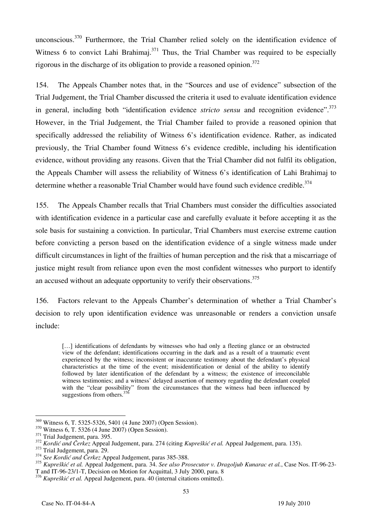unconscious.<sup>370</sup> Furthermore, the Trial Chamber relied solely on the identification evidence of Witness 6 to convict Lahi Brahimai.<sup>371</sup> Thus, the Trial Chamber was required to be especially rigorous in the discharge of its obligation to provide a reasoned opinion.<sup>372</sup>

154. The Appeals Chamber notes that, in the "Sources and use of evidence" subsection of the Trial Judgement, the Trial Chamber discussed the criteria it used to evaluate identification evidence in general, including both "identification evidence *stricto sensu* and recognition evidence".<sup>373</sup> However, in the Trial Judgement, the Trial Chamber failed to provide a reasoned opinion that specifically addressed the reliability of Witness 6's identification evidence. Rather, as indicated previously, the Trial Chamber found Witness 6's evidence credible, including his identification evidence, without providing any reasons. Given that the Trial Chamber did not fulfil its obligation, the Appeals Chamber will assess the reliability of Witness 6's identification of Lahi Brahimaj to determine whether a reasonable Trial Chamber would have found such evidence credible.<sup>374</sup>

155. The Appeals Chamber recalls that Trial Chambers must consider the difficulties associated with identification evidence in a particular case and carefully evaluate it before accepting it as the sole basis for sustaining a conviction. In particular, Trial Chambers must exercise extreme caution before convicting a person based on the identification evidence of a single witness made under difficult circumstances in light of the frailties of human perception and the risk that a miscarriage of justice might result from reliance upon even the most confident witnesses who purport to identify an accused without an adequate opportunity to verify their observations.<sup>375</sup>

156. Factors relevant to the Appeals Chamber's determination of whether a Trial Chamber's decision to rely upon identification evidence was unreasonable or renders a conviction unsafe include:

[...] identifications of defendants by witnesses who had only a fleeting glance or an obstructed view of the defendant; identifications occurring in the dark and as a result of a traumatic event experienced by the witness; inconsistent or inaccurate testimony about the defendant's physical characteristics at the time of the event; misidentification or denial of the ability to identify followed by later identification of the defendant by a witness; the existence of irreconcilable witness testimonies; and a witness' delayed assertion of memory regarding the defendant coupled with the "clear possibility" from the circumstances that the witness had been influenced by suggestions from others.<sup>376</sup>

<sup>&</sup>lt;sup>369</sup> Witness 6, T. 5325-5326, 5401 (4 June 2007) (Open Session).

<sup>&</sup>lt;sup>370</sup> Witness 6, T. 5326 (4 June 2007) (Open Session).<br><sup>371</sup> Trial Judgement, para. 395.<br><sup>372</sup> *Kordić and Čerkez* Appeal Judgement, para. 274 (citing *Kupreškić et al.* Appeal Judgement, para. 135).<br><sup>373</sup> Trial Judgement

<sup>375</sup> *Kupreškić et al.* Appeal Judgement, para. 34. *See also Prosecutor v. Dragoljub Kunarac et al.*, Case Nos. IT-96-23- T and IT-96-23/1-T, Decision on Motion for Acquittal, 3 July 2000, para. 8

<sup>376</sup> *Kupreškić et al.* Appeal Judgement, para. 40 (internal citations omitted).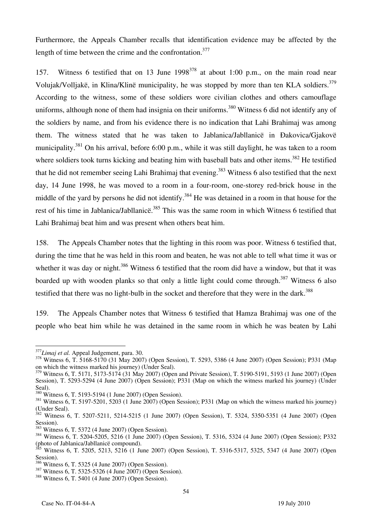Furthermore, the Appeals Chamber recalls that identification evidence may be affected by the length of time between the crime and the confrontation.<sup>377</sup>

157. Witness 6 testified that on 13 June  $1998^{378}$  at about 1:00 p.m., on the main road near Volujak/Volljakë, in Klina/Klinë municipality, he was stopped by more than ten KLA soldiers.<sup>379</sup> According to the witness, some of these soldiers wore civilian clothes and others camouflage uniforms, although none of them had insignia on their uniforms.<sup>380</sup> Witness 6 did not identify any of the soldiers by name, and from his evidence there is no indication that Lahi Brahimaj was among them. The witness stated that he was taken to Jablanica/Jabllanicë in Ðakovica/Gjakovë municipality.<sup>381</sup> On his arrival, before 6:00 p.m., while it was still daylight, he was taken to a room where soldiers took turns kicking and beating him with baseball bats and other items.<sup>382</sup> He testified that he did not remember seeing Lahi Brahimaj that evening.<sup>383</sup> Witness 6 also testified that the next day, 14 June 1998, he was moved to a room in a four-room, one-storey red-brick house in the middle of the yard by persons he did not identify.<sup>384</sup> He was detained in a room in that house for the rest of his time in Jablanica/Jabllanice<sup>385</sup> This was the same room in which Witness 6 testified that Lahi Brahimaj beat him and was present when others beat him.

158. The Appeals Chamber notes that the lighting in this room was poor. Witness 6 testified that, during the time that he was held in this room and beaten, he was not able to tell what time it was or whether it was day or night.<sup>386</sup> Witness 6 testified that the room did have a window, but that it was boarded up with wooden planks so that only a little light could come through.<sup>387</sup> Witness 6 also testified that there was no light-bulb in the socket and therefore that they were in the dark.<sup>388</sup>

159. The Appeals Chamber notes that Witness 6 testified that Hamza Brahimaj was one of the people who beat him while he was detained in the same room in which he was beaten by Lahi

 $377$ *Limaj et al.* Appeal Judgement, para. 30.

<sup>&</sup>lt;sup>378</sup> Witness 6, T. 5168-5170 (31 May 2007) (Open Session), T. 5293, 5386 (4 June 2007) (Open Session); P331 (Map on which the witness marked his journey) (Under Seal).

<sup>379</sup> Witness 6, T. 5171, 5173-5174 (31 May 2007) (Open and Private Session), T. 5190-5191, 5193 (1 June 2007) (Open Session), T. 5293-5294 (4 June 2007) (Open Session); P331 (Map on which the witness marked his journey) (Under Seal).<br><sup>380</sup> Witness 6, T. 5193-5194 (1 June 2007) (Open Session).

 $381$  Witness 6, T. 5197-5201, 5203 (1 June 2007) (Open Session); P331 (Map on which the witness marked his journey) (Under Seal).

<sup>&</sup>lt;sup>382</sup> Witness 6, T. 5207-5211, 5214-5215 (1 June 2007) (Open Session), T. 5324, 5350-5351 (4 June 2007) (Open

Session).<br><sup>383</sup> Witness 6, T. 5372 (4 June 2007) (Open Session).

<sup>383</sup> Witness 6, T. 5372 (4 June 2007) (Open Session). 384 Witness 6, T. 5204-5205, 5216 (1 June 2007) (Open Session), T. 5316, 5324 (4 June 2007) (Open Session); P332 (photo of Jablanica/Jabllanicë compound).

<sup>385</sup> Witness 6, T. 5205, 5213, 5216 (1 June 2007) (Open Session), T. 5316-5317, 5325, 5347 (4 June 2007) (Open Session).<br><sup>386</sup> Witness 6, T. 5325 (4 June 2007) (Open Session).

<sup>&</sup>lt;sup>387</sup> Witness 6, T. 5325-5326 (4 June 2007) (Open Session).<br><sup>388</sup> Witness 6, T. 5401 (4 June 2007) (Open Session).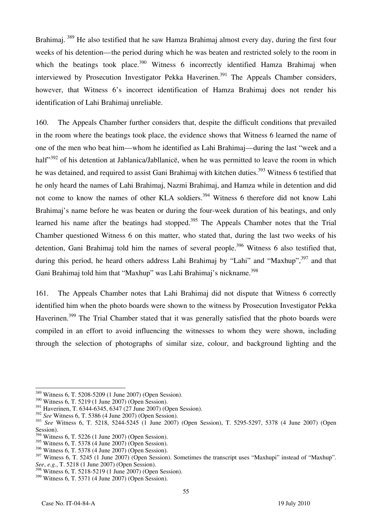Brahimaj. <sup>389</sup> He also testified that he saw Hamza Brahimaj almost every day, during the first four weeks of his detention—the period during which he was beaten and restricted solely to the room in which the beatings took place.<sup>390</sup> Witness 6 incorrectly identified Hamza Brahimaj when interviewed by Prosecution Investigator Pekka Haverinen.<sup>391</sup> The Appeals Chamber considers, however, that Witness 6's incorrect identification of Hamza Brahimaj does not render his identification of Lahi Brahimaj unreliable.

160. The Appeals Chamber further considers that, despite the difficult conditions that prevailed in the room where the beatings took place, the evidence shows that Witness 6 learned the name of one of the men who beat him—whom he identified as Lahi Brahimaj—during the last "week and a half<sup>392</sup> of his detention at Jablanica/Jabllanice, when he was permitted to leave the room in which he was detained, and required to assist Gani Brahimaj with kitchen duties.<sup>393</sup> Witness 6 testified that he only heard the names of Lahi Brahimaj, Nazmi Brahimaj, and Hamza while in detention and did not come to know the names of other KLA soldiers.<sup>394</sup> Witness 6 therefore did not know Lahi Brahimai's name before he was beaten or during the four-week duration of his beatings, and only learned his name after the beatings had stopped.<sup>395</sup> The Appeals Chamber notes that the Trial Chamber questioned Witness 6 on this matter, who stated that, during the last two weeks of his detention, Gani Brahimaj told him the names of several people.<sup>396</sup> Witness 6 also testified that, during this period, he heard others address Lahi Brahimaj by "Lahi" and "Maxhup",  $397$  and that Gani Brahimaj told him that "Maxhup" was Lahi Brahimaj's nickname.<sup>398</sup>

161. The Appeals Chamber notes that Lahi Brahimaj did not dispute that Witness 6 correctly identified him when the photo boards were shown to the witness by Prosecution Investigator Pekka Haverinen.<sup>399</sup> The Trial Chamber stated that it was generally satisfied that the photo boards were compiled in an effort to avoid influencing the witnesses to whom they were shown, including through the selection of photographs of similar size, colour, and background lighting and the

 $\overline{a}$ <sup>389</sup> Witness 6, T. 5208-5209 (1 June 2007) (Open Session).

<sup>390</sup> Witness 6, T. 5219 (1 June 2007) (Open Session).

<sup>&</sup>lt;sup>391</sup> Haverinen, T. 6344-6345, 6347 (27 June 2007) (Open Session).

<sup>392</sup> *See* Witness 6, T. 5386 (4 June 2007) (Open Session).

<sup>393</sup> *See* Witness 6, T. 5218, 5244-5245 (1 June 2007) (Open Session), T. 5295-5297, 5378 (4 June 2007) (Open Session).

<sup>394</sup> Witness 6, T. 5226 (1 June 2007) (Open Session).

<sup>395</sup> Witness 6, T. 5378 (4 June 2007) (Open Session).

 $396$  Witness 6, T. 5378 (4 June 2007) (Open Session).

 $397$  Witness 6, T. 5245 (1 June 2007) (Open Session). Sometimes the transcript uses "Maxhupi" instead of "Maxhup". *See*, *e.g.*, T. 5218 (1 June 2007) (Open Session).

<sup>398</sup> Witness 6, T. 5218-5219 (1 June 2007) (Open Session).

<sup>399</sup> Witness 6, T. 5371 (4 June 2007) (Open Session).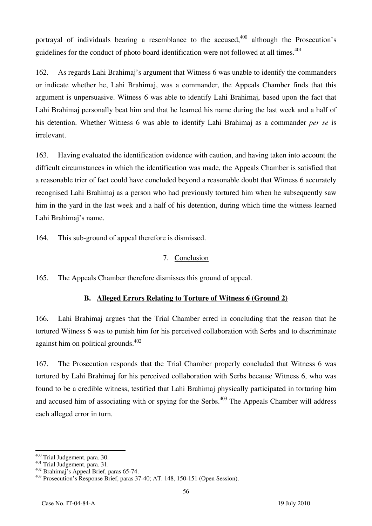portrayal of individuals bearing a resemblance to the accused,  $400$  although the Prosecution's guidelines for the conduct of photo board identification were not followed at all times.<sup>401</sup>

162. As regards Lahi Brahimaj's argument that Witness 6 was unable to identify the commanders or indicate whether he, Lahi Brahimaj, was a commander, the Appeals Chamber finds that this argument is unpersuasive. Witness 6 was able to identify Lahi Brahimaj, based upon the fact that Lahi Brahimaj personally beat him and that he learned his name during the last week and a half of his detention. Whether Witness 6 was able to identify Lahi Brahimaj as a commander *per se* is irrelevant.

163. Having evaluated the identification evidence with caution, and having taken into account the difficult circumstances in which the identification was made, the Appeals Chamber is satisfied that a reasonable trier of fact could have concluded beyond a reasonable doubt that Witness 6 accurately recognised Lahi Brahimaj as a person who had previously tortured him when he subsequently saw him in the yard in the last week and a half of his detention, during which time the witness learned Lahi Brahimaj's name.

164. This sub-ground of appeal therefore is dismissed.

## 7. Conclusion

165. The Appeals Chamber therefore dismisses this ground of appeal.

## **B. Alleged Errors Relating to Torture of Witness 6 (Ground 2)**

166. Lahi Brahimaj argues that the Trial Chamber erred in concluding that the reason that he tortured Witness 6 was to punish him for his perceived collaboration with Serbs and to discriminate against him on political grounds. $402$ 

167. The Prosecution responds that the Trial Chamber properly concluded that Witness 6 was tortured by Lahi Brahimaj for his perceived collaboration with Serbs because Witness 6, who was found to be a credible witness, testified that Lahi Brahimaj physically participated in torturing him and accused him of associating with or spying for the Serbs.<sup> $403$ </sup> The Appeals Chamber will address each alleged error in turn.

<sup>&</sup>lt;sup>400</sup> Trial Judgement, para. 30.

<sup>401</sup> Trial Judgement, para. 31.<br>  $402$  Brahimaj's Appeal Brief, paras 65-74.<br>  $403$  Prosecution's Response Brief, paras 37-40; AT. 148, 150-151 (Open Session).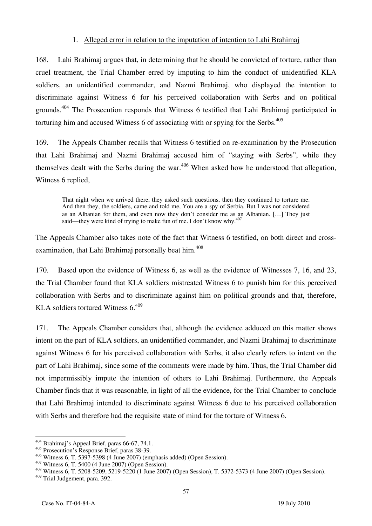#### 1. Alleged error in relation to the imputation of intention to Lahi Brahimaj

168. Lahi Brahimaj argues that, in determining that he should be convicted of torture, rather than cruel treatment, the Trial Chamber erred by imputing to him the conduct of unidentified KLA soldiers, an unidentified commander, and Nazmi Brahimaj, who displayed the intention to discriminate against Witness 6 for his perceived collaboration with Serbs and on political grounds.<sup>404</sup> The Prosecution responds that Witness 6 testified that Lahi Brahimaj participated in torturing him and accused Witness 6 of associating with or spying for the Serbs.<sup>405</sup>

169. The Appeals Chamber recalls that Witness 6 testified on re-examination by the Prosecution that Lahi Brahimaj and Nazmi Brahimaj accused him of "staying with Serbs", while they themselves dealt with the Serbs during the war.<sup>406</sup> When asked how he understood that allegation, Witness 6 replied,

That night when we arrived there, they asked such questions, then they continued to torture me. And then they, the soldiers, came and told me, You are a spy of Serbia. But I was not considered as an Albanian for them, and even now they don't consider me as an Albanian. [...] They just said—they were kind of trying to make fun of me. I don't know why. $407$ 

The Appeals Chamber also takes note of the fact that Witness 6 testified, on both direct and crossexamination, that Lahi Brahimaj personally beat him.<sup>408</sup>

170. Based upon the evidence of Witness 6, as well as the evidence of Witnesses 7, 16, and 23, the Trial Chamber found that KLA soldiers mistreated Witness 6 to punish him for this perceived collaboration with Serbs and to discriminate against him on political grounds and that, therefore, KLA soldiers tortured Witness  $6.409$ 

171. The Appeals Chamber considers that, although the evidence adduced on this matter shows intent on the part of KLA soldiers, an unidentified commander, and Nazmi Brahimaj to discriminate against Witness 6 for his perceived collaboration with Serbs, it also clearly refers to intent on the part of Lahi Brahimaj, since some of the comments were made by him. Thus, the Trial Chamber did not impermissibly impute the intention of others to Lahi Brahimaj. Furthermore, the Appeals Chamber finds that it was reasonable, in light of all the evidence, for the Trial Chamber to conclude that Lahi Brahimaj intended to discriminate against Witness 6 due to his perceived collaboration with Serbs and therefore had the requisite state of mind for the torture of Witness 6.

 $\overline{a}$ <sup>404</sup> Brahimaj's Appeal Brief, paras 66-67, 74.1.

 $^{405}$  Prosecution's Response Brief, paras 38-39.<br> $^{406}$  Witness 6, T. 5397-5398 (4 June 2007) (emphasis added) (Open Session).

<sup>&</sup>lt;sup>407</sup> Witness 6, T. 5400 (4 June 2007) (Open Session).<br><sup>408</sup> Witness 6, T. 5208-5209, 5219-5220 (1 June 2007) (Open Session), T. 5372-5373 (4 June 2007) (Open Session). 409 Trial Judgement, para. 392.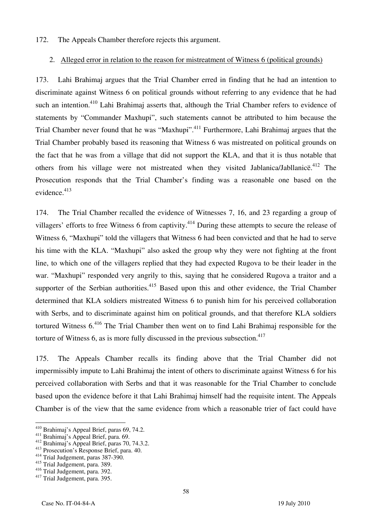#### 172. The Appeals Chamber therefore rejects this argument.

#### 2. Alleged error in relation to the reason for mistreatment of Witness 6 (political grounds)

173. Lahi Brahimaj argues that the Trial Chamber erred in finding that he had an intention to discriminate against Witness 6 on political grounds without referring to any evidence that he had such an intention.<sup>410</sup> Lahi Brahimai asserts that, although the Trial Chamber refers to evidence of statements by "Commander Maxhupi", such statements cannot be attributed to him because the Trial Chamber never found that he was "Maxhupi".<sup>411</sup> Furthermore, Lahi Brahimaj argues that the Trial Chamber probably based its reasoning that Witness 6 was mistreated on political grounds on the fact that he was from a village that did not support the KLA, and that it is thus notable that others from his village were not mistreated when they visited Jablanica/Jabllanice.<sup>412</sup> The Prosecution responds that the Trial Chamber's finding was a reasonable one based on the evidence.<sup>413</sup>

174. The Trial Chamber recalled the evidence of Witnesses 7, 16, and 23 regarding a group of villagers' efforts to free Witness 6 from captivity.<sup>414</sup> During these attempts to secure the release of Witness 6, "Maxhupi" told the villagers that Witness 6 had been convicted and that he had to serve his time with the KLA. "Maxhupi" also asked the group why they were not fighting at the front line, to which one of the villagers replied that they had expected Rugova to be their leader in the war. "Maxhupi" responded very angrily to this, saying that he considered Rugova a traitor and a supporter of the Serbian authorities.<sup>415</sup> Based upon this and other evidence, the Trial Chamber determined that KLA soldiers mistreated Witness 6 to punish him for his perceived collaboration with Serbs, and to discriminate against him on political grounds, and that therefore KLA soldiers tortured Witness 6.416 The Trial Chamber then went on to find Lahi Brahimaj responsible for the torture of Witness  $6$ , as is more fully discussed in the previous subsection.<sup>417</sup>

175. The Appeals Chamber recalls its finding above that the Trial Chamber did not impermissibly impute to Lahi Brahimaj the intent of others to discriminate against Witness 6 for his perceived collaboration with Serbs and that it was reasonable for the Trial Chamber to conclude based upon the evidence before it that Lahi Brahimaj himself had the requisite intent. The Appeals Chamber is of the view that the same evidence from which a reasonable trier of fact could have

<sup>&</sup>lt;sup>410</sup> Brahimaj's Appeal Brief, paras 69, 74.2.

<sup>411</sup> Brahimaj's Appeal Brief, para. 69.<br>
<sup>412</sup> Brahimaj's Appeal Brief, paras 70, 74.3.2.<br>
<sup>413</sup> Prosecution's Response Brief, para. 40.<br>
<sup>414</sup> Trial Judgement, paras 387-390.

<sup>&</sup>lt;sup>415</sup> Trial Judgement, para. 389.<br><sup>416</sup> Trial Judgement, para. 392.

<sup>&</sup>lt;sup>417</sup> Trial Judgement, para. 395.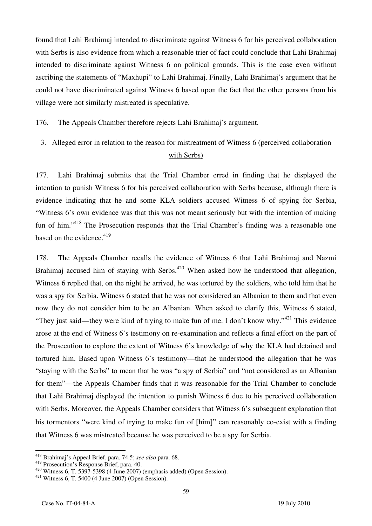found that Lahi Brahimaj intended to discriminate against Witness 6 for his perceived collaboration with Serbs is also evidence from which a reasonable trier of fact could conclude that Lahi Brahimaj intended to discriminate against Witness 6 on political grounds. This is the case even without ascribing the statements of "Maxhupi" to Lahi Brahimaj. Finally, Lahi Brahimaj's argument that he could not have discriminated against Witness 6 based upon the fact that the other persons from his village were not similarly mistreated is speculative.

176. The Appeals Chamber therefore rejects Lahi Brahimaj's argument.

## 3. Alleged error in relation to the reason for mistreatment of Witness 6 (perceived collaboration with Serbs)

177. Lahi Brahimaj submits that the Trial Chamber erred in finding that he displayed the intention to punish Witness 6 for his perceived collaboration with Serbs because, although there is evidence indicating that he and some KLA soldiers accused Witness 6 of spying for Serbia, "Witness 6's own evidence was that this was not meant seriously but with the intention of making fun of him."<sup>418</sup> The Prosecution responds that the Trial Chamber's finding was a reasonable one based on the evidence.<sup>419</sup>

178. The Appeals Chamber recalls the evidence of Witness 6 that Lahi Brahimaj and Nazmi Brahimaj accused him of staying with Serbs.<sup>420</sup> When asked how he understood that allegation, Witness 6 replied that, on the night he arrived, he was tortured by the soldiers, who told him that he was a spy for Serbia. Witness 6 stated that he was not considered an Albanian to them and that even now they do not consider him to be an Albanian. When asked to clarify this, Witness 6 stated, "They just said—they were kind of trying to make fun of me. I don't know why."<sup>421</sup> This evidence arose at the end of Witness 6's testimony on re-examination and reflects a final effort on the part of the Prosecution to explore the extent of Witness 6's knowledge of why the KLA had detained and tortured him. Based upon Witness 6's testimony—that he understood the allegation that he was "staying with the Serbs" to mean that he was "a spy of Serbia" and "not considered as an Albanian for them"—the Appeals Chamber finds that it was reasonable for the Trial Chamber to conclude that Lahi Brahimaj displayed the intention to punish Witness 6 due to his perceived collaboration with Serbs. Moreover, the Appeals Chamber considers that Witness 6's subsequent explanation that his tormentors "were kind of trying to make fun of [him]" can reasonably co-exist with a finding that Witness 6 was mistreated because he was perceived to be a spy for Serbia.

 $\overline{\phantom{a}}$ 

<sup>418</sup> Brahimaj's Appeal Brief, para. 74.5; *see also* para. 68.

<sup>419</sup> Prosecution's Response Brief, para. 40.<br>  $420$  Witness 6, T. 5397-5398 (4 June 2007) (emphasis added) (Open Session).<br>  $421$  Witness 6, T. 5400 (4 June 2007) (Open Session).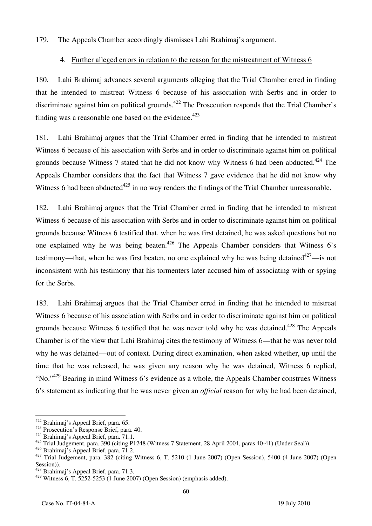179. The Appeals Chamber accordingly dismisses Lahi Brahimaj's argument.

### 4. Further alleged errors in relation to the reason for the mistreatment of Witness 6

180. Lahi Brahimaj advances several arguments alleging that the Trial Chamber erred in finding that he intended to mistreat Witness 6 because of his association with Serbs and in order to discriminate against him on political grounds.<sup>422</sup> The Prosecution responds that the Trial Chamber's finding was a reasonable one based on the evidence.<sup> $423$ </sup>

181. Lahi Brahimaj argues that the Trial Chamber erred in finding that he intended to mistreat Witness 6 because of his association with Serbs and in order to discriminate against him on political grounds because Witness 7 stated that he did not know why Witness 6 had been abducted.<sup>424</sup> The Appeals Chamber considers that the fact that Witness 7 gave evidence that he did not know why Witness 6 had been abducted $425$  in no way renders the findings of the Trial Chamber unreasonable.

182. Lahi Brahimaj argues that the Trial Chamber erred in finding that he intended to mistreat Witness 6 because of his association with Serbs and in order to discriminate against him on political grounds because Witness 6 testified that, when he was first detained, he was asked questions but no one explained why he was being beaten.<sup>426</sup> The Appeals Chamber considers that Witness 6's testimony—that, when he was first beaten, no one explained why he was being detained<sup> $427$ </sup>—is not inconsistent with his testimony that his tormenters later accused him of associating with or spying for the Serbs.

183. Lahi Brahimaj argues that the Trial Chamber erred in finding that he intended to mistreat Witness 6 because of his association with Serbs and in order to discriminate against him on political grounds because Witness 6 testified that he was never told why he was detained.<sup>428</sup> The Appeals Chamber is of the view that Lahi Brahimaj cites the testimony of Witness 6—that he was never told why he was detained—out of context. During direct examination, when asked whether, up until the time that he was released, he was given any reason why he was detained, Witness 6 replied, "No."<sup>429</sup> Bearing in mind Witness 6's evidence as a whole, the Appeals Chamber construes Witness 6's statement as indicating that he was never given an *official* reason for why he had been detained,

<sup>&</sup>lt;sup>422</sup> Brahimaj's Appeal Brief, para. 65.

<sup>&</sup>lt;sup>423</sup> Prosecution's Response Brief, para. 40. <sup>424</sup> Brahimaj's Appeal Brief, para. 71.1.

<sup>425</sup> Trial Judgement, para. 390 (citing P1248 (Witness 7 Statement, 28 April 2004, paras 40-41) (Under Seal)).<br><sup>426</sup> Brahimai's Appeal Brief, para. 71.2.

<sup>&</sup>lt;sup>427</sup> Trial Judgement, para.  $382$  (citing Witness 6, T. 5210 (1 June 2007) (Open Session), 5400 (4 June 2007) (Open Session)).

<sup>428</sup> Brahimaj's Appeal Brief, para. 71.3.

 $429$  Witness 6, T. 5252-5253 (1 June 2007) (Open Session) (emphasis added).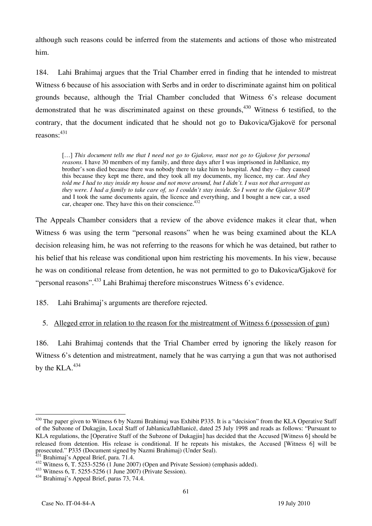although such reasons could be inferred from the statements and actions of those who mistreated him.

184. Lahi Brahimaj argues that the Trial Chamber erred in finding that he intended to mistreat Witness 6 because of his association with Serbs and in order to discriminate against him on political grounds because, although the Trial Chamber concluded that Witness 6's release document demonstrated that he was discriminated against on these grounds,  $430$  Witness 6 testified, to the contrary, that the document indicated that he should not go to Ðakovica/Gjakovë for personal reasons:  $431$ 

[...] This document tells me that I need not go to Gjakove, must not go to Gjakove for personal *reasons.* I have 30 members of my family, and three days after I was imprisoned in Jabllanice, my brother's son died because there was nobody there to take him to hospital. And they -- they caused this because they kept me there, and they took all my documents, my licence, my car. *And they told me I had to stay inside my house and not move around, but I didn't. I was not that arrogant as they were. I had a family to take care of, so I couldn't stay inside. So I went to the Gjakove SUP* and I took the same documents again, the licence and everything, and I bought a new car, a used car, cheaper one. They have this on their conscience.<sup>432</sup>

The Appeals Chamber considers that a review of the above evidence makes it clear that, when Witness 6 was using the term "personal reasons" when he was being examined about the KLA decision releasing him, he was not referring to the reasons for which he was detained, but rather to his belief that his release was conditional upon him restricting his movements. In his view, because he was on conditional release from detention, he was not permitted to go to Đakovica/Giakovë for "personal reasons".<sup>433</sup> Lahi Brahimaj therefore misconstrues Witness 6's evidence.

185. Lahi Brahimaj's arguments are therefore rejected.

### 5. Alleged error in relation to the reason for the mistreatment of Witness 6 (possession of gun)

186. Lahi Brahimaj contends that the Trial Chamber erred by ignoring the likely reason for Witness 6's detention and mistreatment, namely that he was carrying a gun that was not authorised by the  $KLA.<sup>434</sup>$ 

 $\overline{a}$ <sup>430</sup> The paper given to Witness 6 by Nazmi Brahimaj was Exhibit P335. It is a "decision" from the KLA Operative Staff of the Subzone of Dukagjin, Local Staff of Jablanica/Jabllanicë, dated 25 July 1998 and reads as follows: "Pursuant to KLA regulations, the [Operative Staff of the Subzone of Dukagjin] has decided that the Accused [Witness 6] should be released from detention. His release is conditional. If he repeats his mistakes, the Accused [Witness 6] will be prosecuted." P335 (Document signed by Nazmi Brahimaj) (Under Seal).<br><sup>431</sup> Brahimaj's Appeal Brief, para. 71.4.

<sup>432</sup> Witness 6, T. 5253-5256 (1 June 2007) (Open and Private Session) (emphasis added).<br> $433$  Witness 6, T. 5255-5256 (1 June 2007) (Private Session).<br> $434$  Brahimaj's Appeal Brief, paras 73, 74.4.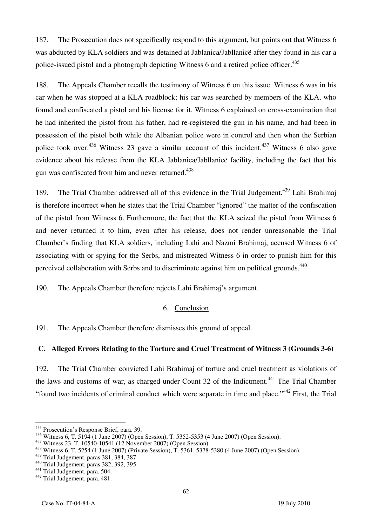187. The Prosecution does not specifically respond to this argument, but points out that Witness 6 was abducted by KLA soldiers and was detained at Jablanica/Jabllanicë after they found in his car a police-issued pistol and a photograph depicting Witness 6 and a retired police officer.<sup>435</sup>

188. The Appeals Chamber recalls the testimony of Witness 6 on this issue. Witness 6 was in his car when he was stopped at a KLA roadblock; his car was searched by members of the KLA, who found and confiscated a pistol and his license for it. Witness 6 explained on cross-examination that he had inherited the pistol from his father, had re-registered the gun in his name, and had been in possession of the pistol both while the Albanian police were in control and then when the Serbian police took over.<sup>436</sup> Witness 23 gave a similar account of this incident.<sup>437</sup> Witness 6 also gave evidence about his release from the KLA Jablanica/Jabllanicë facility, including the fact that his gun was confiscated from him and never returned.<sup>438</sup>

189. The Trial Chamber addressed all of this evidence in the Trial Judgement.<sup>439</sup> Lahi Brahimaj is therefore incorrect when he states that the Trial Chamber "ignored" the matter of the confiscation of the pistol from Witness 6. Furthermore, the fact that the KLA seized the pistol from Witness 6 and never returned it to him, even after his release, does not render unreasonable the Trial Chamber's finding that KLA soldiers, including Lahi and Nazmi Brahimaj, accused Witness 6 of associating with or spying for the Serbs, and mistreated Witness 6 in order to punish him for this perceived collaboration with Serbs and to discriminate against him on political grounds.<sup>440</sup>

190. The Appeals Chamber therefore rejects Lahi Brahimaj's argument.

### 6. Conclusion

191. The Appeals Chamber therefore dismisses this ground of appeal.

### **C. Alleged Errors Relating to the Torture and Cruel Treatment of Witness 3 (Grounds 3-6)**

192. The Trial Chamber convicted Lahi Brahimaj of torture and cruel treatment as violations of the laws and customs of war, as charged under Count 32 of the Indictment.<sup>441</sup> The Trial Chamber "found two incidents of criminal conduct which were separate in time and place."442 First, the Trial

 $\overline{\phantom{a}}$  $^{435}$  Prosecution's Response Brief, para. 39.

<sup>&</sup>lt;sup>436</sup> Witness 6, T. 5194 (1 June 2007) (Open Session), T. 5352-5353 (4 June 2007) (Open Session).<br><sup>437</sup> Witness 23, T. 10540-10541 (12 November 2007) (Open Session).<br><sup>438</sup> Witness 6, T. 5254 (1 June 2007) (Private Session

<sup>&</sup>lt;sup>440</sup> Trial Judgement, paras 382, 392, 395.<br><sup>441</sup> Trial Judgement, para. 504.<br><sup>442</sup> Trial Judgement, para. 481.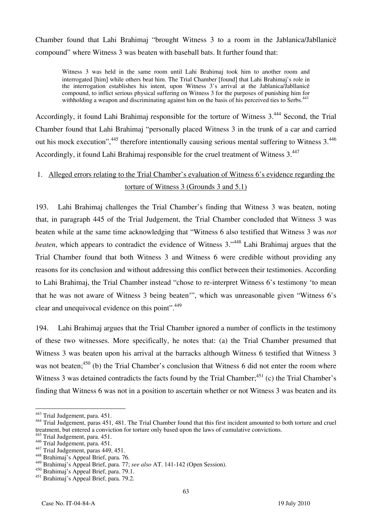Chamber found that Lahi Brahimaj "brought Witness 3 to a room in the Jablanica/Jabllanicë compound" where Witness 3 was beaten with baseball bats. It further found that:

Witness 3 was held in the same room until Lahi Brahimaj took him to another room and interrogated [him] while others beat him. The Trial Chamber [found] that Lahi Brahimaj's role in the interrogation establishes his intent, upon Witness 3's arrival at the Jablanica/Jabllanicë compound, to inflict serious physical suffering on Witness 3 for the purposes of punishing him for withholding a weapon and discriminating against him on the basis of his perceived ties to Serbs.<sup>443</sup>

Accordingly, it found Lahi Brahimaj responsible for the torture of Witness 3.444 Second, the Trial Chamber found that Lahi Brahimaj "personally placed Witness 3 in the trunk of a car and carried out his mock execution", <sup>445</sup> therefore intentionally causing serious mental suffering to Witness 3.<sup>446</sup> Accordingly, it found Lahi Brahimaj responsible for the cruel treatment of Witness 3.447

## 1. Alleged errors relating to the Trial Chamber's evaluation of Witness 6's evidence regarding the torture of Witness 3 (Grounds 3 and 5.1)

193. Lahi Brahimaj challenges the Trial Chamber's finding that Witness 3 was beaten, noting that, in paragraph 445 of the Trial Judgement, the Trial Chamber concluded that Witness 3 was beaten while at the same time acknowledging that "Witness 6 also testified that Witness 3 was *not beaten*, which appears to contradict the evidence of Witness 3.<sup>448</sup> Lahi Brahimaj argues that the Trial Chamber found that both Witness 3 and Witness 6 were credible without providing any reasons for its conclusion and without addressing this conflict between their testimonies. According to Lahi Brahimaj, the Trial Chamber instead "chose to re-interpret Witness 6's testimony 'to mean that he was not aware of Witness 3 being beaten'", which was unreasonable given "Witness 6's clear and unequivocal evidence on this point".<sup>449</sup>

194. Lahi Brahimaj argues that the Trial Chamber ignored a number of conflicts in the testimony of these two witnesses. More specifically, he notes that: (a) the Trial Chamber presumed that Witness 3 was beaten upon his arrival at the barracks although Witness 6 testified that Witness 3 was not beaten; $450$  (b) the Trial Chamber's conclusion that Witness 6 did not enter the room where Witness 3 was detained contradicts the facts found by the Trial Chamber;<sup>451</sup> (c) the Trial Chamber's finding that Witness 6 was not in a position to ascertain whether or not Witness 3 was beaten and its

<sup>&</sup>lt;sup>443</sup> Trial Judgement, para. 451.

<sup>&</sup>lt;sup>444</sup> Trial Judgement, paras 451, 481. The Trial Chamber found that this first incident amounted to both torture and cruel treatment, but entered a conviction for torture only based upon the laws of cumulative convictions.

 $445$  Trial Judgement, para. 451.<br> $446$  Trial Judgement, para. 451.

<sup>446</sup> Trial Judgement, para. 451. 447 Trial Judgement, paras 449, 451. 448 Brahimaj's Appeal Brief, para. 76.

<sup>449</sup> Brahimaj's Appeal Brief, para. 77; *see also* AT. 141-142 (Open Session).

<sup>450</sup> Brahimaj's Appeal Brief, para. 79.1.

<sup>451</sup> Brahimaj's Appeal Brief, para. 79.2.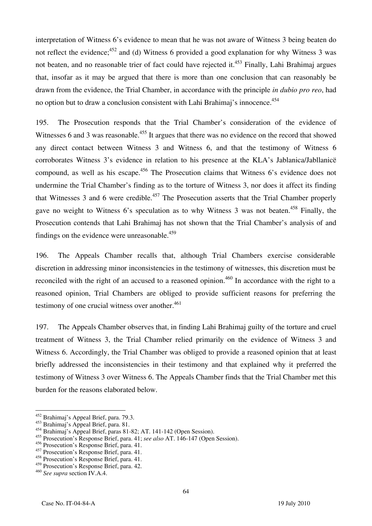interpretation of Witness 6's evidence to mean that he was not aware of Witness 3 being beaten do not reflect the evidence;<sup>452</sup> and (d) Witness 6 provided a good explanation for why Witness 3 was not beaten, and no reasonable trier of fact could have rejected it.<sup>453</sup> Finally, Lahi Brahimaj argues that, insofar as it may be argued that there is more than one conclusion that can reasonably be drawn from the evidence, the Trial Chamber, in accordance with the principle *in dubio pro reo*, had no option but to draw a conclusion consistent with Lahi Brahimai's innocence.<sup>454</sup>

195. The Prosecution responds that the Trial Chamber's consideration of the evidence of Witnesses 6 and 3 was reasonable.<sup>455</sup> It argues that there was no evidence on the record that showed any direct contact between Witness 3 and Witness 6, and that the testimony of Witness 6 corroborates Witness 3's evidence in relation to his presence at the KLA's Jablanica/Jabllanicë compound, as well as his escape.<sup>456</sup> The Prosecution claims that Witness 6's evidence does not undermine the Trial Chamber's finding as to the torture of Witness 3, nor does it affect its finding that Witnesses 3 and 6 were credible.<sup>457</sup> The Prosecution asserts that the Trial Chamber properly gave no weight to Witness 6's speculation as to why Witness 3 was not beaten.<sup>458</sup> Finally, the Prosecution contends that Lahi Brahimaj has not shown that the Trial Chamber's analysis of and findings on the evidence were unreasonable.<sup>459</sup>

196. The Appeals Chamber recalls that, although Trial Chambers exercise considerable discretion in addressing minor inconsistencies in the testimony of witnesses, this discretion must be reconciled with the right of an accused to a reasoned opinion.<sup>460</sup> In accordance with the right to a reasoned opinion, Trial Chambers are obliged to provide sufficient reasons for preferring the testimony of one crucial witness over another. $461$ 

197. The Appeals Chamber observes that, in finding Lahi Brahimaj guilty of the torture and cruel treatment of Witness 3, the Trial Chamber relied primarily on the evidence of Witness 3 and Witness 6. Accordingly, the Trial Chamber was obliged to provide a reasoned opinion that at least briefly addressed the inconsistencies in their testimony and that explained why it preferred the testimony of Witness 3 over Witness 6. The Appeals Chamber finds that the Trial Chamber met this burden for the reasons elaborated below.

 $\overline{\phantom{a}}$ 

<sup>&</sup>lt;sup>452</sup> Brahimaj's Appeal Brief, para. 79.3.

<sup>453</sup> Brahimaj's Appeal Brief, para. 81.

<sup>454</sup> Brahimaj's Appeal Brief, paras 81-82; AT. 141-142 (Open Session).

<sup>455</sup> Prosecution's Response Brief, para. 41; *see also* AT. 146-147 (Open Session).

<sup>456</sup> Prosecution's Response Brief, para. 41.

<sup>457</sup> Prosecution's Response Brief, para. 41.

<sup>458</sup> Prosecution's Response Brief, para. 41.

<sup>459</sup> Prosecution's Response Brief, para. 42.

<sup>460</sup> *See supra* section IV.A.4.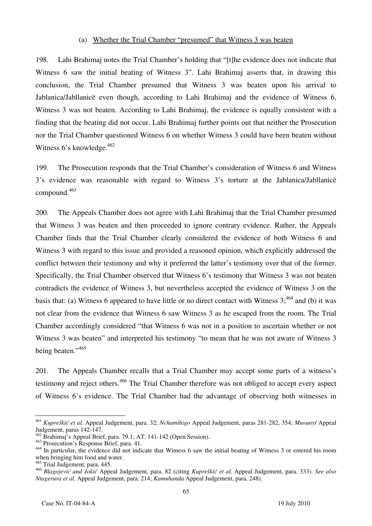#### (a) Whether the Trial Chamber "presumed" that Witness 3 was beaten

198. Lahi Brahimaj notes the Trial Chamber's holding that "[t]he evidence does not indicate that Witness 6 saw the initial beating of Witness 3". Lahi Brahimaj asserts that, in drawing this conclusion, the Trial Chamber presumed that Witness 3 was beaten upon his arrival to Jablanica/Jabllanicë even though, according to Lahi Brahimaj and the evidence of Witness 6, Witness 3 was not beaten. According to Lahi Brahimaj, the evidence is equally consistent with a finding that the beating did not occur. Lahi Brahimaj further points out that neither the Prosecution nor the Trial Chamber questioned Witness 6 on whether Witness 3 could have been beaten without Witness  $6$ 's knowledge.<sup>462</sup>

199. The Prosecution responds that the Trial Chamber's consideration of Witness 6 and Witness 3's evidence was reasonable with regard to Witness 3's torture at the Jablanica/Jabllanicë compound.463

200. The Appeals Chamber does not agree with Lahi Brahimaj that the Trial Chamber presumed that Witness 3 was beaten and then proceeded to ignore contrary evidence. Rather, the Appeals Chamber finds that the Trial Chamber clearly considered the evidence of both Witness 6 and Witness 3 with regard to this issue and provided a reasoned opinion, which explicitly addressed the conflict between their testimony and why it preferred the latter's testimony over that of the former. Specifically, the Trial Chamber observed that Witness 6's testimony that Witness 3 was not beaten contradicts the evidence of Witness 3, but nevertheless accepted the evidence of Witness 3 on the basis that: (a) Witness 6 appeared to have little or no direct contact with Witness 3;<sup>464</sup> and (b) it was not clear from the evidence that Witness 6 saw Witness 3 as he escaped from the room. The Trial Chamber accordingly considered "that Witness 6 was not in a position to ascertain whether or not Witness 3 was beaten" and interpreted his testimony "to mean that he was not aware of Witness 3 being beaten."<sup>465</sup>

201. The Appeals Chamber recalls that a Trial Chamber may accept some parts of a witness's testimony and reject others.<sup>466</sup> The Trial Chamber therefore was not obliged to accept every aspect of Witness 6's evidence. The Trial Chamber had the advantage of observing both witnesses in

<sup>461</sup> *Kupreškić et al.* Appeal Judgement, para. 32; *Nchamihigo* Appeal Judgement, paras 281-282, 354; *Muvunyi* Appeal Judgement, paras 142-147.

<sup>&</sup>lt;sup>462</sup> Brahimaj's Appeal Brief, para. 79.1; AT. 141-142 (Open Session).

<sup>463</sup> Prosecution's Response Brief, para. 41.

<sup>&</sup>lt;sup>464</sup> In particular, the evidence did not indicate that Witness 6 saw the initial beating of Witness 3 or entered his room when bringing him food and water.

<sup>465</sup> Trial Judgement, para. 445.

<sup>466</sup> *Blagojević and Jokić* Appeal Judgement, para. 82 (citing *Kupreškić et al.* Appeal Judgement, para. 333). *See also Ntagerura et al.* Appeal Judgement, para. 214; *Kamuhanda* Appeal Judgement, para. 248).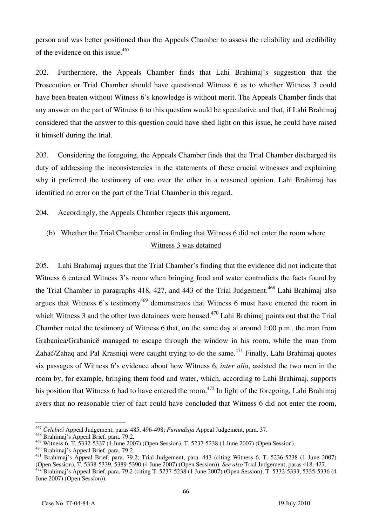person and was better positioned than the Appeals Chamber to assess the reliability and credibility of the evidence on this issue.<sup>467</sup>

202. Furthermore, the Appeals Chamber finds that Lahi Brahimaj's suggestion that the Prosecution or Trial Chamber should have questioned Witness 6 as to whether Witness 3 could have been beaten without Witness 6's knowledge is without merit. The Appeals Chamber finds that any answer on the part of Witness 6 to this question would be speculative and that, if Lahi Brahimaj considered that the answer to this question could have shed light on this issue, he could have raised it himself during the trial.

203. Considering the foregoing, the Appeals Chamber finds that the Trial Chamber discharged its duty of addressing the inconsistencies in the statements of these crucial witnesses and explaining why it preferred the testimony of one over the other in a reasoned opinion. Lahi Brahimaj has identified no error on the part of the Trial Chamber in this regard.

204. Accordingly, the Appeals Chamber rejects this argument.

## (b) Whether the Trial Chamber erred in finding that Witness 6 did not enter the room where Witness 3 was detained

205. Lahi Brahimaj argues that the Trial Chamber's finding that the evidence did not indicate that Witness 6 entered Witness 3's room when bringing food and water contradicts the facts found by the Trial Chamber in paragraphs 418, 427, and 443 of the Trial Judgement.<sup>468</sup> Lahi Brahimaj also argues that Witness 6's testimony<sup>469</sup> demonstrates that Witness 6 must have entered the room in which Witness 3 and the other two detainees were housed.<sup>470</sup> Lahi Brahimaj points out that the Trial Chamber noted the testimony of Witness 6 that, on the same day at around 1:00 p.m., the man from Grabanica/Grabanicë managed to escape through the window in his room, while the man from Zahać/Zahaq and Pal Krasniqi were caught trying to do the same.<sup>471</sup> Finally, Lahi Brahimaj quotes six passages of Witness 6's evidence about how Witness 6, *inter alia*, assisted the two men in the room by, for example, bringing them food and water, which, according to Lahi Brahimaj, supports his position that Witness 6 had to have entered the room.<sup>472</sup> In light of the foregoing, Lahi Brahimaj avers that no reasonable trier of fact could have concluded that Witness 6 did not enter the room,

 $\overline{\phantom{a}}$ <sup>467</sup> *Čelebići* Appeal Judgement, paras 485, 496-498; *Furund`ija* Appeal Judgement, para. 37.

<sup>&</sup>lt;sup>468</sup> Brahimaj's Appeal Brief, para. 79.2.<br><sup>469</sup> Witness 6, T. 5332-5337 (4 June 2007) (Open Session), T. 5237-5238 (1 June 2007) (Open Session).

<sup>&</sup>lt;sup>470</sup> Brahimaj's Appeal Brief, para. 79.2.<br><sup>471</sup> Brahimaj's Appeal Brief, para. 79.2; Trial Judgement, para. 443 (citing Witness 6, T. 5236-5238 (1 June 2007)<br>(Open Session), T. 5338-5339, 5389-5390 (4 June 2007) (Open Se

 $472$  Brahimai's Appeal Brief, para. 79.2 (citing T. 5237-5238 (1 June 2007) (Open Session), T. 5332-5333, 5335-5336 (4 June 2007) (Open Session)).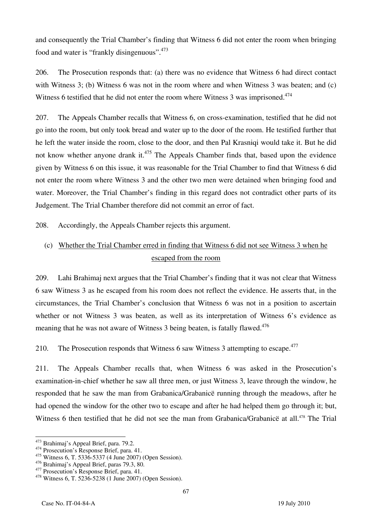and consequently the Trial Chamber's finding that Witness 6 did not enter the room when bringing food and water is "frankly disingenuous".<sup>473</sup>

206. The Prosecution responds that: (a) there was no evidence that Witness 6 had direct contact with Witness 3; (b) Witness 6 was not in the room where and when Witness 3 was beaten; and (c) Witness 6 testified that he did not enter the room where Witness 3 was imprisoned.<sup>474</sup>

207. The Appeals Chamber recalls that Witness 6, on cross-examination, testified that he did not go into the room, but only took bread and water up to the door of the room. He testified further that he left the water inside the room, close to the door, and then Pal Krasniqi would take it. But he did not know whether anyone drank it.<sup>475</sup> The Appeals Chamber finds that, based upon the evidence given by Witness 6 on this issue, it was reasonable for the Trial Chamber to find that Witness 6 did not enter the room where Witness 3 and the other two men were detained when bringing food and water. Moreover, the Trial Chamber's finding in this regard does not contradict other parts of its Judgement. The Trial Chamber therefore did not commit an error of fact.

208. Accordingly, the Appeals Chamber rejects this argument.

## (c) Whether the Trial Chamber erred in finding that Witness 6 did not see Witness 3 when he escaped from the room

209. Lahi Brahimaj next argues that the Trial Chamber's finding that it was not clear that Witness 6 saw Witness 3 as he escaped from his room does not reflect the evidence. He asserts that, in the circumstances, the Trial Chamber's conclusion that Witness 6 was not in a position to ascertain whether or not Witness 3 was beaten, as well as its interpretation of Witness 6's evidence as meaning that he was not aware of Witness 3 being beaten, is fatally flawed.<sup>476</sup>

210. The Prosecution responds that Witness 6 saw Witness 3 attempting to escape.<sup>477</sup>

211. The Appeals Chamber recalls that, when Witness 6 was asked in the Prosecution's examination-in-chief whether he saw all three men, or just Witness 3, leave through the window, he responded that he saw the man from Grabanica/Grabanicë running through the meadows, after he had opened the window for the other two to escape and after he had helped them go through it; but, Witness 6 then testified that he did not see the man from Grabanica/Grabanicë at all.<sup>478</sup> The Trial

<sup>&</sup>lt;sup>473</sup> Brahimaj's Appeal Brief, para. 79.2.

 $474$  Prosecution's Response Brief, para. 41.

<sup>&</sup>lt;sup>475</sup> Witness 6, T. 5336-5337 (4 June 2007) (Open Session).<br><sup>476</sup> Brahimaj's Appeal Brief, paras 79.3, 80.

<sup>&</sup>lt;sup>477</sup> Prosecution's Response Brief, para. 41.<br><sup>478</sup> Witness 6, T. 5236-5238 (1 June 2007) (Open Session).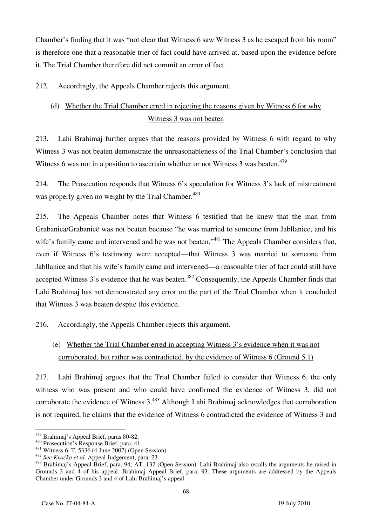Chamber's finding that it was "not clear that Witness 6 saw Witness 3 as he escaped from his room" is therefore one that a reasonable trier of fact could have arrived at, based upon the evidence before it. The Trial Chamber therefore did not commit an error of fact.

212. Accordingly, the Appeals Chamber rejects this argument.

# (d) Whether the Trial Chamber erred in rejecting the reasons given by Witness 6 for why Witness 3 was not beaten

213. Lahi Brahimaj further argues that the reasons provided by Witness 6 with regard to why Witness 3 was not beaten demonstrate the unreasonableness of the Trial Chamber's conclusion that Witness 6 was not in a position to ascertain whether or not Witness 3 was beaten.<sup>479</sup>

214. The Prosecution responds that Witness 6's speculation for Witness 3's lack of mistreatment was properly given no weight by the Trial Chamber.<sup>480</sup>

215. The Appeals Chamber notes that Witness 6 testified that he knew that the man from Grabanica/Grabanicë was not beaten because "he was married to someone from Jabllanice, and his wife's family came and intervened and he was not beaten."<sup>481</sup> The Appeals Chamber considers that, even if Witness 6's testimony were accepted—that Witness 3 was married to someone from Jabllanice and that his wife's family came and intervened—a reasonable trier of fact could still have accepted Witness 3's evidence that he was beaten.<sup>482</sup> Consequently, the Appeals Chamber finds that Lahi Brahimaj has not demonstrated any error on the part of the Trial Chamber when it concluded that Witness 3 was beaten despite this evidence.

216. Accordingly, the Appeals Chamber rejects this argument.

## (e) Whether the Trial Chamber erred in accepting Witness 3's evidence when it was not corroborated, but rather was contradicted, by the evidence of Witness 6 (Ground 5.1)

217. Lahi Brahimaj argues that the Trial Chamber failed to consider that Witness 6, the only witness who was present and who could have confirmed the evidence of Witness 3, did not corroborate the evidence of Witness 3.<sup>483</sup> Although Lahi Brahimaj acknowledges that corroboration is not required, he claims that the evidence of Witness 6 contradicted the evidence of Witness 3 and

<sup>&</sup>lt;sup>479</sup> Brahimaj's Appeal Brief, paras 80-82.

<sup>480</sup> Prosecution's Response Brief, para. 41.<br>
<sup>481</sup> Witness 6, T. 5336 (4 June 2007) (Open Session).<br>
<sup>482</sup> See Kvočka et al. Appeal Judgement, para. 23.<br>
<sup>482</sup> See Kvočka et al. Appeal Judgement, para. 23.<br>
<sup>483</sup> Brahimaj' Grounds 3 and 4 of his appeal. Brahimaj Appeal Brief, para. 93. These arguments are addressed by the Appeals Chamber under Grounds 3 and 4 of Lahi Brahimaj's appeal.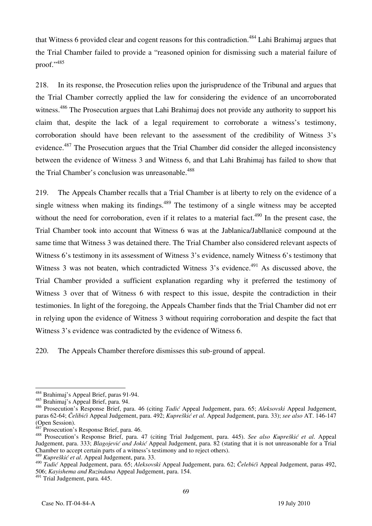that Witness 6 provided clear and cogent reasons for this contradiction.<sup>484</sup> Lahi Brahimaj argues that the Trial Chamber failed to provide a "reasoned opinion for dismissing such a material failure of proof."485

218. In its response, the Prosecution relies upon the jurisprudence of the Tribunal and argues that the Trial Chamber correctly applied the law for considering the evidence of an uncorroborated witness.<sup>486</sup> The Prosecution argues that Lahi Brahimaj does not provide any authority to support his claim that, despite the lack of a legal requirement to corroborate a witness's testimony, corroboration should have been relevant to the assessment of the credibility of Witness 3's evidence.487 The Prosecution argues that the Trial Chamber did consider the alleged inconsistency between the evidence of Witness 3 and Witness 6, and that Lahi Brahimaj has failed to show that the Trial Chamber's conclusion was unreasonable.<sup>488</sup>

219. The Appeals Chamber recalls that a Trial Chamber is at liberty to rely on the evidence of a single witness when making its findings.<sup>489</sup> The testimony of a single witness may be accepted without the need for corroboration, even if it relates to a material fact.<sup>490</sup> In the present case, the Trial Chamber took into account that Witness 6 was at the Jablanica/Jabllanicë compound at the same time that Witness 3 was detained there. The Trial Chamber also considered relevant aspects of Witness 6's testimony in its assessment of Witness 3's evidence, namely Witness 6's testimony that Witness 3 was not beaten, which contradicted Witness  $3$ 's evidence.<sup>491</sup> As discussed above, the Trial Chamber provided a sufficient explanation regarding why it preferred the testimony of Witness 3 over that of Witness 6 with respect to this issue, despite the contradiction in their testimonies. In light of the foregoing, the Appeals Chamber finds that the Trial Chamber did not err in relying upon the evidence of Witness 3 without requiring corroboration and despite the fact that Witness 3's evidence was contradicted by the evidence of Witness 6.

220. The Appeals Chamber therefore dismisses this sub-ground of appeal.

<sup>489</sup> *Kupreškić et al*. Appeal Judgement, para. 33.

 $\overline{a}$ 484 Brahimaj's Appeal Brief, paras 91-94.

<sup>485</sup> Brahimaj's Appeal Brief, para. 94.

<sup>486</sup> Prosecution's Response Brief, para. 46 (citing *Tadić* Appeal Judgement, para. 65; *Aleksovski* Appeal Judgement, paras 62-64; *Čelibići* Appeal Judgement, para. 492; *Kupreškić et al*. Appeal Judgement, para. 33); *see also* AT. 146-147 (Open Session).<br><sup>487</sup> Prosecution's Response Brief, para. 46.

<sup>487</sup> Prosecution's Response Brief, para. 46. 488 Prosecution's Response Brief, para. 47 (citing Trial Judgement, para. 445). *See also Kupreškić et al*. Appeal Judgement, para. 333; *Blagojević and Jokić* Appeal Judgement, para. 82 (stating that it is not unreasonable for a Trial Chamber to accept certain parts of a witness's testimony and to reject others).

<sup>490</sup> *Tadi}* Appeal Judgement, para. 65; *Aleksovski* Appeal Judgement, para. 62; *^elebi}i* Appeal Judgement, paras 492, 506; *Kayishema and Ruzindana* Appeal Judgement, para. 154.

<sup>491</sup> Trial Judgement, para. 445.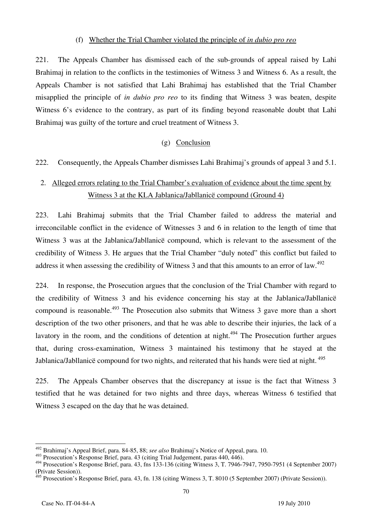#### (f) Whether the Trial Chamber violated the principle of *in dubio pro reo*

221. The Appeals Chamber has dismissed each of the sub-grounds of appeal raised by Lahi Brahimaj in relation to the conflicts in the testimonies of Witness 3 and Witness 6. As a result, the Appeals Chamber is not satisfied that Lahi Brahimaj has established that the Trial Chamber misapplied the principle of *in dubio pro reo* to its finding that Witness 3 was beaten, despite Witness 6's evidence to the contrary, as part of its finding beyond reasonable doubt that Lahi Brahimaj was guilty of the torture and cruel treatment of Witness 3.

#### (g) Conclusion

222. Consequently, the Appeals Chamber dismisses Lahi Brahimaj's grounds of appeal 3 and 5.1.

## 2. Alleged errors relating to the Trial Chamber's evaluation of evidence about the time spent by Witness 3 at the KLA Jablanica/Jabllanicë compound (Ground 4)

223. Lahi Brahimaj submits that the Trial Chamber failed to address the material and irreconcilable conflict in the evidence of Witnesses 3 and 6 in relation to the length of time that Witness 3 was at the Jablanica/Jabllanicë compound, which is relevant to the assessment of the credibility of Witness 3. He argues that the Trial Chamber "duly noted" this conflict but failed to address it when assessing the credibility of Witness 3 and that this amounts to an error of law.<sup>492</sup>

224. In response, the Prosecution argues that the conclusion of the Trial Chamber with regard to the credibility of Witness 3 and his evidence concerning his stay at the Jablanica/Jabllanicë compound is reasonable.<sup>493</sup> The Prosecution also submits that Witness 3 gave more than a short description of the two other prisoners, and that he was able to describe their injuries, the lack of a lavatory in the room, and the conditions of detention at night.<sup>494</sup> The Prosecution further argues that, during cross-examination, Witness 3 maintained his testimony that he stayed at the Jablanica/Jabllanicë compound for two nights, and reiterated that his hands were tied at night. <sup>495</sup>

225. The Appeals Chamber observes that the discrepancy at issue is the fact that Witness 3 testified that he was detained for two nights and three days, whereas Witness 6 testified that Witness 3 escaped on the day that he was detained.

 $\overline{a}$ 492 Brahimaj's Appeal Brief, para. 84-85, 88; *see also* Brahimaj's Notice of Appeal, para. 10.

<sup>493</sup> Prosecution's Response Brief, para. 43 (citing Trial Judgement, paras 440, 446).

 $^{494}$  Prosecution's Response Brief, para. 43, fns 133-136 (citing Witness 3, T. 7946-7947, 7950-7951 (4 September 2007) (Private Session)).

 $495$  Prosecution's Response Brief, para. 43, fn. 138 (citing Witness 3, T. 8010 (5 September 2007) (Private Session)).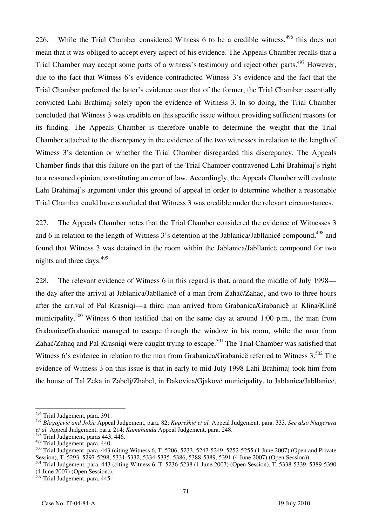226. While the Trial Chamber considered Witness 6 to be a credible witness,  $496$  this does not mean that it was obliged to accept every aspect of his evidence. The Appeals Chamber recalls that a Trial Chamber may accept some parts of a witness's testimony and reject other parts.<sup>497</sup> However, due to the fact that Witness 6's evidence contradicted Witness 3's evidence and the fact that the Trial Chamber preferred the latter's evidence over that of the former, the Trial Chamber essentially convicted Lahi Brahimaj solely upon the evidence of Witness 3. In so doing, the Trial Chamber concluded that Witness 3 was credible on this specific issue without providing sufficient reasons for its finding. The Appeals Chamber is therefore unable to determine the weight that the Trial Chamber attached to the discrepancy in the evidence of the two witnesses in relation to the length of Witness 3's detention or whether the Trial Chamber disregarded this discrepancy. The Appeals Chamber finds that this failure on the part of the Trial Chamber contravened Lahi Brahimaj's right to a reasoned opinion, constituting an error of law. Accordingly, the Appeals Chamber will evaluate Lahi Brahimaj's argument under this ground of appeal in order to determine whether a reasonable Trial Chamber could have concluded that Witness 3 was credible under the relevant circumstances.

227. The Appeals Chamber notes that the Trial Chamber considered the evidence of Witnesses 3 and 6 in relation to the length of Witness 3's detention at the Jablanica/Jabllanicë compound,<sup>498</sup> and found that Witness 3 was detained in the room within the Jablanica/Jabllanicë compound for two nights and three days.<sup>499</sup>

228. The relevant evidence of Witness 6 in this regard is that, around the middle of July 1998 the day after the arrival at Jablanica/Jabllanicë of a man from Zahać/Zahaq, and two to three hours after the arrival of Pal Krasniqi—a third man arrived from Grabanica/Grabanicë in Klina/Klinë municipality.<sup>500</sup> Witness 6 then testified that on the same day at around 1:00 p.m., the man from Grabanica/Grabanicë managed to escape through the window in his room, while the man from Zahać/Zahaq and Pal Krasniqi were caught trying to escape.<sup>501</sup> The Trial Chamber was satisfied that Witness 6's evidence in relation to the man from Grabanica/Grabanice referred to Witness 3.<sup>502</sup> The evidence of Witness 3 on this issue is that in early to mid-July 1998 Lahi Brahimaj took him from the house of Tal Zeka in Zabelj/Zhabel, in Ðakovica/Gjakovë municipality, to Jablanica/Jabllanicë,

<sup>&</sup>lt;sup>496</sup> Trial Judgement, para. 391.

<sup>497</sup> *Blagojević and Jokić* Appeal Judgement, para. 82; *Kupreškić et al.* Appeal Judgement, para. 333. *See also Ntagerura et al.* Appeal Judgement, para. 214; *Kamuhanda* Appeal Judgement, para. 248.

<sup>498</sup> Trial Judgement, paras 443, 446.

<sup>499</sup> Trial Judgement, para. 440.

 $\frac{500}{2}$  Trial Judgement, para. 443 (citing Witness 6, T. 5206, 5233, 5247-5249, 5252-5255 (1 June 2007) (Open and Private Session), T. 5293, 5297-5298, 5331-5332, 5334-5335, 5386, 5388-5389, 5391 (4 June 2007) (Open Session)).

<sup>501</sup> Trial Judgement, para. 443 (citing Witness 6, T. 5236-5238 (1 June 2007) (Open Session), T. 5338-5339, 5389-5390  $(4 \text{ June } 2007)$  (Open Session)).

 $502$  Trial Judgement, para. 445.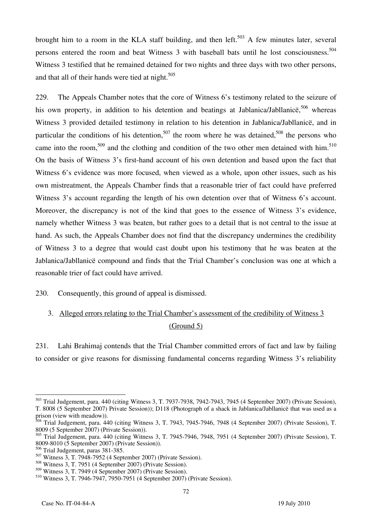brought him to a room in the KLA staff building, and then left.<sup>503</sup> A few minutes later, several persons entered the room and beat Witness 3 with baseball bats until he lost consciousness.<sup>504</sup> Witness 3 testified that he remained detained for two nights and three days with two other persons, and that all of their hands were tied at night.<sup>505</sup>

229. The Appeals Chamber notes that the core of Witness 6's testimony related to the seizure of his own property, in addition to his detention and beatings at Jablanica/Jabllanice,  $506$  whereas Witness 3 provided detailed testimony in relation to his detention in Jablanica/Jabllanicë, and in particular the conditions of his detention,<sup>507</sup> the room where he was detained,<sup>508</sup> the persons who came into the room,<sup>509</sup> and the clothing and condition of the two other men detained with him.<sup>510</sup> On the basis of Witness 3's first-hand account of his own detention and based upon the fact that Witness 6's evidence was more focused, when viewed as a whole, upon other issues, such as his own mistreatment, the Appeals Chamber finds that a reasonable trier of fact could have preferred Witness 3's account regarding the length of his own detention over that of Witness 6's account. Moreover, the discrepancy is not of the kind that goes to the essence of Witness 3's evidence, namely whether Witness 3 was beaten, but rather goes to a detail that is not central to the issue at hand. As such, the Appeals Chamber does not find that the discrepancy undermines the credibility of Witness 3 to a degree that would cast doubt upon his testimony that he was beaten at the Jablanica/Jabllanicë compound and finds that the Trial Chamber's conclusion was one at which a reasonable trier of fact could have arrived.

230. Consequently, this ground of appeal is dismissed.

## 3. Alleged errors relating to the Trial Chamber's assessment of the credibility of Witness 3 (Ground 5)

231. Lahi Brahimaj contends that the Trial Chamber committed errors of fact and law by failing to consider or give reasons for dismissing fundamental concerns regarding Witness 3's reliability

 $\overline{a}$ <sup>503</sup> Trial Judgement, para. 440 (citing Witness 3, T. 7937-7938, 7942-7943, 7945 (4 September 2007) (Private Session), T. 8008 (5 September 2007) Private Session)); D118 (Photograph of a shack in Jablanica/Jabllanicë that was used as a prison (view with meadow)).

<sup>&</sup>lt;sup>504</sup> Trial Judgement, para. 440 (citing Witness 3, T. 7943, 7945-7946, 7948 (4 September 2007) (Private Session), T. 8009 (5 September 2007) (Private Session)).

 $505$  Trial Judgement, para. 440 (citing Witness 3, T. 7945-7946, 7948, 7951 (4 September 2007) (Private Session), T. 8009-8010 (5 September 2007) (Private Session)).

<sup>506</sup> Trial Judgement, paras 381-385.

 $507$  Witness 3, T. 7948-7952 (4 September 2007) (Private Session).

<sup>508</sup> Witness 3, T. 7951 (4 September 2007) (Private Session).

<sup>509</sup> Witness 3, T. 7949 (4 September 2007) (Private Session).

<sup>510</sup> Witness 3, T. 7946-7947, 7950-7951 (4 September 2007) (Private Session).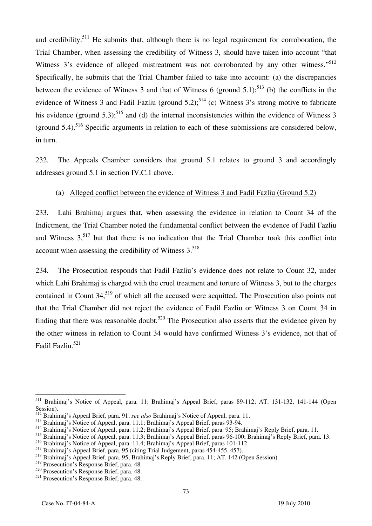and credibility.<sup>511</sup> He submits that, although there is no legal requirement for corroboration, the Trial Chamber, when assessing the credibility of Witness 3, should have taken into account "that Witness 3's evidence of alleged mistreatment was not corroborated by any other witness."<sup>512</sup> Specifically, he submits that the Trial Chamber failed to take into account: (a) the discrepancies between the evidence of Witness 3 and that of Witness 6 (ground  $5.1$ );<sup>513</sup> (b) the conflicts in the evidence of Witness 3 and Fadil Fazliu (ground 5.2);<sup>514</sup> (c) Witness 3's strong motive to fabricate his evidence (ground 5.3);<sup>515</sup> and (d) the internal inconsistencies within the evidence of Witness 3 (ground  $5.4$ ).<sup>516</sup> Specific arguments in relation to each of these submissions are considered below. in turn.

232. The Appeals Chamber considers that ground 5.1 relates to ground 3 and accordingly addresses ground 5.1 in section IV.C.1 above.

#### (a) Alleged conflict between the evidence of Witness 3 and Fadil Fazliu (Ground 5.2)

233. Lahi Brahimaj argues that, when assessing the evidence in relation to Count 34 of the Indictment, the Trial Chamber noted the fundamental conflict between the evidence of Fadil Fazliu and Witness  $3<sub>517</sub>$  but that there is no indication that the Trial Chamber took this conflict into account when assessing the credibility of Witness  $3.518$ 

234. The Prosecution responds that Fadil Fazliu's evidence does not relate to Count 32, under which Lahi Brahimaj is charged with the cruel treatment and torture of Witness 3, but to the charges contained in Count 34,<sup>519</sup> of which all the accused were acquitted. The Prosecution also points out that the Trial Chamber did not reject the evidence of Fadil Fazliu or Witness 3 on Count 34 in finding that there was reasonable doubt.<sup>520</sup> The Prosecution also asserts that the evidence given by the other witness in relation to Count 34 would have confirmed Witness 3's evidence, not that of Fadil Fazliu.521

 $\overline{a}$ 511 Brahimaj's Notice of Appeal, para. 11; Brahimaj's Appeal Brief, paras 89-112; AT. 131-132, 141-144 (Open Session).

<sup>512</sup> Brahimaj's Appeal Brief, para. 91; *see also* Brahimaj's Notice of Appeal, para. 11.

<sup>513</sup> Brahimaj's Notice of Appeal, para. 11.1; Brahimaj's Appeal Brief, paras 93-94.

<sup>514</sup> Brahimaj's Notice of Appeal, para. 11.2; Brahimaj's Appeal Brief, para. 95; Brahimaj's Reply Brief, para. 11.

<sup>515</sup> Brahimaj's Notice of Appeal, para. 11.3; Brahimaj's Appeal Brief, paras 96-100; Brahimaj's Reply Brief, para. 13.

<sup>516</sup> Brahimaj's Notice of Appeal, para. 11.4; Brahimaj's Appeal Brief, paras 101-112.

<sup>517</sup> Brahimaj's Appeal Brief, para. 95 (citing Trial Judgement, paras 454-455, 457).

<sup>518</sup> Brahimaj's Appeal Brief, para. 95; Brahimaj's Reply Brief, para. 11; AT. 142 (Open Session).

<sup>519</sup> Prosecution's Response Brief, para. 48.

<sup>520</sup> Prosecution's Response Brief, para. 48.

 $521$  Prosecution's Response Brief, para. 48.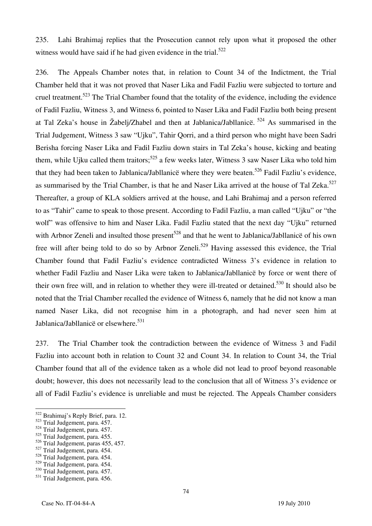235. Lahi Brahimaj replies that the Prosecution cannot rely upon what it proposed the other witness would have said if he had given evidence in the trial.<sup>522</sup>

236. The Appeals Chamber notes that, in relation to Count 34 of the Indictment, the Trial Chamber held that it was not proved that Naser Lika and Fadil Fazliu were subjected to torture and cruel treatment.<sup>523</sup> The Trial Chamber found that the totality of the evidence, including the evidence of Fadil Fazliu, Witness 3, and Witness 6, pointed to Naser Lika and Fadil Fazliu both being present at Tal Zeka's house in Žabelj/Zhabel and then at Jablanica/Jabllanice.  $524$  As summarised in the Trial Judgement, Witness 3 saw "Ujku", Tahir Qorri, and a third person who might have been Sadri Berisha forcing Naser Lika and Fadil Fazliu down stairs in Tal Zeka's house, kicking and beating them, while Ujku called them traitors;<sup>525</sup> a few weeks later, Witness 3 saw Naser Lika who told him that they had been taken to Jablanica/Jabllanice where they were beaten.<sup>526</sup> Fadil Fazliu's evidence, as summarised by the Trial Chamber, is that he and Naser Lika arrived at the house of Tal Zeka.<sup>527</sup> Thereafter, a group of KLA soldiers arrived at the house, and Lahi Brahimaj and a person referred to as "Tahir" came to speak to those present. According to Fadil Fazliu, a man called "Ujku" or "the wolf" was offensive to him and Naser Lika. Fadil Fazliu stated that the next day "Ujku" returned with Arbnor Zeneli and insulted those present<sup>528</sup> and that he went to Jablanica/Jabllanice of his own free will after being told to do so by Arbnor Zeneli.<sup>529</sup> Having assessed this evidence, the Trial Chamber found that Fadil Fazliu's evidence contradicted Witness 3's evidence in relation to whether Fadil Fazliu and Naser Lika were taken to Jablanica/Jabllanicë by force or went there of their own free will, and in relation to whether they were ill-treated or detained.530 It should also be noted that the Trial Chamber recalled the evidence of Witness 6, namely that he did not know a man named Naser Lika, did not recognise him in a photograph, and had never seen him at Jablanica/Jabllanicë or elsewhere.<sup>531</sup>

237. The Trial Chamber took the contradiction between the evidence of Witness 3 and Fadil Fazliu into account both in relation to Count 32 and Count 34. In relation to Count 34, the Trial Chamber found that all of the evidence taken as a whole did not lead to proof beyond reasonable doubt; however, this does not necessarily lead to the conclusion that all of Witness 3's evidence or all of Fadil Fazliu's evidence is unreliable and must be rejected. The Appeals Chamber considers

- $526$  Trial Judgement, paras 455, 457.
- 527 Trial Judgement, para. 454.
- 528 Trial Judgement, para. 454.
- 529 Trial Judgement, para. 454.

<sup>522</sup> Brahimaj's Reply Brief, para. 12.

<sup>523</sup> Trial Judgement, para. 457.

<sup>&</sup>lt;sup>524</sup> Trial Judgement, para. 457.

<sup>525</sup> Trial Judgement, para. 455.

<sup>530</sup> Trial Judgement, para. 457.

<sup>&</sup>lt;sup>531</sup> Trial Judgement, para. 456.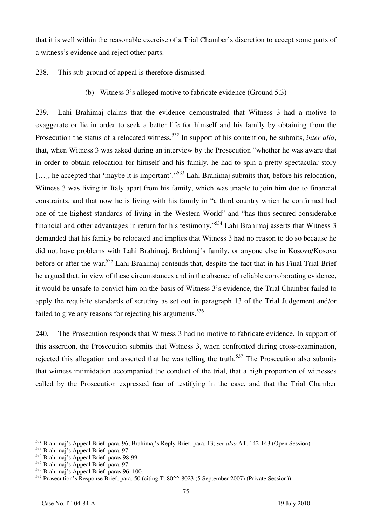that it is well within the reasonable exercise of a Trial Chamber's discretion to accept some parts of a witness's evidence and reject other parts.

238. This sub-ground of appeal is therefore dismissed.

(b) Witness 3's alleged motive to fabricate evidence (Ground 5.3)

239. Lahi Brahimaj claims that the evidence demonstrated that Witness 3 had a motive to exaggerate or lie in order to seek a better life for himself and his family by obtaining from the Prosecution the status of a relocated witness.<sup>532</sup> In support of his contention, he submits, *inter alia*, that, when Witness 3 was asked during an interview by the Prosecution "whether he was aware that in order to obtain relocation for himself and his family, he had to spin a pretty spectacular story [...], he accepted that 'maybe it is important'."<sup>533</sup> Lahi Brahimaj submits that, before his relocation, Witness 3 was living in Italy apart from his family, which was unable to join him due to financial constraints, and that now he is living with his family in "a third country which he confirmed had one of the highest standards of living in the Western World" and "has thus secured considerable financial and other advantages in return for his testimony."534 Lahi Brahimaj asserts that Witness 3 demanded that his family be relocated and implies that Witness 3 had no reason to do so because he did not have problems with Lahi Brahimaj, Brahimaj's family, or anyone else in Kosovo/Kosova before or after the war.<sup>535</sup> Lahi Brahimaj contends that, despite the fact that in his Final Trial Brief he argued that, in view of these circumstances and in the absence of reliable corroborating evidence, it would be unsafe to convict him on the basis of Witness 3's evidence, the Trial Chamber failed to apply the requisite standards of scrutiny as set out in paragraph 13 of the Trial Judgement and/or failed to give any reasons for rejecting his arguments.<sup>536</sup>

240. The Prosecution responds that Witness 3 had no motive to fabricate evidence. In support of this assertion, the Prosecution submits that Witness 3, when confronted during cross-examination, rejected this allegation and asserted that he was telling the truth.<sup>537</sup> The Prosecution also submits that witness intimidation accompanied the conduct of the trial, that a high proportion of witnesses called by the Prosecution expressed fear of testifying in the case, and that the Trial Chamber

 $\overline{a}$ 532 Brahimaj's Appeal Brief, para. 96; Brahimaj's Reply Brief, para. 13; *see also* AT. 142-143 (Open Session).

<sup>533</sup> Brahimaj's Appeal Brief, para. 97.

 $534$  Brahimaj's Appeal Brief, paras 98-99.

<sup>535</sup> Brahimaj's Appeal Brief, para. 97.

 $536$  Brahimaj's Appeal Brief, paras 96, 100.

<sup>537</sup> Prosecution's Response Brief, para. 50 (citing T. 8022-8023 (5 September 2007) (Private Session)).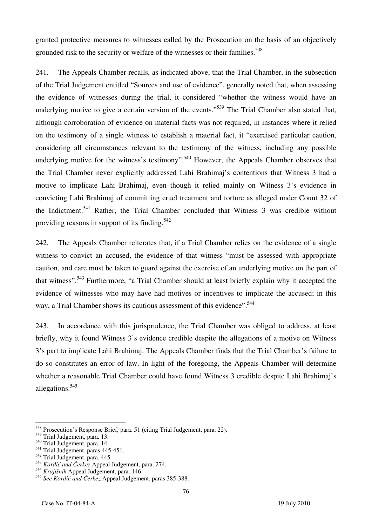granted protective measures to witnesses called by the Prosecution on the basis of an objectively grounded risk to the security or welfare of the witnesses or their families.<sup>538</sup>

241. The Appeals Chamber recalls, as indicated above, that the Trial Chamber, in the subsection of the Trial Judgement entitled "Sources and use of evidence", generally noted that, when assessing the evidence of witnesses during the trial, it considered "whether the witness would have an underlying motive to give a certain version of the events."<sup>539</sup> The Trial Chamber also stated that, although corroboration of evidence on material facts was not required, in instances where it relied on the testimony of a single witness to establish a material fact, it "exercised particular caution, considering all circumstances relevant to the testimony of the witness, including any possible underlying motive for the witness's testimony".<sup>540</sup> However, the Appeals Chamber observes that the Trial Chamber never explicitly addressed Lahi Brahimaj's contentions that Witness 3 had a motive to implicate Lahi Brahimaj, even though it relied mainly on Witness 3's evidence in convicting Lahi Brahimaj of committing cruel treatment and torture as alleged under Count 32 of the Indictment.<sup>541</sup> Rather, the Trial Chamber concluded that Witness 3 was credible without providing reasons in support of its finding.<sup>542</sup>

242. The Appeals Chamber reiterates that, if a Trial Chamber relies on the evidence of a single witness to convict an accused, the evidence of that witness "must be assessed with appropriate caution, and care must be taken to guard against the exercise of an underlying motive on the part of that witness".543 Furthermore, "a Trial Chamber should at least briefly explain why it accepted the evidence of witnesses who may have had motives or incentives to implicate the accused; in this way, a Trial Chamber shows its cautious assessment of this evidence".<sup>544</sup>

243. In accordance with this jurisprudence, the Trial Chamber was obliged to address, at least briefly, why it found Witness 3's evidence credible despite the allegations of a motive on Witness 3's part to implicate Lahi Brahimaj. The Appeals Chamber finds that the Trial Chamber's failure to do so constitutes an error of law. In light of the foregoing, the Appeals Chamber will determine whether a reasonable Trial Chamber could have found Witness 3 credible despite Lahi Brahimaj's allegations.545

<sup>&</sup>lt;sup>538</sup> Prosecution's Response Brief, para. 51 (citing Trial Judgement, para. 22).

<sup>539</sup> Trial Judgement, para. 13.

<sup>540</sup> Trial Judgement, para. 14.

 $541$  Trial Judgement, paras 445-451.

<sup>&</sup>lt;sup>542</sup> Trial Judgement, para. 445.

<sup>543</sup> *Kordić and Čerkez* Appeal Judgement, para. 274.

<sup>544</sup> *Krajišnik* Appeal Judgement, para. 146.

<sup>545</sup> *See Kordić and Čerkez* Appeal Judgement, paras 385-388.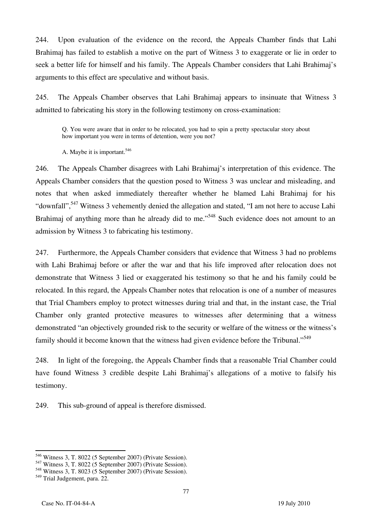244. Upon evaluation of the evidence on the record, the Appeals Chamber finds that Lahi Brahimaj has failed to establish a motive on the part of Witness 3 to exaggerate or lie in order to seek a better life for himself and his family. The Appeals Chamber considers that Lahi Brahimaj's arguments to this effect are speculative and without basis.

245. The Appeals Chamber observes that Lahi Brahimaj appears to insinuate that Witness 3 admitted to fabricating his story in the following testimony on cross-examination:

Q. You were aware that in order to be relocated, you had to spin a pretty spectacular story about how important you were in terms of detention, were you not?

A. Maybe it is important.<sup>546</sup>

246. The Appeals Chamber disagrees with Lahi Brahimaj's interpretation of this evidence. The Appeals Chamber considers that the question posed to Witness 3 was unclear and misleading, and notes that when asked immediately thereafter whether he blamed Lahi Brahimaj for his "downfall",<sup>547</sup> Witness 3 vehemently denied the allegation and stated, "I am not here to accuse Lahi Brahimaj of anything more than he already did to me."<sup>548</sup> Such evidence does not amount to an admission by Witness 3 to fabricating his testimony.

247. Furthermore, the Appeals Chamber considers that evidence that Witness 3 had no problems with Lahi Brahimaj before or after the war and that his life improved after relocation does not demonstrate that Witness 3 lied or exaggerated his testimony so that he and his family could be relocated. In this regard, the Appeals Chamber notes that relocation is one of a number of measures that Trial Chambers employ to protect witnesses during trial and that, in the instant case, the Trial Chamber only granted protective measures to witnesses after determining that a witness demonstrated "an objectively grounded risk to the security or welfare of the witness or the witness's family should it become known that the witness had given evidence before the Tribunal."<sup>549</sup>

248. In light of the foregoing, the Appeals Chamber finds that a reasonable Trial Chamber could have found Witness 3 credible despite Lahi Brahimaj's allegations of a motive to falsify his testimony.

249. This sub-ground of appeal is therefore dismissed.

 $^{546}$  Witness 3, T. 8022 (5 September 2007) (Private Session).

<sup>547</sup> Witness 3, T. 8022 (5 September 2007) (Private Session).

<sup>548</sup> Witness 3, T. 8023 (5 September 2007) (Private Session).

<sup>&</sup>lt;sup>549</sup> Trial Judgement, para. 22.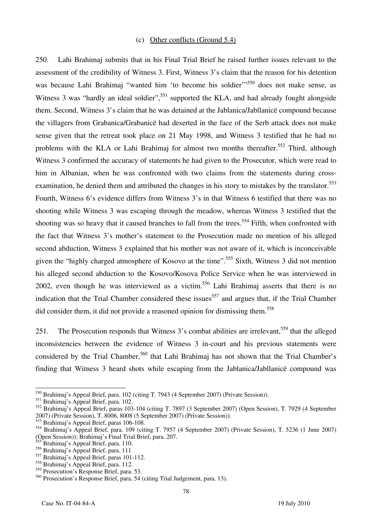#### (c) Other conflicts (Ground 5.4)

250. Lahi Brahimaj submits that in his Final Trial Brief he raised further issues relevant to the assessment of the credibility of Witness 3. First, Witness 3's claim that the reason for his detention was because Lahi Brahimaj "wanted him 'to become his soldier"<sup>550</sup> does not make sense, as Witness 3 was "hardly an ideal soldier",  $551$  supported the KLA, and had already fought alongside them. Second, Witness 3's claim that he was detained at the Jablanica/Jabllanicë compound because the villagers from Grabanica/Grabanicë had deserted in the face of the Serb attack does not make sense given that the retreat took place on 21 May 1998, and Witness 3 testified that he had no problems with the KLA or Lahi Brahimai for almost two months thereafter.<sup>552</sup> Third, although Witness 3 confirmed the accuracy of statements he had given to the Prosecutor, which were read to him in Albanian, when he was confronted with two claims from the statements during crossexamination, he denied them and attributed the changes in his story to mistakes by the translator.<sup>553</sup> Fourth, Witness 6's evidence differs from Witness 3's in that Witness 6 testified that there was no shooting while Witness 3 was escaping through the meadow, whereas Witness 3 testified that the shooting was so heavy that it caused branches to fall from the trees.<sup>554</sup> Fifth, when confronted with the fact that Witness 3's mother's statement to the Prosecution made no mention of his alleged second abduction, Witness 3 explained that his mother was not aware of it, which is inconceivable given the "highly charged atmosphere of Kosovo at the time".<sup>555</sup> Sixth, Witness 3 did not mention his alleged second abduction to the Kosovo/Kosova Police Service when he was interviewed in 2002, even though he was interviewed as a victim.<sup>556</sup> Lahi Brahimaj asserts that there is no indication that the Trial Chamber considered these issues<sup>557</sup> and argues that, if the Trial Chamber did consider them, it did not provide a reasoned opinion for dismissing them.<sup>558</sup>

251. The Prosecution responds that Witness 3's combat abilities are irrelevant.<sup>559</sup> that the alleged inconsistencies between the evidence of Witness 3 in-court and his previous statements were considered by the Trial Chamber,<sup>560</sup> that Lahi Brahimaj has not shown that the Trial Chamber's finding that Witness 3 heard shots while escaping from the Jablanica/Jabllanicë compound was

<sup>550</sup> Brahimaj's Appeal Brief, para. 102 (citing T. 7943 (4 September 2007) (Private Session)).

<sup>551</sup> Brahimaj's Appeal Brief, para. 102.

<sup>552</sup> Brahimaj's Appeal Brief, paras 103-104 (citing T. 7897 (3 September 2007) (Open Session), T. 7929 (4 September 2007) (Private Session), T. 8006, 8008 (5 September 2007) (Private Session)).

<sup>553</sup> Brahimaj's Appeal Brief, paras 106-108.

<sup>554</sup> Brahimaj's Appeal Brief, para. 109 (citing T. 7957 (4 September 2007) (Private Session), T. 5236 (1 June 2007) (Open Session)); Brahimaj's Final Trial Brief, para. 207.

Brahimaj's Appeal Brief, para. 110.

<sup>556</sup> Brahimaj's Appeal Brief, para. 111

 $557$  Brahimaj's Appeal Brief, paras 101-112.

<sup>558</sup> Brahimaj's Appeal Brief, para. 112.

<sup>559</sup> Prosecution's Response Brief, para. 53.

<sup>560</sup> Prosecution's Response Brief, para. 54 (citing Trial Judgement, para. 13).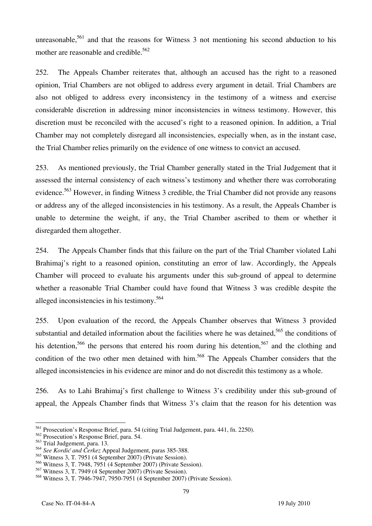unreasonable,<sup>561</sup> and that the reasons for Witness 3 not mentioning his second abduction to his mother are reasonable and credible. $562$ 

252. The Appeals Chamber reiterates that, although an accused has the right to a reasoned opinion, Trial Chambers are not obliged to address every argument in detail. Trial Chambers are also not obliged to address every inconsistency in the testimony of a witness and exercise considerable discretion in addressing minor inconsistencies in witness testimony. However, this discretion must be reconciled with the accused's right to a reasoned opinion. In addition, a Trial Chamber may not completely disregard all inconsistencies, especially when, as in the instant case, the Trial Chamber relies primarily on the evidence of one witness to convict an accused.

253. As mentioned previously, the Trial Chamber generally stated in the Trial Judgement that it assessed the internal consistency of each witness's testimony and whether there was corroborating evidence.<sup>563</sup> However, in finding Witness 3 credible, the Trial Chamber did not provide any reasons or address any of the alleged inconsistencies in his testimony. As a result, the Appeals Chamber is unable to determine the weight, if any, the Trial Chamber ascribed to them or whether it disregarded them altogether.

254. The Appeals Chamber finds that this failure on the part of the Trial Chamber violated Lahi Brahimaj's right to a reasoned opinion, constituting an error of law. Accordingly, the Appeals Chamber will proceed to evaluate his arguments under this sub-ground of appeal to determine whether a reasonable Trial Chamber could have found that Witness 3 was credible despite the alleged inconsistencies in his testimony.<sup>564</sup>

255. Upon evaluation of the record, the Appeals Chamber observes that Witness 3 provided substantial and detailed information about the facilities where he was detained,<sup>565</sup> the conditions of his detention,<sup>566</sup> the persons that entered his room during his detention,<sup>567</sup> and the clothing and condition of the two other men detained with him.<sup>568</sup> The Appeals Chamber considers that the alleged inconsistencies in his evidence are minor and do not discredit this testimony as a whole.

256. As to Lahi Brahimaj's first challenge to Witness 3's credibility under this sub-ground of appeal, the Appeals Chamber finds that Witness 3's claim that the reason for his detention was

79

 $\overline{a}$ <sup>561</sup> Prosecution's Response Brief, para. 54 (citing Trial Judgement, para. 441, fn. 2250).

<sup>562</sup> Prosecution's Response Brief, para. 54.

<sup>563</sup> Trial Judgement, para. 13.

<sup>564</sup> *See Kordić and Čerkez* Appeal Judgement, paras 385-388.

<sup>565</sup> Witness 3, T. 7951 (4 September 2007) (Private Session).

<sup>566</sup> Witness 3, T. 7948, 7951 (4 September 2007) (Private Session).

<sup>567</sup> Witness 3, T. 7949 (4 September 2007) (Private Session).

<sup>568</sup> Witness 3, T. 7946-7947, 7950-7951 (4 September 2007) (Private Session).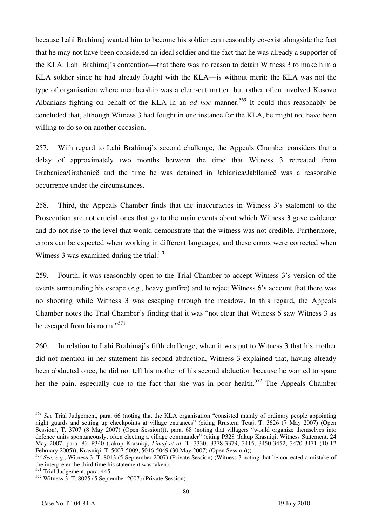because Lahi Brahimaj wanted him to become his soldier can reasonably co-exist alongside the fact that he may not have been considered an ideal soldier and the fact that he was already a supporter of the KLA. Lahi Brahimaj's contention—that there was no reason to detain Witness 3 to make him a KLA soldier since he had already fought with the KLA—is without merit: the KLA was not the type of organisation where membership was a clear-cut matter, but rather often involved Kosovo Albanians fighting on behalf of the KLA in an *ad hoc* manner.<sup>569</sup> It could thus reasonably be concluded that, although Witness 3 had fought in one instance for the KLA, he might not have been willing to do so on another occasion.

257. With regard to Lahi Brahimaj's second challenge, the Appeals Chamber considers that a delay of approximately two months between the time that Witness 3 retreated from Grabanica/Grabanicë and the time he was detained in Jablanica/Jabllanicë was a reasonable occurrence under the circumstances.

258. Third, the Appeals Chamber finds that the inaccuracies in Witness 3's statement to the Prosecution are not crucial ones that go to the main events about which Witness 3 gave evidence and do not rise to the level that would demonstrate that the witness was not credible. Furthermore, errors can be expected when working in different languages, and these errors were corrected when Witness 3 was examined during the trial. $570$ 

259. Fourth, it was reasonably open to the Trial Chamber to accept Witness 3's version of the events surrounding his escape (*e.g.*, heavy gunfire) and to reject Witness 6's account that there was no shooting while Witness 3 was escaping through the meadow. In this regard, the Appeals Chamber notes the Trial Chamber's finding that it was "not clear that Witness 6 saw Witness 3 as he escaped from his room."571

260. In relation to Lahi Brahimaj's fifth challenge, when it was put to Witness 3 that his mother did not mention in her statement his second abduction, Witness 3 explained that, having already been abducted once, he did not tell his mother of his second abduction because he wanted to spare her the pain, especially due to the fact that she was in poor health.<sup>572</sup> The Appeals Chamber

<sup>569</sup> *See* Trial Judgement, para. 66 (noting that the KLA organisation "consisted mainly of ordinary people appointing night guards and setting up checkpoints at village entrances" (citing Rrustem Tetaj, T. 3626 (7 May 2007) (Open Session), T. 3707 (8 May 2007) (Open Session))), para. 68 (noting that villagers "would organize themselves into defence units spontaneously, often electing a village commander" (citing P328 (Jakup Krasniqi, Witness Statement, 24 May 2007, para. 8); P340 (Jakup Krasniqi, *Limaj et al.* T. 3330, 3378-3379, 3415, 3450-3452, 3470-3471 (10-12 February 2005)); Krasniqi, T. 5007-5009, 5046-5049 (30 May 2007) (Open Session))).

<sup>570</sup> *See, e.g.*, Witness 3, T. 8013 (5 September 2007) (Private Session) (Witness 3 noting that he corrected a mistake of the interpreter the third time his statement was taken).

<sup>571</sup> Trial Judgement, para. 445.

 $572$  Witness 3, T. 8025 (5 September 2007) (Private Session).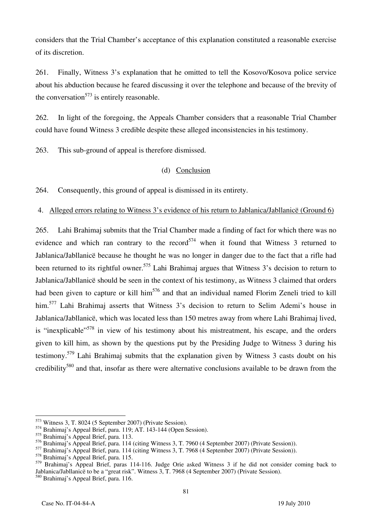considers that the Trial Chamber's acceptance of this explanation constituted a reasonable exercise of its discretion.

261. Finally, Witness 3's explanation that he omitted to tell the Kosovo/Kosova police service about his abduction because he feared discussing it over the telephone and because of the brevity of the conversation<sup>573</sup> is entirely reasonable.

262. In light of the foregoing, the Appeals Chamber considers that a reasonable Trial Chamber could have found Witness 3 credible despite these alleged inconsistencies in his testimony.

263. This sub-ground of appeal is therefore dismissed.

### (d) Conclusion

264. Consequently, this ground of appeal is dismissed in its entirety.

#### 4. Alleged errors relating to Witness 3's evidence of his return to Jablanica/Jabllanicë (Ground 6)

265. Lahi Brahimaj submits that the Trial Chamber made a finding of fact for which there was no evidence and which ran contrary to the record<sup>574</sup> when it found that Witness 3 returned to Jablanica/Jabllanicë because he thought he was no longer in danger due to the fact that a rifle had been returned to its rightful owner.<sup>575</sup> Lahi Brahimaj argues that Witness 3's decision to return to Jablanica/Jabllanicë should be seen in the context of his testimony, as Witness 3 claimed that orders had been given to capture or kill him<sup>576</sup> and that an individual named Florim Zeneli tried to kill him.<sup>577</sup> Lahi Brahimaj asserts that Witness 3's decision to return to Selim Ademi's house in Jablanica/Jabllanicë, which was located less than 150 metres away from where Lahi Brahimaj lived, is "inexplicable"<sup>578</sup> in view of his testimony about his mistreatment, his escape, and the orders given to kill him, as shown by the questions put by the Presiding Judge to Witness 3 during his testimony.579 Lahi Brahimaj submits that the explanation given by Witness 3 casts doubt on his credibility<sup>580</sup> and that, insofar as there were alternative conclusions available to be drawn from the

81

 $\overline{a}$  $^{573}$  Witness 3, T. 8024 (5 September 2007) (Private Session).

<sup>574</sup> Brahimaj's Appeal Brief, para. 119; AT. 143-144 (Open Session).

<sup>575</sup> Brahimaj's Appeal Brief, para. 113.

<sup>576</sup> Brahimaj's Appeal Brief, para. 114 (citing Witness 3, T. 7960 (4 September 2007) (Private Session)).

<sup>577</sup> Brahimaj's Appeal Brief, para. 114 (citing Witness 3, T. 7968 (4 September 2007) (Private Session)).

<sup>578</sup> Brahimaj's Appeal Brief, para. 115.

<sup>579</sup> Brahimaj's Appeal Brief, paras 114-116. Judge Orie asked Witness 3 if he did not consider coming back to Jablanica/Jabllanicë to be a "great risk". Witness 3, T. 7968 (4 September 2007) (Private Session).

<sup>580</sup> Brahimaj's Appeal Brief, para. 116.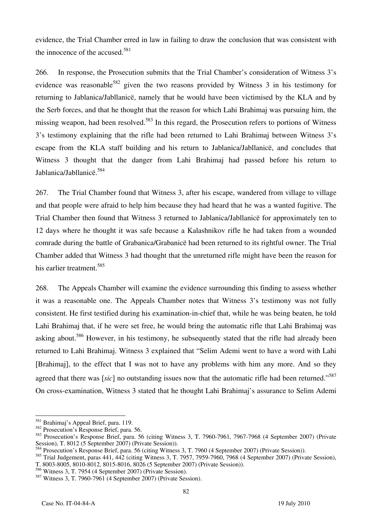evidence, the Trial Chamber erred in law in failing to draw the conclusion that was consistent with the innocence of the accused.<sup>581</sup>

266. In response, the Prosecution submits that the Trial Chamber's consideration of Witness 3's evidence was reasonable<sup>582</sup> given the two reasons provided by Witness 3 in his testimony for returning to Jablanica/Jabllanicë, namely that he would have been victimised by the KLA and by the Serb forces, and that he thought that the reason for which Lahi Brahimaj was pursuing him, the missing weapon, had been resolved.<sup>583</sup> In this regard, the Prosecution refers to portions of Witness 3's testimony explaining that the rifle had been returned to Lahi Brahimaj between Witness 3's escape from the KLA staff building and his return to Jablanica/Jabllanicë, and concludes that Witness 3 thought that the danger from Lahi Brahimaj had passed before his return to Jablanica/Jabllanicë.584

267. The Trial Chamber found that Witness 3, after his escape, wandered from village to village and that people were afraid to help him because they had heard that he was a wanted fugitive. The Trial Chamber then found that Witness 3 returned to Jablanica/Jabllanicë for approximately ten to 12 days where he thought it was safe because a Kalashnikov rifle he had taken from a wounded comrade during the battle of Grabanica/Grabanicë had been returned to its rightful owner. The Trial Chamber added that Witness 3 had thought that the unreturned rifle might have been the reason for his earlier treatment.<sup>585</sup>

268. The Appeals Chamber will examine the evidence surrounding this finding to assess whether it was a reasonable one. The Appeals Chamber notes that Witness 3's testimony was not fully consistent. He first testified during his examination-in-chief that, while he was being beaten, he told Lahi Brahimaj that, if he were set free, he would bring the automatic rifle that Lahi Brahimaj was asking about.<sup>586</sup> However, in his testimony, he subsequently stated that the rifle had already been returned to Lahi Brahimaj. Witness 3 explained that "Selim Ademi went to have a word with Lahi Brahimaj, to the effect that I was not to have any problems with him any more. And so they agreed that there was [sic] no outstanding issues now that the automatic rifle had been returned."<sup>587</sup> On cross-examination, Witness 3 stated that he thought Lahi Brahimaj's assurance to Selim Ademi

 $\overline{a}$ <sup>581</sup> Brahimaj's Appeal Brief, para. 119.

<sup>582</sup> Prosecution's Response Brief, para. 56.

<sup>583</sup> Prosecution's Response Brief, para. 56 (citing Witness 3, T. 7960-7961, 7967-7968 (4 September 2007) (Private Session), T. 8012 (5 September 2007) (Private Session)).

<sup>&</sup>lt;sup>4</sup> Prosecution's Response Brief, para. 56 (citing Witness 3, T. 7960 (4 September 2007) (Private Session)).

<sup>585</sup> Trial Judgement, paras 441, 442 (citing Witness 3, T. 7957, 7959-7960, 7968 (4 September 2007) (Private Session), T. 8003-8005, 8010-8012, 8015-8016, 8026 (5 September 2007) (Private Session)).

<sup>586</sup> Witness 3, T. 7954 (4 September 2007) (Private Session).

<sup>587</sup> Witness 3, T. 7960-7961 (4 September 2007) (Private Session).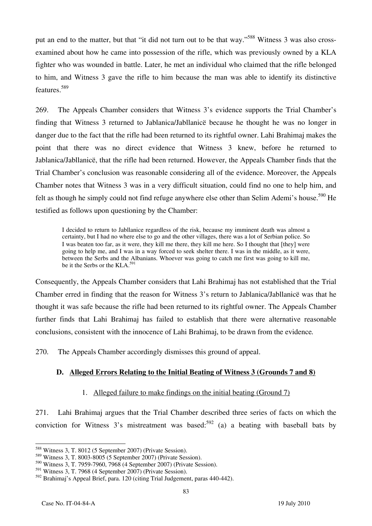put an end to the matter, but that "it did not turn out to be that way."588 Witness 3 was also crossexamined about how he came into possession of the rifle, which was previously owned by a KLA fighter who was wounded in battle. Later, he met an individual who claimed that the rifle belonged to him, and Witness 3 gave the rifle to him because the man was able to identify its distinctive features.589

269. The Appeals Chamber considers that Witness 3's evidence supports the Trial Chamber's finding that Witness 3 returned to Jablanica/Jabllanicë because he thought he was no longer in danger due to the fact that the rifle had been returned to its rightful owner. Lahi Brahimaj makes the point that there was no direct evidence that Witness 3 knew, before he returned to Jablanica/Jabllanicë, that the rifle had been returned. However, the Appeals Chamber finds that the Trial Chamber's conclusion was reasonable considering all of the evidence. Moreover, the Appeals Chamber notes that Witness 3 was in a very difficult situation, could find no one to help him, and felt as though he simply could not find refuge anywhere else other than Selim Ademi's house.<sup>590</sup> He testified as follows upon questioning by the Chamber:

I decided to return to Jabllanice regardless of the risk, because my imminent death was almost a certainty, but I had no where else to go and the other villages, there was a lot of Serbian police. So I was beaten too far, as it were, they kill me there, they kill me here. So I thought that [they] were going to help me, and I was in a way forced to seek shelter there. I was in the middle, as it were, between the Serbs and the Albanians. Whoever was going to catch me first was going to kill me, be it the Serbs or the KLA.<sup>591</sup>

Consequently, the Appeals Chamber considers that Lahi Brahimaj has not established that the Trial Chamber erred in finding that the reason for Witness 3's return to Jablanica/Jabllanicë was that he thought it was safe because the rifle had been returned to its rightful owner. The Appeals Chamber further finds that Lahi Brahimaj has failed to establish that there were alternative reasonable conclusions, consistent with the innocence of Lahi Brahimaj, to be drawn from the evidence*.*

270. The Appeals Chamber accordingly dismisses this ground of appeal.

## **D. Alleged Errors Relating to the Initial Beating of Witness 3 (Grounds 7 and 8)**

## 1. Alleged failure to make findings on the initial beating (Ground 7)

271. Lahi Brahimaj argues that the Trial Chamber described three series of facts on which the conviction for Witness 3's mistreatment was based:<sup>592</sup> (a) a beating with baseball bats by

 $\overline{a}$  $^{588}$  Witness 3, T. 8012 (5 September 2007) (Private Session).

<sup>589</sup> Witness 3, T. 8003-8005 (5 September 2007) (Private Session).

 $590$  Witness 3, T. 7959-7960, 7968 (4 September 2007) (Private Session).

<sup>591</sup> Witness 3, T. 7968 (4 September 2007) (Private Session).

<sup>592</sup> Brahimaj's Appeal Brief, para. 120 (citing Trial Judgement, paras 440-442).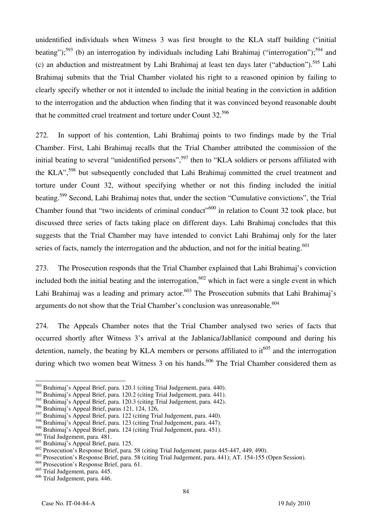unidentified individuals when Witness 3 was first brought to the KLA staff building ("initial beating");<sup>593</sup> (b) an interrogation by individuals including Lahi Brahimaj ("interrogation");<sup>594</sup> and (c) an abduction and mistreatment by Lahi Brahimaj at least ten days later ("abduction").595 Lahi Brahimaj submits that the Trial Chamber violated his right to a reasoned opinion by failing to clearly specify whether or not it intended to include the initial beating in the conviction in addition to the interrogation and the abduction when finding that it was convinced beyond reasonable doubt that he committed cruel treatment and torture under Count 32.<sup>596</sup>

272. In support of his contention, Lahi Brahimaj points to two findings made by the Trial Chamber. First, Lahi Brahimaj recalls that the Trial Chamber attributed the commission of the initial beating to several "unidentified persons",<sup>597</sup> then to "KLA soldiers or persons affiliated with the KLA",<sup>598</sup> but subsequently concluded that Lahi Brahimaj committed the cruel treatment and torture under Count 32, without specifying whether or not this finding included the initial beating.599 Second, Lahi Brahimaj notes that, under the section "Cumulative convictions", the Trial Chamber found that "two incidents of criminal conduct"<sup>600</sup> in relation to Count 32 took place, but discussed three series of facts taking place on different days. Lahi Brahimaj concludes that this suggests that the Trial Chamber may have intended to convict Lahi Brahimaj only for the later series of facts, namely the interrogation and the abduction, and not for the initial beating. $601$ 

273. The Prosecution responds that the Trial Chamber explained that Lahi Brahimaj's conviction included both the initial beating and the interrogation,<sup>602</sup> which in fact were a single event in which Lahi Brahimaj was a leading and primary actor.<sup>603</sup> The Prosecution submits that Lahi Brahimaj's arguments do not show that the Trial Chamber's conclusion was unreasonable.<sup>604</sup>

274. The Appeals Chamber notes that the Trial Chamber analysed two series of facts that occurred shortly after Witness 3's arrival at the Jablanica/Jabllanicë compound and during his detention, namely, the beating by KLA members or persons affiliated to  $it^{605}$  and the interrogation during which two women beat Witness 3 on his hands.<sup>606</sup> The Trial Chamber considered them as

<sup>&</sup>lt;sup>593</sup> Brahimaj's Appeal Brief, para. 120.1 (citing Trial Judgement, para. 440).

<sup>594</sup> Brahimaj's Appeal Brief, para. 120.2 (citing Trial Judgement, para. 441).

<sup>595</sup> Brahimaj's Appeal Brief, para. 120.3 (citing Trial Judgement, para. 442).

<sup>596</sup> Brahimaj's Appeal Brief, paras 121, 124, 126,

<sup>597</sup> Brahimaj's Appeal Brief, para. 122 (citing Trial Judgement, para. 440).

<sup>598</sup> Brahimaj's Appeal Brief, para. 123 (citing Trial Judgement, para. 447).

<sup>599</sup> Brahimaj's Appeal Brief, para. 124 (citing Trial Judgement, para. 451).

<sup>&</sup>lt;sup>600</sup> Trial Judgement, para. 481.

 $601$  Brahimaj's Appeal Brief, para. 125.

 $\frac{602}{2}$  Prosecution's Response Brief, para. 58 (citing Trial Judgement, paras 445-447, 449, 490).

<sup>&</sup>lt;sup>603</sup> Prosecution's Response Brief, para. 58 (citing Trial Judgement, para. 441); AT. 154-155 (Open Session).

<sup>604</sup> Prosecution's Response Brief, para. 61.

<sup>605</sup> Trial Judgement, para. 445.

<sup>606</sup> Trial Judgement, para. 446.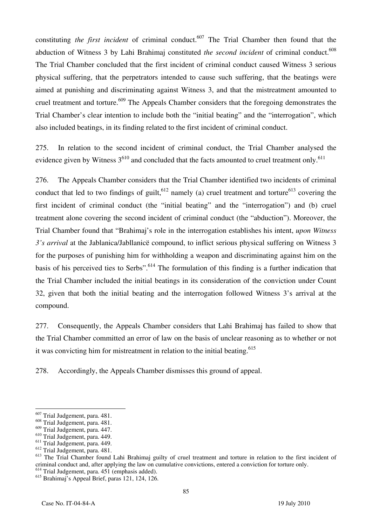constituting *the first incident* of criminal conduct.<sup>607</sup> The Trial Chamber then found that the abduction of Witness 3 by Lahi Brahimaj constituted *the second incident* of criminal conduct.<sup>608</sup> The Trial Chamber concluded that the first incident of criminal conduct caused Witness 3 serious physical suffering, that the perpetrators intended to cause such suffering, that the beatings were aimed at punishing and discriminating against Witness 3, and that the mistreatment amounted to cruel treatment and torture.<sup>609</sup> The Appeals Chamber considers that the foregoing demonstrates the Trial Chamber's clear intention to include both the "initial beating" and the "interrogation", which also included beatings, in its finding related to the first incident of criminal conduct.

275. In relation to the second incident of criminal conduct, the Trial Chamber analysed the evidence given by Witness  $3^{610}$  and concluded that the facts amounted to cruel treatment only.<sup>611</sup>

276. The Appeals Chamber considers that the Trial Chamber identified two incidents of criminal conduct that led to two findings of guilt,<sup>612</sup> namely (a) cruel treatment and torture<sup>613</sup> covering the first incident of criminal conduct (the "initial beating" and the "interrogation") and (b) cruel treatment alone covering the second incident of criminal conduct (the "abduction"). Moreover, the Trial Chamber found that "Brahimaj's role in the interrogation establishes his intent, *upon Witness 3's arrival* at the Jablanica/Jabllanicë compound, to inflict serious physical suffering on Witness 3 for the purposes of punishing him for withholding a weapon and discriminating against him on the basis of his perceived ties to Serbs".<sup>614</sup> The formulation of this finding is a further indication that the Trial Chamber included the initial beatings in its consideration of the conviction under Count 32, given that both the initial beating and the interrogation followed Witness 3's arrival at the compound.

277. Consequently, the Appeals Chamber considers that Lahi Brahimaj has failed to show that the Trial Chamber committed an error of law on the basis of unclear reasoning as to whether or not it was convicting him for mistreatment in relation to the initial beating.<sup>615</sup>

278. Accordingly, the Appeals Chamber dismisses this ground of appeal.

<sup>&</sup>lt;sup>607</sup> Trial Judgement, para. 481.

<sup>608</sup> Trial Judgement, para. 481.

<sup>609</sup> Trial Judgement, para. 447.

<sup>610</sup> Trial Judgement, para. 449.

<sup>&</sup>lt;sup>611</sup> Trial Judgement, para. 449.

<sup>612</sup> Trial Judgement, para. 481.

<sup>&</sup>lt;sup>613</sup> The Trial Chamber found Lahi Brahimaj guilty of cruel treatment and torture in relation to the first incident of criminal conduct and, after applying the law on cumulative convictions, entered a conviction for torture only. 614 Trial Judgement, para. 451 (emphasis added).

<sup>615</sup> Brahimaj's Appeal Brief, paras 121, 124, 126.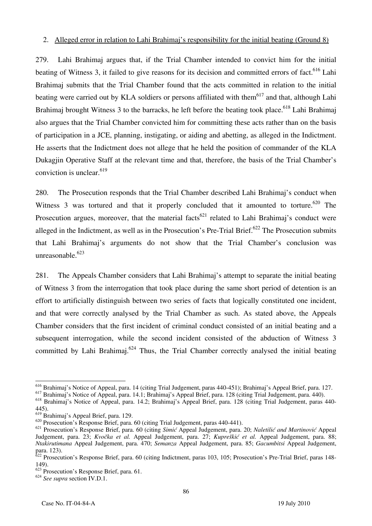#### 2. Alleged error in relation to Lahi Brahimaj's responsibility for the initial beating (Ground 8)

279. Lahi Brahimaj argues that, if the Trial Chamber intended to convict him for the initial beating of Witness 3, it failed to give reasons for its decision and committed errors of fact.<sup>616</sup> Lahi Brahimaj submits that the Trial Chamber found that the acts committed in relation to the initial beating were carried out by KLA soldiers or persons affiliated with them<sup>617</sup> and that, although Lahi Brahimaj brought Witness 3 to the barracks, he left before the beating took place.<sup>618</sup> Lahi Brahimaj also argues that the Trial Chamber convicted him for committing these acts rather than on the basis of participation in a JCE, planning, instigating, or aiding and abetting, as alleged in the Indictment. He asserts that the Indictment does not allege that he held the position of commander of the KLA Dukagjin Operative Staff at the relevant time and that, therefore, the basis of the Trial Chamber's conviction is unclear.<sup>619</sup>

280. The Prosecution responds that the Trial Chamber described Lahi Brahimaj's conduct when Witness 3 was tortured and that it properly concluded that it amounted to torture.<sup>620</sup> The Prosecution argues, moreover, that the material facts<sup>621</sup> related to Lahi Brahimai's conduct were alleged in the Indictment, as well as in the Prosecution's Pre-Trial Brief.<sup>622</sup> The Prosecution submits that Lahi Brahimaj's arguments do not show that the Trial Chamber's conclusion was unreasonable.<sup>623</sup>

281. The Appeals Chamber considers that Lahi Brahimaj's attempt to separate the initial beating of Witness 3 from the interrogation that took place during the same short period of detention is an effort to artificially distinguish between two series of facts that logically constituted one incident, and that were correctly analysed by the Trial Chamber as such. As stated above, the Appeals Chamber considers that the first incident of criminal conduct consisted of an initial beating and a subsequent interrogation, while the second incident consisted of the abduction of Witness 3 committed by Lahi Brahimaj.<sup>624</sup> Thus, the Trial Chamber correctly analysed the initial beating

 $\overline{a}$ <sup>616</sup> Brahimaj's Notice of Appeal, para. 14 (citing Trial Judgement, paras 440-451); Brahimaj's Appeal Brief, para. 127.

<sup>617</sup> Brahimaj's Notice of Appeal, para. 14.1; Brahimaj's Appeal Brief, para. 128 (citing Trial Judgement, para. 440).

<sup>618</sup> Brahimaj's Notice of Appeal, para. 14.2; Brahimaj's Appeal Brief, para. 128 (citing Trial Judgement, paras 440- 445).

<sup>619</sup> Brahimaj's Appeal Brief, para. 129.

<sup>620</sup> Prosecution's Response Brief, para. 60 (citing Trial Judgement, paras 440-441).

<sup>621</sup> Prosecution's Response Brief, para. 60 (citing *Simić* Appeal Judgement, para. 20; *Naletilić and Martinović* Appeal Judgement, para. 23; *Kvočka et al.* Appeal Judgement, para. 27; *Kupreškić et al.* Appeal Judgement, para. 88; *Ntakirutimana* Appeal Judgement, para. 470; *Semanza* Appeal Judgement, para. 85; *Gacumbitsi* Appeal Judgement, para. 123).

 $622$  Prosecution's Response Brief, para. 60 (citing Indictment, paras 103, 105; Prosecution's Pre-Trial Brief, paras 148-149).

<sup>623</sup> Prosecution's Response Brief, para. 61.

<sup>624</sup> *See supra* section IV.D.1.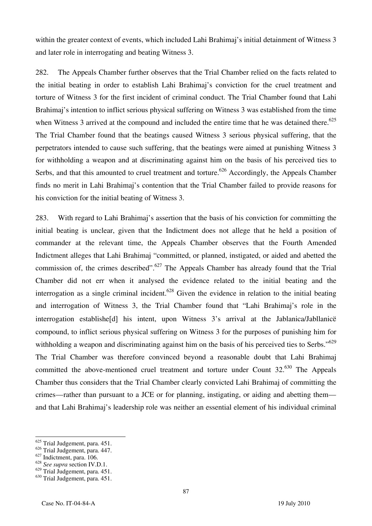within the greater context of events, which included Lahi Brahimaj's initial detainment of Witness 3 and later role in interrogating and beating Witness 3.

282. The Appeals Chamber further observes that the Trial Chamber relied on the facts related to the initial beating in order to establish Lahi Brahimaj's conviction for the cruel treatment and torture of Witness 3 for the first incident of criminal conduct. The Trial Chamber found that Lahi Brahimaj's intention to inflict serious physical suffering on Witness 3 was established from the time when Witness 3 arrived at the compound and included the entire time that he was detained there.<sup>625</sup> The Trial Chamber found that the beatings caused Witness 3 serious physical suffering, that the perpetrators intended to cause such suffering, that the beatings were aimed at punishing Witness 3 for withholding a weapon and at discriminating against him on the basis of his perceived ties to Serbs, and that this amounted to cruel treatment and torture.<sup>626</sup> Accordingly, the Appeals Chamber finds no merit in Lahi Brahimaj's contention that the Trial Chamber failed to provide reasons for his conviction for the initial beating of Witness 3.

283. With regard to Lahi Brahimaj's assertion that the basis of his conviction for committing the initial beating is unclear, given that the Indictment does not allege that he held a position of commander at the relevant time, the Appeals Chamber observes that the Fourth Amended Indictment alleges that Lahi Brahimaj "committed, or planned, instigated, or aided and abetted the commission of, the crimes described".<sup>627</sup> The Appeals Chamber has already found that the Trial Chamber did not err when it analysed the evidence related to the initial beating and the interrogation as a single criminal incident.<sup>628</sup> Given the evidence in relation to the initial beating and interrogation of Witness 3, the Trial Chamber found that "Lahi Brahimaj's role in the interrogation establishe<sup>[d]</sup> his intent, upon Witness 3's arrival at the Jablanica/Jabllanice compound, to inflict serious physical suffering on Witness 3 for the purposes of punishing him for withholding a weapon and discriminating against him on the basis of his perceived ties to Serbs."<sup>629</sup> The Trial Chamber was therefore convinced beyond a reasonable doubt that Lahi Brahimaj committed the above-mentioned cruel treatment and torture under Count 32.<sup>630</sup> The Appeals Chamber thus considers that the Trial Chamber clearly convicted Lahi Brahimaj of committing the crimes—rather than pursuant to a JCE or for planning, instigating, or aiding and abetting them and that Lahi Brahimaj's leadership role was neither an essential element of his individual criminal

<sup>&</sup>lt;sup>625</sup> Trial Judgement, para. 451.

<sup>626</sup> Trial Judgement, para. 447.

 $627$  Indictment, para. 106.

<sup>628</sup> *See supra* section IV.D.1.

<sup>629</sup> Trial Judgement, para. 451.

<sup>630</sup> Trial Judgement, para. 451.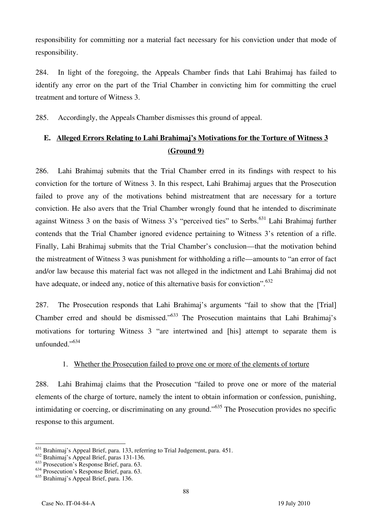responsibility for committing nor a material fact necessary for his conviction under that mode of responsibility.

284. In light of the foregoing, the Appeals Chamber finds that Lahi Brahimaj has failed to identify any error on the part of the Trial Chamber in convicting him for committing the cruel treatment and torture of Witness 3.

285. Accordingly, the Appeals Chamber dismisses this ground of appeal.

## **E. Alleged Errors Relating to Lahi Brahimaj's Motivations for the Torture of Witness 3 (Ground 9)**

286. Lahi Brahimaj submits that the Trial Chamber erred in its findings with respect to his conviction for the torture of Witness 3. In this respect, Lahi Brahimaj argues that the Prosecution failed to prove any of the motivations behind mistreatment that are necessary for a torture conviction. He also avers that the Trial Chamber wrongly found that he intended to discriminate against Witness 3 on the basis of Witness 3's "perceived ties" to Serbs.<sup>631</sup> Lahi Brahimai further contends that the Trial Chamber ignored evidence pertaining to Witness 3's retention of a rifle. Finally, Lahi Brahimaj submits that the Trial Chamber's conclusion—that the motivation behind the mistreatment of Witness 3 was punishment for withholding a rifle—amounts to "an error of fact and/or law because this material fact was not alleged in the indictment and Lahi Brahimaj did not have adequate, or indeed any, notice of this alternative basis for conviction".  $632$ 

287. The Prosecution responds that Lahi Brahimaj's arguments "fail to show that the Trial Chamber erred and should be dismissed."633 The Prosecution maintains that Lahi Brahimaj's motivations for torturing Witness 3 "are intertwined and [his] attempt to separate them is unfounded."<sup>634</sup>

## 1. Whether the Prosecution failed to prove one or more of the elements of torture

288. Lahi Brahimaj claims that the Prosecution "failed to prove one or more of the material elements of the charge of torture, namely the intent to obtain information or confession, punishing, intimidating or coercing, or discriminating on any ground."<sup>635</sup> The Prosecution provides no specific response to this argument.

 $\overline{a}$  $^{631}$  Brahimaj's Appeal Brief, para. 133, referring to Trial Judgement, para. 451.

<sup>&</sup>lt;sup>632</sup> Brahimaj's Appeal Brief, paras 131-136.

<sup>&</sup>lt;sup>633</sup> Prosecution's Response Brief, para. 63.

<sup>&</sup>lt;sup>634</sup> Prosecution's Response Brief, para. 63.

<sup>635</sup> Brahimaj's Appeal Brief, para. 136.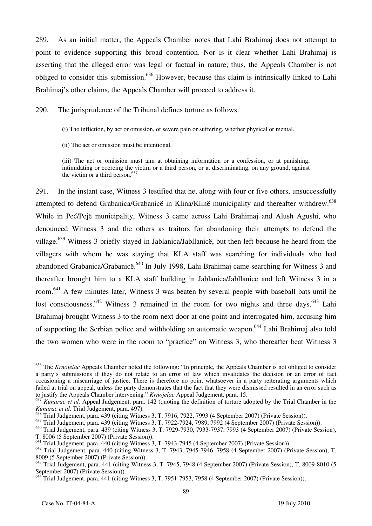289. As an initial matter, the Appeals Chamber notes that Lahi Brahimaj does not attempt to point to evidence supporting this broad contention. Nor is it clear whether Lahi Brahimaj is asserting that the alleged error was legal or factual in nature; thus, the Appeals Chamber is not obliged to consider this submission.<sup>636</sup> However, because this claim is intrinsically linked to Lahi Brahimaj's other claims, the Appeals Chamber will proceed to address it.

290. The jurisprudence of the Tribunal defines torture as follows:

- (i) The infliction, by act or omission, of severe pain or suffering, whether physical or mental.
- (ii) The act or omission must be intentional.

(iii) The act or omission must aim at obtaining information or a confession, or at punishing, intimidating or coercing the victim or a third person, or at discriminating, on any ground, against the victim or a third person.637

291. In the instant case, Witness 3 testified that he, along with four or five others, unsuccessfully attempted to defend Grabanica/Grabanice in Klina/Kline municipality and thereafter withdrew.<sup>638</sup> While in Peć/Pejë municipality, Witness 3 came across Lahi Brahimaj and Alush Agushi, who denounced Witness 3 and the others as traitors for abandoning their attempts to defend the village.639 Witness 3 briefly stayed in Jablanica/Jabllanicë, but then left because he heard from the villagers with whom he was staying that KLA staff was searching for individuals who had abandoned Grabanica/Grabanice.<sup>640</sup> In July 1998, Lahi Brahimaj came searching for Witness 3 and thereafter brought him to a KLA staff building in Jablanica/Jabllanicë and left Witness 3 in a room.641 A few minutes later, Witness 3 was beaten by several people with baseball bats until he lost consciousness.<sup>642</sup> Witness 3 remained in the room for two nights and three days.<sup>643</sup> Lahi Brahimaj brought Witness 3 to the room next door at one point and interrogated him, accusing him of supporting the Serbian police and withholding an automatic weapon.<sup>644</sup> Lahi Brahimaj also told the two women who were in the room to "practice" on Witness 3, who thereafter beat Witness 3

<sup>636</sup> The *Krnojelac* Appeals Chamber noted the following: "In principle, the Appeals Chamber is not obliged to consider a party's submissions if they do not relate to an error of law which invalidates the decision or an error of fact occasioning a miscarriage of justice. There is therefore no point whatsoever in a party reiterating arguments which failed at trial on appeal, unless the party demonstrates that the fact that they were dismissed resulted in an error such as to justify the Appeals Chamber intervening*.*" *Krnojelac* Appeal Judgement, para. 15.

<sup>&</sup>lt;sup>637</sup> *Kunarac et al.* Appeal Judgement, para. 142 (quoting the definition of torture adopted by the Trial Chamber in the *Kunarac et al.* Trial Judgement, para. 497).

<sup>638</sup> Trial Judgement, para. 439 (citing Witness 3, T. 7916, 7922, 7993 (4 September 2007) (Private Session)).

<sup>639</sup> Trial Judgement, para. 439 (citing Witness 3, T. 7922-7924, 7989, 7992 (4 September 2007) (Private Session)).

<sup>640</sup> Trial Judgement, para. 439 (citing Witness 3, T. 7929-7930, 7933-7937, 7993 (4 September 2007) (Private Session), T. 8006 (5 September 2007) (Private Session)).

 $\frac{641}{641}$  Trial Judgement, para. 440 (citing Witness 3, T. 7943-7945 (4 September 2007) (Private Session)).

<sup>642</sup> Trial Judgement, para. 440 (citing Witness 3, T. 7943, 7945-7946, 7958 (4 September 2007) (Private Session), T. 8009 (5 September 2007) (Private Session)).

<sup>643</sup> Trial Judgement, para. 441 (citing Witness 3, T. 7945, 7948 (4 September 2007) (Private Session), T. 8009-8010 (5 September 2007) (Private Session)).

<sup>&</sup>lt;sup>644</sup> Trial Judgement, para. 441 (citing Witness 3, T. 7951-7953, 7958 (4 September 2007) (Private Session)).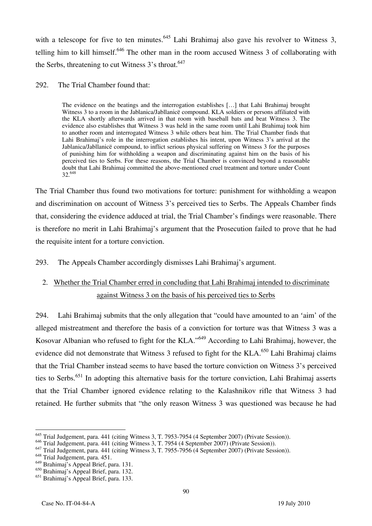with a telescope for five to ten minutes.<sup>645</sup> Lahi Brahimaj also gave his revolver to Witness 3, telling him to kill himself.<sup>646</sup> The other man in the room accused Witness 3 of collaborating with the Serbs, threatening to cut Witness 3's throat.<sup>647</sup>

#### 292. The Trial Chamber found that:

The evidence on the beatings and the interrogation establishes [...] that Lahi Brahimaj brought Witness 3 to a room in the Jablanica/Jabllanicë compound. KLA soldiers or persons affiliated with the KLA shortly afterwards arrived in that room with baseball bats and beat Witness 3. The evidence also establishes that Witness 3 was held in the same room until Lahi Brahimaj took him to another room and interrogated Witness 3 while others beat him. The Trial Chamber finds that Lahi Brahimaj's role in the interrogation establishes his intent, upon Witness 3's arrival at the Jablanica/Jabllanicë compound, to inflict serious physical suffering on Witness 3 for the purposes of punishing him for withholding a weapon and discriminating against him on the basis of his perceived ties to Serbs. For these reasons, the Trial Chamber is convinced beyond a reasonable doubt that Lahi Brahimaj committed the above-mentioned cruel treatment and torture under Count 32.648

The Trial Chamber thus found two motivations for torture: punishment for withholding a weapon and discrimination on account of Witness 3's perceived ties to Serbs. The Appeals Chamber finds that, considering the evidence adduced at trial, the Trial Chamber's findings were reasonable. There is therefore no merit in Lahi Brahimaj's argument that the Prosecution failed to prove that he had the requisite intent for a torture conviction.

293. The Appeals Chamber accordingly dismisses Lahi Brahimaj's argument.

## 2. Whether the Trial Chamber erred in concluding that Lahi Brahimaj intended to discriminate against Witness 3 on the basis of his perceived ties to Serbs

294. Lahi Brahimaj submits that the only allegation that "could have amounted to an 'aim' of the alleged mistreatment and therefore the basis of a conviction for torture was that Witness 3 was a Kosovar Albanian who refused to fight for the KLA."649 According to Lahi Brahimaj, however, the evidence did not demonstrate that Witness 3 refused to fight for the KLA.<sup>650</sup> Lahi Brahimaj claims that the Trial Chamber instead seems to have based the torture conviction on Witness 3's perceived ties to Serbs.<sup>651</sup> In adopting this alternative basis for the torture conviction, Lahi Brahimaj asserts that the Trial Chamber ignored evidence relating to the Kalashnikov rifle that Witness 3 had retained. He further submits that "the only reason Witness 3 was questioned was because he had

 $\overline{\phantom{a}}$ <sup>645</sup> Trial Judgement, para. 441 (citing Witness 3, T. 7953-7954 (4 September 2007) (Private Session)).

<sup>&</sup>lt;sup>646</sup> Trial Judgement, para. 441 (citing Witness 3, T. 7954 (4 September 2007) (Private Session)).

<sup>647</sup> Trial Judgement, para. 441 (citing Witness 3, T. 7955-7956 (4 September 2007) (Private Session)).

<sup>&</sup>lt;sup>648</sup> Trial Judgement, para. 451.

<sup>649</sup> Brahimaj's Appeal Brief, para. 131.

<sup>650</sup> Brahimaj's Appeal Brief, para. 132.

<sup>651</sup> Brahimaj's Appeal Brief, para. 133.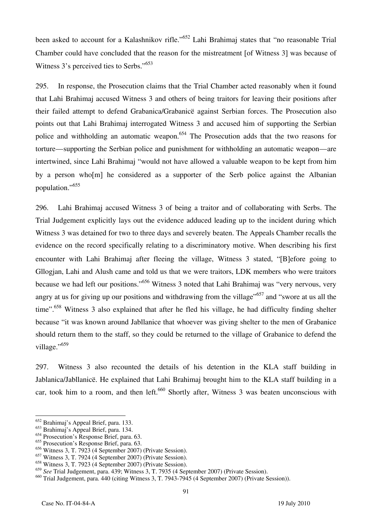been asked to account for a Kalashnikov rifle."<sup>652</sup> Lahi Brahimaj states that "no reasonable Trial Chamber could have concluded that the reason for the mistreatment [of Witness 3] was because of Witness 3's perceived ties to Serbs."<sup>653</sup>

295. In response, the Prosecution claims that the Trial Chamber acted reasonably when it found that Lahi Brahimaj accused Witness 3 and others of being traitors for leaving their positions after their failed attempt to defend Grabanica/Grabanicë against Serbian forces. The Prosecution also points out that Lahi Brahimaj interrogated Witness 3 and accused him of supporting the Serbian police and withholding an automatic weapon.<sup>654</sup> The Prosecution adds that the two reasons for torture—supporting the Serbian police and punishment for withholding an automatic weapon—are intertwined, since Lahi Brahimaj "would not have allowed a valuable weapon to be kept from him by a person whom he considered as a supporter of the Serb police against the Albanian population."655

296. Lahi Brahimaj accused Witness 3 of being a traitor and of collaborating with Serbs. The Trial Judgement explicitly lays out the evidence adduced leading up to the incident during which Witness 3 was detained for two to three days and severely beaten. The Appeals Chamber recalls the evidence on the record specifically relating to a discriminatory motive. When describing his first encounter with Lahi Brahimaj after fleeing the village, Witness 3 stated, "[B]efore going to Gllogjan, Lahi and Alush came and told us that we were traitors, LDK members who were traitors because we had left our positions."656 Witness 3 noted that Lahi Brahimaj was "very nervous, very angry at us for giving up our positions and withdrawing from the village"<sup>657</sup> and "swore at us all the time".<sup>658</sup> Witness 3 also explained that after he fled his village, he had difficulty finding shelter because "it was known around Jabllanice that whoever was giving shelter to the men of Grabanice should return them to the staff, so they could be returned to the village of Grabanice to defend the village."<sup>659</sup>

297. Witness 3 also recounted the details of his detention in the KLA staff building in Jablanica/Jabllanicë. He explained that Lahi Brahimaj brought him to the KLA staff building in a car, took him to a room, and then left.<sup>660</sup> Shortly after, Witness 3 was beaten unconscious with

<sup>652</sup> Brahimaj's Appeal Brief, para. 133.

<sup>653</sup> Brahimaj's Appeal Brief, para. 134.

<sup>&</sup>lt;sup>654</sup> Prosecution's Response Brief, para. 63.

<sup>&</sup>lt;sup>655</sup> Prosecution's Response Brief, para. 63.

 $656$  Witness 3, T. 7923 (4 September 2007) (Private Session).

 $657$  Witness 3, T. 7924 (4 September 2007) (Private Session).

<sup>&</sup>lt;sup>658</sup> Witness 3, T. 7923 (4 September 2007) (Private Session).

<sup>659</sup> *See* Trial Judgement, para. 439; Witness 3, T. 7935 (4 September 2007) (Private Session).

<sup>660</sup> Trial Judgement, para. 440 (citing Witness 3, T. 7943-7945 (4 September 2007) (Private Session)).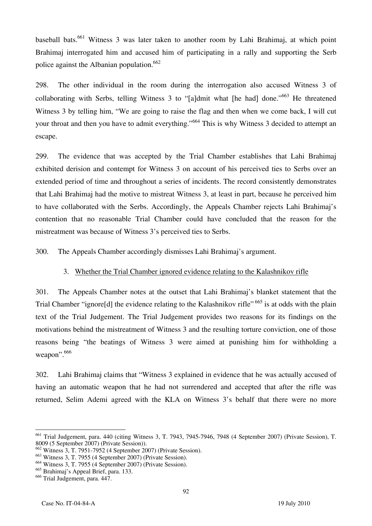baseball bats.<sup>661</sup> Witness 3 was later taken to another room by Lahi Brahimaj, at which point Brahimaj interrogated him and accused him of participating in a rally and supporting the Serb police against the Albanian population.<sup>662</sup>

298. The other individual in the room during the interrogation also accused Witness 3 of collaborating with Serbs, telling Witness 3 to "[a]dmit what [he had] done."<sup>663</sup> He threatened Witness 3 by telling him, "We are going to raise the flag and then when we come back, I will cut your throat and then you have to admit everything."664 This is why Witness 3 decided to attempt an escape.

299. The evidence that was accepted by the Trial Chamber establishes that Lahi Brahimaj exhibited derision and contempt for Witness 3 on account of his perceived ties to Serbs over an extended period of time and throughout a series of incidents. The record consistently demonstrates that Lahi Brahimaj had the motive to mistreat Witness 3, at least in part, because he perceived him to have collaborated with the Serbs. Accordingly, the Appeals Chamber rejects Lahi Brahimaj's contention that no reasonable Trial Chamber could have concluded that the reason for the mistreatment was because of Witness 3's perceived ties to Serbs.

300. The Appeals Chamber accordingly dismisses Lahi Brahimaj's argument.

## 3. Whether the Trial Chamber ignored evidence relating to the Kalashnikov rifle

301. The Appeals Chamber notes at the outset that Lahi Brahimaj's blanket statement that the Trial Chamber "ignore[d] the evidence relating to the Kalashnikov rifle" <sup>665</sup> is at odds with the plain text of the Trial Judgement. The Trial Judgement provides two reasons for its findings on the motivations behind the mistreatment of Witness 3 and the resulting torture conviction, one of those reasons being "the beatings of Witness 3 were aimed at punishing him for withholding a weapon".<sup>666</sup>

302. Lahi Brahimaj claims that "Witness 3 explained in evidence that he was actually accused of having an automatic weapon that he had not surrendered and accepted that after the rifle was returned, Selim Ademi agreed with the KLA on Witness 3's behalf that there were no more

 $\overline{\phantom{a}}$ 661 Trial Judgement, para. 440 (citing Witness 3, T. 7943, 7945-7946, 7948 (4 September 2007) (Private Session), T. 8009 (5 September 2007) (Private Session)).

<sup>662</sup> Witness 3, T. 7951-7952 (4 September 2007) (Private Session).

<sup>663</sup> Witness 3, T. 7955 (4 September 2007) (Private Session).

 $664$  Witness 3, T. 7955 (4 September 2007) (Private Session).

<sup>665</sup> Brahimaj's Appeal Brief, para. 133.

<sup>666</sup> Trial Judgement, para. 447.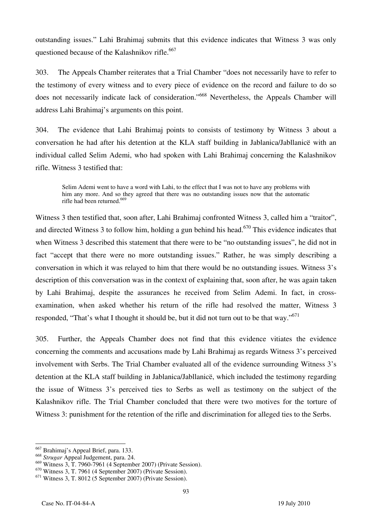outstanding issues." Lahi Brahimaj submits that this evidence indicates that Witness 3 was only questioned because of the Kalashnikov rifle.<sup>667</sup>

303. The Appeals Chamber reiterates that a Trial Chamber "does not necessarily have to refer to the testimony of every witness and to every piece of evidence on the record and failure to do so does not necessarily indicate lack of consideration."668 Nevertheless, the Appeals Chamber will address Lahi Brahimaj's arguments on this point.

304. The evidence that Lahi Brahimaj points to consists of testimony by Witness 3 about a conversation he had after his detention at the KLA staff building in Jablanica/Jabllanicë with an individual called Selim Ademi, who had spoken with Lahi Brahimaj concerning the Kalashnikov rifle. Witness 3 testified that:

Selim Ademi went to have a word with Lahi, to the effect that I was not to have any problems with him any more. And so they agreed that there was no outstanding issues now that the automatic rifle had been returned.<sup>669</sup>

Witness 3 then testified that, soon after, Lahi Brahimaj confronted Witness 3, called him a "traitor", and directed Witness 3 to follow him, holding a gun behind his head.<sup>670</sup> This evidence indicates that when Witness 3 described this statement that there were to be "no outstanding issues", he did not in fact "accept that there were no more outstanding issues." Rather, he was simply describing a conversation in which it was relayed to him that there would be no outstanding issues. Witness 3's description of this conversation was in the context of explaining that, soon after, he was again taken by Lahi Brahimaj, despite the assurances he received from Selim Ademi. In fact, in crossexamination, when asked whether his return of the rifle had resolved the matter, Witness 3 responded, "That's what I thought it should be, but it did not turn out to be that way."<sup>671</sup>

305. Further, the Appeals Chamber does not find that this evidence vitiates the evidence concerning the comments and accusations made by Lahi Brahimaj as regards Witness 3's perceived involvement with Serbs. The Trial Chamber evaluated all of the evidence surrounding Witness 3's detention at the KLA staff building in Jablanica/Jabllanicë, which included the testimony regarding the issue of Witness 3's perceived ties to Serbs as well as testimony on the subject of the Kalashnikov rifle. The Trial Chamber concluded that there were two motives for the torture of Witness 3: punishment for the retention of the rifle and discrimination for alleged ties to the Serbs.

 $\overline{a}$ 667 Brahimaj's Appeal Brief, para. 133.

<sup>668</sup> *Strugar* Appeal Judgement, para. 24.

<sup>669</sup> Witness 3, T. 7960-7961 (4 September 2007) (Private Session).

<sup>670</sup> Witness 3, T. 7961 (4 September 2007) (Private Session).

 $671$  Witness 3, T. 8012 (5 September 2007) (Private Session).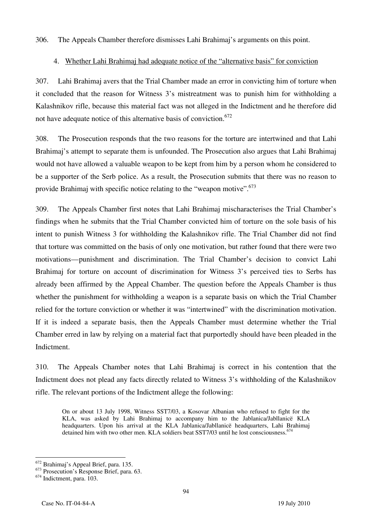306. The Appeals Chamber therefore dismisses Lahi Brahimaj's arguments on this point.

### 4. Whether Lahi Brahimaj had adequate notice of the "alternative basis" for conviction

307. Lahi Brahimaj avers that the Trial Chamber made an error in convicting him of torture when it concluded that the reason for Witness 3's mistreatment was to punish him for withholding a Kalashnikov rifle, because this material fact was not alleged in the Indictment and he therefore did not have adequate notice of this alternative basis of conviction.<sup>672</sup>

308. The Prosecution responds that the two reasons for the torture are intertwined and that Lahi Brahimaj's attempt to separate them is unfounded. The Prosecution also argues that Lahi Brahimaj would not have allowed a valuable weapon to be kept from him by a person whom he considered to be a supporter of the Serb police. As a result, the Prosecution submits that there was no reason to provide Brahimaj with specific notice relating to the "weapon motive".  $673$ 

309. The Appeals Chamber first notes that Lahi Brahimaj mischaracterises the Trial Chamber's findings when he submits that the Trial Chamber convicted him of torture on the sole basis of his intent to punish Witness 3 for withholding the Kalashnikov rifle. The Trial Chamber did not find that torture was committed on the basis of only one motivation, but rather found that there were two motivations—punishment and discrimination. The Trial Chamber's decision to convict Lahi Brahimaj for torture on account of discrimination for Witness 3's perceived ties to Serbs has already been affirmed by the Appeal Chamber. The question before the Appeals Chamber is thus whether the punishment for withholding a weapon is a separate basis on which the Trial Chamber relied for the torture conviction or whether it was "intertwined" with the discrimination motivation. If it is indeed a separate basis, then the Appeals Chamber must determine whether the Trial Chamber erred in law by relying on a material fact that purportedly should have been pleaded in the Indictment.

310. The Appeals Chamber notes that Lahi Brahimaj is correct in his contention that the Indictment does not plead any facts directly related to Witness 3's withholding of the Kalashnikov rifle. The relevant portions of the Indictment allege the following:

On or about 13 July 1998, Witness SST7/03, a Kosovar Albanian who refused to fight for the KLA, was asked by Lahi Brahimaj to accompany him to the Jablanica/Jabllanicë KLA headquarters. Upon his arrival at the KLA Jablanica/Jabllanicë headquarters, Lahi Brahimaj detained him with two other men. KLA soldiers beat SST7/03 until he lost consciousness.<sup>67</sup>

 $\overline{\phantom{a}}$ 672 Brahimaj's Appeal Brief, para. 135.

<sup>673</sup> Prosecution's Response Brief, para. 63.

 $674$  Indictment, para. 103.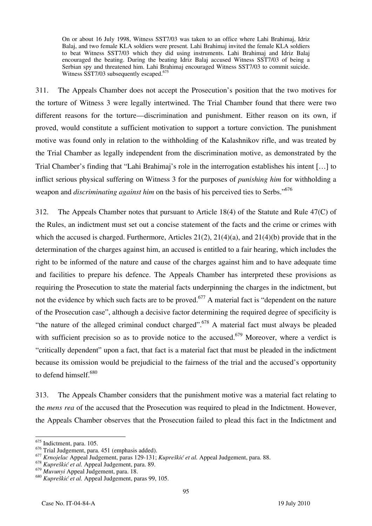On or about 16 July 1998, Witness SST7/03 was taken to an office where Lahi Brahimaj, Idriz Balaj, and two female KLA soldiers were present. Lahi Brahimaj invited the female KLA soldiers to beat Witness SST7/03 which they did using instruments. Lahi Brahimaj and Idriz Balaj encouraged the beating. During the beating Idriz Balaj accused Witness SST7/03 of being a Serbian spy and threatened him. Lahi Brahimaj encouraged Witness SST7/03 to commit suicide. Witness SST7/03 subsequently escaped.<sup>675</sup>

311. The Appeals Chamber does not accept the Prosecution's position that the two motives for the torture of Witness 3 were legally intertwined. The Trial Chamber found that there were two different reasons for the torture—discrimination and punishment. Either reason on its own, if proved, would constitute a sufficient motivation to support a torture conviction. The punishment motive was found only in relation to the withholding of the Kalashnikov rifle, and was treated by the Trial Chamber as legally independent from the discrimination motive, as demonstrated by the Trial Chamber's finding that "Lahi Brahimaj's role in the interrogation establishes his intent … to inflict serious physical suffering on Witness 3 for the purposes of *punishing him* for withholding a weapon and *discriminating against him* on the basis of his perceived ties to Serbs."<sup>676</sup>

312. The Appeals Chamber notes that pursuant to Article 18(4) of the Statute and Rule 47(C) of the Rules, an indictment must set out a concise statement of the facts and the crime or crimes with which the accused is charged. Furthermore, Articles  $21(2)$ ,  $21(4)(a)$ , and  $21(4)(b)$  provide that in the determination of the charges against him, an accused is entitled to a fair hearing, which includes the right to be informed of the nature and cause of the charges against him and to have adequate time and facilities to prepare his defence. The Appeals Chamber has interpreted these provisions as requiring the Prosecution to state the material facts underpinning the charges in the indictment, but not the evidence by which such facts are to be proved.<sup>677</sup> A material fact is "dependent on the nature" of the Prosecution case", although a decisive factor determining the required degree of specificity is "the nature of the alleged criminal conduct charged".<sup>678</sup> A material fact must always be pleaded with sufficient precision so as to provide notice to the accused.<sup>679</sup> Moreover, where a verdict is "critically dependent" upon a fact, that fact is a material fact that must be pleaded in the indictment because its omission would be prejudicial to the fairness of the trial and the accused's opportunity to defend himself.<sup>680</sup>

313. The Appeals Chamber considers that the punishment motive was a material fact relating to the *mens rea* of the accused that the Prosecution was required to plead in the Indictment. However, the Appeals Chamber observes that the Prosecution failed to plead this fact in the Indictment and

 $\overline{a}$ 675 Indictment, para. 105.

<sup>676</sup> Trial Judgement, para. 451 (emphasis added).

<sup>677</sup> *Krnojelac* Appeal Judgement, paras 129-131; *Kupreškić et al.* Appeal Judgement, para. 88.

<sup>678</sup> *Kupreškić et al.* Appeal Judgement, para. 89.

<sup>679</sup> *Muvunyi* Appeal Judgement, para. 18.

<sup>680</sup> *Kupreškić et al.* Appeal Judgement, paras 99, 105.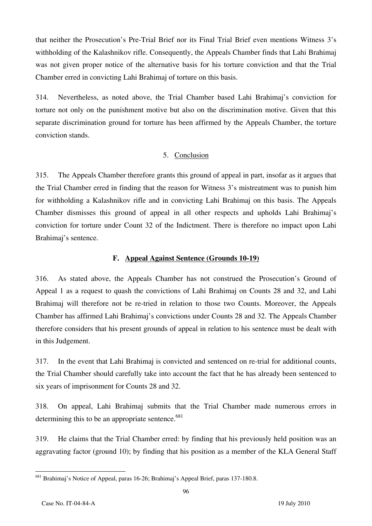that neither the Prosecution's Pre-Trial Brief nor its Final Trial Brief even mentions Witness 3's withholding of the Kalashnikov rifle. Consequently, the Appeals Chamber finds that Lahi Brahimaj was not given proper notice of the alternative basis for his torture conviction and that the Trial Chamber erred in convicting Lahi Brahimaj of torture on this basis.

314. Nevertheless, as noted above, the Trial Chamber based Lahi Brahimaj's conviction for torture not only on the punishment motive but also on the discrimination motive. Given that this separate discrimination ground for torture has been affirmed by the Appeals Chamber, the torture conviction stands.

#### 5. Conclusion

315. The Appeals Chamber therefore grants this ground of appeal in part, insofar as it argues that the Trial Chamber erred in finding that the reason for Witness 3's mistreatment was to punish him for withholding a Kalashnikov rifle and in convicting Lahi Brahimaj on this basis. The Appeals Chamber dismisses this ground of appeal in all other respects and upholds Lahi Brahimaj's conviction for torture under Count 32 of the Indictment. There is therefore no impact upon Lahi Brahimaj's sentence.

#### **F. Appeal Against Sentence (Grounds 10-19)**

316. As stated above, the Appeals Chamber has not construed the Prosecution's Ground of Appeal 1 as a request to quash the convictions of Lahi Brahimaj on Counts 28 and 32, and Lahi Brahimaj will therefore not be re-tried in relation to those two Counts. Moreover, the Appeals Chamber has affirmed Lahi Brahimaj's convictions under Counts 28 and 32. The Appeals Chamber therefore considers that his present grounds of appeal in relation to his sentence must be dealt with in this Judgement.

317. In the event that Lahi Brahimaj is convicted and sentenced on re-trial for additional counts, the Trial Chamber should carefully take into account the fact that he has already been sentenced to six years of imprisonment for Counts 28 and 32.

318. On appeal, Lahi Brahimaj submits that the Trial Chamber made numerous errors in determining this to be an appropriate sentence. $681$ 

319. He claims that the Trial Chamber erred: by finding that his previously held position was an aggravating factor (ground 10); by finding that his position as a member of the KLA General Staff

 $\overline{a}$ <sup>681</sup> Brahimaj's Notice of Appeal, paras 16-26; Brahimaj's Appeal Brief, paras 137-180.8.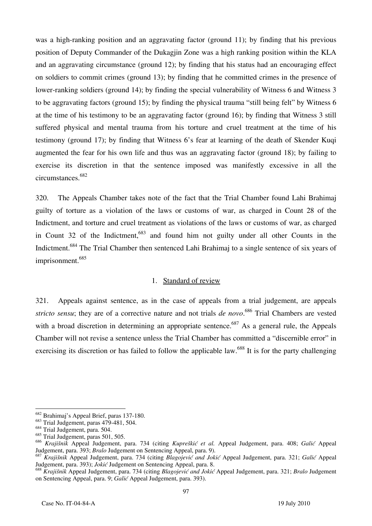was a high-ranking position and an aggravating factor (ground 11); by finding that his previous position of Deputy Commander of the Dukagjin Zone was a high ranking position within the KLA and an aggravating circumstance (ground 12); by finding that his status had an encouraging effect on soldiers to commit crimes (ground 13); by finding that he committed crimes in the presence of lower-ranking soldiers (ground 14); by finding the special vulnerability of Witness 6 and Witness 3 to be aggravating factors (ground 15); by finding the physical trauma "still being felt" by Witness 6 at the time of his testimony to be an aggravating factor (ground 16); by finding that Witness 3 still suffered physical and mental trauma from his torture and cruel treatment at the time of his testimony (ground 17); by finding that Witness 6's fear at learning of the death of Skender Kuqi augmented the fear for his own life and thus was an aggravating factor (ground 18); by failing to exercise its discretion in that the sentence imposed was manifestly excessive in all the circumstances.682

320. The Appeals Chamber takes note of the fact that the Trial Chamber found Lahi Brahimaj guilty of torture as a violation of the laws or customs of war, as charged in Count 28 of the Indictment, and torture and cruel treatment as violations of the laws or customs of war, as charged in Count 32 of the Indictment, $683$  and found him not guilty under all other Counts in the Indictment.<sup>684</sup> The Trial Chamber then sentenced Lahi Brahimaj to a single sentence of six years of imprisonment.<sup>685</sup>

#### 1. Standard of review

321. Appeals against sentence, as in the case of appeals from a trial judgement, are appeals *stricto sensu*; they are of a corrective nature and not trials *de novo*. 686 Trial Chambers are vested with a broad discretion in determining an appropriate sentence.<sup>687</sup> As a general rule, the Appeals Chamber will not revise a sentence unless the Trial Chamber has committed a "discernible error" in exercising its discretion or has failed to follow the applicable law.<sup>688</sup> It is for the party challenging

<sup>682</sup> Brahimaj's Appeal Brief, paras 137-180.

 $683$  Trial Judgement, paras 479-481, 504.

<sup>&</sup>lt;sup>684</sup> Trial Judgement, para. 504.

<sup>&</sup>lt;sup>685</sup> Trial Judgement, paras 501, 505.

<sup>686</sup> *Kraji{nik* Appeal Judgement, para. 734 (citing *Kupreškić et al.* Appeal Judgement, para. 408; *Galić* Appeal Judgement, para. 393; *Bralo* Judgement on Sentencing Appeal, para. 9).

<sup>687</sup> *Kraji{nik* Appeal Judgement, para. 734 (citing *Blagojević and Jokić* Appeal Judgement, para. 321; *Galić* Appeal Judgement, para. 393); *Jokić* Judgement on Sentencing Appeal, para. 8.

<sup>688</sup> *Kraji{nik* Appeal Judgement, para. 734 (citing *Blagojević and Jokić* Appeal Judgement, para. 321; *Bralo* Judgement on Sentencing Appeal, para. 9; *Galić* Appeal Judgement, para. 393).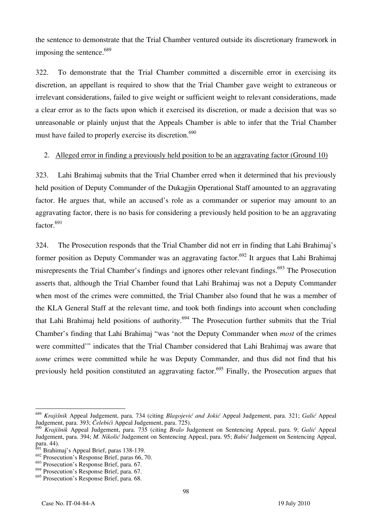the sentence to demonstrate that the Trial Chamber ventured outside its discretionary framework in imposing the sentence.<sup>689</sup>

322. To demonstrate that the Trial Chamber committed a discernible error in exercising its discretion, an appellant is required to show that the Trial Chamber gave weight to extraneous or irrelevant considerations, failed to give weight or sufficient weight to relevant considerations, made a clear error as to the facts upon which it exercised its discretion, or made a decision that was so unreasonable or plainly unjust that the Appeals Chamber is able to infer that the Trial Chamber must have failed to properly exercise its discretion.<sup>690</sup>

#### 2. Alleged error in finding a previously held position to be an aggravating factor (Ground 10)

323. Lahi Brahimaj submits that the Trial Chamber erred when it determined that his previously held position of Deputy Commander of the Dukagjin Operational Staff amounted to an aggravating factor. He argues that, while an accused's role as a commander or superior may amount to an aggravating factor, there is no basis for considering a previously held position to be an aggravating  $factor<sup>691</sup>$ 

324. The Prosecution responds that the Trial Chamber did not err in finding that Lahi Brahimaj's former position as Deputy Commander was an aggravating factor.<sup>692</sup> It argues that Lahi Brahimai misrepresents the Trial Chamber's findings and ignores other relevant findings.693 The Prosecution asserts that, although the Trial Chamber found that Lahi Brahimaj was not a Deputy Commander when most of the crimes were committed, the Trial Chamber also found that he was a member of the KLA General Staff at the relevant time, and took both findings into account when concluding that Lahi Brahimaj held positions of authority.<sup>694</sup> The Prosecution further submits that the Trial Chamber's finding that Lahi Brahimaj "was 'not the Deputy Commander when *most* of the crimes were committed'" indicates that the Trial Chamber considered that Lahi Brahimaj was aware that *some* crimes were committed while he was Deputy Commander, and thus did not find that his previously held position constituted an aggravating factor.<sup>695</sup> Finally, the Prosecution argues that

 $\overline{a}$ <sup>689</sup> *Kraji{nik* Appeal Judgement, para. 734 (citing *Blagojević and Jokić* Appeal Judgement, para. 321; *Galić* Appeal Judgement, para. 393; *Čelebići* Appeal Judgement, para. 725).

<sup>690</sup> *Kraji{nik* Appeal Judgement, para. 735 (citing *Bralo* Judgement on Sentencing Appeal, para. 9; *Galić* Appeal Judgement, para. 394; *M. Nikolić* Judgement on Sentencing Appeal, para. 95; *Babić* Judgement on Sentencing Appeal, para. 44).

 $\frac{691}{10}$  Brahimaj's Appeal Brief, paras 138-139.

 $692$  Prosecution's Response Brief, paras 66, 70.

<sup>693</sup> Prosecution's Response Brief, para. 67.

<sup>&</sup>lt;sup>694</sup> Prosecution's Response Brief, para. 67.

 $695$  Prosecution's Response Brief, para. 68.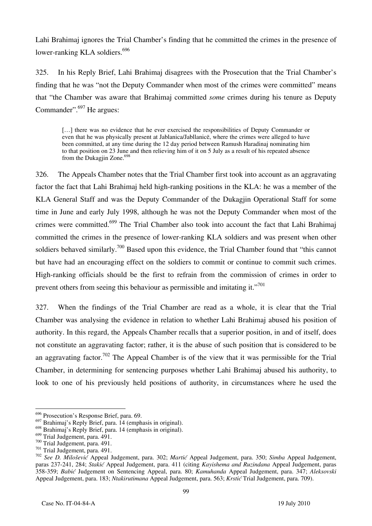Lahi Brahimaj ignores the Trial Chamber's finding that he committed the crimes in the presence of lower-ranking KLA soldiers.<sup>696</sup>

325. In his Reply Brief, Lahi Brahimaj disagrees with the Prosecution that the Trial Chamber's finding that he was "not the Deputy Commander when most of the crimes were committed" means that "the Chamber was aware that Brahimaj committed *some* crimes during his tenure as Deputy Commander".<sup>697</sup> He argues:

[...] there was no evidence that he ever exercised the responsibilities of Deputy Commander or even that he was physically present at Jablanica/Jabllanicë, where the crimes were alleged to have been committed, at any time during the 12 day period between Ramush Haradinaj nominating him to that position on 23 June and then relieving him of it on 5 July as a result of his repeated absence from the Dukagjin Zone.<sup>69</sup>

326. The Appeals Chamber notes that the Trial Chamber first took into account as an aggravating factor the fact that Lahi Brahimaj held high-ranking positions in the KLA: he was a member of the KLA General Staff and was the Deputy Commander of the Dukagjin Operational Staff for some time in June and early July 1998, although he was not the Deputy Commander when most of the crimes were committed.699 The Trial Chamber also took into account the fact that Lahi Brahimaj committed the crimes in the presence of lower-ranking KLA soldiers and was present when other soldiers behaved similarly.<sup>700</sup> Based upon this evidence, the Trial Chamber found that "this cannot" but have had an encouraging effect on the soldiers to commit or continue to commit such crimes. High-ranking officials should be the first to refrain from the commission of crimes in order to prevent others from seeing this behaviour as permissible and imitating it. $"^{701}$ 

327. When the findings of the Trial Chamber are read as a whole, it is clear that the Trial Chamber was analysing the evidence in relation to whether Lahi Brahimaj abused his position of authority. In this regard, the Appeals Chamber recalls that a superior position, in and of itself, does not constitute an aggravating factor; rather, it is the abuse of such position that is considered to be an aggravating factor.<sup>702</sup> The Appeal Chamber is of the view that it was permissible for the Trial Chamber, in determining for sentencing purposes whether Lahi Brahimaj abused his authority, to look to one of his previously held positions of authority, in circumstances where he used the

<sup>&</sup>lt;sup>696</sup> Prosecution's Response Brief, para. 69.

 $697$  Brahimaj's Reply Brief, para. 14 (emphasis in original).

<sup>&</sup>lt;sup>698</sup> Brahimaj's Reply Brief, para. 14 (emphasis in original).<br><sup>699</sup> Trial Judgement, para. 491.

<sup>&</sup>lt;sup>700</sup> Trial Judgement, para. 491.<br><sup>701</sup> Trial Judgement, para. 491.<br><sup>701</sup> See D. Milošević Appeal Judgement, para. 302; *Martić* Appeal Judgement, para. 350; Simba Appeal Judgement, paras 237-241, 284; *Staki}* Appeal Judgement, para. 411 (citing *Kayishema and Ruzindana* Appeal Judgement, paras 358-359; *Babi}* Judgement on Sentencing Appeal, para. 80; *Kamuhanda* Appeal Judgement, para. 347; *Aleksovski*  Appeal Judgement, para. 183; *Ntakirutimana* Appeal Judgement, para. 563; *Krstić* Trial Judgement, para. 709).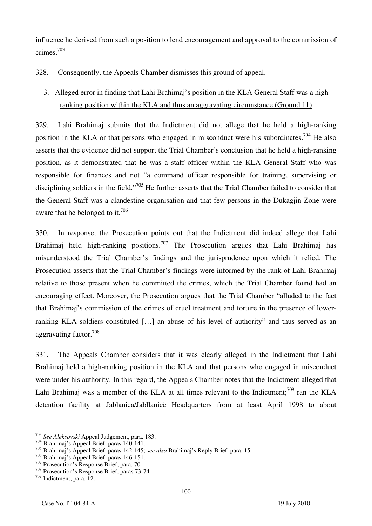influence he derived from such a position to lend encouragement and approval to the commission of crimes.703

328. Consequently, the Appeals Chamber dismisses this ground of appeal.

## 3. Alleged error in finding that Lahi Brahimaj's position in the KLA General Staff was a high ranking position within the KLA and thus an aggravating circumstance (Ground 11)

329. Lahi Brahimaj submits that the Indictment did not allege that he held a high-ranking position in the KLA or that persons who engaged in misconduct were his subordinates.<sup>704</sup> He also asserts that the evidence did not support the Trial Chamber's conclusion that he held a high-ranking position, as it demonstrated that he was a staff officer within the KLA General Staff who was responsible for finances and not "a command officer responsible for training, supervising or disciplining soldiers in the field."<sup>705</sup> He further asserts that the Trial Chamber failed to consider that the General Staff was a clandestine organisation and that few persons in the Dukagjin Zone were aware that he belonged to it.<sup>706</sup>

330. In response, the Prosecution points out that the Indictment did indeed allege that Lahi Brahimaj held high-ranking positions.<sup>707</sup> The Prosecution argues that Lahi Brahimaj has misunderstood the Trial Chamber's findings and the jurisprudence upon which it relied. The Prosecution asserts that the Trial Chamber's findings were informed by the rank of Lahi Brahimaj relative to those present when he committed the crimes, which the Trial Chamber found had an encouraging effect. Moreover, the Prosecution argues that the Trial Chamber "alluded to the fact that Brahimaj's commission of the crimes of cruel treatment and torture in the presence of lowerranking KLA soldiers constituted [...] an abuse of his level of authority" and thus served as an aggravating factor.708

331. The Appeals Chamber considers that it was clearly alleged in the Indictment that Lahi Brahimaj held a high-ranking position in the KLA and that persons who engaged in misconduct were under his authority. In this regard, the Appeals Chamber notes that the Indictment alleged that Lahi Brahimaj was a member of the KLA at all times relevant to the Indictment;<sup>709</sup> ran the KLA detention facility at Jablanica/Jabllanicë Headquarters from at least April 1998 to about

<sup>&</sup>lt;sup>703</sup> See Aleksovski Appeal Judgement, para. 183.

<sup>&</sup>lt;sup>704</sup> Brahimaj's Appeal Brief, paras 140-141.

<sup>705</sup> Brahimaj's Appeal Brief, paras 142-145; *see also* Brahimaj's Reply Brief, para. 15.

<sup>707</sup> Prosecution's Response Brief, para. 70.<br><sup>708</sup> Prosecution's Response Brief, paras 73-74.

<sup>709</sup> Indictment, para. 12.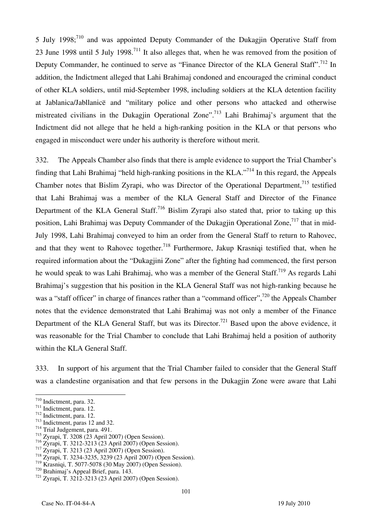5 July 1998;<sup>710</sup> and was appointed Deputy Commander of the Dukagjin Operative Staff from 23 June 1998 until 5 July 1998.711 It also alleges that, when he was removed from the position of Deputy Commander, he continued to serve as "Finance Director of the KLA General Staff".<sup>712</sup> In addition, the Indictment alleged that Lahi Brahimaj condoned and encouraged the criminal conduct of other KLA soldiers, until mid-September 1998, including soldiers at the KLA detention facility at Jablanica/Jabllanicë and "military police and other persons who attacked and otherwise mistreated civilians in the Dukagjin Operational Zone".<sup>713</sup> Lahi Brahimaj's argument that the Indictment did not allege that he held a high-ranking position in the KLA or that persons who engaged in misconduct were under his authority is therefore without merit.

332. The Appeals Chamber also finds that there is ample evidence to support the Trial Chamber's finding that Lahi Brahimaj "held high-ranking positions in the KLA."714 In this regard, the Appeals Chamber notes that Bislim Zyrapi, who was Director of the Operational Department,<sup>715</sup> testified that Lahi Brahimaj was a member of the KLA General Staff and Director of the Finance Department of the KLA General Staff.<sup>716</sup> Bislim Zyrapi also stated that, prior to taking up this position, Lahi Brahimaj was Deputy Commander of the Dukagjin Operational Zone,<sup>717</sup> that in mid-July 1998, Lahi Brahimaj conveyed to him an order from the General Staff to return to Rahovec, and that they went to Rahovec together.<sup>718</sup> Furthermore, Jakup Krasniqi testified that, when he required information about the "Dukagjini Zone" after the fighting had commenced, the first person he would speak to was Lahi Brahimai, who was a member of the General Staff.<sup>719</sup> As regards Lahi Brahimaj's suggestion that his position in the KLA General Staff was not high-ranking because he was a "staff officer" in charge of finances rather than a "command officer",<sup>720</sup> the Appeals Chamber notes that the evidence demonstrated that Lahi Brahimaj was not only a member of the Finance Department of the KLA General Staff, but was its Director.<sup>721</sup> Based upon the above evidence, it was reasonable for the Trial Chamber to conclude that Lahi Brahimaj held a position of authority within the KLA General Staff.

333. In support of his argument that the Trial Chamber failed to consider that the General Staff was a clandestine organisation and that few persons in the Dukagjin Zone were aware that Lahi

<sup>710</sup> Indictment, para. 32.

<sup>&</sup>lt;sup>711</sup> Indictment, para. 12.<br><sup>712</sup> Indictment, para. 12.<br><sup>713</sup> Indictment, paras 12 and 32.<br><sup>714</sup> Trial Judgement, para. 491.

<sup>715</sup> Zyrapi, T. 3208 (23 April 2007) (Open Session).

<sup>716</sup> Zyrapi, T. 3212-3213 (23 April 2007) (Open Session). 717 Zyrapi, T. 3213 (23 April 2007) (Open Session). 718 Zyrapi, T. 3234-3235, 3239 (23 April 2007) (Open Session).

 $719$  Krasniqi, T. 5077-5078 (30 May 2007) (Open Session).<br><sup>720</sup> Brahimaj's Appeal Brief, para. 143.<br><sup>721</sup> Zyrapi, T. 3212-3213 (23 April 2007) (Open Session).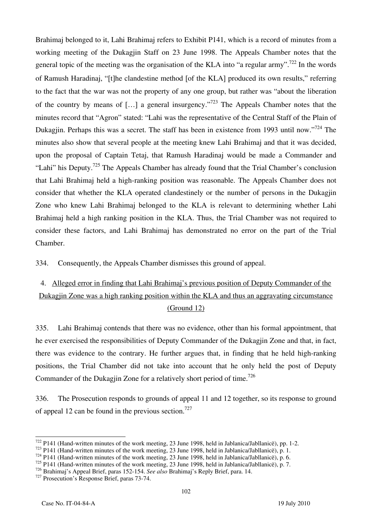Brahimaj belonged to it, Lahi Brahimaj refers to Exhibit P141, which is a record of minutes from a working meeting of the Dukagjin Staff on 23 June 1998. The Appeals Chamber notes that the general topic of the meeting was the organisation of the KLA into "a regular army".<sup>722</sup> In the words of Ramush Haradinaj, "[t]he clandestine method [of the KLA] produced its own results," referring to the fact that the war was not the property of any one group, but rather was "about the liberation of the country by means of [...] a general insurgency."<sup>723</sup> The Appeals Chamber notes that the minutes record that "Agron" stated: "Lahi was the representative of the Central Staff of the Plain of Dukagjin. Perhaps this was a secret. The staff has been in existence from 1993 until now."<sup>724</sup> The minutes also show that several people at the meeting knew Lahi Brahimaj and that it was decided, upon the proposal of Captain Tetaj, that Ramush Haradinaj would be made a Commander and "Lahi" his Deputy.<sup>725</sup> The Appeals Chamber has already found that the Trial Chamber's conclusion that Lahi Brahimaj held a high-ranking position was reasonable. The Appeals Chamber does not consider that whether the KLA operated clandestinely or the number of persons in the Dukagjin Zone who knew Lahi Brahimaj belonged to the KLA is relevant to determining whether Lahi Brahimaj held a high ranking position in the KLA. Thus, the Trial Chamber was not required to consider these factors, and Lahi Brahimaj has demonstrated no error on the part of the Trial Chamber.

334. Consequently, the Appeals Chamber dismisses this ground of appeal.

# 4. Alleged error in finding that Lahi Brahimaj's previous position of Deputy Commander of the Dukagjin Zone was a high ranking position within the KLA and thus an aggravating circumstance (Ground 12)

335. Lahi Brahimaj contends that there was no evidence, other than his formal appointment, that he ever exercised the responsibilities of Deputy Commander of the Dukagjin Zone and that, in fact, there was evidence to the contrary. He further argues that, in finding that he held high-ranking positions, the Trial Chamber did not take into account that he only held the post of Deputy Commander of the Dukagjin Zone for a relatively short period of time.<sup>726</sup>

336. The Prosecution responds to grounds of appeal 11 and 12 together, so its response to ground of appeal 12 can be found in the previous section.<sup>727</sup>

 $722$  P141 (Hand-written minutes of the work meeting, 23 June 1998, held in Jablanica/Jabllanice), pp. 1-2.

 $^{723}$  P141 (Hand-written minutes of the work meeting, 23 June 1998, held in Jablanica/Jabllanicë), p. 1.<br><sup>724</sup> P141 (Hand-written minutes of the work meeting, 23 June 1998, held in Jablanica/Jabllanicë), p. 6.

<sup>725</sup> P141 (Hand-written minutes of the work meeting, 23 June 1998, held in Jablanica/Jabllanicë), p. 7.

<sup>726</sup> Brahimaj's Appeal Brief, paras 152-154. *See also* Brahimaj's Reply Brief, para. 14. 727 Prosecution's Response Brief, paras 73-74.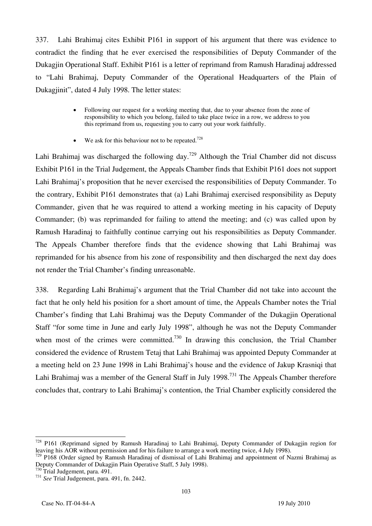337. Lahi Brahimaj cites Exhibit P161 in support of his argument that there was evidence to contradict the finding that he ever exercised the responsibilities of Deputy Commander of the Dukagjin Operational Staff. Exhibit P161 is a letter of reprimand from Ramush Haradinaj addressed to "Lahi Brahimaj, Deputy Commander of the Operational Headquarters of the Plain of Dukagjinit", dated 4 July 1998. The letter states:

- Following our request for a working meeting that, due to your absence from the zone of responsibility to which you belong, failed to take place twice in a row, we address to you this reprimand from us, requesting you to carry out your work faithfully.
- We ask for this behaviour not to be repeated.<sup>728</sup>

Lahi Brahimaj was discharged the following day.<sup>729</sup> Although the Trial Chamber did not discuss Exhibit P161 in the Trial Judgement, the Appeals Chamber finds that Exhibit P161 does not support Lahi Brahimaj's proposition that he never exercised the responsibilities of Deputy Commander. To the contrary, Exhibit P161 demonstrates that (a) Lahi Brahimaj exercised responsibility as Deputy Commander, given that he was required to attend a working meeting in his capacity of Deputy Commander; (b) was reprimanded for failing to attend the meeting; and (c) was called upon by Ramush Haradinaj to faithfully continue carrying out his responsibilities as Deputy Commander. The Appeals Chamber therefore finds that the evidence showing that Lahi Brahimaj was reprimanded for his absence from his zone of responsibility and then discharged the next day does not render the Trial Chamber's finding unreasonable.

338. Regarding Lahi Brahimaj's argument that the Trial Chamber did not take into account the fact that he only held his position for a short amount of time, the Appeals Chamber notes the Trial Chamber's finding that Lahi Brahimaj was the Deputy Commander of the Dukagjin Operational Staff "for some time in June and early July 1998", although he was not the Deputy Commander when most of the crimes were committed.<sup>730</sup> In drawing this conclusion, the Trial Chamber considered the evidence of Rrustem Tetaj that Lahi Brahimaj was appointed Deputy Commander at a meeting held on 23 June 1998 in Lahi Brahimaj's house and the evidence of Jakup Krasniqi that Lahi Brahimaj was a member of the General Staff in July 1998.<sup>731</sup> The Appeals Chamber therefore concludes that, contrary to Lahi Brahimaj's contention, the Trial Chamber explicitly considered the

 $\overline{a}$ 728 P161 (Reprimand signed by Ramush Haradinaj to Lahi Brahimaj, Deputy Commander of Dukagjin region for leaving his AOR without permission and for his failure to arrange a work meeting twice, 4 July 1998).

<sup>729</sup> P168 (Order signed by Ramush Haradinaj of dismissal of Lahi Brahimaj and appointment of Nazmi Brahimaj as Deputy Commander of Dukagjin Plain Operative Staff, 5 July 1998).<br><sup>730</sup> Trial Judgement, para. 491.

<sup>730</sup> Trial Judgement, para. 491. 731 *See* Trial Judgement, para. 491, fn. 2442.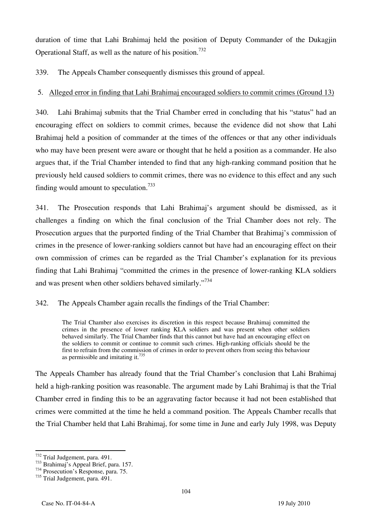duration of time that Lahi Brahimaj held the position of Deputy Commander of the Dukagjin Operational Staff, as well as the nature of his position.732

339. The Appeals Chamber consequently dismisses this ground of appeal.

## 5. Alleged error in finding that Lahi Brahimaj encouraged soldiers to commit crimes (Ground 13)

340. Lahi Brahimaj submits that the Trial Chamber erred in concluding that his "status" had an encouraging effect on soldiers to commit crimes, because the evidence did not show that Lahi Brahimaj held a position of commander at the times of the offences or that any other individuals who may have been present were aware or thought that he held a position as a commander. He also argues that, if the Trial Chamber intended to find that any high-ranking command position that he previously held caused soldiers to commit crimes, there was no evidence to this effect and any such finding would amount to speculation.<sup>733</sup>

341. The Prosecution responds that Lahi Brahimaj's argument should be dismissed, as it challenges a finding on which the final conclusion of the Trial Chamber does not rely. The Prosecution argues that the purported finding of the Trial Chamber that Brahimaj's commission of crimes in the presence of lower-ranking soldiers cannot but have had an encouraging effect on their own commission of crimes can be regarded as the Trial Chamber's explanation for its previous finding that Lahi Brahimaj "committed the crimes in the presence of lower-ranking KLA soldiers and was present when other soldiers behaved similarly."<sup>734</sup>

342. The Appeals Chamber again recalls the findings of the Trial Chamber:

The Trial Chamber also exercises its discretion in this respect because Brahimaj committed the crimes in the presence of lower ranking KLA soldiers and was present when other soldiers behaved similarly. The Trial Chamber finds that this cannot but have had an encouraging effect on the soldiers to commit or continue to commit such crimes. High-ranking officials should be the first to refrain from the commission of crimes in order to prevent others from seeing this behaviour as permissible and imitating it.<sup>735</sup>

The Appeals Chamber has already found that the Trial Chamber's conclusion that Lahi Brahimaj held a high-ranking position was reasonable. The argument made by Lahi Brahimaj is that the Trial Chamber erred in finding this to be an aggravating factor because it had not been established that crimes were committed at the time he held a command position. The Appeals Chamber recalls that the Trial Chamber held that Lahi Brahimaj, for some time in June and early July 1998, was Deputy

<sup>732</sup> Trial Judgement, para. 491.

<sup>733</sup> Brahimaj's Appeal Brief, para. 157.<br><sup>734</sup> Prosecution's Response, para. 75.

<sup>735</sup> Trial Judgement, para. 491.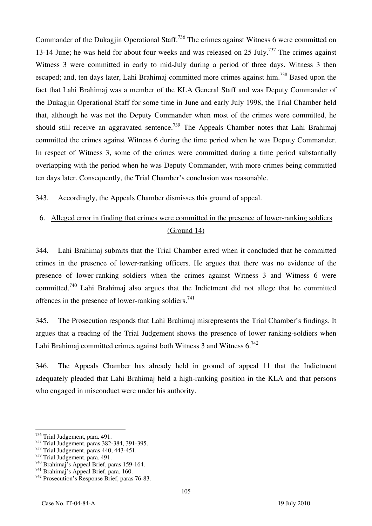Commander of the Dukagjin Operational Staff.<sup>736</sup> The crimes against Witness 6 were committed on 13-14 June; he was held for about four weeks and was released on 25 July.<sup>737</sup> The crimes against Witness 3 were committed in early to mid-July during a period of three days. Witness 3 then escaped; and, ten days later, Lahi Brahimaj committed more crimes against him.<sup>738</sup> Based upon the fact that Lahi Brahimaj was a member of the KLA General Staff and was Deputy Commander of the Dukagjin Operational Staff for some time in June and early July 1998, the Trial Chamber held that, although he was not the Deputy Commander when most of the crimes were committed, he should still receive an aggravated sentence.<sup>739</sup> The Appeals Chamber notes that Lahi Brahimaj committed the crimes against Witness 6 during the time period when he was Deputy Commander. In respect of Witness 3, some of the crimes were committed during a time period substantially overlapping with the period when he was Deputy Commander, with more crimes being committed ten days later. Consequently, the Trial Chamber's conclusion was reasonable.

343. Accordingly, the Appeals Chamber dismisses this ground of appeal.

# 6. Alleged error in finding that crimes were committed in the presence of lower-ranking soldiers (Ground 14)

344. Lahi Brahimaj submits that the Trial Chamber erred when it concluded that he committed crimes in the presence of lower-ranking officers. He argues that there was no evidence of the presence of lower-ranking soldiers when the crimes against Witness 3 and Witness 6 were committed.740 Lahi Brahimaj also argues that the Indictment did not allege that he committed offences in the presence of lower-ranking soldiers.<sup>741</sup>

345. The Prosecution responds that Lahi Brahimaj misrepresents the Trial Chamber's findings. It argues that a reading of the Trial Judgement shows the presence of lower ranking-soldiers when Lahi Brahimaj committed crimes against both Witness 3 and Witness  $6.742$ 

346. The Appeals Chamber has already held in ground of appeal 11 that the Indictment adequately pleaded that Lahi Brahimaj held a high-ranking position in the KLA and that persons who engaged in misconduct were under his authority.

 $\overline{a}$ 

 $^{736}$  Trial Judgement, para. 491.<br> $^{737}$  Trial Judgement, paras 382-384, 391-395.<br> $^{738}$  Trial Judgement, paras 440, 443-451.

<sup>&</sup>lt;sup>738</sup> Trial Judgement, paras 440, 443-451.<br><sup>739</sup> Trial Judgement, para. 491.<br><sup>740</sup> Brahimaj's Appeal Brief, paras 159-164.<br><sup>741</sup> Brahimaj's Appeal Brief, para. 160.<br><sup>742</sup> Prosecution's Response Brief, paras 76-83.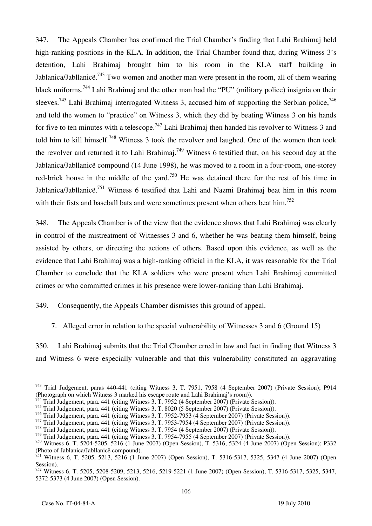347. The Appeals Chamber has confirmed the Trial Chamber's finding that Lahi Brahimaj held high-ranking positions in the KLA. In addition, the Trial Chamber found that, during Witness 3's detention, Lahi Brahimaj brought him to his room in the KLA staff building in Jablanica/Jabllanicë.<sup>743</sup> Two women and another man were present in the room, all of them wearing black uniforms.<sup>744</sup> Lahi Brahimai and the other man had the "PU" (military police) insignia on their sleeves.<sup>745</sup> Lahi Brahimaj interrogated Witness 3, accused him of supporting the Serbian police,<sup>746</sup> and told the women to "practice" on Witness 3, which they did by beating Witness 3 on his hands for five to ten minutes with a telescope.<sup>747</sup> Lahi Brahimaj then handed his revolver to Witness 3 and told him to kill himself.<sup>748</sup> Witness 3 took the revolver and laughed. One of the women then took the revolver and returned it to Lahi Brahimaj.<sup>749</sup> Witness 6 testified that, on his second day at the Jablanica/Jabllanicë compound (14 June 1998), he was moved to a room in a four-room, one-storey red-brick house in the middle of the yard.<sup>750</sup> He was detained there for the rest of his time in Jablanica/Jabllanicë.<sup>751</sup> Witness 6 testified that Lahi and Nazmi Brahimaj beat him in this room with their fists and baseball bats and were sometimes present when others beat him.<sup>752</sup>

348. The Appeals Chamber is of the view that the evidence shows that Lahi Brahimaj was clearly in control of the mistreatment of Witnesses 3 and 6, whether he was beating them himself, being assisted by others, or directing the actions of others. Based upon this evidence, as well as the evidence that Lahi Brahimaj was a high-ranking official in the KLA, it was reasonable for the Trial Chamber to conclude that the KLA soldiers who were present when Lahi Brahimaj committed crimes or who committed crimes in his presence were lower-ranking than Lahi Brahimaj.

349. Consequently, the Appeals Chamber dismisses this ground of appeal.

#### 7. Alleged error in relation to the special vulnerability of Witnesses 3 and 6 (Ground 15)

350. Lahi Brahimaj submits that the Trial Chamber erred in law and fact in finding that Witness 3 and Witness 6 were especially vulnerable and that this vulnerability constituted an aggravating

 $\overline{a}$ 743 Trial Judgement, paras 440-441 (citing Witness 3, T. 7951, 7958 (4 September 2007) (Private Session); P914 (Photograph on which Witness 3 marked his escape route and Lahi Brahimaj's room)).

<sup>&</sup>lt;sup>44</sup> Trial Judgement, para. 441 (citing Witness 3, T. 7952 (4 September 2007) (Private Session)).

<sup>745</sup> Trial Judgement, para. 441 (citing Witness 3, T. 8020 (5 September 2007) (Private Session)).<br><sup>746</sup> Trial Judgement, para. 441 (citing Witness 3, T. 7952-7953 (4 September 2007) (Private Session)).

 $^{747}$  Trial Judgement, para. 441 (citing Witness 3, T. 7953-7954 (4 September 2007) (Private Session)).<br><sup>748</sup> Trial Judgement, para. 441 (citing Witness 3, T. 7954 (4 September 2007) (Private Session)).

<sup>749</sup> Trial Judgement, para. 441 (citing Witness 3, T. 7954-7955 (4 September 2007) (Private Session)).

<sup>750</sup> Witness 6, T. 5204-5205, 5216 (1 June 2007) (Open Session), T. 5316, 5324 (4 June 2007) (Open Session); P332 (Photo of Jablanica/Jabllanicë compound).

 $751$  Witness 6, T. 5205, 5213, 5216 (1 June 2007) (Open Session), T. 5316-5317, 5325, 5347 (4 June 2007) (Open Session).

<sup>752</sup> Witness 6, T. 5205, 5208-5209, 5213, 5216, 5219-5221 (1 June 2007) (Open Session), T. 5316-5317, 5325, 5347, 5372-5373 (4 June 2007) (Open Session).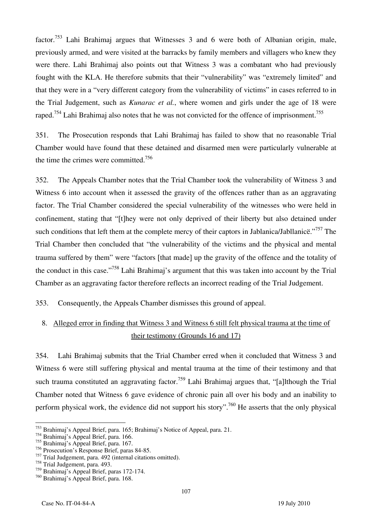factor.<sup>753</sup> Lahi Brahimaj argues that Witnesses 3 and 6 were both of Albanian origin, male, previously armed, and were visited at the barracks by family members and villagers who knew they were there. Lahi Brahimaj also points out that Witness 3 was a combatant who had previously fought with the KLA. He therefore submits that their "vulnerability" was "extremely limited" and that they were in a "very different category from the vulnerability of victims" in cases referred to in the Trial Judgement, such as *Kunarac et al.*, where women and girls under the age of 18 were raped.<sup>754</sup> Lahi Brahimaj also notes that he was not convicted for the offence of imprisonment.<sup>755</sup>

351. The Prosecution responds that Lahi Brahimaj has failed to show that no reasonable Trial Chamber would have found that these detained and disarmed men were particularly vulnerable at the time the crimes were committed.756

352. The Appeals Chamber notes that the Trial Chamber took the vulnerability of Witness 3 and Witness 6 into account when it assessed the gravity of the offences rather than as an aggravating factor. The Trial Chamber considered the special vulnerability of the witnesses who were held in confinement, stating that "[t]hey were not only deprived of their liberty but also detained under such conditions that left them at the complete mercy of their captors in Jablanica/Jabllanice."<sup>757</sup> The Trial Chamber then concluded that "the vulnerability of the victims and the physical and mental trauma suffered by them" were "factors [that made] up the gravity of the offence and the totality of the conduct in this case."758 Lahi Brahimaj's argument that this was taken into account by the Trial Chamber as an aggravating factor therefore reflects an incorrect reading of the Trial Judgement.

353. Consequently, the Appeals Chamber dismisses this ground of appeal.

# 8. Alleged error in finding that Witness 3 and Witness 6 still felt physical trauma at the time of their testimony (Grounds 16 and 17)

354. Lahi Brahimaj submits that the Trial Chamber erred when it concluded that Witness 3 and Witness 6 were still suffering physical and mental trauma at the time of their testimony and that such trauma constituted an aggravating factor.<sup>759</sup> Lahi Brahimaj argues that, "[a]lthough the Trial Chamber noted that Witness 6 gave evidence of chronic pain all over his body and an inability to perform physical work, the evidence did not support his story".<sup>760</sup> He asserts that the only physical

 $\overline{a}$ 753 Brahimaj's Appeal Brief, para. 165; Brahimaj's Notice of Appeal, para. 21.

<sup>754</sup> Brahimaj's Appeal Brief, para. 166.

<sup>755</sup> Brahimaj's Appeal Brief, para. 167.

<sup>756</sup> Prosecution's Response Brief, paras 84-85.

<sup>757</sup> Trial Judgement, para. 492 (internal citations omitted).

<sup>758</sup> Trial Judgement, para. 493.

<sup>759</sup> Brahimaj's Appeal Brief, paras 172-174.

<sup>760</sup> Brahimaj's Appeal Brief, para. 168.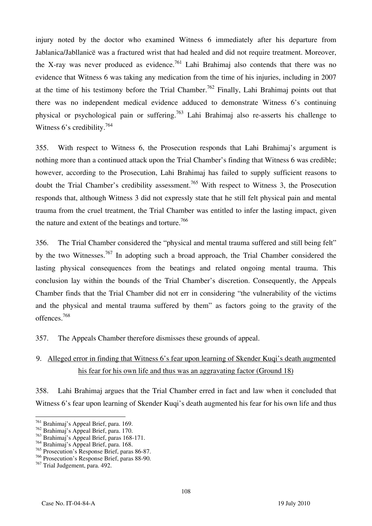injury noted by the doctor who examined Witness 6 immediately after his departure from Jablanica/Jabllanicë was a fractured wrist that had healed and did not require treatment. Moreover, the X-ray was never produced as evidence.<sup>761</sup> Lahi Brahimaj also contends that there was no evidence that Witness 6 was taking any medication from the time of his injuries, including in 2007 at the time of his testimony before the Trial Chamber.<sup>762</sup> Finally, Lahi Brahimai points out that there was no independent medical evidence adduced to demonstrate Witness 6's continuing physical or psychological pain or suffering.<sup>763</sup> Lahi Brahimaj also re-asserts his challenge to Witness 6's credibility.<sup>764</sup>

355. With respect to Witness 6, the Prosecution responds that Lahi Brahimaj's argument is nothing more than a continued attack upon the Trial Chamber's finding that Witness 6 was credible; however, according to the Prosecution, Lahi Brahimaj has failed to supply sufficient reasons to doubt the Trial Chamber's credibility assessment.<sup>765</sup> With respect to Witness 3, the Prosecution responds that, although Witness 3 did not expressly state that he still felt physical pain and mental trauma from the cruel treatment, the Trial Chamber was entitled to infer the lasting impact, given the nature and extent of the beatings and torture.<sup>766</sup>

356. The Trial Chamber considered the "physical and mental trauma suffered and still being felt" by the two Witnesses.<sup>767</sup> In adopting such a broad approach, the Trial Chamber considered the lasting physical consequences from the beatings and related ongoing mental trauma. This conclusion lay within the bounds of the Trial Chamber's discretion. Consequently, the Appeals Chamber finds that the Trial Chamber did not err in considering "the vulnerability of the victims and the physical and mental trauma suffered by them" as factors going to the gravity of the offences.768

357. The Appeals Chamber therefore dismisses these grounds of appeal.

# 9. Alleged error in finding that Witness 6's fear upon learning of Skender Kuqi's death augmented his fear for his own life and thus was an aggravating factor (Ground 18)

358. Lahi Brahimaj argues that the Trial Chamber erred in fact and law when it concluded that Witness 6's fear upon learning of Skender Kuqi's death augmented his fear for his own life and thus

 $\overline{a}$ <sup>761</sup> Brahimaj's Appeal Brief, para. 169.

<sup>762</sup> Brahimaj's Appeal Brief, para. 170.

<sup>763</sup> Brahimaj's Appeal Brief, paras 168-171.

<sup>764</sup> Brahimaj's Appeal Brief, para. 168.

<sup>765</sup> Prosecution's Response Brief, paras 86-87.

<sup>766</sup> Prosecution's Response Brief, paras 88-90.

<sup>767</sup> Trial Judgement, para. 492.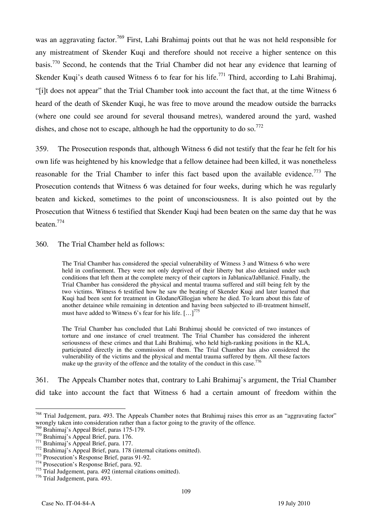was an aggravating factor.<sup>769</sup> First, Lahi Brahimaj points out that he was not held responsible for any mistreatment of Skender Kuqi and therefore should not receive a higher sentence on this basis.770 Second, he contends that the Trial Chamber did not hear any evidence that learning of Skender Kuqi's death caused Witness 6 to fear for his life.<sup>771</sup> Third, according to Lahi Brahimaj, "it does not appear" that the Trial Chamber took into account the fact that, at the time Witness 6 heard of the death of Skender Kuqi, he was free to move around the meadow outside the barracks (where one could see around for several thousand metres), wandered around the yard, washed dishes, and chose not to escape, although he had the opportunity to do so.<sup>772</sup>

359. The Prosecution responds that, although Witness 6 did not testify that the fear he felt for his own life was heightened by his knowledge that a fellow detainee had been killed, it was nonetheless reasonable for the Trial Chamber to infer this fact based upon the available evidence.<sup>773</sup> The Prosecution contends that Witness 6 was detained for four weeks, during which he was regularly beaten and kicked, sometimes to the point of unconsciousness. It is also pointed out by the Prosecution that Witness 6 testified that Skender Kuqi had been beaten on the same day that he was beaten.774

360. The Trial Chamber held as follows:

The Trial Chamber has considered the special vulnerability of Witness 3 and Witness 6 who were held in confinement. They were not only deprived of their liberty but also detained under such conditions that left them at the complete mercy of their captors in Jablanica/Jabllanicë. Finally, the Trial Chamber has considered the physical and mental trauma suffered and still being felt by the two victims. Witness 6 testified how he saw the beating of Skender Kuqi and later learned that Kuqi had been sent for treatment in Glođane/Gllogjan where he died. To learn about this fate of another detainee while remaining in detention and having been subjected to ill-treatment himself, must have added to Witness 6's fear for his life.  $\left[ \ldots \right]^{775}$ 

The Trial Chamber has concluded that Lahi Brahimaj should be convicted of two instances of torture and one instance of cruel treatment. The Trial Chamber has considered the inherent seriousness of these crimes and that Lahi Brahimaj, who held high-ranking positions in the KLA, participated directly in the commission of them. The Trial Chamber has also considered the vulnerability of the victims and the physical and mental trauma suffered by them. All these factors make up the gravity of the offence and the totality of the conduct in this case.<sup>776</sup>

361. The Appeals Chamber notes that, contrary to Lahi Brahimaj's argument, the Trial Chamber did take into account the fact that Witness 6 had a certain amount of freedom within the

 $\overline{a}$ <sup>768</sup> Trial Judgement, para. 493. The Appeals Chamber notes that Brahimaj raises this error as an "aggravating factor" wrongly taken into consideration rather than a factor going to the gravity of the offence.<br><sup>769</sup> Brahimaj's Appeal Brief, paras 175-179.

<sup>&</sup>lt;sup>770</sup> Brahimaj's Appeal Brief, para. 176.<br><sup>771</sup> Brahimaj's Appeal Brief, para. 177.<br><sup>772</sup> Brahimaj's Appeal Brief, para. 178 (internal citations omitted).<br><sup>773</sup> Prosecution's Response Brief, paras 91-92.<br><sup>774</sup> Prosecution'

<sup>775</sup> Trial Judgement, para. 492 (internal citations omitted).

<sup>776</sup> Trial Judgement, para. 493.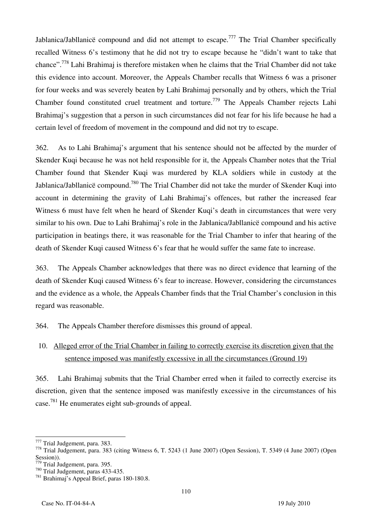Jablanica/Jabllanice compound and did not attempt to escape.<sup>777</sup> The Trial Chamber specifically recalled Witness 6's testimony that he did not try to escape because he "didn't want to take that chance".778 Lahi Brahimaj is therefore mistaken when he claims that the Trial Chamber did not take this evidence into account. Moreover, the Appeals Chamber recalls that Witness 6 was a prisoner for four weeks and was severely beaten by Lahi Brahimaj personally and by others, which the Trial Chamber found constituted cruel treatment and torture.779 The Appeals Chamber rejects Lahi Brahimaj's suggestion that a person in such circumstances did not fear for his life because he had a certain level of freedom of movement in the compound and did not try to escape.

362. As to Lahi Brahimaj's argument that his sentence should not be affected by the murder of Skender Kuqi because he was not held responsible for it, the Appeals Chamber notes that the Trial Chamber found that Skender Kuqi was murdered by KLA soldiers while in custody at the Jablanica/Jabllanicë compound.<sup>780</sup> The Trial Chamber did not take the murder of Skender Kuqi into account in determining the gravity of Lahi Brahimaj's offences, but rather the increased fear Witness 6 must have felt when he heard of Skender Kuqi's death in circumstances that were very similar to his own. Due to Lahi Brahimaj's role in the Jablanica/Jabllanicë compound and his active participation in beatings there, it was reasonable for the Trial Chamber to infer that hearing of the death of Skender Kuqi caused Witness 6's fear that he would suffer the same fate to increase.

363. The Appeals Chamber acknowledges that there was no direct evidence that learning of the death of Skender Kuqi caused Witness 6's fear to increase. However, considering the circumstances and the evidence as a whole, the Appeals Chamber finds that the Trial Chamber's conclusion in this regard was reasonable.

364. The Appeals Chamber therefore dismisses this ground of appeal.

10. Alleged error of the Trial Chamber in failing to correctly exercise its discretion given that the sentence imposed was manifestly excessive in all the circumstances (Ground 19)

365. Lahi Brahimaj submits that the Trial Chamber erred when it failed to correctly exercise its discretion, given that the sentence imposed was manifestly excessive in the circumstances of his case.781 He enumerates eight sub-grounds of appeal.

<sup>777</sup> Trial Judgement, para. 383.

 $778$  Trial Judgement, para. 383 (citing Witness 6, T. 5243 (1 June 2007) (Open Session), T. 5349 (4 June 2007) (Open Session)).<br><sup>779</sup> Trial Judgement, para. 395.

<sup>780</sup> Trial Judgement, paras 433-435.<br><sup>781</sup> Brahimaj's Appeal Brief, paras 180-180.8.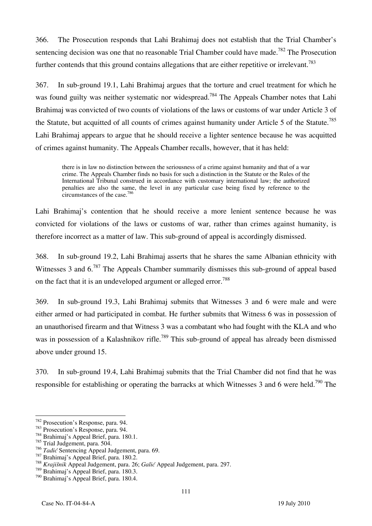366. The Prosecution responds that Lahi Brahimaj does not establish that the Trial Chamber's sentencing decision was one that no reasonable Trial Chamber could have made.<sup>782</sup> The Prosecution further contends that this ground contains allegations that are either repetitive or irrelevant.<sup>783</sup>

367. In sub-ground 19.1, Lahi Brahimaj argues that the torture and cruel treatment for which he was found guilty was neither systematic nor widespread.<sup>784</sup> The Appeals Chamber notes that Lahi Brahimaj was convicted of two counts of violations of the laws or customs of war under Article 3 of the Statute, but acquitted of all counts of crimes against humanity under Article 5 of the Statute.<sup>785</sup> Lahi Brahimaj appears to argue that he should receive a lighter sentence because he was acquitted of crimes against humanity. The Appeals Chamber recalls, however, that it has held:

there is in law no distinction between the seriousness of a crime against humanity and that of a war crime. The Appeals Chamber finds no basis for such a distinction in the Statute or the Rules of the International Tribunal construed in accordance with customary international law; the authorized penalties are also the same, the level in any particular case being fixed by reference to the circumstances of the case.<sup>786</sup>

Lahi Brahimaj's contention that he should receive a more lenient sentence because he was convicted for violations of the laws or customs of war, rather than crimes against humanity, is therefore incorrect as a matter of law. This sub-ground of appeal is accordingly dismissed.

368. In sub-ground 19.2, Lahi Brahimaj asserts that he shares the same Albanian ethnicity with Witnesses 3 and 6.<sup>787</sup> The Appeals Chamber summarily dismisses this sub-ground of appeal based on the fact that it is an undeveloped argument or alleged error.<sup>788</sup>

369. In sub-ground 19.3, Lahi Brahimaj submits that Witnesses 3 and 6 were male and were either armed or had participated in combat. He further submits that Witness 6 was in possession of an unauthorised firearm and that Witness 3 was a combatant who had fought with the KLA and who was in possession of a Kalashnikov rifle.<sup>789</sup> This sub-ground of appeal has already been dismissed above under ground 15.

370. In sub-ground 19.4, Lahi Brahimaj submits that the Trial Chamber did not find that he was responsible for establishing or operating the barracks at which Witnesses 3 and 6 were held.<sup>790</sup> The

<sup>782</sup> Prosecution's Response, para. 94.

<sup>782</sup> Prosecution's Response, para. 94. 783 Prosecution's Response, para. 94. 784 Brahimaj's Appeal Brief, para. 180.1.

<sup>&</sup>lt;sup>785</sup> Trial Judgement, para. 504.<br><sup>786</sup> Tadić Sentencing Appeal Judgement, para. 69.

<sup>786</sup> *Tadi<sup>ć</sup>* Sentencing Appeal Judgement, para. 69. 787 Brahimaj's Appeal Brief, para. 180.2. 788 *Kraji{nik* Appeal Judgement, para. 26; *Gali<sup>ć</sup>* Appeal Judgement, para. 297.

<sup>789</sup> Brahimaj's Appeal Brief, para. 180.3.

<sup>790</sup> Brahimaj's Appeal Brief, para. 180.4.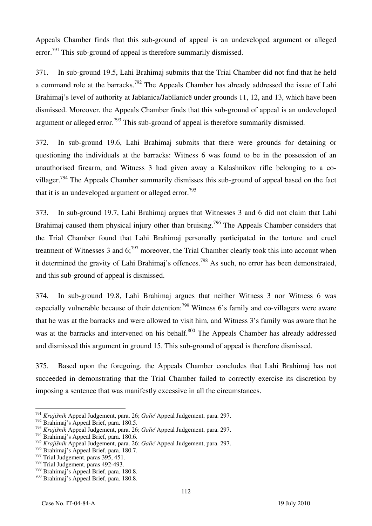Appeals Chamber finds that this sub-ground of appeal is an undeveloped argument or alleged error.<sup>791</sup> This sub-ground of appeal is therefore summarily dismissed.

371. In sub-ground 19.5, Lahi Brahimaj submits that the Trial Chamber did not find that he held a command role at the barracks.<sup>792</sup> The Appeals Chamber has already addressed the issue of Lahi Brahimaj's level of authority at Jablanica/Jabllanicë under grounds 11, 12, and 13, which have been dismissed. Moreover, the Appeals Chamber finds that this sub-ground of appeal is an undeveloped argument or alleged error.<sup>793</sup> This sub-ground of appeal is therefore summarily dismissed.

372. In sub-ground 19.6, Lahi Brahimaj submits that there were grounds for detaining or questioning the individuals at the barracks: Witness 6 was found to be in the possession of an unauthorised firearm, and Witness 3 had given away a Kalashnikov rifle belonging to a covillager.<sup>794</sup> The Appeals Chamber summarily dismisses this sub-ground of appeal based on the fact that it is an undeveloped argument or alleged error.<sup>795</sup>

373. In sub-ground 19.7, Lahi Brahimaj argues that Witnesses 3 and 6 did not claim that Lahi Brahimaj caused them physical injury other than bruising.<sup>796</sup> The Appeals Chamber considers that the Trial Chamber found that Lahi Brahimaj personally participated in the torture and cruel treatment of Witnesses 3 and  $6$ ;<sup>797</sup> moreover, the Trial Chamber clearly took this into account when it determined the gravity of Lahi Brahimaj's offences.<sup>798</sup> As such, no error has been demonstrated, and this sub-ground of appeal is dismissed.

374. In sub-ground 19.8, Lahi Brahimaj argues that neither Witness 3 nor Witness 6 was especially vulnerable because of their detention:<sup>799</sup> Witness 6's family and co-villagers were aware that he was at the barracks and were allowed to visit him, and Witness 3's family was aware that he was at the barracks and intervened on his behalf.<sup>800</sup> The Appeals Chamber has already addressed and dismissed this argument in ground 15. This sub-ground of appeal is therefore dismissed.

375. Based upon the foregoing, the Appeals Chamber concludes that Lahi Brahimaj has not succeeded in demonstrating that the Trial Chamber failed to correctly exercise its discretion by imposing a sentence that was manifestly excessive in all the circumstances.

 $\overline{a}$ <sup>791</sup> *Kraji{nik* Appeal Judgement, para. 26; *Galić* Appeal Judgement, para. 297.

<sup>792</sup> Brahimaj's Appeal Brief, para. 180.5.

<sup>793</sup> *Kraji{nik* Appeal Judgement, para. 26; *Galić* Appeal Judgement, para. 297.

<sup>794</sup> Brahimaj's Appeal Brief, para. 180.6.

<sup>795</sup> *Kraji{nik* Appeal Judgement, para. 26; *Galić* Appeal Judgement, para. 297.

<sup>796</sup> Brahimaj's Appeal Brief, para. 180.7.

 $797$  Trial Judgement, paras 395, 451.

<sup>&</sup>lt;sup>798</sup> Trial Judgement, paras 492-493.<br><sup>799</sup> Brahimaj's Appeal Brief, para. 180.8.

<sup>&</sup>lt;sup>800</sup> Brahimaj's Appeal Brief, para. 180.8.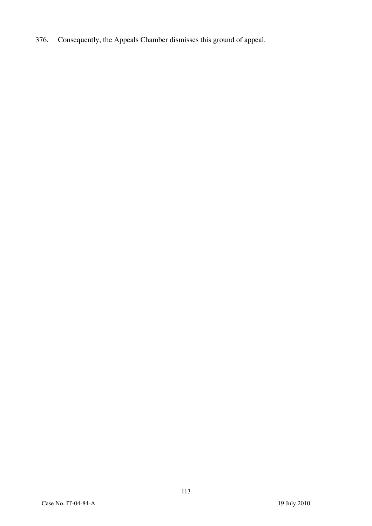376. Consequently, the Appeals Chamber dismisses this ground of appeal.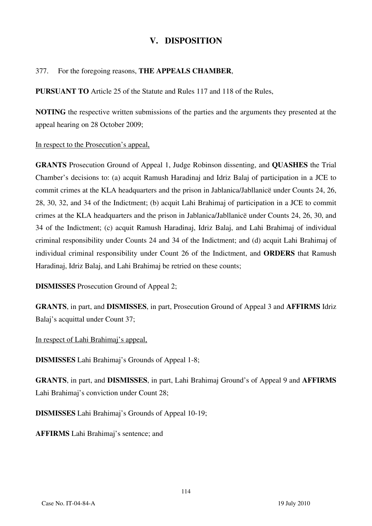### **V. DISPOSITION**

#### 377. For the foregoing reasons, **THE APPEALS CHAMBER**,

**PURSUANT TO** Article 25 of the Statute and Rules 117 and 118 of the Rules,

**NOTING** the respective written submissions of the parties and the arguments they presented at the appeal hearing on 28 October 2009;

#### In respect to the Prosecution's appeal,

**GRANTS** Prosecution Ground of Appeal 1, Judge Robinson dissenting, and **QUASHES** the Trial Chamber's decisions to: (a) acquit Ramush Haradinaj and Idriz Balaj of participation in a JCE to commit crimes at the KLA headquarters and the prison in Jablanica/Jabllanicë under Counts 24, 26, 28, 30, 32, and 34 of the Indictment; (b) acquit Lahi Brahimaj of participation in a JCE to commit crimes at the KLA headquarters and the prison in Jablanica/Jabllanicë under Counts 24, 26, 30, and 34 of the Indictment; (c) acquit Ramush Haradinaj, Idriz Balaj, and Lahi Brahimaj of individual criminal responsibility under Counts 24 and 34 of the Indictment; and (d) acquit Lahi Brahimaj of individual criminal responsibility under Count 26 of the Indictment, and **ORDERS** that Ramush Haradinaj, Idriz Balaj, and Lahi Brahimaj be retried on these counts;

**DISMISSES** Prosecution Ground of Appeal 2;

**GRANTS**, in part, and **DISMISSES**, in part, Prosecution Ground of Appeal 3 and **AFFIRMS** Idriz Balaj's acquittal under Count 37;

In respect of Lahi Brahimaj's appeal,

**DISMISSES** Lahi Brahimaj's Grounds of Appeal 1-8;

**GRANTS**, in part, and **DISMISSES**, in part, Lahi Brahimaj Ground's of Appeal 9 and **AFFIRMS** Lahi Brahimaj's conviction under Count 28;

**DISMISSES** Lahi Brahimaj's Grounds of Appeal 10-19;

**AFFIRMS** Lahi Brahimaj's sentence; and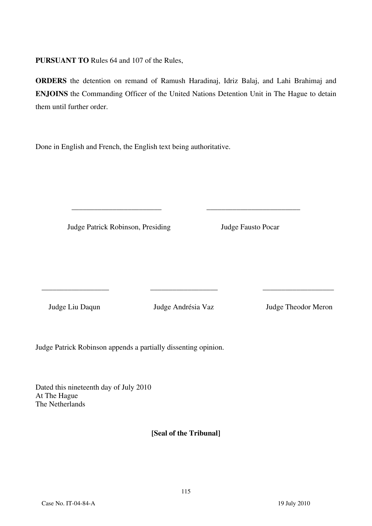**PURSUANT TO** Rules 64 and 107 of the Rules,

**ORDERS** the detention on remand of Ramush Haradinaj, Idriz Balaj, and Lahi Brahimaj and **ENJOINS** the Commanding Officer of the United Nations Detention Unit in The Hague to detain them until further order.

\_\_\_\_\_\_\_\_\_\_\_\_\_\_\_\_\_\_\_\_\_\_\_\_ \_\_\_\_\_\_\_\_\_\_\_\_\_\_\_\_\_\_\_\_\_\_\_\_\_

Done in English and French, the English text being authoritative.

Judge Patrick Robinson, Presiding Judge Fausto Pocar

\_\_\_\_\_\_\_\_\_\_\_\_\_\_\_\_\_\_ \_\_\_\_\_\_\_\_\_\_\_\_\_\_\_\_\_\_ \_\_\_\_\_\_\_\_\_\_\_\_\_\_\_\_\_\_\_

Judge Liu Daqun Judge Andrésia Vaz Judge Theodor Meron

Judge Patrick Robinson appends a partially dissenting opinion.

Dated this nineteenth day of July 2010 At The Hague The Netherlands

**₣Seal of the Tribunalğ**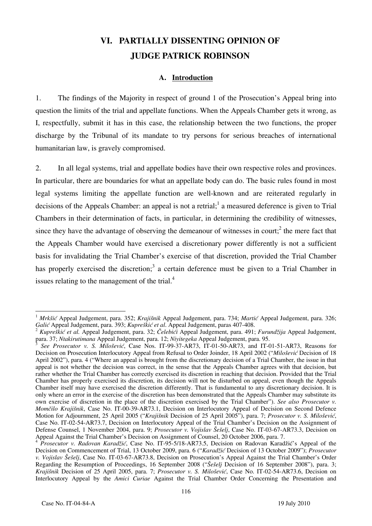# **VI. PARTIALLY DISSENTING OPINION OF JUDGE PATRICK ROBINSON**

#### **A. Introduction**

1. The findings of the Majority in respect of ground 1 of the Prosecution's Appeal bring into question the limits of the trial and appellate functions. When the Appeals Chamber gets it wrong, as I, respectfully, submit it has in this case, the relationship between the two functions, the proper discharge by the Tribunal of its mandate to try persons for serious breaches of international humanitarian law, is gravely compromised.

2. In all legal systems, trial and appellate bodies have their own respective roles and provinces. In particular, there are boundaries for what an appellate body can do. The basic rules found in most legal systems limiting the appellate function are well-known and are reiterated regularly in decisions of the Appeals Chamber: an appeal is not a retrial;<sup>1</sup> a measured deference is given to Trial Chambers in their determination of facts, in particular, in determining the credibility of witnesses, since they have the advantage of observing the demeanour of witnesses in court;<sup>2</sup> the mere fact that the Appeals Chamber would have exercised a discretionary power differently is not a sufficient basis for invalidating the Trial Chamber's exercise of that discretion, provided the Trial Chamber has properly exercised the discretion;<sup>3</sup> a certain deference must be given to a Trial Chamber in issues relating to the management of the trial. $4$ 

 $\overline{\phantom{a}}$ <sup>1</sup> *Mrkšić* Appeal Judgement, para. 352; *Krajišnik* Appeal Judgement, para. 734; *Martić* Appeal Judgement, para. 326;

Galić Appeal Judgement, para. 393; Kupreškić et al. Appeal Judgement, paras 407-408.<br><sup>2</sup> Kupreškić et al. Appeal Judgement, para. 32; Čelebići Appeal Judgement, para. 491; Furundžija Appeal Judgement, para. 37; Ntakirutima

para. 37; *Ntakirutimana* Appeal Judgement, para. 12; *Niyitegeka* Appeal Judgement, para. 95. 3 *See Prosecutor v. S. Milošević*, Case Nos. IT-99-37-AR73, IT-01-50-AR73, and IT-01-51-AR73, Reasons for Decision on Prosecution Interlocutory Appeal from Refusal to Order Joinder, 18 April 2002 ("*Milošević* Decision of 18 April 2002"), para. 4 ("Where an appeal is brought from the discretionary decision of a Trial Chamber, the issue in that appeal is not whether the decision was correct, in the sense that the Appeals Chamber agrees with that decision, but rather whether the Trial Chamber has correctly exercised its discretion in reaching that decision. Provided that the Trial Chamber has properly exercised its discretion, its decision will not be disturbed on appeal, even though the Appeals Chamber itself may have exercised the discretion differently. That is fundamental to any discretionary decision. It is only where an error in the exercise of the discretion has been demonstrated that the Appeals Chamber may substitute its own exercise of discretion in the place of the discretion exercised by the Trial Chamber"). *See also Prosecutor v. Momčilo Krajišnik*, Case No. IT-00-39-AR73.1, Decision on Interlocutory Appeal of Decision on Second Defence Motion for Adjournment, 25 April 2005 ("*Krajišnik* Decision of 25 April 2005"), para. 7; *Prosecutor v. S. Milošević*, Case No. IT-02-54-AR73.7, Decision on Interlocutory Appeal of the Trial Chamber's Decision on the Assignment of Defense Counsel, 1 November 2004, para. 9; *Prosecutor v. Vojislav Šešelj*, Case No. IT-03-67-AR73.3, Decision on Appeal Against the Trial Chamber's Decision on Assignment of Counsel, 20 October 2006, para. 7.

<sup>4</sup> *Prosecutor v. Radovan Karadžić*, Case No. IT-95-5/18-AR73.5, Decision on Radovan Karadžić's Appeal of the Decision on Commencement of Trial, 13 October 2009, para. 6 ("*Karadžić* Decision of 13 October 2009"); *Prosecutor v. Vojislav Šešelj*, Case No. IT-03-67-AR73.8, Decision on Prosecution's Appeal Against the Trial Chamber's Order Regarding the Resumption of Proceedings, 16 September 2008 ("*Šešelj* Decision of 16 September 2008"), para. 3; *Krajišnik* Decision of 25 April 2005, para. 7; *Prosecutor v. S. Milošević*, Case No. IT-02-54-AR73.6, Decision on Interlocutory Appeal by the *Amici Curiae* Against the Trial Chamber Order Concerning the Presentation and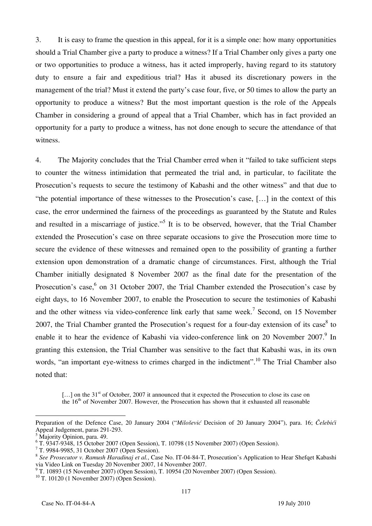3. It is easy to frame the question in this appeal, for it is a simple one: how many opportunities should a Trial Chamber give a party to produce a witness? If a Trial Chamber only gives a party one or two opportunities to produce a witness, has it acted improperly, having regard to its statutory duty to ensure a fair and expeditious trial? Has it abused its discretionary powers in the management of the trial? Must it extend the party's case four, five, or 50 times to allow the party an opportunity to produce a witness? But the most important question is the role of the Appeals Chamber in considering a ground of appeal that a Trial Chamber, which has in fact provided an opportunity for a party to produce a witness, has not done enough to secure the attendance of that witness.

4. The Majority concludes that the Trial Chamber erred when it "failed to take sufficient steps to counter the witness intimidation that permeated the trial and, in particular, to facilitate the Prosecution's requests to secure the testimony of Kabashi and the other witness" and that due to "the potential importance of these witnesses to the Prosecution's case, [...] in the context of this case, the error undermined the fairness of the proceedings as guaranteed by the Statute and Rules and resulted in a miscarriage of justice."<sup>5</sup> It is to be observed, however, that the Trial Chamber extended the Prosecution's case on three separate occasions to give the Prosecution more time to secure the evidence of these witnesses and remained open to the possibility of granting a further extension upon demonstration of a dramatic change of circumstances. First, although the Trial Chamber initially designated 8 November 2007 as the final date for the presentation of the Prosecution's case,<sup>6</sup> on 31 October 2007, the Trial Chamber extended the Prosecution's case by eight days, to 16 November 2007, to enable the Prosecution to secure the testimonies of Kabashi and the other witness via video-conference link early that same week.<sup>7</sup> Second, on 15 November 2007, the Trial Chamber granted the Prosecution's request for a four-day extension of its case<sup>8</sup> to enable it to hear the evidence of Kabashi via video-conference link on 20 November 2007.<sup>9</sup> In granting this extension, the Trial Chamber was sensitive to the fact that Kabashi was, in its own words, "an important eye-witness to crimes charged in the indictment".<sup>10</sup> The Trial Chamber also noted that:

 $\lbrack$ ...] on the 31<sup>st</sup> of October, 2007 it announced that it expected the Prosecution to close its case on the  $16<sup>th</sup>$  of November 2007. However, the Prosecution has shown that it exhausted all reasonable

 $\overline{a}$ Preparation of the Defence Case, 20 January 2004 ("*Milošević* Decision of 20 January 2004"), para. 16; *Čelebići*  Appeal Judgement, paras 291-293.

<sup>5</sup> Majority Opinion, para. 49.

<sup>6</sup> T. 9347-9348, 15 October 2007 (Open Session), T. 10798 (15 November 2007) (Open Session).

<sup>7</sup> T. 9984-9985, 31 October 2007 (Open Session).

<sup>&</sup>lt;sup>8</sup> See Prosecutor v. Ramush Haradinaj et al., Case No. IT-04-84-T, Prosecution's Application to Hear Shefqet Kabashi via Video Link on Tuesday 20 November 2007, 14 November 2007.

<sup>&</sup>lt;sup>9</sup> T. 10893 (15 November 2007) (Open Session), T. 10954 (20 November 2007) (Open Session).

 $10$  T. 10120 (1 November 2007) (Open Session).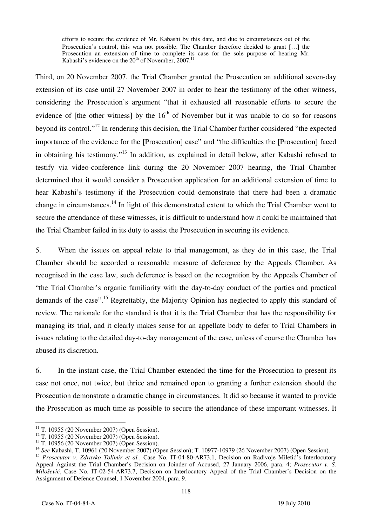efforts to secure the evidence of Mr. Kabashi by this date, and due to circumstances out of the Prosecution's control, this was not possible. The Chamber therefore decided to grant [...] the Prosecution an extension of time to complete its case for the sole purpose of hearing Mr. Kabashi's evidence on the  $20<sup>th</sup>$  of November, 2007.<sup>11</sup>

Third, on 20 November 2007, the Trial Chamber granted the Prosecution an additional seven-day extension of its case until 27 November 2007 in order to hear the testimony of the other witness, considering the Prosecution's argument "that it exhausted all reasonable efforts to secure the evidence of [the other witness] by the  $16<sup>th</sup>$  of November but it was unable to do so for reasons beyond its control."12 In rendering this decision, the Trial Chamber further considered "the expected importance of the evidence for the [Prosecution] case" and "the difficulties the [Prosecution] faced in obtaining his testimony."13 In addition, as explained in detail below, after Kabashi refused to testify via video-conference link during the 20 November 2007 hearing, the Trial Chamber determined that it would consider a Prosecution application for an additional extension of time to hear Kabashi's testimony if the Prosecution could demonstrate that there had been a dramatic change in circumstances.14 In light of this demonstrated extent to which the Trial Chamber went to secure the attendance of these witnesses, it is difficult to understand how it could be maintained that the Trial Chamber failed in its duty to assist the Prosecution in securing its evidence.

5. When the issues on appeal relate to trial management, as they do in this case, the Trial Chamber should be accorded a reasonable measure of deference by the Appeals Chamber. As recognised in the case law, such deference is based on the recognition by the Appeals Chamber of "the Trial Chamber's organic familiarity with the day-to-day conduct of the parties and practical demands of the case".<sup>15</sup> Regrettably, the Majority Opinion has neglected to apply this standard of review. The rationale for the standard is that it is the Trial Chamber that has the responsibility for managing its trial, and it clearly makes sense for an appellate body to defer to Trial Chambers in issues relating to the detailed day-to-day management of the case, unless of course the Chamber has abused its discretion.

6. In the instant case, the Trial Chamber extended the time for the Prosecution to present its case not once, not twice, but thrice and remained open to granting a further extension should the Prosecution demonstrate a dramatic change in circumstances. It did so because it wanted to provide the Prosecution as much time as possible to secure the attendance of these important witnesses. It

 $\overline{\phantom{a}}$ 

 $^{11}$  T. 10955 (20 November 2007) (Open Session).

<sup>12</sup> T. 10955 (20 November 2007) (Open Session).

<sup>13</sup> T. 10956 (20 November 2007) (Open Session).

<sup>14</sup> *See* Kabashi, T. 10961 (20 November 2007) (Open Session); T. 10977-10979 (26 November 2007) (Open Session).

<sup>&</sup>lt;sup>15</sup> Prosecutor v. Zdravko Tolimir et al., Case No. IT-04-80-AR73.1, Decision on Radivoje Miletić's Interlocutory Appeal Against the Trial Chamber's Decision on Joinder of Accused, 27 January 2006, para. 4; *Prosecutor v. S. Milošević*, Case No. IT-02-54-AR73.7, Decision on Interlocutory Appeal of the Trial Chamber's Decision on the Assignment of Defence Counsel, 1 November 2004, para. 9.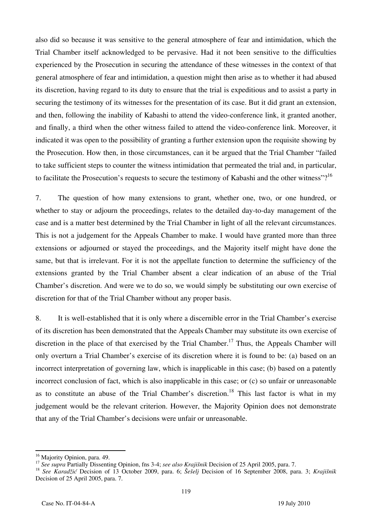also did so because it was sensitive to the general atmosphere of fear and intimidation, which the Trial Chamber itself acknowledged to be pervasive. Had it not been sensitive to the difficulties experienced by the Prosecution in securing the attendance of these witnesses in the context of that general atmosphere of fear and intimidation, a question might then arise as to whether it had abused its discretion, having regard to its duty to ensure that the trial is expeditious and to assist a party in securing the testimony of its witnesses for the presentation of its case. But it did grant an extension, and then, following the inability of Kabashi to attend the video-conference link, it granted another, and finally, a third when the other witness failed to attend the video-conference link. Moreover, it indicated it was open to the possibility of granting a further extension upon the requisite showing by the Prosecution. How then, in those circumstances, can it be argued that the Trial Chamber "failed to take sufficient steps to counter the witness intimidation that permeated the trial and, in particular, to facilitate the Prosecution's requests to secure the testimony of Kabashi and the other witness"?<sup>16</sup>

7. The question of how many extensions to grant, whether one, two, or one hundred, or whether to stay or adjourn the proceedings, relates to the detailed day-to-day management of the case and is a matter best determined by the Trial Chamber in light of all the relevant circumstances. This is not a judgement for the Appeals Chamber to make. I would have granted more than three extensions or adjourned or stayed the proceedings, and the Majority itself might have done the same, but that is irrelevant. For it is not the appellate function to determine the sufficiency of the extensions granted by the Trial Chamber absent a clear indication of an abuse of the Trial Chamber's discretion. And were we to do so, we would simply be substituting our own exercise of discretion for that of the Trial Chamber without any proper basis.

8. It is well-established that it is only where a discernible error in the Trial Chamber's exercise of its discretion has been demonstrated that the Appeals Chamber may substitute its own exercise of discretion in the place of that exercised by the Trial Chamber.<sup>17</sup> Thus, the Appeals Chamber will only overturn a Trial Chamber's exercise of its discretion where it is found to be: (a) based on an incorrect interpretation of governing law, which is inapplicable in this case; (b) based on a patently incorrect conclusion of fact, which is also inapplicable in this case; or (c) so unfair or unreasonable as to constitute an abuse of the Trial Chamber's discretion.<sup>18</sup> This last factor is what in my judgement would be the relevant criterion. However, the Majority Opinion does not demonstrate that any of the Trial Chamber's decisions were unfair or unreasonable.

 $\overline{\phantom{a}}$ 

<sup>&</sup>lt;sup>16</sup> Majority Opinion, para. 49.

<sup>&</sup>lt;sup>17</sup> See supra Partially Dissenting Opinion, fns 3-4; see also Krajišnik Decision of 25 April 2005, para. 7.<br><sup>18</sup> See Karadžić Decision of 13 October 2009, para. 6; Šešelj Decision of 16 September 2008, para. 3; Krajišnik Decision of 25 April 2005, para. 7.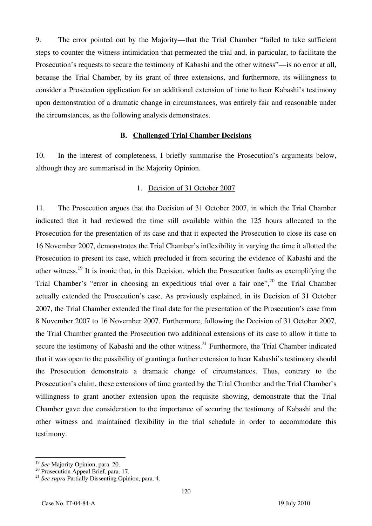9. The error pointed out by the Majority—that the Trial Chamber "failed to take sufficient steps to counter the witness intimidation that permeated the trial and, in particular, to facilitate the Prosecution's requests to secure the testimony of Kabashi and the other witness"—is no error at all, because the Trial Chamber, by its grant of three extensions, and furthermore, its willingness to consider a Prosecution application for an additional extension of time to hear Kabashi's testimony upon demonstration of a dramatic change in circumstances, was entirely fair and reasonable under the circumstances, as the following analysis demonstrates.

#### **B. Challenged Trial Chamber Decisions**

10. In the interest of completeness, I briefly summarise the Prosecution's arguments below, although they are summarised in the Majority Opinion.

#### 1. Decision of 31 October 2007

11. The Prosecution argues that the Decision of 31 October 2007, in which the Trial Chamber indicated that it had reviewed the time still available within the 125 hours allocated to the Prosecution for the presentation of its case and that it expected the Prosecution to close its case on 16 November 2007, demonstrates the Trial Chamber's inflexibility in varying the time it allotted the Prosecution to present its case, which precluded it from securing the evidence of Kabashi and the other witness.19 It is ironic that, in this Decision, which the Prosecution faults as exemplifying the Trial Chamber's "error in choosing an expeditious trial over a fair one",<sup>20</sup> the Trial Chamber actually extended the Prosecution's case. As previously explained, in its Decision of 31 October 2007, the Trial Chamber extended the final date for the presentation of the Prosecution's case from 8 November 2007 to 16 November 2007. Furthermore, following the Decision of 31 October 2007, the Trial Chamber granted the Prosecution two additional extensions of its case to allow it time to secure the testimony of Kabashi and the other witness.<sup>21</sup> Furthermore, the Trial Chamber indicated that it was open to the possibility of granting a further extension to hear Kabashi's testimony should the Prosecution demonstrate a dramatic change of circumstances. Thus, contrary to the Prosecution's claim, these extensions of time granted by the Trial Chamber and the Trial Chamber's willingness to grant another extension upon the requisite showing, demonstrate that the Trial Chamber gave due consideration to the importance of securing the testimony of Kabashi and the other witness and maintained flexibility in the trial schedule in order to accommodate this testimony.

 $\overline{\phantom{a}}$ 

<sup>&</sup>lt;sup>19</sup> *See* Majority Opinion, para. 20.<br><sup>20</sup> Prosecution Appeal Brief, para. 17.

<sup>21</sup> *See supra* Partially Dissenting Opinion, para. 4.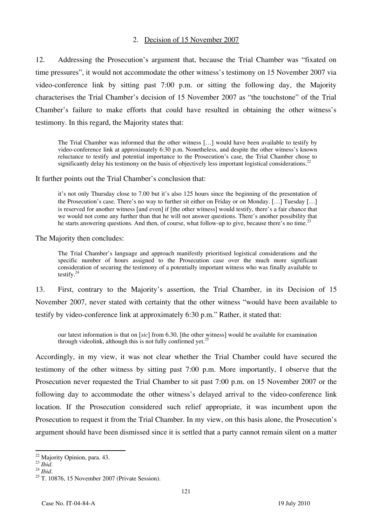#### 2. Decision of 15 November 2007

12. Addressing the Prosecution's argument that, because the Trial Chamber was "fixated on time pressures", it would not accommodate the other witness's testimony on 15 November 2007 via video-conference link by sitting past 7:00 p.m. or sitting the following day, the Majority characterises the Trial Chamber's decision of 15 November 2007 as "the touchstone" of the Trial Chamber's failure to make efforts that could have resulted in obtaining the other witness's testimony. In this regard, the Majority states that:

The Trial Chamber was informed that the other witness [...] would have been available to testify by video-conference link at approximately 6:30 p.m. Nonetheless, and despite the other witness's known reluctance to testify and potential importance to the Prosecution's case, the Trial Chamber chose to significantly delay his testimony on the basis of objectively less important logistical considerations.

It further points out the Trial Chamber's conclusion that:

it's not only Thursday close to 7.00 but it's also 125 hours since the beginning of the presentation of the Prosecution's case. There's no way to further sit either on Friday or on Monday. [...] Tuesday [...] is reserved for another witness [and even] if [the other witness] would testify, there's a fair chance that we would not come any further than that he will not answer questions. There's another possibility that he starts answering questions. And then, of course, what follow-up to give, because there's no time.<sup>23</sup>

The Majority then concludes:

The Trial Chamber's language and approach manifestly prioritised logistical considerations and the specific number of hours assigned to the Prosecution case over the much more significant consideration of securing the testimony of a potentially important witness who was finally available to testify. $^{24}$ 

13. First, contrary to the Majority's assertion, the Trial Chamber, in its Decision of 15 November 2007, never stated with certainty that the other witness "would have been available to testify by video-conference link at approximately 6:30 p.m." Rather, it stated that:

our latest information is that on *[sic]* from 6.30, [the other witness] would be available for examination through videolink, although this is not fully confirmed yet.<sup>25</sup>

Accordingly, in my view, it was not clear whether the Trial Chamber could have secured the testimony of the other witness by sitting past 7:00 p.m. More importantly, I observe that the Prosecution never requested the Trial Chamber to sit past 7:00 p.m. on 15 November 2007 or the following day to accommodate the other witness's delayed arrival to the video-conference link location. If the Prosecution considered such relief appropriate, it was incumbent upon the Prosecution to request it from the Trial Chamber. In my view, on this basis alone, the Prosecution's argument should have been dismissed since it is settled that a party cannot remain silent on a matter

 $\overline{a}$ 

<sup>&</sup>lt;sup>22</sup> Majority Opinion, para. 43.

<sup>&</sup>lt;sup>23</sup> *Ibid.* <sup>24</sup> *Ibid.* <sup>24</sup> *Ibid.* <sup>24</sup> *Ibid.* <sup>25</sup> T. 10876, 15 November 2007 (Private Session).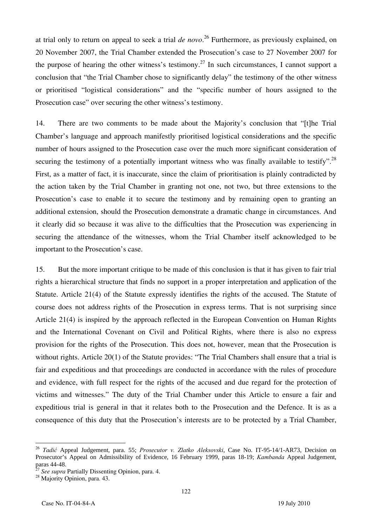at trial only to return on appeal to seek a trial *de novo*. 26 Furthermore, as previously explained, on 20 November 2007, the Trial Chamber extended the Prosecution's case to 27 November 2007 for the purpose of hearing the other witness's testimony.<sup>27</sup> In such circumstances, I cannot support a conclusion that "the Trial Chamber chose to significantly delay" the testimony of the other witness or prioritised "logistical considerations" and the "specific number of hours assigned to the Prosecution case" over securing the other witness's testimony.

14. There are two comments to be made about the Majority's conclusion that "[t]he Trial Chamber's language and approach manifestly prioritised logistical considerations and the specific number of hours assigned to the Prosecution case over the much more significant consideration of securing the testimony of a potentially important witness who was finally available to testify".<sup>28</sup> First, as a matter of fact, it is inaccurate, since the claim of prioritisation is plainly contradicted by the action taken by the Trial Chamber in granting not one, not two, but three extensions to the Prosecution's case to enable it to secure the testimony and by remaining open to granting an additional extension, should the Prosecution demonstrate a dramatic change in circumstances. And it clearly did so because it was alive to the difficulties that the Prosecution was experiencing in securing the attendance of the witnesses, whom the Trial Chamber itself acknowledged to be important to the Prosecution's case.

15. But the more important critique to be made of this conclusion is that it has given to fair trial rights a hierarchical structure that finds no support in a proper interpretation and application of the Statute. Article 21(4) of the Statute expressly identifies the rights of the accused. The Statute of course does not address rights of the Prosecution in express terms. That is not surprising since Article 21(4) is inspired by the approach reflected in the European Convention on Human Rights and the International Covenant on Civil and Political Rights, where there is also no express provision for the rights of the Prosecution. This does not, however, mean that the Prosecution is without rights. Article 20(1) of the Statute provides: "The Trial Chambers shall ensure that a trial is fair and expeditious and that proceedings are conducted in accordance with the rules of procedure and evidence, with full respect for the rights of the accused and due regard for the protection of victims and witnesses." The duty of the Trial Chamber under this Article to ensure a fair and expeditious trial is general in that it relates both to the Prosecution and the Defence. It is as a consequence of this duty that the Prosecution's interests are to be protected by a Trial Chamber,

 $\overline{a}$ 

<sup>26</sup> *Tadić* Appeal Judgement, para. 55; *Prosecutor v. Zlatko Aleksovski*, Case No. IT-95-14/1-AR73, Decision on Prosecutor's Appeal on Admissibility of Evidence, 16 February 1999, paras 18-19; *Kambanda* Appeal Judgement, paras 44-48.

<sup>27</sup> *See supra* Partially Dissenting Opinion, para. 4. 28 Majority Opinion, para. 43.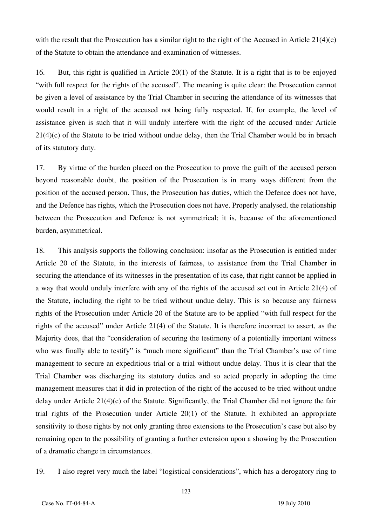with the result that the Prosecution has a similar right to the right of the Accused in Article  $21(4)(e)$ of the Statute to obtain the attendance and examination of witnesses.

16. But, this right is qualified in Article 20(1) of the Statute. It is a right that is to be enjoyed "with full respect for the rights of the accused". The meaning is quite clear: the Prosecution cannot be given a level of assistance by the Trial Chamber in securing the attendance of its witnesses that would result in a right of the accused not being fully respected. If, for example, the level of assistance given is such that it will unduly interfere with the right of the accused under Article 21(4)(c) of the Statute to be tried without undue delay, then the Trial Chamber would be in breach of its statutory duty.

17. By virtue of the burden placed on the Prosecution to prove the guilt of the accused person beyond reasonable doubt, the position of the Prosecution is in many ways different from the position of the accused person. Thus, the Prosecution has duties, which the Defence does not have, and the Defence has rights, which the Prosecution does not have. Properly analysed, the relationship between the Prosecution and Defence is not symmetrical; it is, because of the aforementioned burden, asymmetrical.

18. This analysis supports the following conclusion: insofar as the Prosecution is entitled under Article 20 of the Statute, in the interests of fairness, to assistance from the Trial Chamber in securing the attendance of its witnesses in the presentation of its case, that right cannot be applied in a way that would unduly interfere with any of the rights of the accused set out in Article 21(4) of the Statute, including the right to be tried without undue delay. This is so because any fairness rights of the Prosecution under Article 20 of the Statute are to be applied "with full respect for the rights of the accused" under Article 21(4) of the Statute. It is therefore incorrect to assert, as the Majority does, that the "consideration of securing the testimony of a potentially important witness who was finally able to testify" is "much more significant" than the Trial Chamber's use of time management to secure an expeditious trial or a trial without undue delay. Thus it is clear that the Trial Chamber was discharging its statutory duties and so acted properly in adopting the time management measures that it did in protection of the right of the accused to be tried without undue delay under Article 21(4)(c) of the Statute. Significantly, the Trial Chamber did not ignore the fair trial rights of the Prosecution under Article 20(1) of the Statute. It exhibited an appropriate sensitivity to those rights by not only granting three extensions to the Prosecution's case but also by remaining open to the possibility of granting a further extension upon a showing by the Prosecution of a dramatic change in circumstances.

19. I also regret very much the label "logistical considerations", which has a derogatory ring to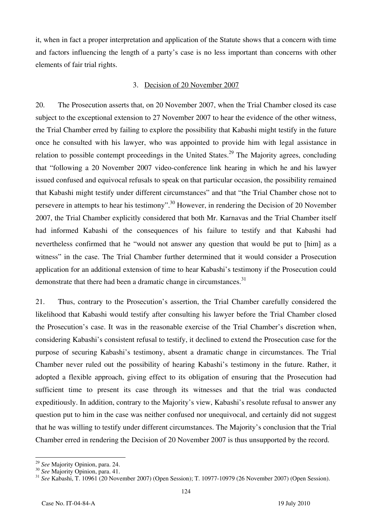it, when in fact a proper interpretation and application of the Statute shows that a concern with time and factors influencing the length of a party's case is no less important than concerns with other elements of fair trial rights.

#### 3. Decision of 20 November 2007

20. The Prosecution asserts that, on 20 November 2007, when the Trial Chamber closed its case subject to the exceptional extension to 27 November 2007 to hear the evidence of the other witness, the Trial Chamber erred by failing to explore the possibility that Kabashi might testify in the future once he consulted with his lawyer, who was appointed to provide him with legal assistance in relation to possible contempt proceedings in the United States.<sup>29</sup> The Majority agrees, concluding that "following a 20 November 2007 video-conference link hearing in which he and his lawyer issued confused and equivocal refusals to speak on that particular occasion, the possibility remained that Kabashi might testify under different circumstances" and that "the Trial Chamber chose not to persevere in attempts to hear his testimony".<sup>30</sup> However, in rendering the Decision of 20 November 2007, the Trial Chamber explicitly considered that both Mr. Karnavas and the Trial Chamber itself had informed Kabashi of the consequences of his failure to testify and that Kabashi had nevertheless confirmed that he "would not answer any question that would be put to [him] as a witness" in the case. The Trial Chamber further determined that it would consider a Prosecution application for an additional extension of time to hear Kabashi's testimony if the Prosecution could demonstrate that there had been a dramatic change in circumstances.<sup>31</sup>

21. Thus, contrary to the Prosecution's assertion, the Trial Chamber carefully considered the likelihood that Kabashi would testify after consulting his lawyer before the Trial Chamber closed the Prosecution's case. It was in the reasonable exercise of the Trial Chamber's discretion when, considering Kabashi's consistent refusal to testify, it declined to extend the Prosecution case for the purpose of securing Kabashi's testimony, absent a dramatic change in circumstances. The Trial Chamber never ruled out the possibility of hearing Kabashi's testimony in the future. Rather, it adopted a flexible approach, giving effect to its obligation of ensuring that the Prosecution had sufficient time to present its case through its witnesses and that the trial was conducted expeditiously. In addition, contrary to the Majority's view, Kabashi's resolute refusal to answer any question put to him in the case was neither confused nor unequivocal, and certainly did not suggest that he was willing to testify under different circumstances. The Majority's conclusion that the Trial Chamber erred in rendering the Decision of 20 November 2007 is thus unsupported by the record.

 $\overline{a}$ 

<sup>&</sup>lt;sup>29</sup> *See* Majority Opinion, para. 24.<br><sup>30</sup> *See* Majority Opinion, para. 41.<br><sup>31</sup> *See* Kabashi, T. 10961 (20 November 2007) (Open Session); T. 10977-10979 (26 November 2007) (Open Session).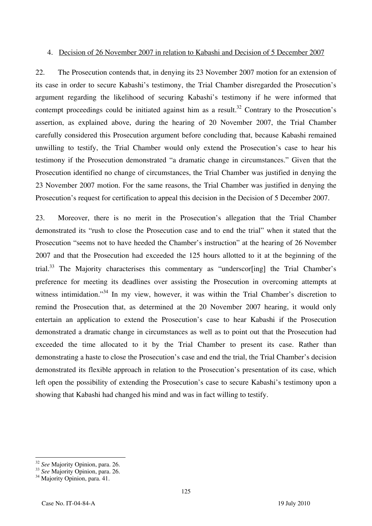#### 4. Decision of 26 November 2007 in relation to Kabashi and Decision of 5 December 2007

22. The Prosecution contends that, in denying its 23 November 2007 motion for an extension of its case in order to secure Kabashi's testimony, the Trial Chamber disregarded the Prosecution's argument regarding the likelihood of securing Kabashi's testimony if he were informed that contempt proceedings could be initiated against him as a result.<sup>32</sup> Contrary to the Prosecution's assertion, as explained above, during the hearing of 20 November 2007, the Trial Chamber carefully considered this Prosecution argument before concluding that, because Kabashi remained unwilling to testify, the Trial Chamber would only extend the Prosecution's case to hear his testimony if the Prosecution demonstrated "a dramatic change in circumstances." Given that the Prosecution identified no change of circumstances, the Trial Chamber was justified in denying the 23 November 2007 motion. For the same reasons, the Trial Chamber was justified in denying the Prosecution's request for certification to appeal this decision in the Decision of 5 December 2007.

23. Moreover, there is no merit in the Prosecution's allegation that the Trial Chamber demonstrated its "rush to close the Prosecution case and to end the trial" when it stated that the Prosecution "seems not to have heeded the Chamber's instruction" at the hearing of 26 November 2007 and that the Prosecution had exceeded the 125 hours allotted to it at the beginning of the trial.<sup>33</sup> The Majority characterises this commentary as "underscor $[$ ing] the Trial Chamber's preference for meeting its deadlines over assisting the Prosecution in overcoming attempts at witness intimidation."<sup>34</sup> In my view, however, it was within the Trial Chamber's discretion to remind the Prosecution that, as determined at the 20 November 2007 hearing, it would only entertain an application to extend the Prosecution's case to hear Kabashi if the Prosecution demonstrated a dramatic change in circumstances as well as to point out that the Prosecution had exceeded the time allocated to it by the Trial Chamber to present its case. Rather than demonstrating a haste to close the Prosecution's case and end the trial, the Trial Chamber's decision demonstrated its flexible approach in relation to the Prosecution's presentation of its case, which left open the possibility of extending the Prosecution's case to secure Kabashi's testimony upon a showing that Kabashi had changed his mind and was in fact willing to testify.

 $\overline{\phantom{a}}$ 

<sup>&</sup>lt;sup>32</sup> *See* Majority Opinion, para. 26.<br><sup>33</sup> *See* Majority Opinion, para. 26.<br><sup>34</sup> Majority Opinion, para. 41.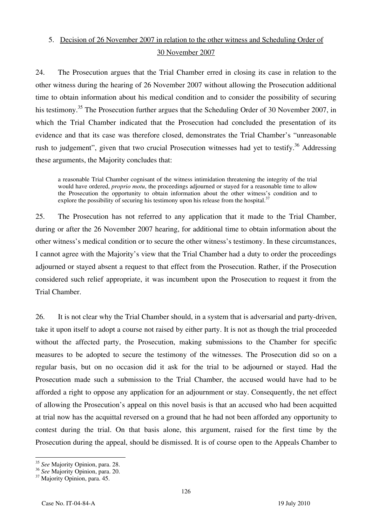# 5. Decision of 26 November 2007 in relation to the other witness and Scheduling Order of 30 November 2007

24. The Prosecution argues that the Trial Chamber erred in closing its case in relation to the other witness during the hearing of 26 November 2007 without allowing the Prosecution additional time to obtain information about his medical condition and to consider the possibility of securing his testimony.<sup>35</sup> The Prosecution further argues that the Scheduling Order of 30 November 2007, in which the Trial Chamber indicated that the Prosecution had concluded the presentation of its evidence and that its case was therefore closed, demonstrates the Trial Chamber's "unreasonable rush to judgement", given that two crucial Prosecution witnesses had yet to testify.<sup>36</sup> Addressing these arguments, the Majority concludes that:

a reasonable Trial Chamber cognisant of the witness intimidation threatening the integrity of the trial would have ordered, *proprio motu*, the proceedings adjourned or stayed for a reasonable time to allow the Prosecution the opportunity to obtain information about the other witness's condition and to explore the possibility of securing his testimony upon his release from the hospital. $3$ 

25. The Prosecution has not referred to any application that it made to the Trial Chamber, during or after the 26 November 2007 hearing, for additional time to obtain information about the other witness's medical condition or to secure the other witness's testimony. In these circumstances, I cannot agree with the Majority's view that the Trial Chamber had a duty to order the proceedings adjourned or stayed absent a request to that effect from the Prosecution. Rather, if the Prosecution considered such relief appropriate, it was incumbent upon the Prosecution to request it from the Trial Chamber.

26. It is not clear why the Trial Chamber should, in a system that is adversarial and party-driven, take it upon itself to adopt a course not raised by either party. It is not as though the trial proceeded without the affected party, the Prosecution, making submissions to the Chamber for specific measures to be adopted to secure the testimony of the witnesses. The Prosecution did so on a regular basis, but on no occasion did it ask for the trial to be adjourned or stayed. Had the Prosecution made such a submission to the Trial Chamber, the accused would have had to be afforded a right to oppose any application for an adjournment or stay. Consequently, the net effect of allowing the Prosecution's appeal on this novel basis is that an accused who had been acquitted at trial now has the acquittal reversed on a ground that he had not been afforded any opportunity to contest during the trial. On that basis alone, this argument, raised for the first time by the Prosecution during the appeal, should be dismissed. It is of course open to the Appeals Chamber to

 $\overline{\phantom{a}}$ <sup>35</sup> *See* Majority Opinion, para. 28.

<sup>36</sup> *See* Majority Opinion, para. 20. 37 Majority Opinion, para. 45.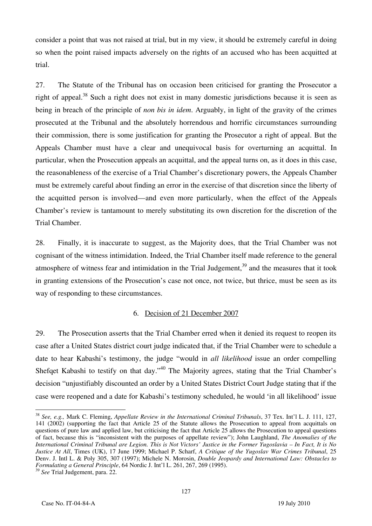consider a point that was not raised at trial, but in my view, it should be extremely careful in doing so when the point raised impacts adversely on the rights of an accused who has been acquitted at trial.

27. The Statute of the Tribunal has on occasion been criticised for granting the Prosecutor a right of appeal.<sup>38</sup> Such a right does not exist in many domestic jurisdictions because it is seen as being in breach of the principle of *non bis in idem*. Arguably, in light of the gravity of the crimes prosecuted at the Tribunal and the absolutely horrendous and horrific circumstances surrounding their commission, there is some justification for granting the Prosecutor a right of appeal. But the Appeals Chamber must have a clear and unequivocal basis for overturning an acquittal. In particular, when the Prosecution appeals an acquittal, and the appeal turns on, as it does in this case, the reasonableness of the exercise of a Trial Chamber's discretionary powers, the Appeals Chamber must be extremely careful about finding an error in the exercise of that discretion since the liberty of the acquitted person is involved—and even more particularly, when the effect of the Appeals Chamber's review is tantamount to merely substituting its own discretion for the discretion of the Trial Chamber.

28. Finally, it is inaccurate to suggest, as the Majority does, that the Trial Chamber was not cognisant of the witness intimidation. Indeed, the Trial Chamber itself made reference to the general atmosphere of witness fear and intimidation in the Trial Judgement, $39$  and the measures that it took in granting extensions of the Prosecution's case not once, not twice, but thrice, must be seen as its way of responding to these circumstances.

#### 6. Decision of 21 December 2007

29. The Prosecution asserts that the Trial Chamber erred when it denied its request to reopen its case after a United States district court judge indicated that, if the Trial Chamber were to schedule a date to hear Kabashi's testimony, the judge "would in *all likelihood* issue an order compelling Shefqet Kabashi to testify on that day."40 The Majority agrees, stating that the Trial Chamber's decision "unjustifiably discounted an order by a United States District Court Judge stating that if the case were reopened and a date for Kabashi's testimony scheduled, he would 'in all likelihood' issue

 $\overline{a}$ <sup>38</sup> *See, e.g.,* Mark C. Fleming, *Appellate Review in the International Criminal Tribunals*, 37 Tex. Int'l L. J. 111, 127, 141 (2002) (supporting the fact that Article 25 of the Statute allows the Prosecution to appeal from acquittals on questions of pure law and applied law, but criticising the fact that Article 25 allows the Prosecution to appeal questions of fact, because this is "inconsistent with the purposes of appellate review"); John Laughland, *The Anomalies of the International Criminal Tribunal are Legion. This is Not Victors' Justice in the Former Yugoslavia – In Fact, It is No Justice At All*, Times (UK), 17 June 1999; Michael P. Scharf, *A Critique of the Yugoslav War Crimes Tribunal*, 25 Denv. J. Intl L. & Poly 305, 307 (1997); Michele N. Morosin, *Double Jeopardy and International Law: Obstacles to Formulating a General Principle*, 64 Nordic J. Int'l L. 261, 267, 269 (1995).

<sup>39</sup> *See* Trial Judgement, para. 22.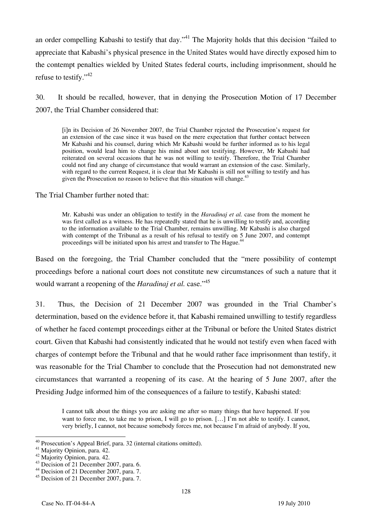an order compelling Kabashi to testify that day."<sup>41</sup> The Majority holds that this decision "failed to appreciate that Kabashi's physical presence in the United States would have directly exposed him to the contempt penalties wielded by United States federal courts, including imprisonment, should he refuse to testify."42

30. It should be recalled, however, that in denying the Prosecution Motion of 17 December 2007, the Trial Chamber considered that:

in its Decision of 26 November 2007, the Trial Chamber rejected the Prosecution's request for an extension of the case since it was based on the mere expectation that further contact between Mr Kabashi and his counsel, during which Mr Kabashi would be further informed as to his legal position, would lead him to change his mind about not testifying. However, Mr Kabashi had reiterated on several occasions that he was not willing to testify. Therefore, the Trial Chamber could not find any change of circumstance that would warrant an extension of the case. Similarly, with regard to the current Request, it is clear that Mr Kabashi is still not willing to testify and has given the Prosecution no reason to believe that this situation will change.<sup>43</sup>

The Trial Chamber further noted that:

Mr. Kabashi was under an obligation to testify in the *Haradinaj et al.* case from the moment he was first called as a witness. He has repeatedly stated that he is unwilling to testify and, according to the information available to the Trial Chamber, remains unwilling. Mr Kabashi is also charged with contempt of the Tribunal as a result of his refusal to testify on 5 June 2007, and contempt proceedings will be initiated upon his arrest and transfer to The Hague.<sup>4</sup>

Based on the foregoing, the Trial Chamber concluded that the "mere possibility of contempt proceedings before a national court does not constitute new circumstances of such a nature that it would warrant a reopening of the *Haradinaj et al.* case.<sup>145</sup>

31. Thus, the Decision of 21 December 2007 was grounded in the Trial Chamber's determination, based on the evidence before it, that Kabashi remained unwilling to testify regardless of whether he faced contempt proceedings either at the Tribunal or before the United States district court. Given that Kabashi had consistently indicated that he would not testify even when faced with charges of contempt before the Tribunal and that he would rather face imprisonment than testify, it was reasonable for the Trial Chamber to conclude that the Prosecution had not demonstrated new circumstances that warranted a reopening of its case. At the hearing of 5 June 2007, after the Presiding Judge informed him of the consequences of a failure to testify, Kabashi stated:

I cannot talk about the things you are asking me after so many things that have happened. If you want to force me, to take me to prison, I will go to prison.  $[...]$  I'm not able to testify. I cannot, very briefly, I cannot, not because somebody forces me, not because I'm afraid of anybody. If you,

 $\overline{a}$ <sup>40</sup> Prosecution's Appeal Brief, para. 32 (internal citations omitted). Majority Opinion, para. 42.

 $42$  Majority Opinion, para. 42.

 $43$  Decision of 21 December 2007, para. 6.

<sup>&</sup>lt;sup>44</sup> Decision of 21 December 2007, para. 7.

<sup>45</sup> Decision of 21 December 2007, para. 7.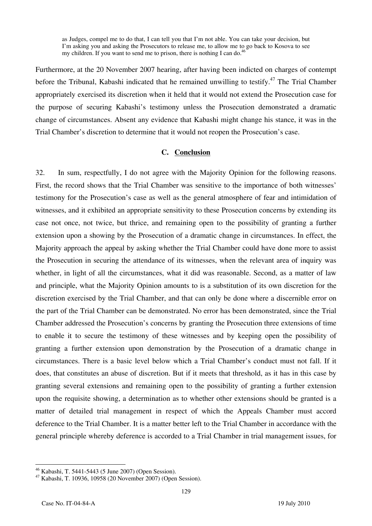as Judges, compel me to do that, I can tell you that I'm not able. You can take your decision, but I'm asking you and asking the Prosecutors to release me, to allow me to go back to Kosova to see my children. If you want to send me to prison, there is nothing I can do.<sup>46</sup>

Furthermore, at the 20 November 2007 hearing, after having been indicted on charges of contempt before the Tribunal, Kabashi indicated that he remained unwilling to testify.<sup>47</sup> The Trial Chamber appropriately exercised its discretion when it held that it would not extend the Prosecution case for the purpose of securing Kabashi's testimony unless the Prosecution demonstrated a dramatic change of circumstances. Absent any evidence that Kabashi might change his stance, it was in the Trial Chamber's discretion to determine that it would not reopen the Prosecution's case.

#### **C. Conclusion**

32. In sum, respectfully, I do not agree with the Majority Opinion for the following reasons. First, the record shows that the Trial Chamber was sensitive to the importance of both witnesses' testimony for the Prosecution's case as well as the general atmosphere of fear and intimidation of witnesses, and it exhibited an appropriate sensitivity to these Prosecution concerns by extending its case not once, not twice, but thrice, and remaining open to the possibility of granting a further extension upon a showing by the Prosecution of a dramatic change in circumstances. In effect, the Majority approach the appeal by asking whether the Trial Chamber could have done more to assist the Prosecution in securing the attendance of its witnesses, when the relevant area of inquiry was whether, in light of all the circumstances, what it did was reasonable. Second, as a matter of law and principle, what the Majority Opinion amounts to is a substitution of its own discretion for the discretion exercised by the Trial Chamber, and that can only be done where a discernible error on the part of the Trial Chamber can be demonstrated. No error has been demonstrated, since the Trial Chamber addressed the Prosecution's concerns by granting the Prosecution three extensions of time to enable it to secure the testimony of these witnesses and by keeping open the possibility of granting a further extension upon demonstration by the Prosecution of a dramatic change in circumstances. There is a basic level below which a Trial Chamber's conduct must not fall. If it does, that constitutes an abuse of discretion. But if it meets that threshold, as it has in this case by granting several extensions and remaining open to the possibility of granting a further extension upon the requisite showing, a determination as to whether other extensions should be granted is a matter of detailed trial management in respect of which the Appeals Chamber must accord deference to the Trial Chamber. It is a matter better left to the Trial Chamber in accordance with the general principle whereby deference is accorded to a Trial Chamber in trial management issues, for

 $\overline{\phantom{a}}$ 

<sup>46</sup> Kabashi, T. 5441-5443 (5 June 2007) (Open Session).

<sup>47</sup> Kabashi, T. 10936, 10958 (20 November 2007) (Open Session).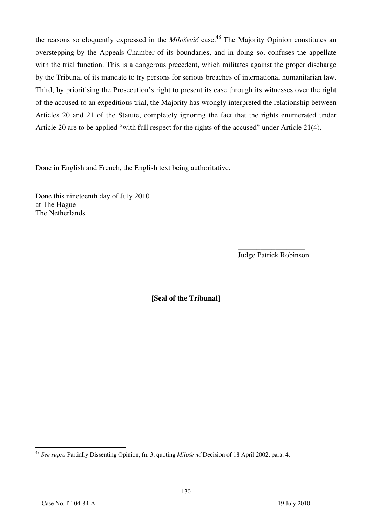the reasons so eloquently expressed in the *Milošević* case.<sup>48</sup> The Majority Opinion constitutes an overstepping by the Appeals Chamber of its boundaries, and in doing so, confuses the appellate with the trial function. This is a dangerous precedent, which militates against the proper discharge by the Tribunal of its mandate to try persons for serious breaches of international humanitarian law. Third, by prioritising the Prosecution's right to present its case through its witnesses over the right of the accused to an expeditious trial, the Majority has wrongly interpreted the relationship between Articles 20 and 21 of the Statute, completely ignoring the fact that the rights enumerated under Article 20 are to be applied "with full respect for the rights of the accused" under Article 21(4).

Done in English and French, the English text being authoritative.

Done this nineteenth day of July 2010 at The Hague The Netherlands

> \_\_\_\_\_\_\_\_\_\_\_\_\_\_\_\_\_\_ Judge Patrick Robinson

**₣Seal of the Tribunalğ**

 $\overline{\phantom{a}}$ <sup>48</sup> *See supra* Partially Dissenting Opinion, fn. 3, quoting *Milošević* Decision of 18 April 2002, para. 4.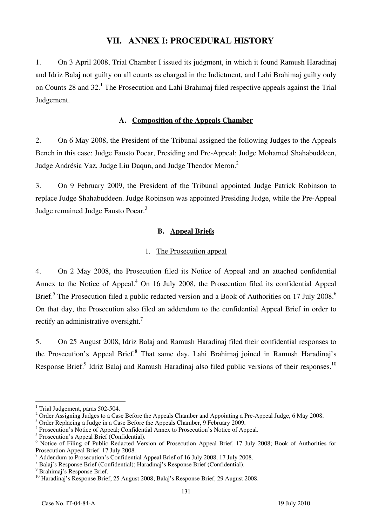### **VII. ANNEX I: PROCEDURAL HISTORY**

1. On 3 April 2008, Trial Chamber I issued its judgment, in which it found Ramush Haradinaj and Idriz Balaj not guilty on all counts as charged in the Indictment, and Lahi Brahimaj guilty only on Counts 28 and 32.<sup>1</sup> The Prosecution and Lahi Brahimaj filed respective appeals against the Trial Judgement.

#### **A. Composition of the Appeals Chamber**

2. On 6 May 2008, the President of the Tribunal assigned the following Judges to the Appeals Bench in this case: Judge Fausto Pocar, Presiding and Pre-Appeal; Judge Mohamed Shahabuddeen, Judge Andrésia Vaz, Judge Liu Daqun, and Judge Theodor Meron.<sup>2</sup>

3. On 9 February 2009, the President of the Tribunal appointed Judge Patrick Robinson to replace Judge Shahabuddeen. Judge Robinson was appointed Presiding Judge, while the Pre-Appeal Judge remained Judge Fausto Pocar.<sup>3</sup>

#### **B. Appeal Briefs**

#### 1. The Prosecution appeal

4. On 2 May 2008, the Prosecution filed its Notice of Appeal and an attached confidential Annex to the Notice of Appeal.<sup>4</sup> On 16 July 2008, the Prosecution filed its confidential Appeal Brief.<sup>5</sup> The Prosecution filed a public redacted version and a Book of Authorities on 17 July 2008.<sup>6</sup> On that day, the Prosecution also filed an addendum to the confidential Appeal Brief in order to rectify an administrative oversight.<sup>7</sup>

5. On 25 August 2008, Idriz Balaj and Ramush Haradinaj filed their confidential responses to the Prosecution's Appeal Brief.<sup>8</sup> That same day, Lahi Brahimaj joined in Ramush Haradinaj's Response Brief.<sup>9</sup> Idriz Balaj and Ramush Haradinaj also filed public versions of their responses.<sup>10</sup>

 $\overline{\phantom{a}}$ <sup>1</sup> Trial Judgement, paras 502-504.

<sup>&</sup>lt;sup>2</sup> Order Assigning Judges to a Case Before the Appeals Chamber and Appointing a Pre-Appeal Judge, 6 May 2008.

<sup>&</sup>lt;sup>3</sup> Order Replacing a Judge in a Case Before the Appeals Chamber, 9 February 2009.

<sup>&</sup>lt;sup>4</sup> Prosecution's Notice of Appeal; Confidential Annex to Prosecution's Notice of Appeal.

<sup>&</sup>lt;sup>5</sup> Prosecution's Appeal Brief (Confidential).

<sup>&</sup>lt;sup>6</sup> Notice of Filing of Public Redacted Version of Prosecution Appeal Brief, 17 July 2008; Book of Authorities for Prosecution Appeal Brief, 17 July 2008.

<sup>7</sup> Addendum to Prosecution's Confidential Appeal Brief of 16 July 2008, 17 July 2008.

<sup>8</sup> Balaj's Response Brief (Confidential); Haradinaj's Response Brief (Confidential).

<sup>&</sup>lt;sup>9</sup> Brahimaj's Response Brief.

<sup>&</sup>lt;sup>10</sup> Haradinaj's Response Brief, 25 August 2008; Balaj's Response Brief, 29 August 2008.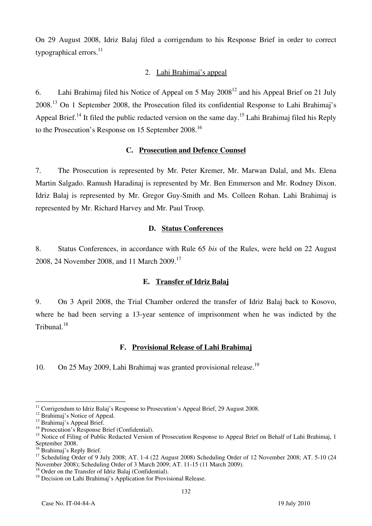On 29 August 2008, Idriz Balaj filed a corrigendum to his Response Brief in order to correct typographical errors. $^{11}$ 

#### 2. Lahi Brahimaj's appeal

6. Lahi Brahimaj filed his Notice of Appeal on 5 May  $2008^{12}$  and his Appeal Brief on 21 July 2008.13 On 1 September 2008, the Prosecution filed its confidential Response to Lahi Brahimaj's Appeal Brief.<sup>14</sup> It filed the public redacted version on the same day.<sup>15</sup> Lahi Brahimaj filed his Reply to the Prosecution's Response on 15 September 2008.<sup>16</sup>

### **C. Prosecution and Defence Counsel**

7. The Prosecution is represented by Mr. Peter Kremer, Mr. Marwan Dalal, and Ms. Elena Martin Salgado. Ramush Haradinaj is represented by Mr. Ben Emmerson and Mr. Rodney Dixon. Idriz Balaj is represented by Mr. Gregor Guy-Smith and Ms. Colleen Rohan. Lahi Brahimaj is represented by Mr. Richard Harvey and Mr. Paul Troop.

#### **D. Status Conferences**

8. Status Conferences, in accordance with Rule 65 *bis* of the Rules, were held on 22 August 2008, 24 November 2008, and 11 March 2009.<sup>17</sup>

#### **E. Transfer of Idriz Balaj**

9. On 3 April 2008, the Trial Chamber ordered the transfer of Idriz Balaj back to Kosovo, where he had been serving a 13-year sentence of imprisonment when he was indicted by the Tribunal.18

#### **F. Provisional Release of Lahi Brahimaj**

10. On 25 May 2009, Lahi Brahimaj was granted provisional release.<sup>19</sup>

 $\overline{\phantom{a}}$ <sup>11</sup> Corrigendum to Idriz Balaj's Response to Prosecution's Appeal Brief, 29 August 2008.<br><sup>12</sup> Brahimaj's Notice of Appeal.

<sup>&</sup>lt;sup>13</sup> Brahimaj's Appeal Brief.

<sup>&</sup>lt;sup>14</sup> Prosecution's Response Brief (Confidential).

<sup>&</sup>lt;sup>15</sup> Notice of Filing of Public Redacted Version of Prosecution Response to Appeal Brief on Behalf of Lahi Brahimaj, 1 September 2008.

 $16$  Brahimai's Reply Brief.

<sup>&</sup>lt;sup>17</sup> Scheduling Order of 9 July 2008; AT. 1-4 (22 August 2008) Scheduling Order of 12 November 2008; AT. 5-10 (24 November 2008); Scheduling Order of 3 March 2009; AT. 11-15 (11 March 2009).

<sup>&</sup>lt;sup>18</sup> Order on the Transfer of Idriz Balaj (Confidential).

<sup>&</sup>lt;sup>19</sup> Decision on Lahi Brahimaj's Application for Provisional Release.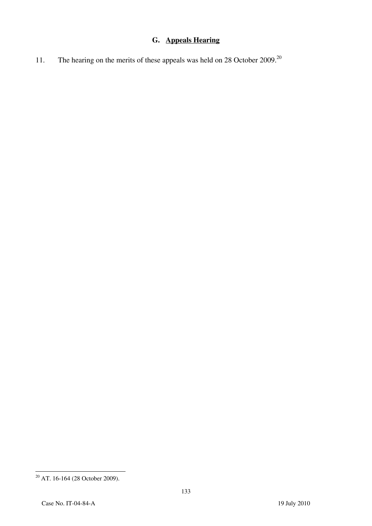# **G. Appeals Hearing**

11. The hearing on the merits of these appeals was held on 28 October 2009.<sup>20</sup>

 $\overline{a}$  $20$  AT. 16-164 (28 October 2009).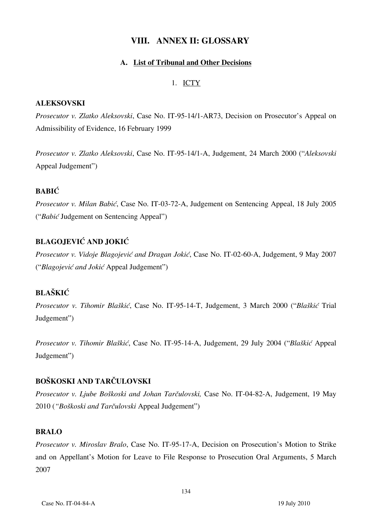### **VIII. ANNEX II: GLOSSARY**

#### **A. List of Tribunal and Other Decisions**

#### 1. ICTY

#### **ALEKSOVSKI**

*Prosecutor v. Zlatko Aleksovski*, Case No. IT-95-14/1-AR73, Decision on Prosecutor's Appeal on Admissibility of Evidence, 16 February 1999

*Prosecutor v. Zlatko Aleksovski*, Case No. IT-95-14/1-A, Judgement, 24 March 2000 ("*Aleksovski* Appeal Judgement")

### **BABIĆ**

*Prosecutor v. Milan Babić*, Case No. IT-03-72-A, Judgement on Sentencing Appeal, 18 July 2005 ("*Babić* Judgement on Sentencing Appeal")

### **BLAGOJEVIĆ AND JOKIĆ**

*Prosecutor v. Vidoje Blagojević and Dragan Jokić*, Case No. IT-02-60-A, Judgement, 9 May 2007 ("*Blagojević and Jokić* Appeal Judgement")

### **BLAŠKIĆ**

*Prosecutor v. Tihomir Blaškić*, Case No. IT-95-14-T, Judgement, 3 March 2000 ("*Blaškić* Trial Judgement")

*Prosecutor v. Tihomir Blaškić*, Case No. IT-95-14-A, Judgement, 29 July 2004 ("*Blaškić* Appeal Judgement")

#### **BOŠKOSKI AND TARČULOVSKI**

*Prosecutor v. Ljube Boškoski and Johan Tarčulovski,* Case No. IT-04-82-A, Judgement, 19 May 2010 (*"Boškoski and Tarčulovski* Appeal Judgement")

#### **BRALO**

*Prosecutor v. Miroslav Bralo*, Case No. IT-95-17-A, Decision on Prosecution's Motion to Strike and on Appellant's Motion for Leave to File Response to Prosecution Oral Arguments, 5 March 2007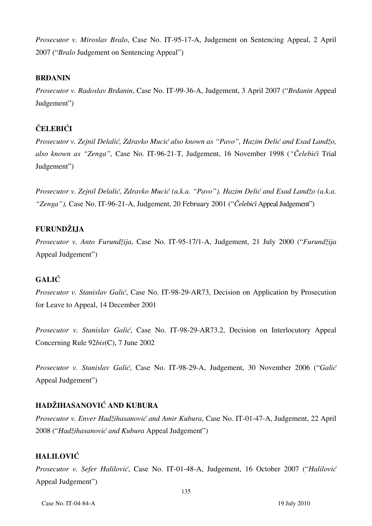*Prosecutor v. Miroslav Bralo*, Case No. IT-95-17-A, Judgement on Sentencing Appeal, 2 April 2007 ("*Bralo* Judgement on Sentencing Appeal")

### **BRĐANIN**

*Prosecutor v. Radoslav Brđanin*, Case No. IT-99-36-A, Judgement, 3 April 2007 ("*Brđanin* Appeal Judgement")

# **ČELEBIĆI**

*Prosecutor v. Zejnil Delalić, Zdravko Mucić also known as "Pavo", Hazim Delić and Esad Landžo, also known as "Zenga",* Case No. IT-96-21-T, Judgement, 16 November 1998 (*"Čelebići* Trial Judgement")

*Prosecutor v. Zejnil Delalić, Zdravko Mucić (a.k.a. "Pavo"), Hazim Delić and Esad Landžo (a.k.a. "Zenga"),* Case No. IT-96-21-A, Judgement, 20 February 2001 ("*Čelebići* Appeal Judgement")

### **FURUNDŽIJA**

*Prosecutor v. Anto Furundžija*, Case No. IT-95-17/1-A, Judgement, 21 July 2000 ("*Furundžija* Appeal Judgement")

### **GALIĆ**

*Prosecutor v. Stanislav Galić*, Case No. IT-98-29-AR73, Decision on Application by Prosecution for Leave to Appeal, 14 December 2001

*Prosecutor v. Stanislav Galić*, Case No. IT-98-29-AR73.2, Decision on Interlocutory Appeal Concerning Rule 92*bis*(C), 7 June 2002

*Prosecutor v. Stanislav Galić*, Case No. IT-98-29-A, Judgement, 30 November 2006 ("*Galić* Appeal Judgement")

### **HADŽIHASANOVIĆ AND KUBURA**

*Prosecutor v. Enver Hadžihasanović and Amir Kubura*, Case No. IT-01-47-A, Judgement, 22 April 2008 ("*Hadžihasanović and Kubura* Appeal Judgement")

### **HALILOVIĆ**

*Prosecutor v. Sefer Halilović*, Case No. IT-01-48-A, Judgement, 16 October 2007 ("*Halilović* Appeal Judgement")

Case No. IT-04-84-A 19 July 2010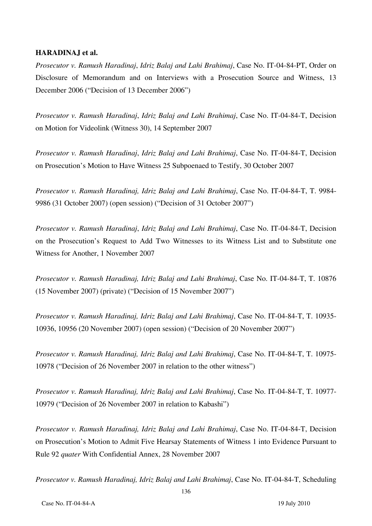#### **HARADINAJ et al.**

*Prosecutor v. Ramush Haradinaj*, *Idriz Balaj and Lahi Brahimaj*, Case No. IT-04-84-PT, Order on Disclosure of Memorandum and on Interviews with a Prosecution Source and Witness, 13 December 2006 ("Decision of 13 December 2006")

*Prosecutor v. Ramush Haradinaj*, *Idriz Balaj and Lahi Brahimaj*, Case No. IT-04-84-T, Decision on Motion for Videolink (Witness 30), 14 September 2007

*Prosecutor v. Ramush Haradinaj*, *Idriz Balaj and Lahi Brahimaj*, Case No. IT-04-84-T, Decision on Prosecution's Motion to Have Witness 25 Subpoenaed to Testify, 30 October 2007

*Prosecutor v. Ramush Haradinaj, Idriz Balaj and Lahi Brahimaj*, Case No. IT-04-84-T, T. 9984- 9986 (31 October 2007) (open session) ("Decision of 31 October 2007")

*Prosecutor v. Ramush Haradinaj*, *Idriz Balaj and Lahi Brahimaj*, Case No. IT-04-84-T, Decision on the Prosecution's Request to Add Two Witnesses to its Witness List and to Substitute one Witness for Another, 1 November 2007

*Prosecutor v. Ramush Haradinaj, Idriz Balaj and Lahi Brahimaj*, Case No. IT-04-84-T, T. 10876 (15 November 2007) (private) ("Decision of 15 November 2007")

*Prosecutor v. Ramush Haradinaj, Idriz Balaj and Lahi Brahimaj*, Case No. IT-04-84-T, T. 10935- 10936, 10956 (20 November 2007) (open session) ("Decision of 20 November 2007")

*Prosecutor v. Ramush Haradinaj, Idriz Balaj and Lahi Brahimaj*, Case No. IT-04-84-T, T. 10975- 10978 ("Decision of 26 November 2007 in relation to the other witness")

*Prosecutor v. Ramush Haradinaj, Idriz Balaj and Lahi Brahimaj*, Case No. IT-04-84-T, T. 10977- 10979 ("Decision of 26 November 2007 in relation to Kabashi")

*Prosecutor v. Ramush Haradinaj, Idriz Balaj and Lahi Brahimaj*, Case No. IT-04-84-T, Decision on Prosecution's Motion to Admit Five Hearsay Statements of Witness 1 into Evidence Pursuant to Rule 92 *quater* With Confidential Annex, 28 November 2007

*Prosecutor v. Ramush Haradinaj, Idriz Balaj and Lahi Brahimaj*, Case No. IT-04-84-T, Scheduling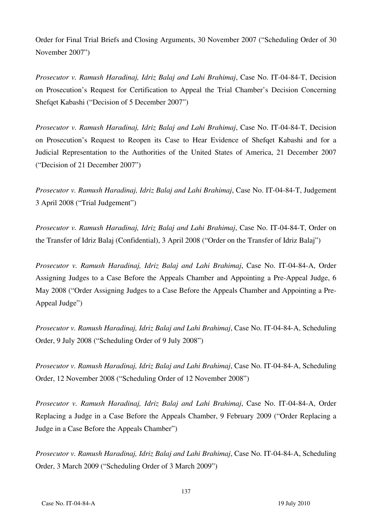Order for Final Trial Briefs and Closing Arguments, 30 November 2007 ("Scheduling Order of 30 November 2007")

*Prosecutor v. Ramush Haradinaj, Idriz Balaj and Lahi Brahimaj*, Case No. IT-04-84-T, Decision on Prosecution's Request for Certification to Appeal the Trial Chamber's Decision Concerning Shefqet Kabashi ("Decision of 5 December 2007")

*Prosecutor v. Ramush Haradinaj, Idriz Balaj and Lahi Brahimaj*, Case No. IT-04-84-T, Decision on Prosecution's Request to Reopen its Case to Hear Evidence of Shefqet Kabashi and for a Judicial Representation to the Authorities of the United States of America, 21 December 2007 ("Decision of 21 December 2007")

*Prosecutor v. Ramush Haradinaj, Idriz Balaj and Lahi Brahimaj*, Case No. IT-04-84-T, Judgement 3 April 2008 ("Trial Judgement")

*Prosecutor v. Ramush Haradinaj, Idriz Balaj and Lahi Brahimaj*, Case No. IT-04-84-T, Order on the Transfer of Idriz Balaj (Confidential), 3 April 2008 ("Order on the Transfer of Idriz Balaj")

*Prosecutor v. Ramush Haradinaj, Idriz Balaj and Lahi Brahimaj*, Case No. IT-04-84-A, Order Assigning Judges to a Case Before the Appeals Chamber and Appointing a Pre-Appeal Judge, 6 May 2008 ("Order Assigning Judges to a Case Before the Appeals Chamber and Appointing a Pre-Appeal Judge")

*Prosecutor v. Ramush Haradinaj, Idriz Balaj and Lahi Brahimaj*, Case No. IT-04-84-A, Scheduling Order, 9 July 2008 ("Scheduling Order of 9 July 2008")

*Prosecutor v. Ramush Haradinaj, Idriz Balaj and Lahi Brahimaj*, Case No. IT-04-84-A, Scheduling Order, 12 November 2008 ("Scheduling Order of 12 November 2008")

*Prosecutor v. Ramush Haradinaj, Idriz Balaj and Lahi Brahimaj*, Case No. IT-04-84-A, Order Replacing a Judge in a Case Before the Appeals Chamber, 9 February 2009 ("Order Replacing a Judge in a Case Before the Appeals Chamber")

*Prosecutor v. Ramush Haradinaj, Idriz Balaj and Lahi Brahimaj*, Case No. IT-04-84-A, Scheduling Order, 3 March 2009 ("Scheduling Order of 3 March 2009")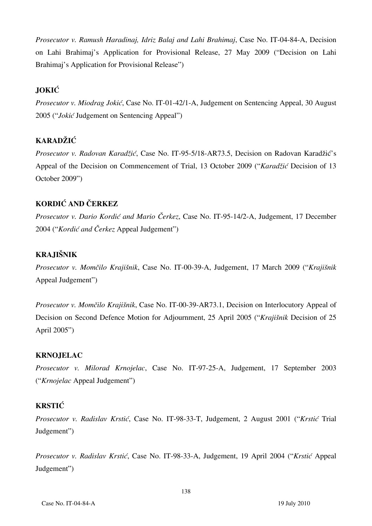*Prosecutor v. Ramush Haradinaj, Idriz Balaj and Lahi Brahimaj*, Case No. IT-04-84-A, Decision on Lahi Brahimaj's Application for Provisional Release, 27 May 2009 ("Decision on Lahi Brahimaj's Application for Provisional Release")

### **JOKIĆ**

*Prosecutor v. Miodrag Jokić*, Case No. IT-01-42/1-A, Judgement on Sentencing Appeal, 30 August 2005 ("*Jokić* Judgement on Sentencing Appeal")

### **KARADŽIĆ**

Prosecutor v. Radovan Karadžić, Case No. IT-95-5/18-AR73.5, Decision on Radovan Karadžić's Appeal of the Decision on Commencement of Trial, 13 October 2009 (*"Karadžić* Decision of 13 October 2009")

### **KORDIĆ AND ČERKEZ**

*Prosecutor v. Dario Kordić and Mario Čerkez*, Case No. IT-95-14/2-A, Judgement, 17 December 2004 ("*Kordić and Čerkez* Appeal Judgement")

### **KRAJIŠNIK**

*Prosecutor v. Momčilo Krajišnik*, Case No. IT-00-39-A, Judgement, 17 March 2009 ("*Krajišnik* Appeal Judgement")

*Prosecutor v. Momčilo Krajišnik, Case No. IT-00-39-AR73.1, Decision on Interlocutory Appeal of* Decision on Second Defence Motion for Adjournment, 25 April 2005 ("*Krajišnik Decision of 25* April 2005")

#### **KRNOJELAC**

*Prosecutor v. Milorad Krnojelac*, Case No. IT-97-25-A, Judgement, 17 September 2003 ("*Krnojelac* Appeal Judgement")

#### **KRSTIĆ**

*Prosecutor v. Radislav Krstić*, Case No. IT-98-33-T, Judgement, 2 August 2001 ("*Krstić* Trial Judgement")

*Prosecutor v. Radislav Krstić*, Case No. IT-98-33-A, Judgement, 19 April 2004 ("*Krstić* Appeal Judgement")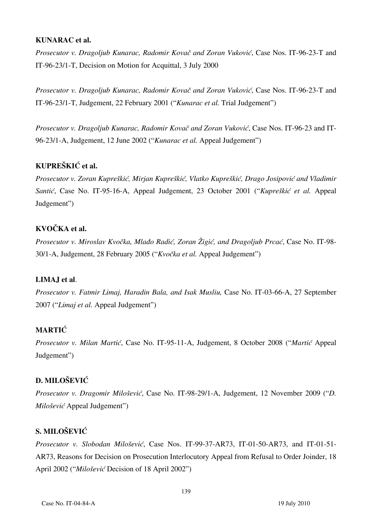#### **KUNARAC et al.**

*Prosecutor v. Dragoljub Kunarac, Radomir Kovač and Zoran Vuković*, Case Nos. IT-96-23-T and IT-96-23/1-T, Decision on Motion for Acquittal, 3 July 2000

*Prosecutor v. Dragoljub Kunarac, Radomir Kovač and Zoran Vuković*, Case Nos. IT-96-23-T and IT-96-23/1-T, Judgement, 22 February 2001 ("*Kunarac et al.* Trial Judgement")

*Prosecutor v. Dragoljub Kunarac, Radomir Kovač and Zoran Vuković*, Case Nos. IT-96-23 and IT-96-23/1-A, Judgement, 12 June 2002 ("*Kunarac et al.* Appeal Judgement")

### **KUPREŠKIĆ et al.**

*Prosecutor v. Zoran Kupreškić, Mirjan Kupreškić, Vlatko Kupreškić, Drago Josipović and Vladimir Santić*, Case No. IT-95-16-A, Appeal Judgement, 23 October 2001 ("*Kupreškić et al.* Appeal Judgement")

### **KVOČKA et al.**

*Prosecutor v. Miroslav Kvočka, Mlađo Radić, Zoran Žigić, and Dragoljub Prcać*, Case No. IT-98- 30/1-A, Judgement, 28 February 2005 ("*Kvočka et al.* Appeal Judgement")

### **LIMAJ et al**.

*Prosecutor v. Fatmir Limaj, Haradin Bala, and Isak Musliu,* Case No. IT-03-66-A, 27 September 2007 ("*Limaj et al.* Appeal Judgement")

### **MARTIĆ**

*Prosecutor v. Milan Martić*, Case No. IT-95-11-A, Judgement, 8 October 2008 ("*Martić* Appeal Judgement")

### **D. MILOŠEVIĆ**

*Prosecutor v. Dragomir Milošević*, Case No. IT-98-29/1-A, Judgement, 12 November 2009 ("*D. Milošević* Appeal Judgement")

### **S. MILOŠEVIĆ**

*Prosecutor v. Slobodan Milo{evi}*, Case Nos. IT-99-37-AR73, IT-01-50-AR73, and IT-01-51- AR73, Reasons for Decision on Prosecution Interlocutory Appeal from Refusal to Order Joinder, 18 April 2002 ("*Milo{evi}* Decision of 18 April 2002")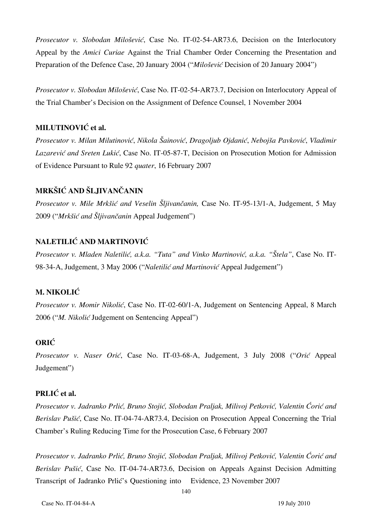*Prosecutor v. Slobodan Milošević*, Case No. IT-02-54-AR73.6, Decision on the Interlocutory Appeal by the *Amici Curiae* Against the Trial Chamber Order Concerning the Presentation and Preparation of the Defence Case, 20 January 2004 ("*Milošević* Decision of 20 January 2004")

*Prosecutor v. Slobodan Milošević*, Case No. IT-02-54-AR73.7, Decision on Interlocutory Appeal of the Trial Chamber's Decision on the Assignment of Defence Counsel, 1 November 2004

### **MILUTINOVIĆ** et al.

*Prosecutor v. Milan Milutinović*, *Nikola [ainovi}*, *Dragoljub Ojdani}*, *Neboj{a Pavkovi}*, *Vladimir*  Lazarević and Sreten Lukić, Case No. IT-05-87-T, Decision on Prosecution Motion for Admission of Evidence Pursuant to Rule 92 *quater*, 16 February 2007

### **MRKŠIĆ AND ŠLJIVANČANIN**

*Prosecutor v. Mile Mrkšić and Veselin Šljivančanin,* Case No. IT-95-13/1-A, Judgement, 5 May 2009 ("*Mrkšić and Šljivančanin* Appeal Judgement")

### **NALETILIĆ AND MARTINOVIĆ**

*Prosecutor v. Mladen Naletilić, a.k.a. "Tuta" and Vinko Martinović, a.k.a. "Štela"*, Case No. IT-98-34-A, Judgement, 3 May 2006 ("*Naletilić and Martinović* Appeal Judgement")

#### **M. NIKOLIĆ**

*Prosecutor v. Momir Nikolić*, Case No. IT-02-60/1-A, Judgement on Sentencing Appeal, 8 March 2006 ("*M. Nikolić* Judgement on Sentencing Appeal")

### **ORIĆ**

*Prosecutor v. Naser Orić*, Case No. IT-03-68-A, Judgement, 3 July 2008 ("*Orić* Appeal Judgement")

### **PRLIĆ et al.**

*Prosecutor v. Jadranko Prlić, Bruno Stojić, Slobodan Praljak, Milivoj Petković, Valentin Ćorić and Berislav Pušić*, Case No. IT-04-74-AR73.4, Decision on Prosecution Appeal Concerning the Trial Chamber's Ruling Reducing Time for the Prosecution Case, 6 February 2007

*Prosecutor v. Jadranko Prlić, Bruno Stojić, Slobodan Praljak, Milivoj Petković, Valentin Ćorić and Berislav Pušić*, Case No. IT-04-74-AR73.6, Decision on Appeals Against Decision Admitting Transcript of Jadranko Prlić's Questioning into Evidence, 23 November 2007

140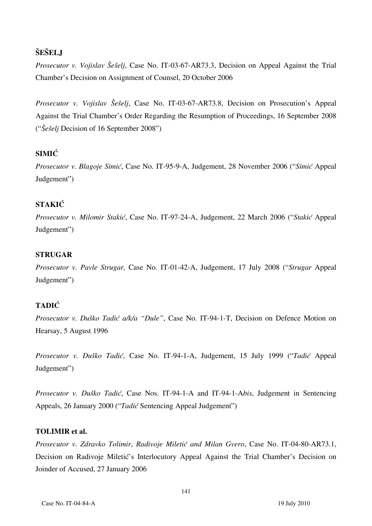# $\check{\textbf{SE}}$ **ELJ**

*Prosecutor v. Vojislav Šešelj, Case No. IT-03-67-AR73.3, Decision on Appeal Against the Trial* Chamber's Decision on Assignment of Counsel, 20 October 2006

*Prosecutor v. Vojislav Šešelj*, Case No. IT-03-67-AR73.8, Decision on Prosecution's Appeal Against the Trial Chamber's Order Regarding the Resumption of Proceedings, 16 September 2008 ("*Šešelj* Decision of 16 September 2008")

# **SIMIĆ**

*Prosecutor v. Blagoje Simić*, Case No. IT-95-9-A, Judgement, 28 November 2006 ("*Simić* Appeal Judgement")

# **STAKIĆ**

*Prosecutor v. Milomir Stakić*, Case No. IT-97-24-A, Judgement, 22 March 2006 ("*Stakić* Appeal Judgement")

# **STRUGAR**

*Prosecutor v. Pavle Strugar,* Case No. IT-01-42-A, Judgement, 17 July 2008 ("*Strugar* Appeal Judgement")

# **TADIĆ**

*Prosecutor v. Duško Tadić a/k/a "Dule"*, Case No. IT-94-1-T, Decision on Defence Motion on Hearsay, 5 August 1996

*Prosecutor v. Duško Tadić*, Case No. IT-94-1-A, Judgement, 15 July 1999 ("*Tadić* Appeal Judgement")

*Prosecutor v. Duško Tadić*, Case Nos. IT-94-1-A and IT-94-1-A*bis*, Judgement in Sentencing Appeals, 26 January 2000 ("*Tadić* Sentencing Appeal Judgement")

# **TOLIMIR et al.**

*Prosecutor v. Zdravko Tolimir, Radivoje Miletić and Milan Gvero, Case No. IT-04-80-AR73.1,* Decision on Radivoje Miletić's Interlocutory Appeal Against the Trial Chamber's Decision on Joinder of Accused, 27 January 2006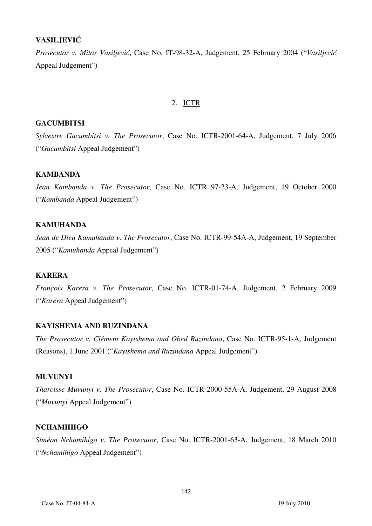# **VASILJEVIĆ**

*Prosecutor v. Mitar Vasiljević*, Case No. IT-98-32-A, Judgement, 25 February 2004 ("*Vasiljević* Appeal Judgement")

# 2. ICTR

### **GACUMBITSI**

*Sylvestre Gacumbitsi v. The Prosecutor*, Case No. ICTR-2001-64-A, Judgement, 7 July 2006 ("*Gacumbitsi* Appeal Judgement")

# **KAMBANDA**

*Jean Kambanda v. The Prosecutor*, Case No. ICTR 97-23-A, Judgement, 19 October 2000 ("*Kambanda* Appeal Judgement")

# **KAMUHANDA**

*Jean de Dieu Kamuhanda v. The Prosecutor*, Case No. ICTR-99-54A-A, Judgement, 19 September 2005 ("*Kamuhanda* Appeal Judgement")

# **KARERA**

*François Karera v. The Prosecutor*, Case No. ICTR-01-74-A, Judgement, 2 February 2009 ("*Karera* Appeal Judgement")

# **KAYISHEMA AND RUZINDANA**

*The Prosecutor v. Clément Kayishema and Obed Ruzindana*, Case No. ICTR-95-1-A, Judgement (Reasons), 1 June 2001 ("*Kayishema and Ruzindana* Appeal Judgement")

# **MUVUNYI**

*Tharcisse Muvunyi v. The Prosecutor*, Case No. ICTR-2000-55A-A, Judgement, 29 August 2008 ("*Muvunyi* Appeal Judgement")

#### **NCHAMIHIGO**

*Siméon Nchamihigo v. The Prosecutor*, Case No. ICTR-2001-63-A, Judgement, 18 March 2010 ("*Nchamihigo* Appeal Judgement")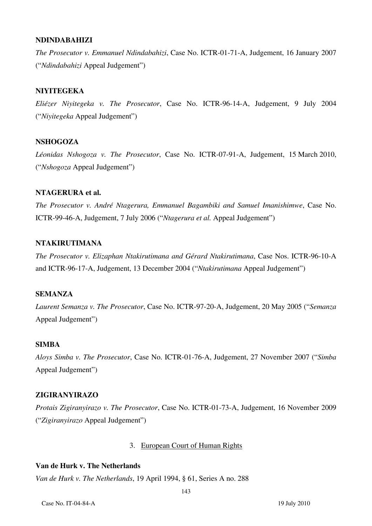#### **NDINDABAHIZI**

*The Prosecutor v. Emmanuel Ndindabahizi*, Case No. ICTR-01-71-A, Judgement, 16 January 2007 ("*Ndindabahizi* Appeal Judgement")

### **NIYITEGEKA**

*Eliézer Niyitegeka v. The Prosecutor*, Case No. ICTR-96-14-A, Judgement, 9 July 2004 ("*Niyitegeka* Appeal Judgement")

### **NSHOGOZA**

*Léonidas Nshogoza v. The Prosecutor*, Case No. ICTR-07-91-A, Judgement, 15 March 2010, ("*Nshogoza* Appeal Judgement")

#### **NTAGERURA et al.**

*The Prosecutor v. André Ntagerura, Emmanuel Bagambiki and Samuel Imanishimwe*, Case No. ICTR-99-46-A, Judgement, 7 July 2006 ("*Ntagerura et al.* Appeal Judgement")

### **NTAKIRUTIMANA**

*The Prosecutor v. Elizaphan Ntakirutimana and Gérard Ntakirutimana*, Case Nos. ICTR-96-10-A and ICTR-96-17-A, Judgement, 13 December 2004 ("*Ntakirutimana* Appeal Judgement")

# **SEMANZA**

*Laurent Semanza v. The Prosecutor*, Case No. ICTR-97-20-A, Judgement, 20 May 2005 ("*Semanza* Appeal Judgement")

#### **SIMBA**

*Aloys Simba v. The Prosecutor*, Case No. ICTR-01-76-A, Judgement, 27 November 2007 ("*Simba* Appeal Judgement")

### **ZIGIRANYIRAZO**

*Protais Zigiranyirazo v. The Prosecutor*, Case No. ICTR-01-73-A, Judgement, 16 November 2009 ("*Zigiranyirazo* Appeal Judgement")

#### 3. European Court of Human Rights

### **Van de Hurk v. The Netherlands**

*Van de Hurk v. The Netherlands*, 19 April 1994, § 61, Series A no. 288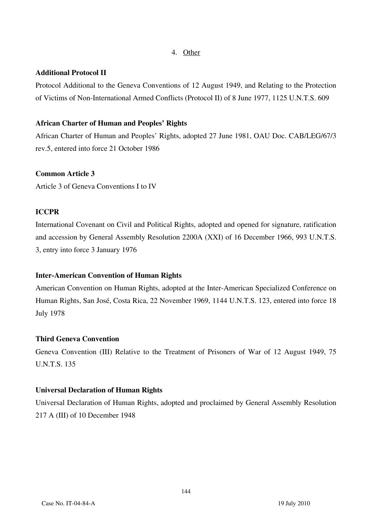#### 4. Other

### **Additional Protocol II**

Protocol Additional to the Geneva Conventions of 12 August 1949, and Relating to the Protection of Victims of Non-International Armed Conflicts (Protocol II) of 8 June 1977, 1125 U.N.T.S. 609

### **African Charter of Human and Peoples' Rights**

African Charter of Human and Peoples' Rights, adopted 27 June 1981, OAU Doc. CAB/LEG/67/3 rev.5, entered into force 21 October 1986

### **Common Article 3**

Article 3 of Geneva Conventions I to IV

# **ICCPR**

International Covenant on Civil and Political Rights, adopted and opened for signature, ratification and accession by General Assembly Resolution 2200A (XXI) of 16 December 1966, 993 U.N.T.S. 3, entry into force 3 January 1976

# **Inter-American Convention of Human Rights**

American Convention on Human Rights, adopted at the Inter-American Specialized Conference on Human Rights, San José, Costa Rica, 22 November 1969, 1144 U.N.T.S. 123, entered into force 18 July 1978

# **Third Geneva Convention**

Geneva Convention (III) Relative to the Treatment of Prisoners of War of 12 August 1949, 75 U.N.T.S. 135

# **Universal Declaration of Human Rights**

Universal Declaration of Human Rights, adopted and proclaimed by General Assembly Resolution 217 A (III) of 10 December 1948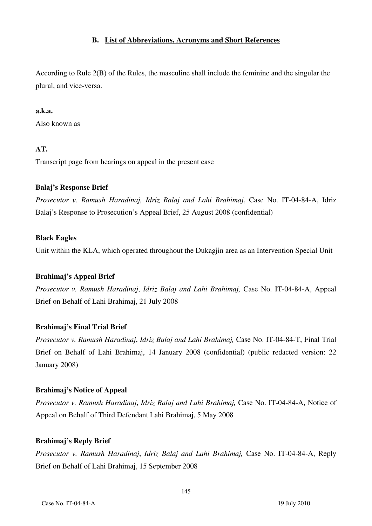### **B. List of Abbreviations, Acronyms and Short References**

 According to Rule 2(B) of the Rules, the masculine shall include the feminine and the singular the plural, and vice-versa.

### **a.k.a.**

Also known as

# **AT.**

Transcript page from hearings on appeal in the present case

# **Balaj's Response Brief**

*Prosecutor v. Ramush Haradinaj, Idriz Balaj and Lahi Brahimaj*, Case No. IT-04-84-A, Idriz Balaj's Response to Prosecution's Appeal Brief, 25 August 2008 (confidential)

### **Black Eagles**

Unit within the KLA, which operated throughout the Dukagjin area as an Intervention Special Unit

# **Brahimaj's Appeal Brief**

*Prosecutor v. Ramush Haradinaj*, *Idriz Balaj and Lahi Brahimaj,* Case No. IT-04-84-A, Appeal Brief on Behalf of Lahi Brahimaj, 21 July 2008

# **Brahimaj's Final Trial Brief**

*Prosecutor v. Ramush Haradinaj*, *Idriz Balaj and Lahi Brahimaj,* Case No. IT-04-84-T, Final Trial Brief on Behalf of Lahi Brahimaj, 14 January 2008 (confidential) (public redacted version: 22 January 2008)

# **Brahimaj's Notice of Appeal**

*Prosecutor v. Ramush Haradinaj*, *Idriz Balaj and Lahi Brahimaj,* Case No. IT-04-84-A, Notice of Appeal on Behalf of Third Defendant Lahi Brahimaj, 5 May 2008

# **Brahimaj's Reply Brief**

*Prosecutor v. Ramush Haradinaj*, *Idriz Balaj and Lahi Brahimaj,* Case No. IT-04-84-A, Reply Brief on Behalf of Lahi Brahimaj, 15 September 2008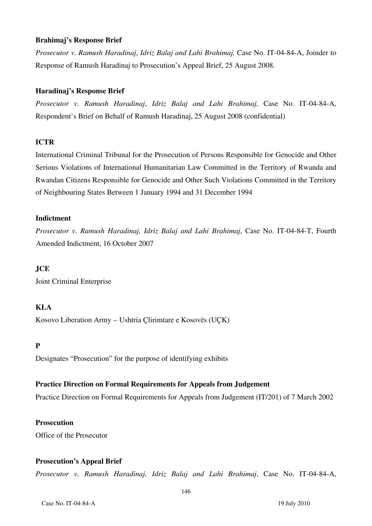#### **Brahimaj's Response Brief**

*Prosecutor v. Ramush Haradinaj*, *Idriz Balaj and Lahi Brahimaj,* Case No. IT-04-84-A, Joinder to Response of Ramush Haradinaj to Prosecution's Appeal Brief, 25 August 2008.

### **Haradinaj's Response Brief**

*Prosecutor v. Ramush Haradinaj*, *Idriz Balaj and Lahi Brahimaj,* Case No. IT-04-84-A, Respondent's Brief on Behalf of Ramush Haradinaj, 25 August 2008 (confidential)

#### **ICTR**

International Criminal Tribunal for the Prosecution of Persons Responsible for Genocide and Other Serious Violations of International Humanitarian Law Committed in the Territory of Rwanda and Rwandan Citizens Responsible for Genocide and Other Such Violations Committed in the Territory of Neighbouring States Between 1 January 1994 and 31 December 1994

#### **Indictment**

*Prosecutor v. Ramush Haradinaj, Idriz Balaj and Lahi Brahimaj*, Case No. IT-04-84-T, Fourth Amended Indictment, 16 October 2007

# **JCE**

Joint Criminal Enterprise

# **KLA**

Kosovo Liberation Army – Ushtria Çlirimtare e Kosovës (UÇK)

# **P**

Designates "Prosecution" for the purpose of identifying exhibits

# **Practice Direction on Formal Requirements for Appeals from Judgement**

Practice Direction on Formal Requirements for Appeals from Judgement (IT/201) of 7 March 2002

#### **Prosecution**

Office of the Prosecutor

#### **Prosecution's Appeal Brief**

*Prosecutor v. Ramush Haradinaj, Idriz Balaj and Lahi Brahimaj*, Case No. IT-04-84-A,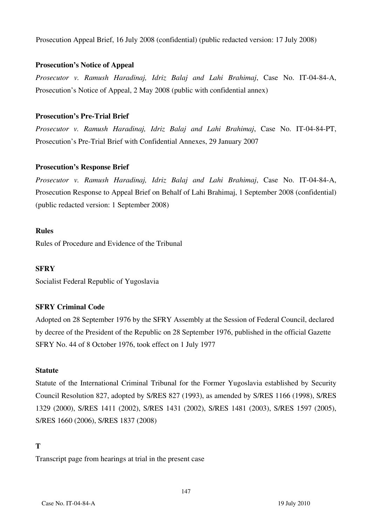Prosecution Appeal Brief, 16 July 2008 (confidential) (public redacted version: 17 July 2008)

### **Prosecution's Notice of Appeal**

*Prosecutor v. Ramush Haradinaj, Idriz Balaj and Lahi Brahimaj*, Case No. IT-04-84-A, Prosecution's Notice of Appeal, 2 May 2008 (public with confidential annex)

# **Prosecution's Pre-Trial Brief**

*Prosecutor v. Ramush Haradinaj, Idriz Balaj and Lahi Brahimaj*, Case No. IT-04-84-PT, Prosecution's Pre-Trial Brief with Confidential Annexes, 29 January 2007

# **Prosecution's Response Brief**

*Prosecutor v. Ramush Haradinaj, Idriz Balaj and Lahi Brahimaj*, Case No. IT-04-84-A, Prosecution Response to Appeal Brief on Behalf of Lahi Brahimaj, 1 September 2008 (confidential) (public redacted version: 1 September 2008)

### **Rules**

Rules of Procedure and Evidence of the Tribunal

# **SFRY**

Socialist Federal Republic of Yugoslavia

# **SFRY Criminal Code**

Adopted on 28 September 1976 by the SFRY Assembly at the Session of Federal Council, declared by decree of the President of the Republic on 28 September 1976, published in the official Gazette SFRY No. 44 of 8 October 1976, took effect on 1 July 1977

# **Statute**

Statute of the International Criminal Tribunal for the Former Yugoslavia established by Security Council Resolution 827, adopted by S/RES 827 (1993), as amended by S/RES 1166 (1998), S/RES 1329 (2000), S/RES 1411 (2002), S/RES 1431 (2002), S/RES 1481 (2003), S/RES 1597 (2005), S/RES 1660 (2006), S/RES 1837 (2008)

# **T**

Transcript page from hearings at trial in the present case